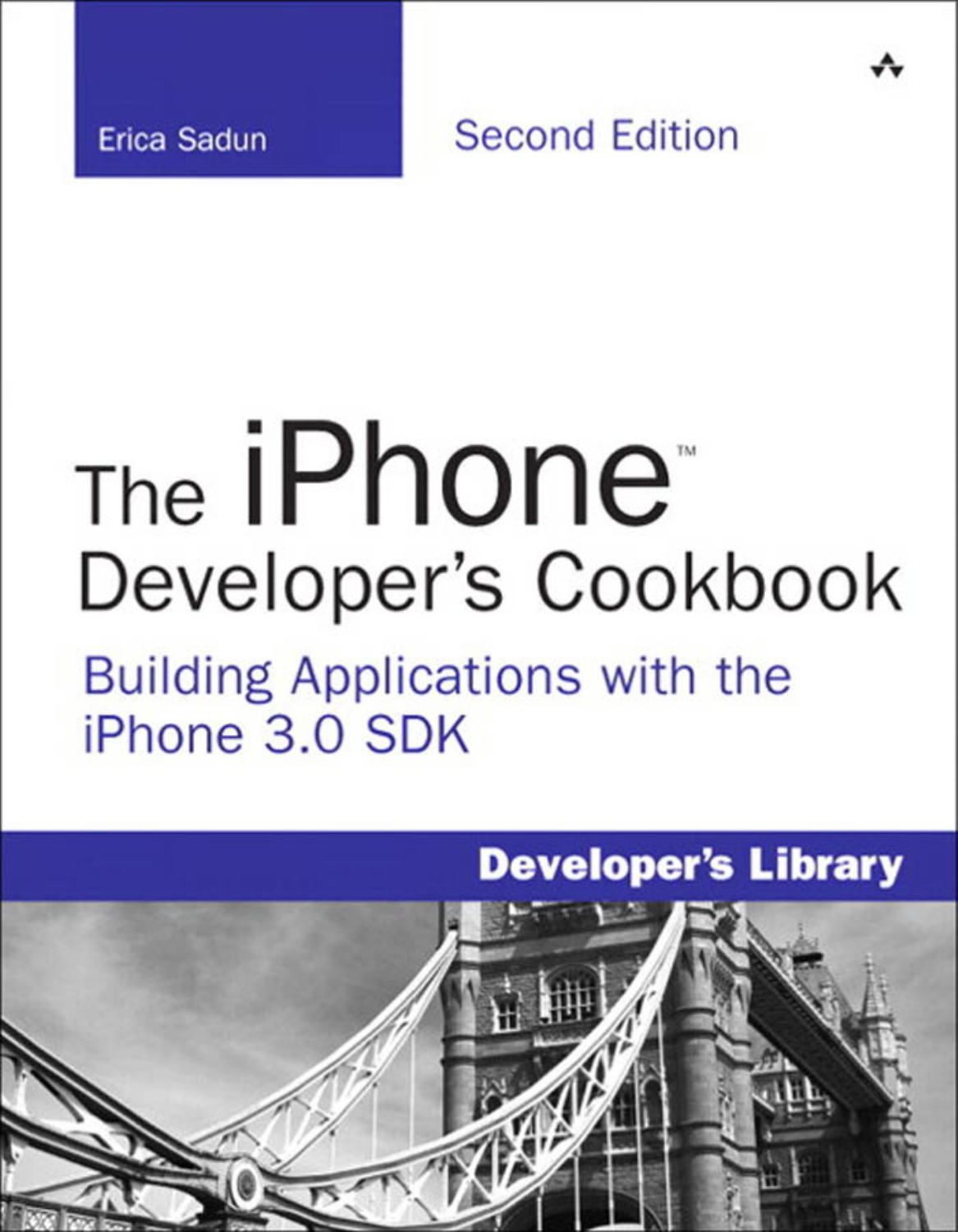**Second Edition** 

## The **iPhone** Developer's Cookbook

**Building Applications with the** iPhone 3.0 SDK

**Developer's Library** 

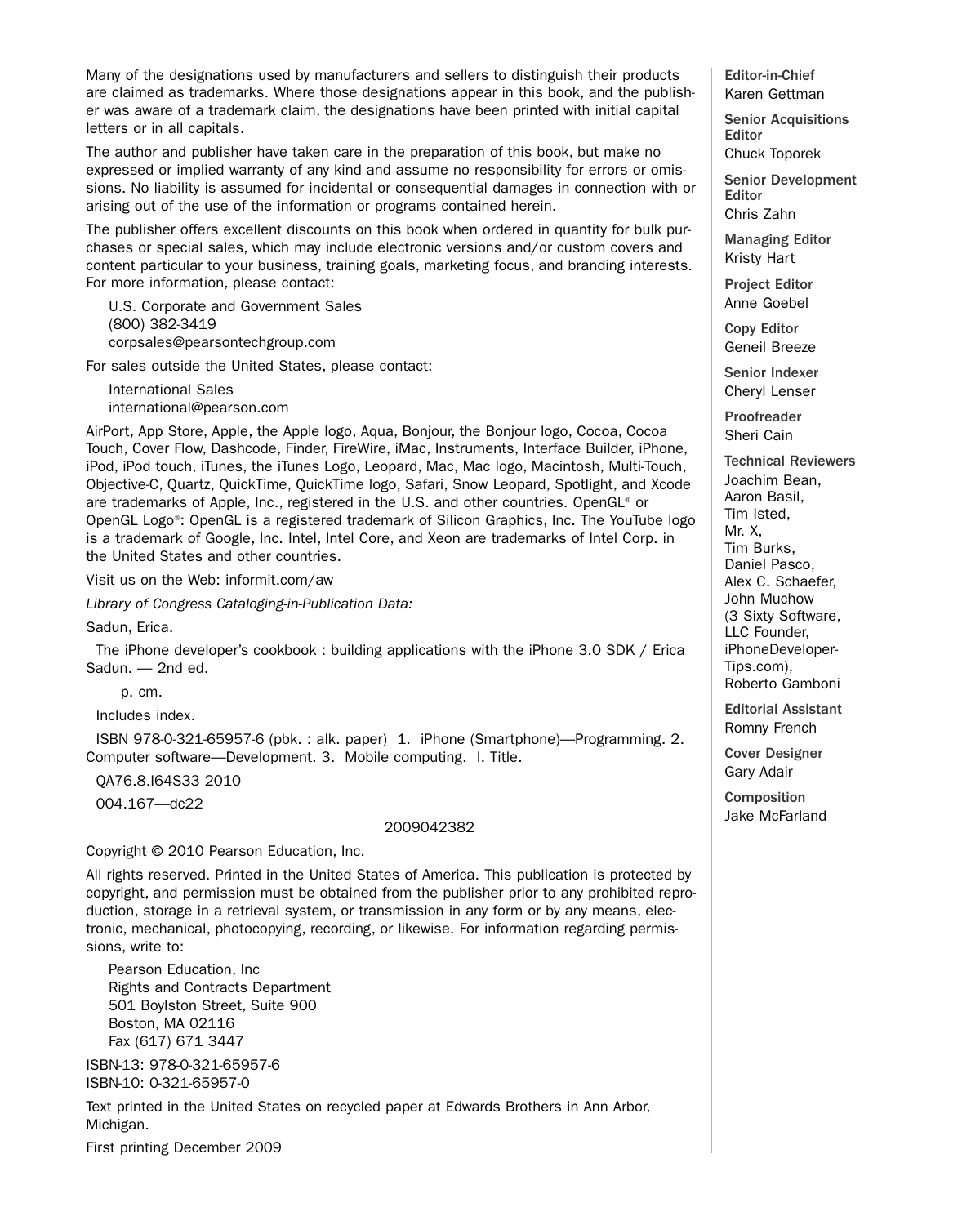Many of the designations used by manufacturers and sellers to distinguish their products are claimed as trademarks. Where those designations appear in this book, and the publisher was aware of a trademark claim, the designations have been printed with initial capital letters or in all capitals.

The author and publisher have taken care in the preparation of this book, but make no expressed or implied warranty of any kind and assume no responsibility for errors or omissions. No liability is assumed for incidental or consequential damages in connection with or arising out of the use of the information or programs contained herein.

The publisher offers excellent discounts on this book when ordered in quantity for bulk purchases or special sales, which may include electronic versions and/or custom covers and content particular to your business, training goals, marketing focus, and branding interests. For more information, please contact:

U.S. Corporate and Government Sales (800) 382-3419 corpsales@pearsontechgroup.com

For sales outside the United States, please contact:

International Sales international@pearson.com

AirPort, App Store, Apple, the Apple logo, Aqua, Bonjour, the Bonjour logo, Cocoa, Cocoa Touch, Cover Flow, Dashcode, Finder, FireWire, iMac, Instruments, Interface Builder, iPhone, iPod, iPod touch, iTunes, the iTunes Logo, Leopard, Mac, Mac logo, Macintosh, Multi-Touch, Objective-C, Quartz, QuickTime, QuickTime logo, Safari, Snow Leopard, Spotlight, and Xcode are trademarks of Apple, Inc., registered in the U.S. and other countries. OpenGL® or OpenGL Logo®: OpenGL is a registered trademark of Silicon Graphics, Inc. The YouTube logo is a trademark of Google, Inc. Intel, Intel Core, and Xeon are trademarks of Intel Corp. in the United States and other countries.

Visit us on the Web: informit.com/aw

*Library of Congress Cataloging-in-Publication Data:*

Sadun, Erica.

The iPhone developer's cookbook : building applications with the iPhone 3.0 SDK / Erica Sadun. — 2nd ed.

p. cm.

Includes index.

ISBN 978-0-321-65957-6 (pbk. : alk. paper) 1. iPhone (Smartphone)—Programming. 2. Computer software—Development. 3. Mobile computing. I. Title.

QA76.8.I64S33 2010

004.167-dc22

#### 2009042382

Copyright © 2010 Pearson Education, Inc.

All rights reserved. Printed in the United States of America. This publication is protected by copyright, and permission must be obtained from the publisher prior to any prohibited reproduction, storage in a retrieval system, or transmission in any form or by any means, electronic, mechanical, photocopying, recording, or likewise. For information regarding permissions, write to:

Pearson Education, Inc Rights and Contracts Department 501 Boylston Street, Suite 900 Boston, MA 02116 Fax (617) 671 3447

ISBN-13: 978-0-321-65957-6 ISBN-10: 0-321-65957-0

Text printed in the United States on recycled paper at Edwards Brothers in Ann Arbor, Michigan.

First printing December 2009

Editor-in-Chief Karen Gettman

Senior Acquisitions Editor

Chuck Toporek

Senior Development Editor Chris Zahn

Managing Editor Kristy Hart

Project Editor Anne Goebel

Copy Editor Geneil Breeze

Senior Indexer Cheryl Lenser

Proofreader Sheri Cain

Technical Reviewers Joachim Bean, Aaron Basil, Tim Isted, Mr. X, Tim Burks, Daniel Pasco, Alex C. Schaefer, John Muchow (3 Sixty Software, LLC Founder, iPhoneDeveloper-Tips.com), Roberto Gamboni

Editorial Assistant Romny French

Cover Designer Gary Adair

Composition Jake McFarland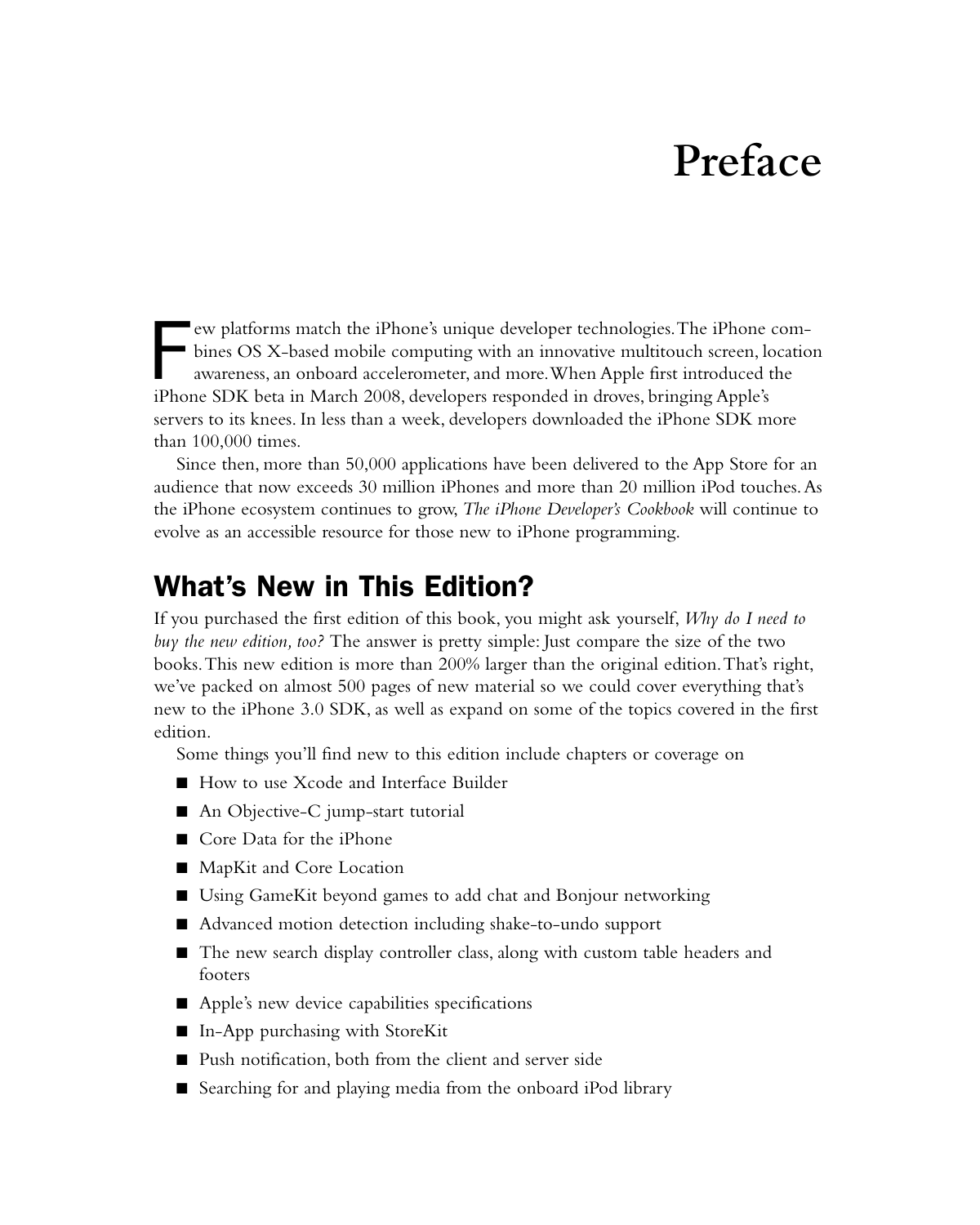## **Preface**

EV platforms match the iPhone's unique developer technologies. The iPhone com-<br>bines OS X-based mobile computing with an innovative multitouch screen, location<br>awareness, an onboard accelerometer, and more. When Apple firs bines OS X-based mobile computing with an innovative multitouch screen, location awareness, an onboard accelerometer, and more.When Apple first introduced the iPhone SDK beta in March 2008, developers responded in droves, bringing Apple's servers to its knees. In less than a week, developers downloaded the iPhone SDK more than 100,000 times.

Since then, more than 50,000 applications have been delivered to the App Store for an audience that now exceeds 30 million iPhones and more than 20 million iPod touches.As the iPhone ecosystem continues to grow, *The iPhone Developer's Cookbook* will continue to evolve as an accessible resource for those new to iPhone programming.

## What's New in This Edition?

If you purchased the first edition of this book, you might ask yourself, *Why do I need to buy the new edition, too?* The answer is pretty simple: Just compare the size of the two books.This new edition is more than 200% larger than the original edition.That's right, we've packed on almost 500 pages of new material so we could cover everything that's new to the iPhone 3.0 SDK, as well as expand on some of the topics covered in the first edition.

Some things you'll find new to this edition include chapters or coverage on

- How to use Xcode and Interface Builder
- An Objective-C jump-start tutorial
- Core Data for the iPhone
- MapKit and Core Location
- Using GameKit beyond games to add chat and Bonjour networking
- Advanced motion detection including shake-to-undo support
- The new search display controller class, along with custom table headers and footers
- Apple's new device capabilities specifications
- In-App purchasing with StoreKit
- Push notification, both from the client and server side
- Searching for and playing media from the onboard iPod library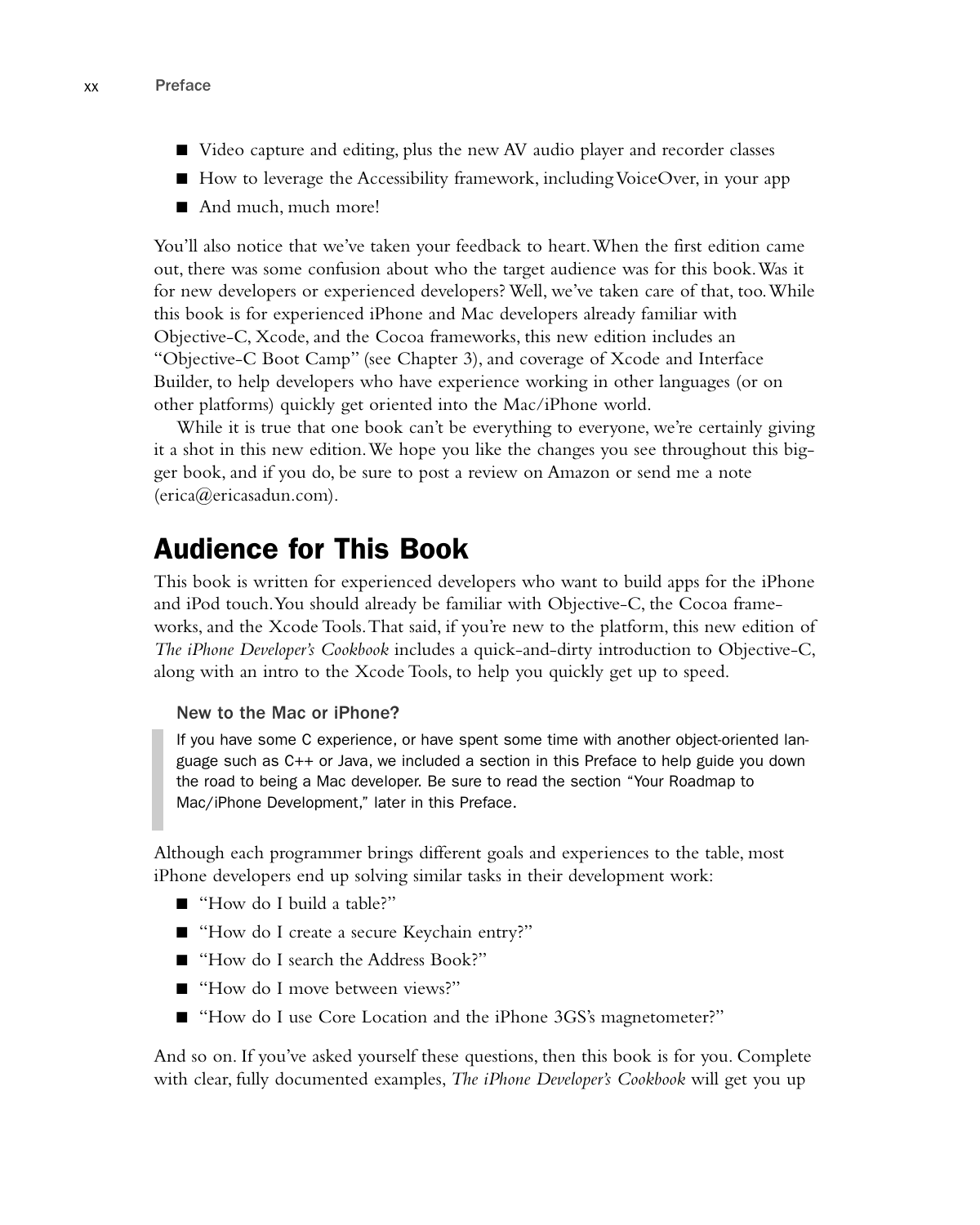- Video capture and editing, plus the new AV audio player and recorder classes
- How to leverage the Accessibility framework, including VoiceOver, in your app
- And much, much more!

You'll also notice that we've taken your feedback to heart.When the first edition came out, there was some confusion about who the target audience was for this book.Was it for new developers or experienced developers? Well, we've taken care of that, too.While this book is for experienced iPhone and Mac developers already familiar with Objective-C, Xcode, and the Cocoa frameworks, this new edition includes an "Objective-C Boot Camp" (see Chapter 3), and coverage of Xcode and Interface Builder, to help developers who have experience working in other languages (or on other platforms) quickly get oriented into the Mac/iPhone world.

While it is true that one book can't be everything to everyone, we're certainly giving it a shot in this new edition.We hope you like the changes you see throughout this bigger book, and if you do, be sure to post a review on Amazon or send me a note (erica@ericasadun.com).

## Audience for This Book

This book is written for experienced developers who want to build apps for the iPhone and iPod touch.You should already be familiar with Objective-C, the Cocoa frameworks, and the Xcode Tools.That said, if you're new to the platform, this new edition of *The iPhone Developer's Cookbook* includes a quick-and-dirty introduction to Objective-C, along with an intro to the Xcode Tools, to help you quickly get up to speed.

#### New to the Mac or iPhone?

If you have some C experience, or have spent some time with another object-oriented language such as C++ or Java, we included a section in this Preface to help guide you down the road to being a Mac developer. Be sure to read the section "Your Roadmap to Mac/iPhone Development," later in this Preface.

Although each programmer brings different goals and experiences to the table, most iPhone developers end up solving similar tasks in their development work:

- "How do I build a table?"
- "How do I create a secure Keychain entry?"
- "How do I search the Address Book?"
- "How do I move between views?"
- "How do I use Core Location and the iPhone 3GS's magnetometer?"

And so on. If you've asked yourself these questions, then this book is for you. Complete with clear, fully documented examples, *The iPhone Developer's Cookbook* will get you up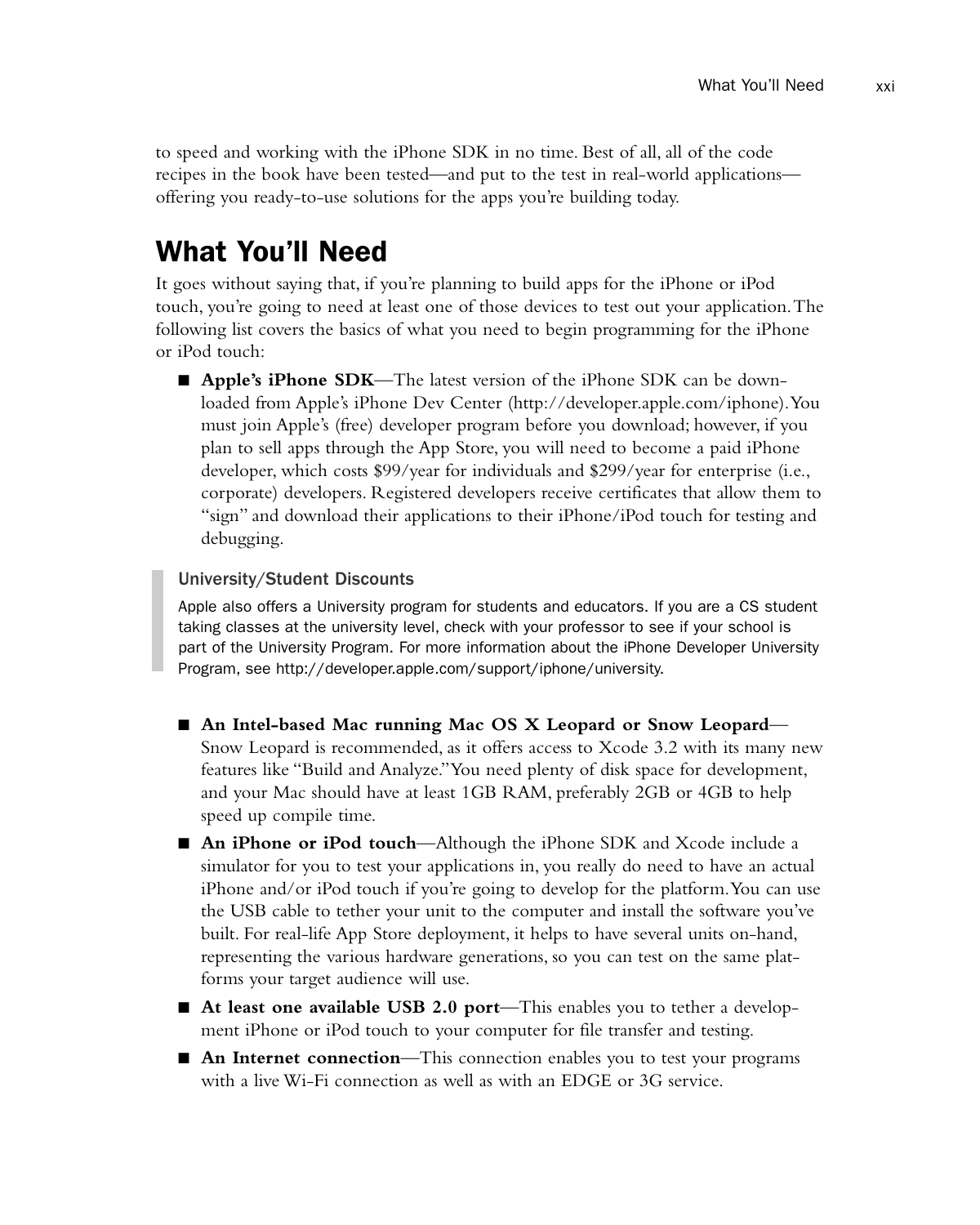to speed and working with the iPhone SDK in no time. Best of all, all of the code recipes in the book have been tested—and put to the test in real-world applications offering you ready-to-use solutions for the apps you're building today.

## What You'll Need

It goes without saying that, if you're planning to build apps for the iPhone or iPod touch, you're going to need at least one of those devices to test out your application.The following list covers the basics of what you need to begin programming for the iPhone or iPod touch:

■ **Apple's iPhone SDK**—The latest version of the iPhone SDK can be downloaded from Apple's iPhone Dev Center [\(http://developer.apple.com/iphone\).Y](http://developer.apple.com/iphone)ou must join Apple's (free) developer program before you download; however, if you plan to sell apps through the App Store, you will need to become a paid iPhone developer, which costs \$99/year for individuals and \$299/year for enterprise (i.e., corporate) developers. Registered developers receive certificates that allow them to "sign" and download their applications to their iPhone/iPod touch for testing and debugging.

#### University/Student Discounts

Apple also offers a University program for students and educators. If you are a CS student taking classes at the university level, check with your professor to see if your school is part of the University Program. For more information about the iPhone Developer University Program, see [http://developer.apple.com/support/iphone/university.](http://developer.apple.com/support/iphone/university)

- An Intel-based Mac running Mac OS X Leopard or Snow Leopard— Snow Leopard is recommended, as it offers access to Xcode 3.2 with its many new features like "Build and Analyze."You need plenty of disk space for development, and your Mac should have at least 1GB RAM, preferably 2GB or 4GB to help speed up compile time.
- **An iPhone or iPod touch—Although the iPhone SDK and Xcode include a** simulator for you to test your applications in, you really do need to have an actual iPhone and/or iPod touch if you're going to develop for the platform.You can use the USB cable to tether your unit to the computer and install the software you've built. For real-life App Store deployment, it helps to have several units on-hand, representing the various hardware generations, so you can test on the same platforms your target audience will use.
- **At least one available USB 2.0 port**—This enables you to tether a development iPhone or iPod touch to your computer for file transfer and testing.
- **An Internet connection**—This connection enables you to test your programs with a live Wi-Fi connection as well as with an EDGE or 3G service.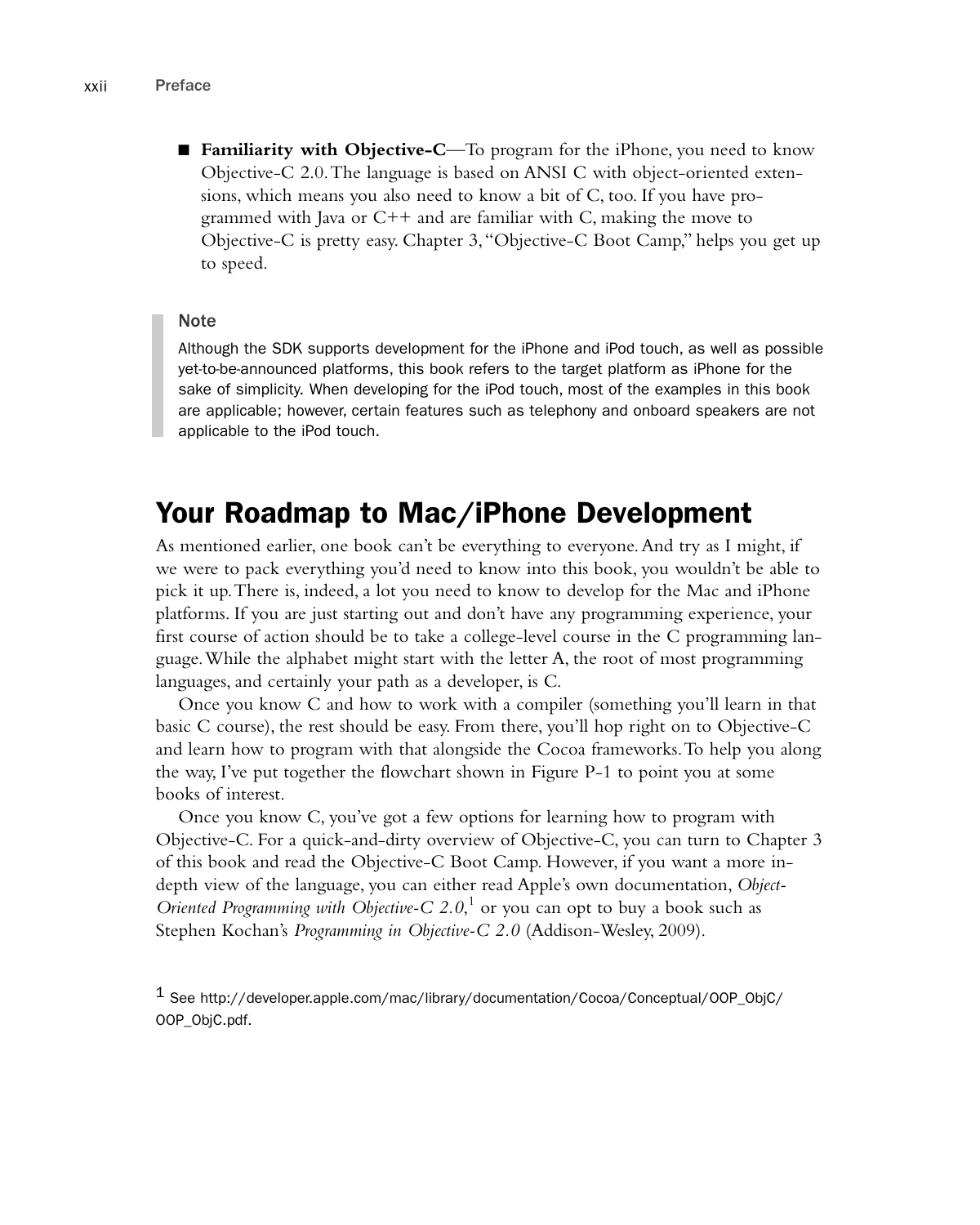■ **Familiarity with Objective-C—To** program for the iPhone, you need to know Objective-C 2.0.The language is based on ANSI C with object-oriented extensions, which means you also need to know a bit of C, too. If you have programmed with Java or  $C++$  and are familiar with  $C$ , making the move to Objective-C is pretty easy. Chapter 3,"Objective-C Boot Camp," helps you get up to speed.

#### **Note**

Although the SDK supports development for the iPhone and iPod touch, as well as possible yet-to-be-announced platforms, this book refers to the target platform as iPhone for the sake of simplicity. When developing for the iPod touch, most of the examples in this book are applicable; however, certain features such as telephony and onboard speakers are not applicable to the iPod touch.

## Your Roadmap to Mac/iPhone Development

As mentioned earlier, one book can't be everything to everyone.And try as I might, if we were to pack everything you'd need to know into this book, you wouldn't be able to pick it up.There is, indeed, a lot you need to know to develop for the Mac and iPhone platforms. If you are just starting out and don't have any programming experience, your first course of action should be to take a college-level course in the C programming language.While the alphabet might start with the letter A, the root of most programming languages, and certainly your path as a developer, is C.

Once you know C and how to work with a compiler (something you'll learn in that basic C course), the rest should be easy. From there, you'll hop right on to Objective-C and learn how to program with that alongside the Cocoa frameworks.To help you along the way, I've put together the flowchart shown in Figure P-1 to point you at some books of interest.

Once you know C, you've got a few options for learning how to program with Objective-C. For a quick-and-dirty overview of Objective-C, you can turn to Chapter 3 of this book and read the Objective-C Boot Camp. However, if you want a more indepth view of the language, you can either read Apple's own documentation, *Object-Oriented Programming with Objective-C 2.0*, <sup>1</sup> or you can opt to buy a book such as Stephen Kochan's *Programming in Objective-C 2.0* (Addison-Wesley, 2009).

1 See [http://developer.apple.com/mac/library/documentation/Cocoa/Conceptual/OOP\\_ObjC/](http://developer.apple.com/mac/library/documentation/Cocoa/Conceptual/OOP_ObjC/OOP_ObjC.pdf) [OOP\\_ObjC.pdf.](http://developer.apple.com/mac/library/documentation/Cocoa/Conceptual/OOP_ObjC/OOP_ObjC.pdf)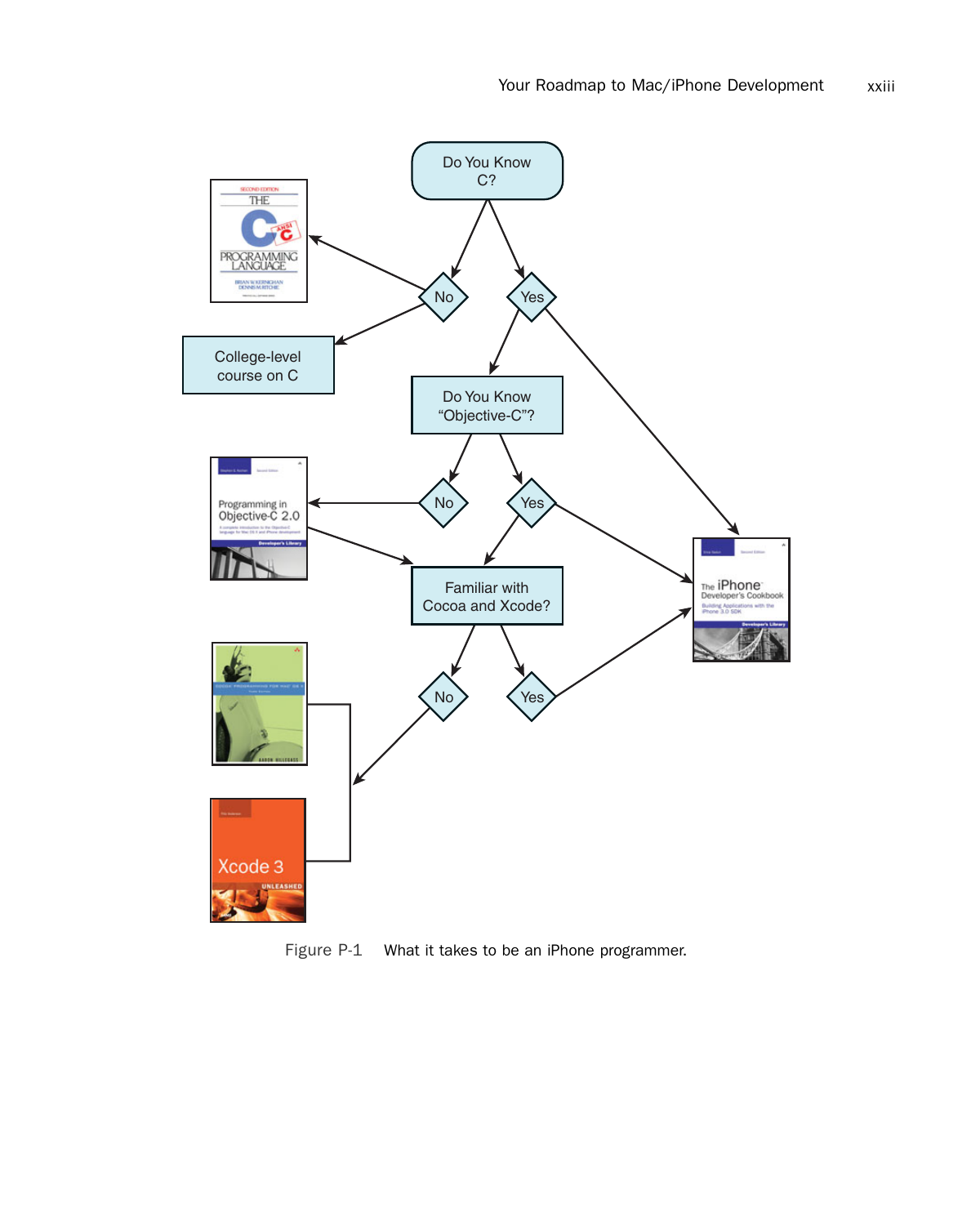

Figure P-1 What it takes to be an iPhone programmer.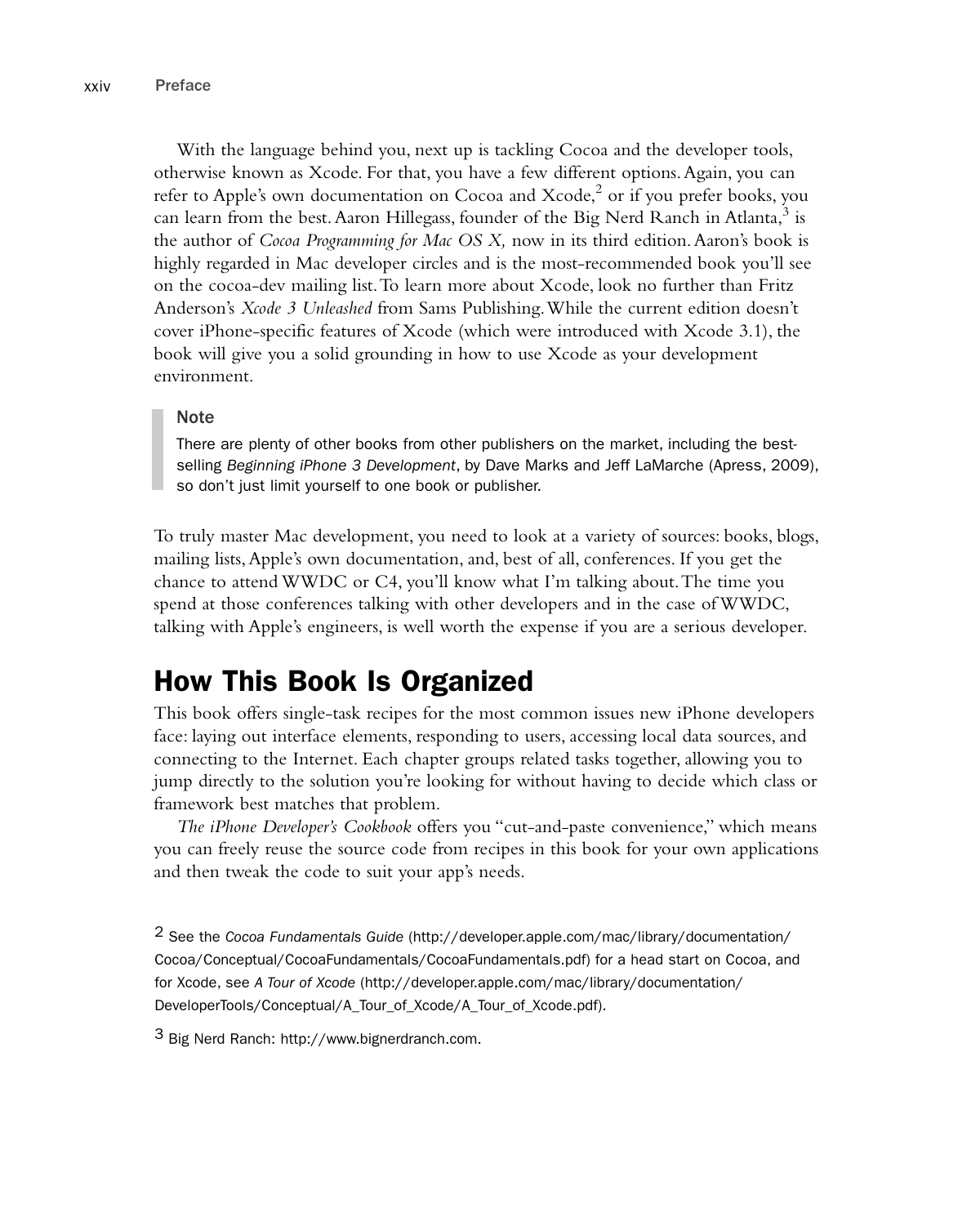With the language behind you, next up is tackling Cocoa and the developer tools, otherwise known as Xcode. For that, you have a few different options.Again, you can refer to Apple's own documentation on Cocoa and  $Xcode$ , or if you prefer books, you can learn from the best. Aaron Hillegass, founder of the Big Nerd Ranch in Atlanta,<sup>3</sup> is the author of *Cocoa Programming for Mac OS X,* now in its third edition.Aaron's book is highly regarded in Mac developer circles and is the most-recommended book you'll see on the cocoa-dev mailing list.To learn more about Xcode, look no further than Fritz Anderson's *Xcode 3 Unleashed* from Sams Publishing.While the current edition doesn't cover iPhone-specific features of Xcode (which were introduced with Xcode 3.1), the book will give you a solid grounding in how to use Xcode as your development environment.

#### Note

There are plenty of other books from other publishers on the market, including the bestselling *Beginning iPhone 3 Development*, by Dave Marks and Jeff LaMarche (Apress, 2009), so don't just limit yourself to one book or publisher.

To truly master Mac development, you need to look at a variety of sources: books, blogs, mailing lists,Apple's own documentation, and, best of all, conferences. If you get the chance to attend WWDC or C4, you'll know what I'm talking about.The time you spend at those conferences talking with other developers and in the case of WWDC, talking with Apple's engineers, is well worth the expense if you are a serious developer.

## How This Book Is Organized

This book offers single-task recipes for the most common issues new iPhone developers face: laying out interface elements, responding to users, accessing local data sources, and connecting to the Internet. Each chapter groups related tasks together, allowing you to jump directly to the solution you're looking for without having to decide which class or framework best matches that problem.

*The iPhone Developer's Cookbook* offers you "cut-and-paste convenience," which means you can freely reuse the source code from recipes in this book for your own applications and then tweak the code to suit your app's needs.

2 See the *Cocoa Fundamentals Guide* ([http://developer.apple.com/mac/library/documentation/](http://developer.apple.com/mac/library/documentation/Cocoa/Conceptual/CocoaFundamentals/CocoaFundamentals.pdf) [Cocoa/Conceptual/CocoaFundamentals/CocoaFundamentals.pdf\)](http://developer.apple.com/mac/library/documentation/Cocoa/Conceptual/CocoaFundamentals/CocoaFundamentals.pdf) for a head start on Cocoa, and for Xcode, see *A Tour of Xcode* [\(http://developer.apple.com/mac/library/documentation/](http://developer.apple.com/mac/library/documentation/DeveloperTools/Conceptual/A_Tour_of_Xcode/A_Tour_of_Xcode.pdf) [DeveloperTools/Conceptual/A\\_Tour\\_of\\_Xcode/A\\_Tour\\_of\\_Xcode.pdf\).](http://developer.apple.com/mac/library/documentation/DeveloperTools/Conceptual/A_Tour_of_Xcode/A_Tour_of_Xcode.pdf)

3 Big Nerd Ranch: [http://www.bignerdranch.com.](http://www.bignerdranch.com)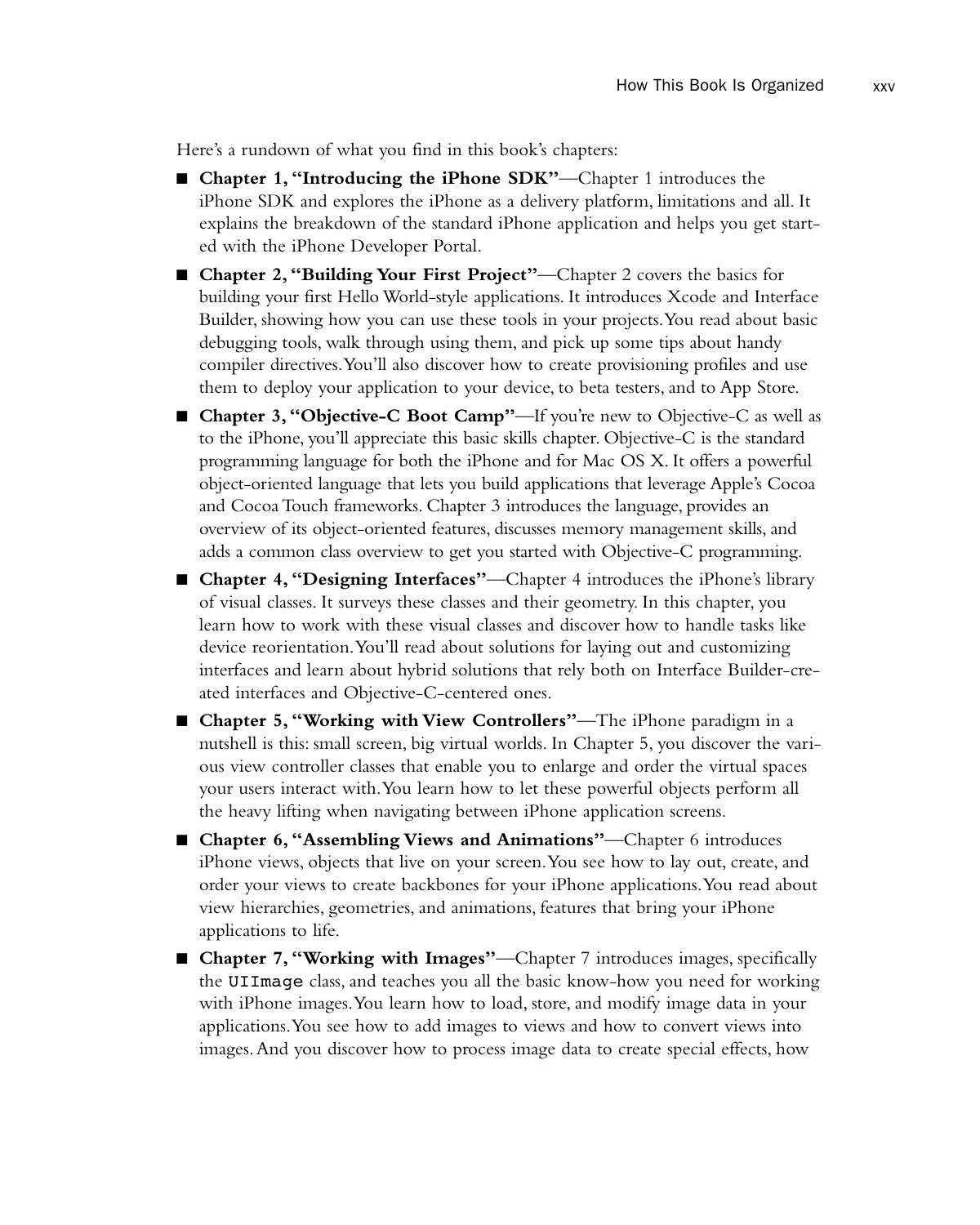Here's a rundown of what you find in this book's chapters:

- **Chapter 1, "Introducing the iPhone SDK"—Chapter 1 introduces the** iPhone SDK and explores the iPhone as a delivery platform, limitations and all. It explains the breakdown of the standard iPhone application and helps you get started with the iPhone Developer Portal.
- **Chapter 2, "Building Your First Project"—Chapter 2 covers the basics for** building your first Hello World-style applications. It introduces Xcode and Interface Builder, showing how you can use these tools in your projects.You read about basic debugging tools, walk through using them, and pick up some tips about handy compiler directives.You'll also discover how to create provisioning profiles and use them to deploy your application to your device, to beta testers, and to App Store.
- **Chapter 3, "Objective-C Boot Camp"**—If you're new to Objective-C as well as to the iPhone, you'll appreciate this basic skills chapter. Objective-C is the standard programming language for both the iPhone and for Mac OS X. It offers a powerful object-oriented language that lets you build applications that leverage Apple's Cocoa and Cocoa Touch frameworks. Chapter 3 introduces the language, provides an overview of its object-oriented features, discusses memory management skills, and adds a common class overview to get you started with Objective-C programming.
- **Chapter 4, "Designing Interfaces"—Chapter 4 introduces the iPhone's library** of visual classes. It surveys these classes and their geometry. In this chapter, you learn how to work with these visual classes and discover how to handle tasks like device reorientation.You'll read about solutions for laying out and customizing interfaces and learn about hybrid solutions that rely both on Interface Builder-created interfaces and Objective-C-centered ones.
- **Chapter 5, "Working with View Controllers"—The iPhone paradigm in a** nutshell is this: small screen, big virtual worlds. In Chapter 5, you discover the various view controller classes that enable you to enlarge and order the virtual spaces your users interact with.You learn how to let these powerful objects perform all the heavy lifting when navigating between iPhone application screens.
- **Chapter 6, "Assembling Views and Animations"**—Chapter 6 introduces iPhone views, objects that live on your screen.You see how to lay out, create, and order your views to create backbones for your iPhone applications.You read about view hierarchies, geometries, and animations, features that bring your iPhone applications to life.
- **Chapter 7, "Working with Images"—Chapter 7 introduces images, specifically** the UIImage class, and teaches you all the basic know-how you need for working with iPhone images.You learn how to load, store, and modify image data in your applications.You see how to add images to views and how to convert views into images.And you discover how to process image data to create special effects, how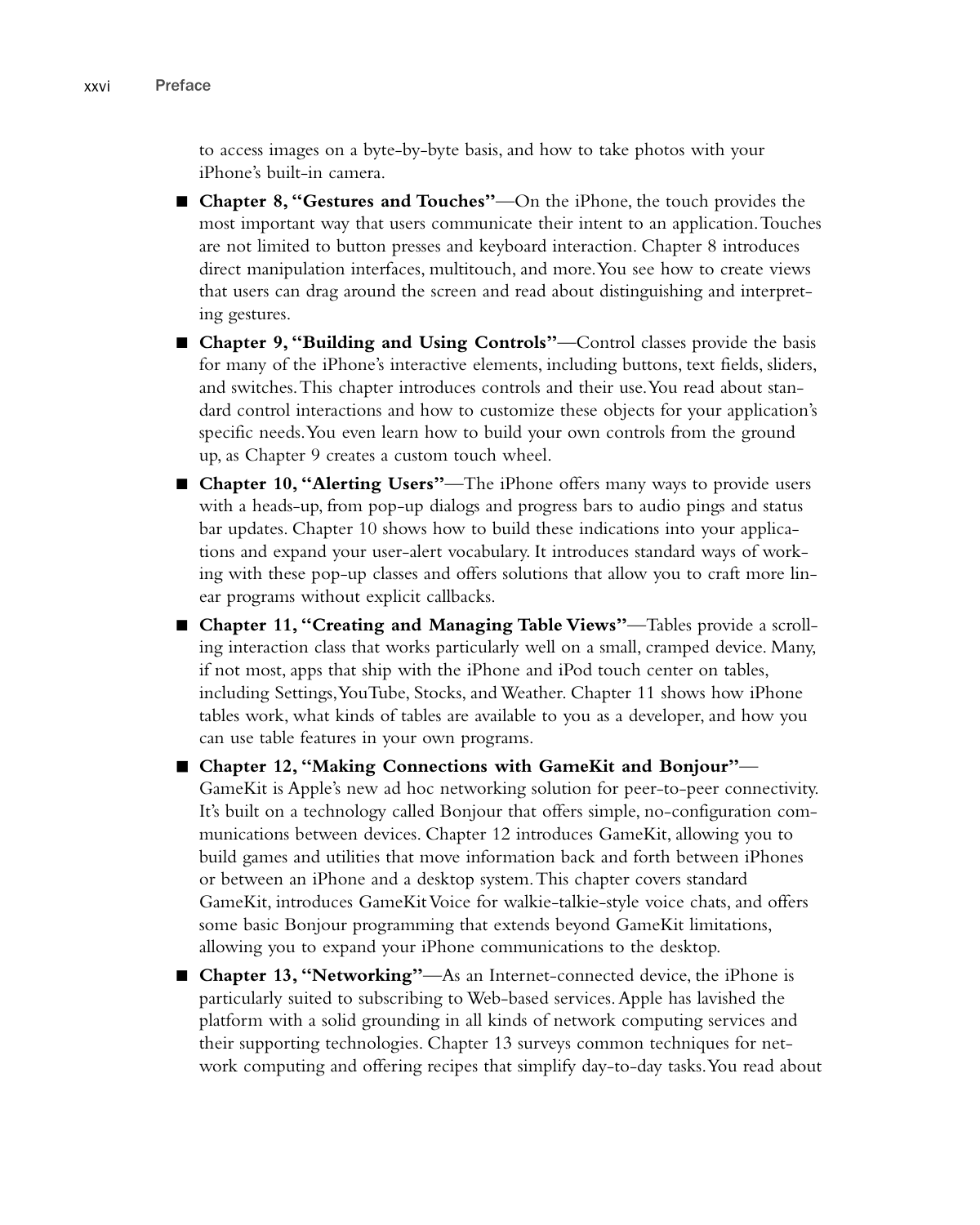to access images on a byte-by-byte basis, and how to take photos with your iPhone's built-in camera.

- **Chapter 8, "Gestures and Touches"**—On the iPhone, the touch provides the most important way that users communicate their intent to an application.Touches are not limited to button presses and keyboard interaction. Chapter 8 introduces direct manipulation interfaces, multitouch, and more.You see how to create views that users can drag around the screen and read about distinguishing and interpreting gestures.
- **Chapter 9, "Building and Using Controls"**—Control classes provide the basis for many of the iPhone's interactive elements, including buttons, text fields, sliders, and switches.This chapter introduces controls and their use.You read about standard control interactions and how to customize these objects for your application's specific needs.You even learn how to build your own controls from the ground up, as Chapter 9 creates a custom touch wheel.
- **Chapter 10, "Alerting Users"**—The iPhone offers many ways to provide users with a heads-up, from pop-up dialogs and progress bars to audio pings and status bar updates. Chapter 10 shows how to build these indications into your applications and expand your user-alert vocabulary. It introduces standard ways of working with these pop-up classes and offers solutions that allow you to craft more linear programs without explicit callbacks.
- **Chapter 11, "Creating and Managing Table Views"—Tables provide a scroll**ing interaction class that works particularly well on a small, cramped device. Many, if not most, apps that ship with the iPhone and iPod touch center on tables, including Settings,YouTube, Stocks, and Weather. Chapter 11 shows how iPhone tables work, what kinds of tables are available to you as a developer, and how you can use table features in your own programs.

■ **Chapter 12,"Making Connections with GameKit and Bonjour"**— GameKit is Apple's new ad hoc networking solution for peer-to-peer connectivity. It's built on a technology called Bonjour that offers simple, no-configuration communications between devices. Chapter 12 introduces GameKit, allowing you to build games and utilities that move information back and forth between iPhones or between an iPhone and a desktop system.This chapter covers standard GameKit, introduces GameKit Voice for walkie-talkie-style voice chats, and offers some basic Bonjour programming that extends beyond GameKit limitations, allowing you to expand your iPhone communications to the desktop.

■ **Chapter 13, "Networking"**—As an Internet-connected device, the iPhone is particularly suited to subscribing to Web-based services.Apple has lavished the platform with a solid grounding in all kinds of network computing services and their supporting technologies. Chapter 13 surveys common techniques for network computing and offering recipes that simplify day-to-day tasks.You read about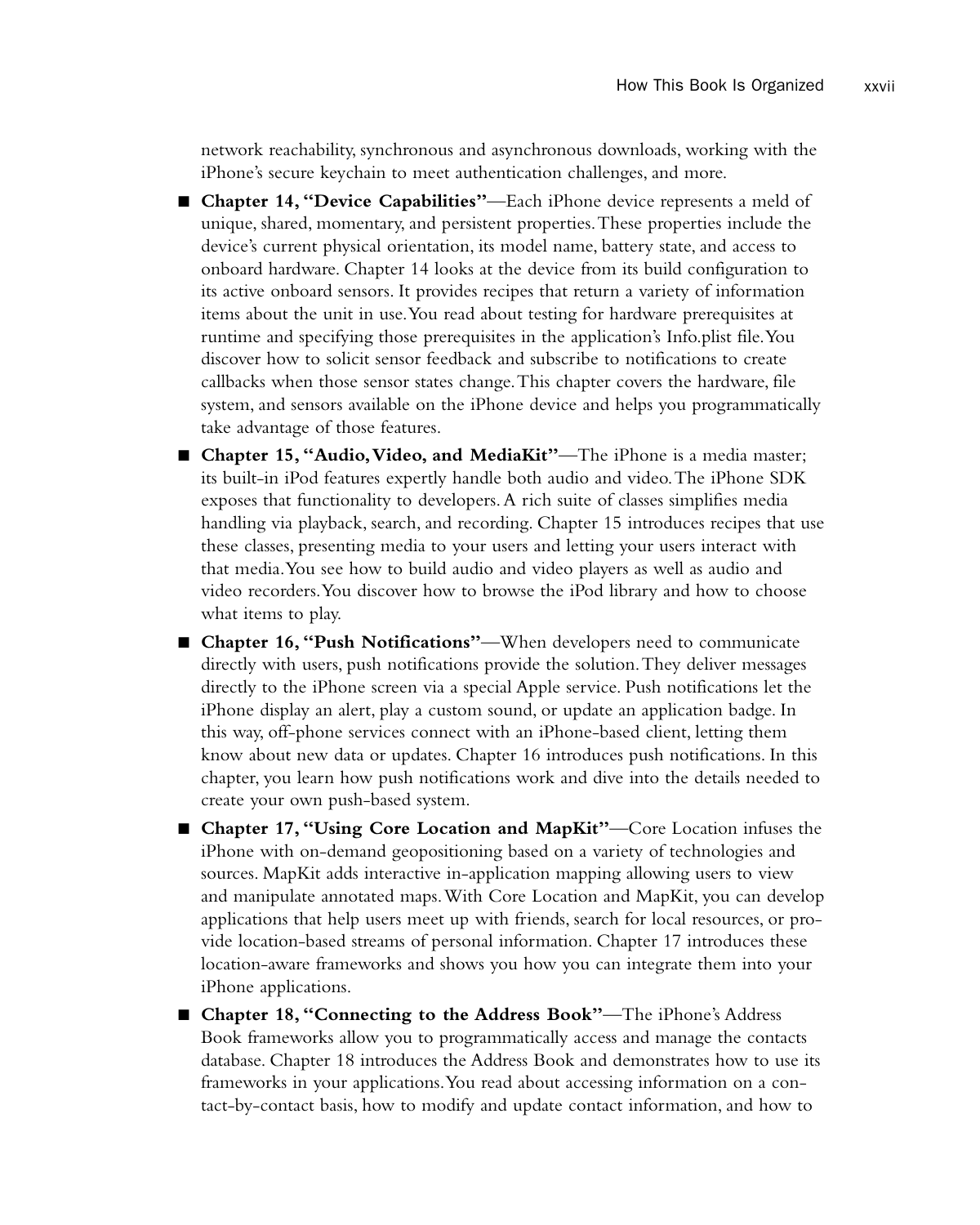network reachability, synchronous and asynchronous downloads, working with the iPhone's secure keychain to meet authentication challenges, and more.

- **Chapter 14, "Device Capabilities"**—Each iPhone device represents a meld of unique, shared, momentary, and persistent properties.These properties include the device's current physical orientation, its model name, battery state, and access to onboard hardware. Chapter 14 looks at the device from its build configuration to its active onboard sensors. It provides recipes that return a variety of information items about the unit in use.You read about testing for hardware prerequisites at runtime and specifying those prerequisites in the application's Info.plist file.You discover how to solicit sensor feedback and subscribe to notifications to create callbacks when those sensor states change.This chapter covers the hardware, file system, and sensors available on the iPhone device and helps you programmatically take advantage of those features.
- **Chapter 15, "Audio, Video, and MediaKit"**—The iPhone is a media master; its built-in iPod features expertly handle both audio and video.The iPhone SDK exposes that functionality to developers.A rich suite of classes simplifies media handling via playback, search, and recording. Chapter 15 introduces recipes that use these classes, presenting media to your users and letting your users interact with that media.You see how to build audio and video players as well as audio and video recorders.You discover how to browse the iPod library and how to choose what items to play.
- **Chapter 16, "Push Notifications"**—When developers need to communicate directly with users, push notifications provide the solution.They deliver messages directly to the iPhone screen via a special Apple service. Push notifications let the iPhone display an alert, play a custom sound, or update an application badge. In this way, off-phone services connect with an iPhone-based client, letting them know about new data or updates. Chapter 16 introduces push notifications. In this chapter, you learn how push notifications work and dive into the details needed to create your own push-based system.
- **Chapter 17, "Using Core Location and MapKit"**—Core Location infuses the iPhone with on-demand geopositioning based on a variety of technologies and sources. MapKit adds interactive in-application mapping allowing users to view and manipulate annotated maps.With Core Location and MapKit, you can develop applications that help users meet up with friends, search for local resources, or provide location-based streams of personal information. Chapter 17 introduces these location-aware frameworks and shows you how you can integrate them into your iPhone applications.
- **Chapter 18, "Connecting to the Address Book"—The iPhone's Address** Book frameworks allow you to programmatically access and manage the contacts database. Chapter 18 introduces the Address Book and demonstrates how to use its frameworks in your applications.You read about accessing information on a contact-by-contact basis, how to modify and update contact information, and how to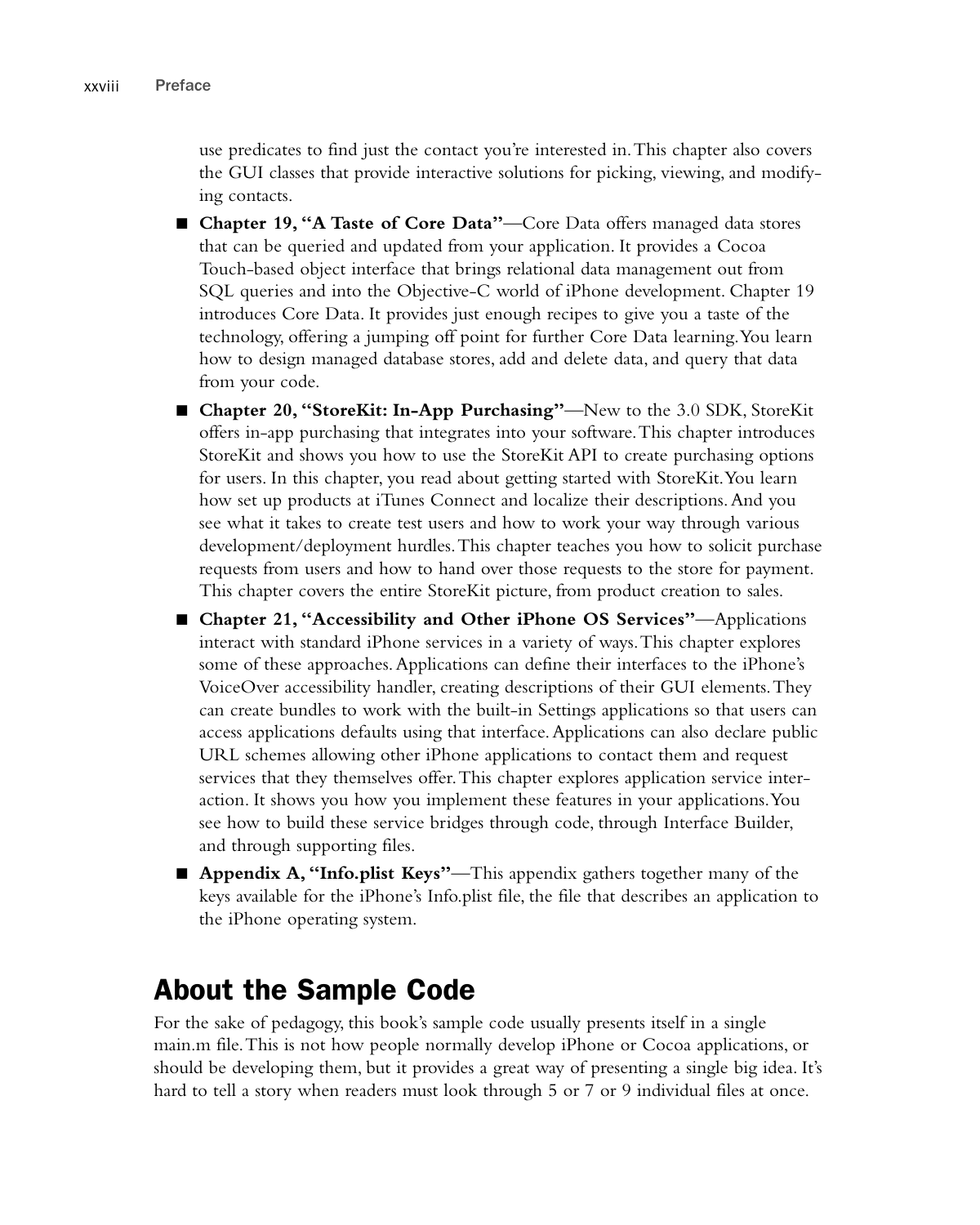use predicates to find just the contact you're interested in.This chapter also covers the GUI classes that provide interactive solutions for picking, viewing, and modifying contacts.

- **Chapter 19, "A Taste of Core Data"—Core Data offers managed data stores** that can be queried and updated from your application. It provides a Cocoa Touch-based object interface that brings relational data management out from SQL queries and into the Objective-C world of iPhone development. Chapter 19 introduces Core Data. It provides just enough recipes to give you a taste of the technology, offering a jumping off point for further Core Data learning.You learn how to design managed database stores, add and delete data, and query that data from your code.
- **Chapter 20, "StoreKit: In-App Purchasing"**—New to the 3.0 SDK, StoreKit offers in-app purchasing that integrates into your software.This chapter introduces StoreKit and shows you how to use the StoreKit API to create purchasing options for users. In this chapter, you read about getting started with StoreKit.You learn how set up products at iTunes Connect and localize their descriptions.And you see what it takes to create test users and how to work your way through various development/deployment hurdles.This chapter teaches you how to solicit purchase requests from users and how to hand over those requests to the store for payment. This chapter covers the entire StoreKit picture, from product creation to sales.
- **Chapter 21, "Accessibility and Other iPhone OS Services"—Applications** interact with standard iPhone services in a variety of ways.This chapter explores some of these approaches.Applications can define their interfaces to the iPhone's VoiceOver accessibility handler, creating descriptions of their GUI elements.They can create bundles to work with the built-in Settings applications so that users can access applications defaults using that interface.Applications can also declare public URL schemes allowing other iPhone applications to contact them and request services that they themselves offer.This chapter explores application service interaction. It shows you how you implement these features in your applications.You see how to build these service bridges through code, through Interface Builder, and through supporting files.
- **Appendix A, "Info.plist Keys"—This appendix gathers together many of the** keys available for the iPhone's Info.plist file, the file that describes an application to the iPhone operating system.

## About the Sample Code

For the sake of pedagogy, this book's sample code usually presents itself in a single main.m file.This is not how people normally develop iPhone or Cocoa applications, or should be developing them, but it provides a great way of presenting a single big idea. It's hard to tell a story when readers must look through 5 or 7 or 9 individual files at once.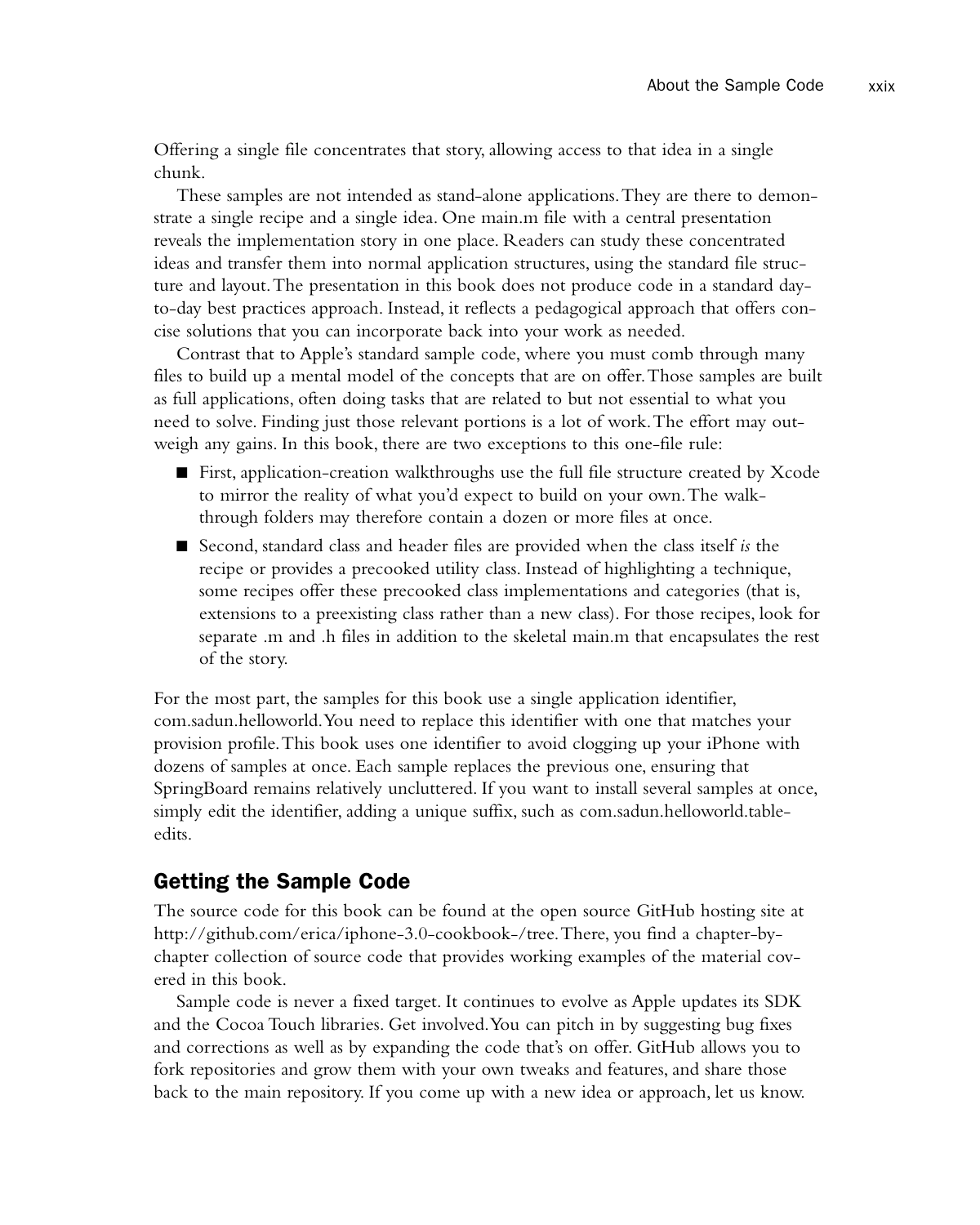Offering a single file concentrates that story, allowing access to that idea in a single chunk.

These samples are not intended as stand-alone applications.They are there to demonstrate a single recipe and a single idea. One main.m file with a central presentation reveals the implementation story in one place. Readers can study these concentrated ideas and transfer them into normal application structures, using the standard file structure and layout.The presentation in this book does not produce code in a standard dayto-day best practices approach. Instead, it reflects a pedagogical approach that offers concise solutions that you can incorporate back into your work as needed.

Contrast that to Apple's standard sample code, where you must comb through many files to build up a mental model of the concepts that are on offer.Those samples are built as full applications, often doing tasks that are related to but not essential to what you need to solve. Finding just those relevant portions is a lot of work.The effort may outweigh any gains. In this book, there are two exceptions to this one-file rule:

- First, application-creation walkthroughs use the full file structure created by Xcode to mirror the reality of what you'd expect to build on your own.The walkthrough folders may therefore contain a dozen or more files at once.
- Second, standard class and header files are provided when the class itself *is* the recipe or provides a precooked utility class. Instead of highlighting a technique, some recipes offer these precooked class implementations and categories (that is, extensions to a preexisting class rather than a new class). For those recipes, look for separate .m and .h files in addition to the skeletal main.m that encapsulates the rest of the story.

For the most part, the samples for this book use a single application identifier, com.sadun.helloworld.You need to replace this identifier with one that matches your provision profile.This book uses one identifier to avoid clogging up your iPhone with dozens of samples at once. Each sample replaces the previous one, ensuring that SpringBoard remains relatively uncluttered. If you want to install several samples at once, simply edit the identifier, adding a unique suffix, such as com.sadun.helloworld.tableedits.

### Getting the Sample Code

The source code for this book can be found at the open source GitHub hosting site at [http://github.com/erica/iphone-3.0-cookbook-/tree.](http://github.com/erica/iphone-3.0-cookbook-/tree)There, you find a chapter-bychapter collection of source code that provides working examples of the material covered in this book.

Sample code is never a fixed target. It continues to evolve as Apple updates its SDK and the Cocoa Touch libraries. Get involved.You can pitch in by suggesting bug fixes and corrections as well as by expanding the code that's on offer. GitHub allows you to fork repositories and grow them with your own tweaks and features, and share those back to the main repository. If you come up with a new idea or approach, let us know.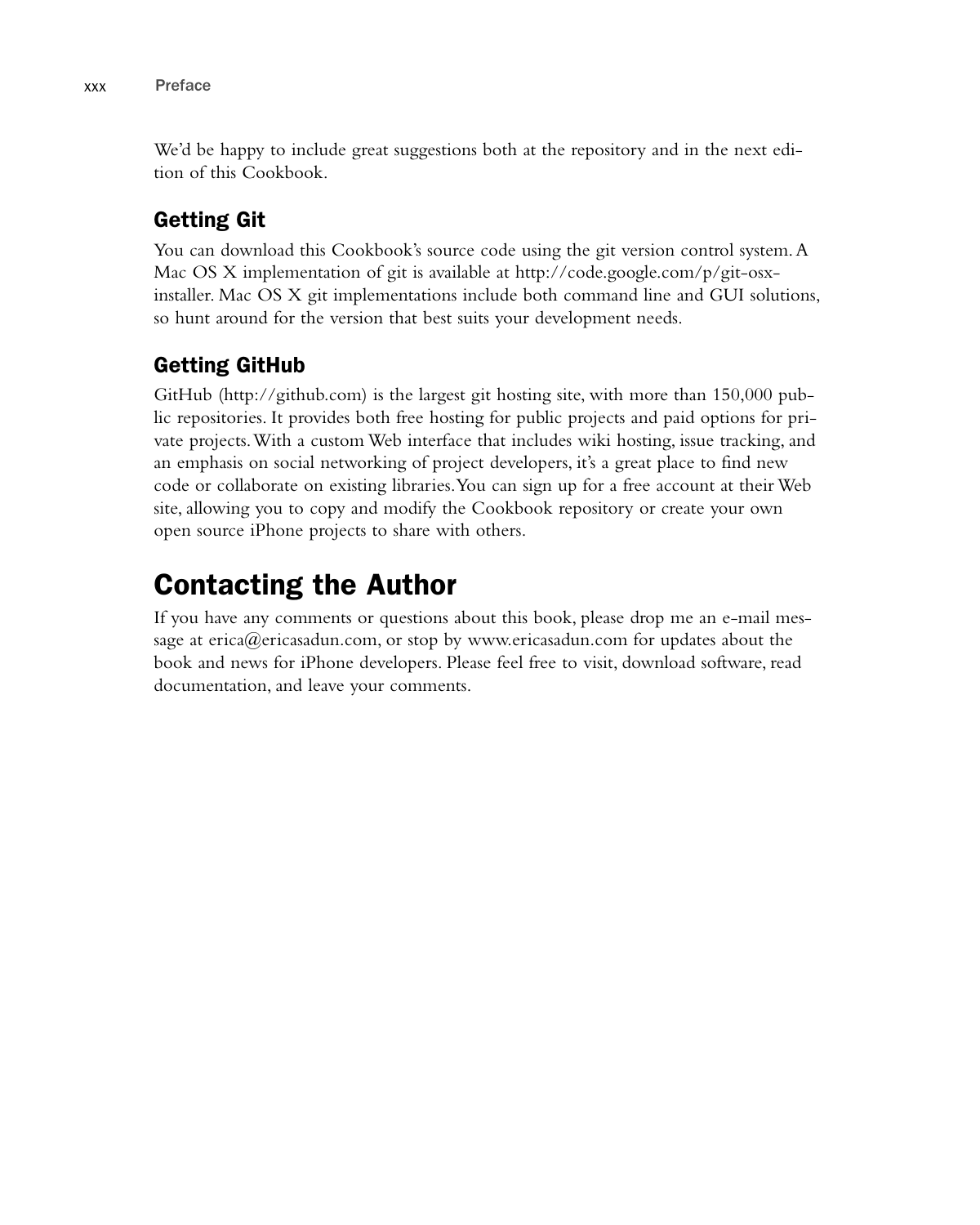We'd be happy to include great suggestions both at the repository and in the next edition of this Cookbook.

## Getting Git

You can download this Cookbook's source code using the git version control system.A Mac OS X implementation of git is available at [http://code.google.com/p/git-osx](http://code.google.com/p/git-osx-installer)[installer.](http://code.google.com/p/git-osx-installer) Mac OS X git implementations include both command line and GUI solutions, so hunt around for the version that best suits your development needs.

## Getting GitHub

GitHub [\(http://github.com\)](http://github.com) is the largest git hosting site, with more than 150,000 public repositories. It provides both free hosting for public projects and paid options for private projects.With a custom Web interface that includes wiki hosting, issue tracking, and an emphasis on social networking of project developers, it's a great place to find new code or collaborate on existing libraries.You can sign up for a free account at their Web site, allowing you to copy and modify the Cookbook repository or create your own open source iPhone projects to share with others.

## Contacting the Author

If you have any comments or questions about this book, please drop me an e-mail message at erica@ericasadun.com, or stop by <www.ericasadun.com>for updates about the book and news for iPhone developers. Please feel free to visit, download software, read documentation, and leave your comments.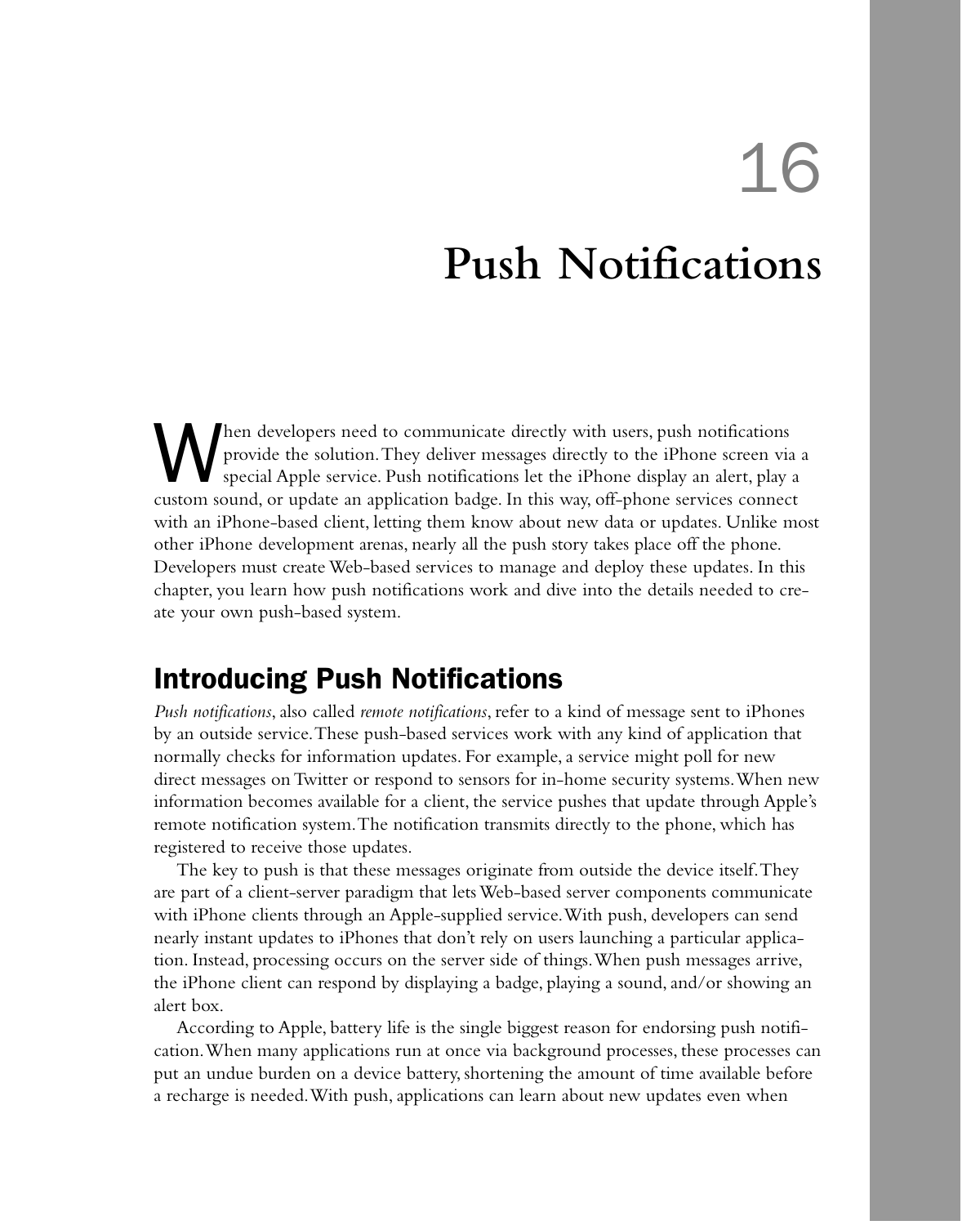# 16

## **Push Notifications**

When developers need to communicate directly with users, push notifications<br>provide the solution. They deliver messages directly to the iPhone screen vi<br>special Apple service. Push notifications let the iPhone display an a provide the solution.They deliver messages directly to the iPhone screen via a special Apple service. Push notifications let the iPhone display an alert, play a custom sound, or update an application badge. In this way, off-phone services connect with an iPhone-based client, letting them know about new data or updates. Unlike most other iPhone development arenas, nearly all the push story takes place off the phone. Developers must create Web-based services to manage and deploy these updates. In this chapter, you learn how push notifications work and dive into the details needed to create your own push-based system.

## Introducing Push Notifications

*Push notifications*, also called *remote notifications*, refer to a kind of message sent to iPhones by an outside service.These push-based services work with any kind of application that normally checks for information updates. For example, a service might poll for new direct messages on Twitter or respond to sensors for in-home security systems.When new information becomes available for a client, the service pushes that update through Apple's remote notification system.The notification transmits directly to the phone, which has registered to receive those updates.

The key to push is that these messages originate from outside the device itself.They are part of a client-server paradigm that lets Web-based server components communicate with iPhone clients through an Apple-supplied service. With push, developers can send nearly instant updates to iPhones that don't rely on users launching a particular application. Instead, processing occurs on the server side of things.When push messages arrive, the iPhone client can respond by displaying a badge, playing a sound, and/or showing an alert box.

According to Apple, battery life is the single biggest reason for endorsing push notification.When many applications run at once via background processes, these processes can put an undue burden on a device battery, shortening the amount of time available before a recharge is needed.With push, applications can learn about new updates even when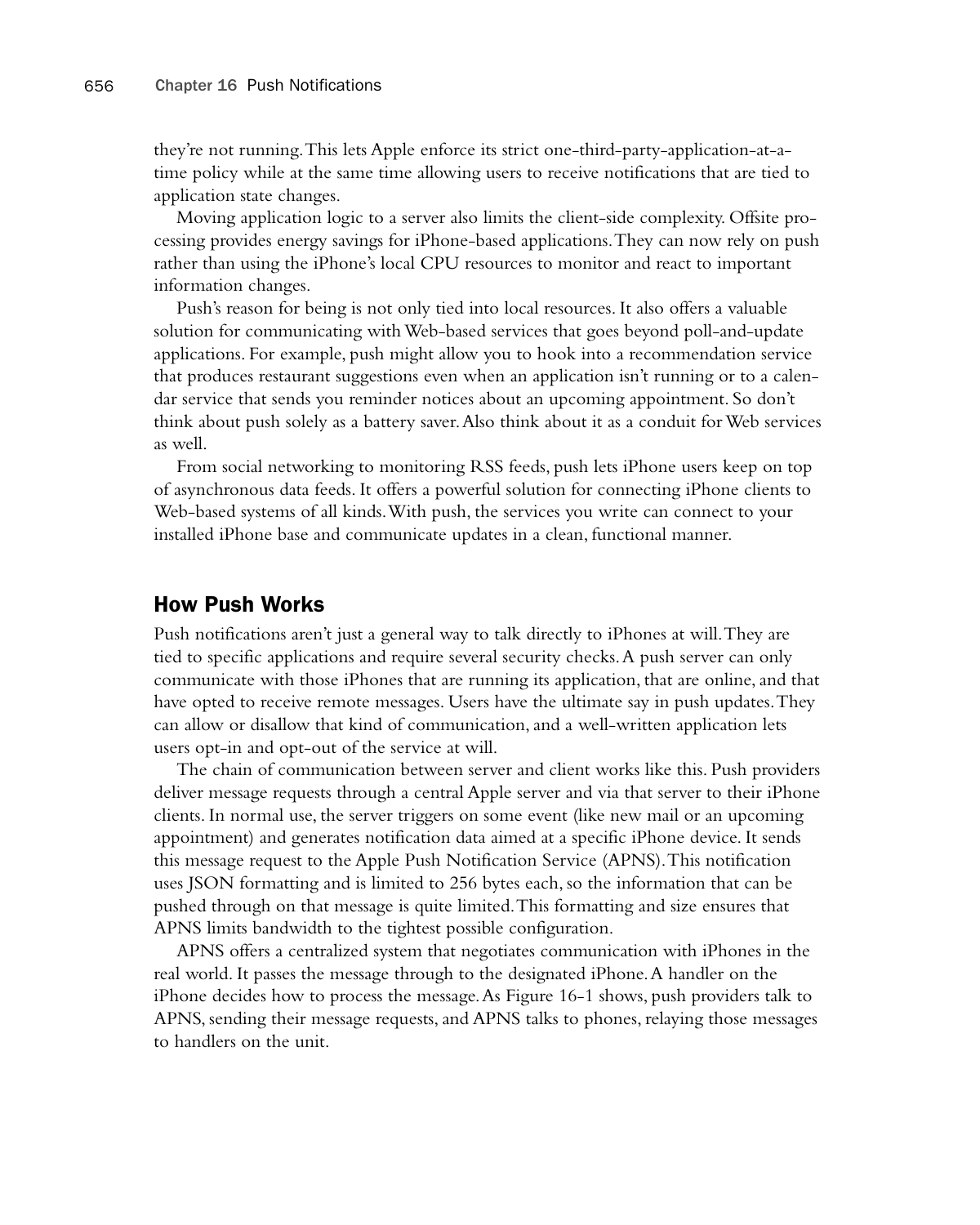they're not running.This lets Apple enforce its strict one-third-party-application-at-atime policy while at the same time allowing users to receive notifications that are tied to application state changes.

Moving application logic to a server also limits the client-side complexity. Offsite processing provides energy savings for iPhone-based applications.They can now rely on push rather than using the iPhone's local CPU resources to monitor and react to important information changes.

Push's reason for being is not only tied into local resources. It also offers a valuable solution for communicating with Web-based services that goes beyond poll-and-update applications. For example, push might allow you to hook into a recommendation service that produces restaurant suggestions even when an application isn't running or to a calendar service that sends you reminder notices about an upcoming appointment. So don't think about push solely as a battery saver.Also think about it as a conduit for Web services as well.

From social networking to monitoring RSS feeds, push lets iPhone users keep on top of asynchronous data feeds. It offers a powerful solution for connecting iPhone clients to Web-based systems of all kinds.With push, the services you write can connect to your installed iPhone base and communicate updates in a clean, functional manner.

#### How Push Works

Push notifications aren't just a general way to talk directly to iPhones at will.They are tied to specific applications and require several security checks.A push server can only communicate with those iPhones that are running its application, that are online, and that have opted to receive remote messages. Users have the ultimate say in push updates.They can allow or disallow that kind of communication, and a well-written application lets users opt-in and opt-out of the service at will.

The chain of communication between server and client works like this. Push providers deliver message requests through a central Apple server and via that server to their iPhone clients. In normal use, the server triggers on some event (like new mail or an upcoming appointment) and generates notification data aimed at a specific iPhone device. It sends this message request to the Apple Push Notification Service (APNS).This notification uses JSON formatting and is limited to 256 bytes each, so the information that can be pushed through on that message is quite limited.This formatting and size ensures that APNS limits bandwidth to the tightest possible configuration.

APNS offers a centralized system that negotiates communication with iPhones in the real world. It passes the message through to the designated iPhone.A handler on the iPhone decides how to process the message.As Figure 16-1 shows, push providers talk to APNS, sending their message requests, and APNS talks to phones, relaying those messages to handlers on the unit.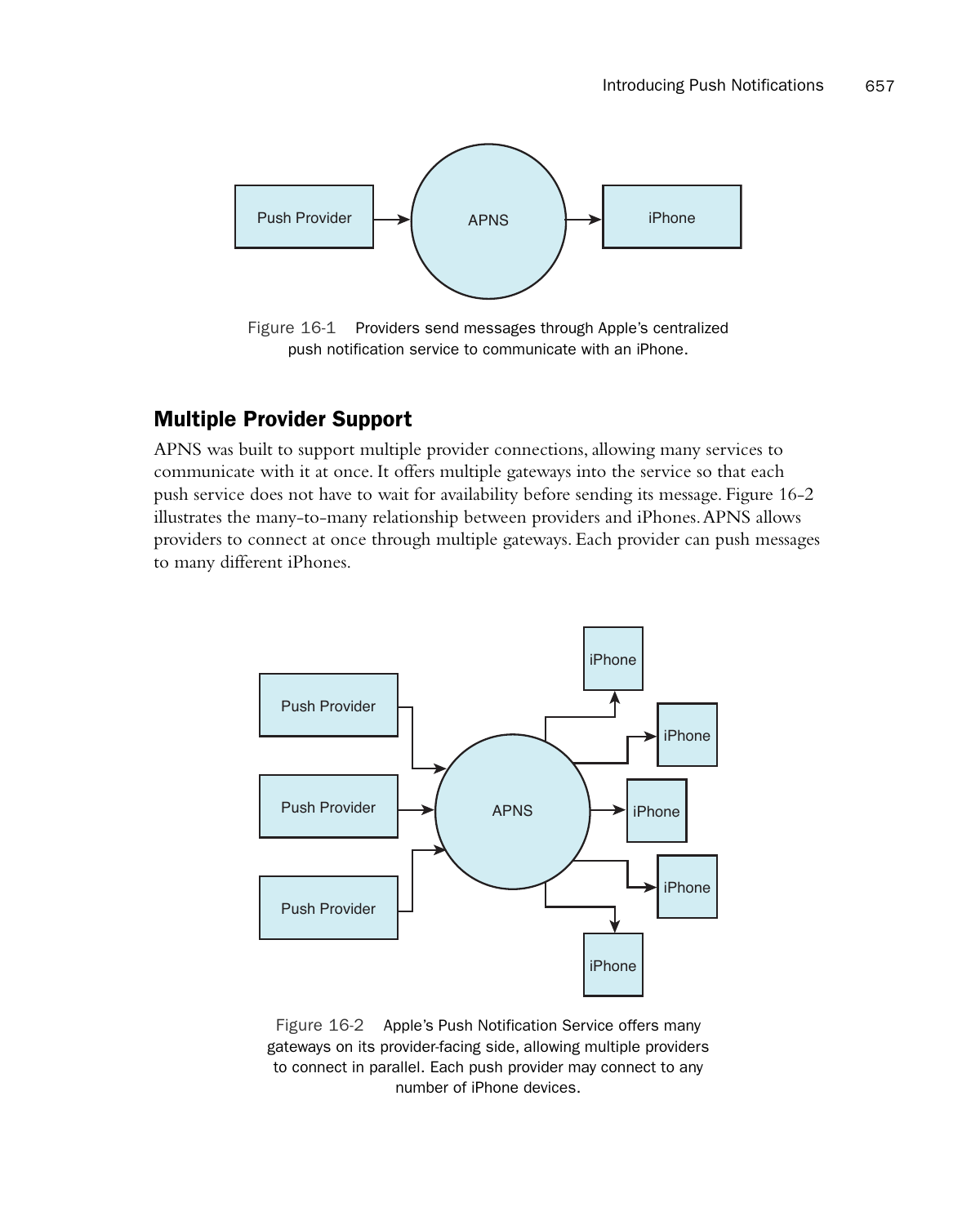

Figure 16-1 Providers send messages through Apple's centralized push notification service to communicate with an iPhone.

## Multiple Provider Support

APNS was built to support multiple provider connections, allowing many services to communicate with it at once. It offers multiple gateways into the service so that each push service does not have to wait for availability before sending its message. Figure 16-2 illustrates the many-to-many relationship between providers and iPhones.APNS allows providers to connect at once through multiple gateways. Each provider can push messages to many different iPhones.



Figure 16-2 Apple's Push Notification Service offers many gateways on its provider-facing side, allowing multiple providers to connect in parallel. Each push provider may connect to any number of iPhone devices.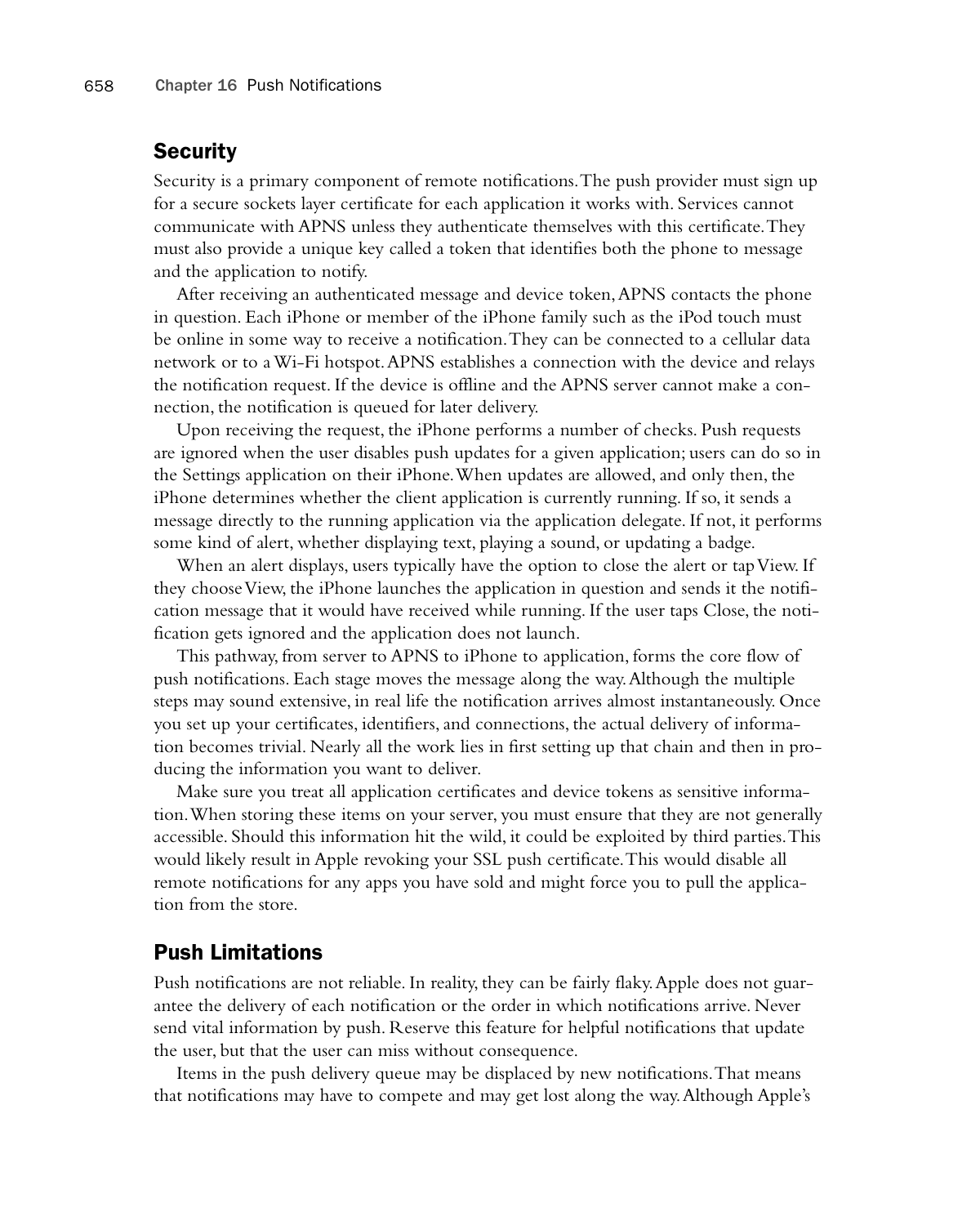#### **Security**

Security is a primary component of remote notifications.The push provider must sign up for a secure sockets layer certificate for each application it works with. Services cannot communicate with APNS unless they authenticate themselves with this certificate.They must also provide a unique key called a token that identifies both the phone to message and the application to notify.

After receiving an authenticated message and device token,APNS contacts the phone in question. Each iPhone or member of the iPhone family such as the iPod touch must be online in some way to receive a notification.They can be connected to a cellular data network or to a Wi-Fi hotspot.APNS establishes a connection with the device and relays the notification request. If the device is offline and the APNS server cannot make a connection, the notification is queued for later delivery.

Upon receiving the request, the iPhone performs a number of checks. Push requests are ignored when the user disables push updates for a given application; users can do so in the Settings application on their iPhone.When updates are allowed, and only then, the iPhone determines whether the client application is currently running. If so, it sends a message directly to the running application via the application delegate. If not, it performs some kind of alert, whether displaying text, playing a sound, or updating a badge.

When an alert displays, users typically have the option to close the alert or tap View. If they choose View, the iPhone launches the application in question and sends it the notification message that it would have received while running. If the user taps Close, the notification gets ignored and the application does not launch.

This pathway, from server to APNS to iPhone to application, forms the core flow of push notifications. Each stage moves the message along the way.Although the multiple steps may sound extensive, in real life the notification arrives almost instantaneously. Once you set up your certificates, identifiers, and connections, the actual delivery of information becomes trivial. Nearly all the work lies in first setting up that chain and then in producing the information you want to deliver.

Make sure you treat all application certificates and device tokens as sensitive information.When storing these items on your server, you must ensure that they are not generally accessible. Should this information hit the wild, it could be exploited by third parties.This would likely result in Apple revoking your SSL push certificate.This would disable all remote notifications for any apps you have sold and might force you to pull the application from the store.

### Push Limitations

Push notifications are not reliable. In reality, they can be fairly flaky.Apple does not guarantee the delivery of each notification or the order in which notifications arrive. Never send vital information by push. Reserve this feature for helpful notifications that update the user, but that the user can miss without consequence.

Items in the push delivery queue may be displaced by new notifications.That means that notifications may have to compete and may get lost along the way.Although Apple's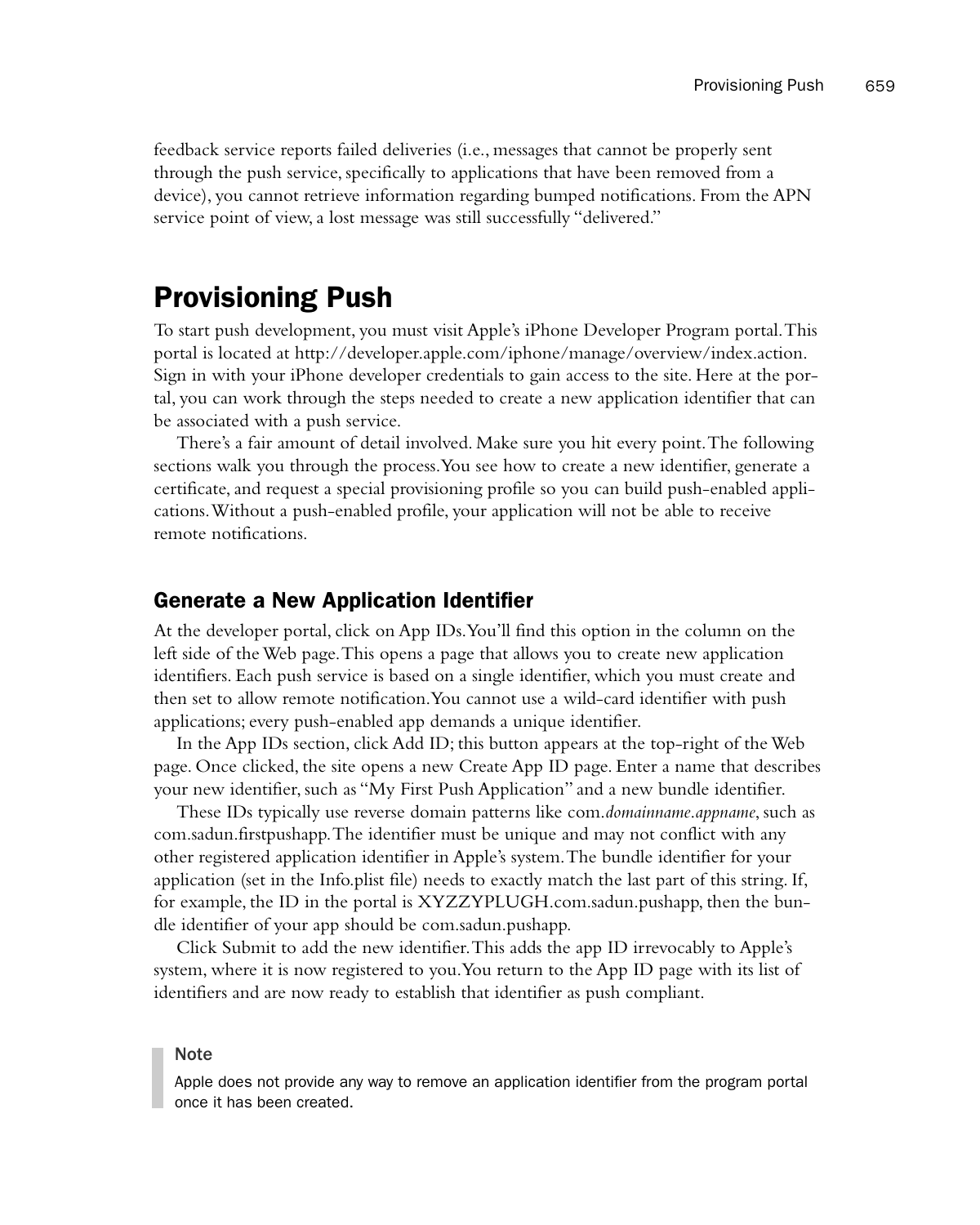feedback service reports failed deliveries (i.e., messages that cannot be properly sent through the push service, specifically to applications that have been removed from a device), you cannot retrieve information regarding bumped notifications. From the APN service point of view, a lost message was still successfully "delivered."

## Provisioning Push

To start push development, you must visit Apple's iPhone Developer Program portal.This portal is located at [http://developer.apple.com/iphone/manage/overview/index.action.](http://developer.apple.com/iphone/manage/overview/index.action) Sign in with your iPhone developer credentials to gain access to the site. Here at the portal, you can work through the steps needed to create a new application identifier that can be associated with a push service.

There's a fair amount of detail involved. Make sure you hit every point.The following sections walk you through the process.You see how to create a new identifier, generate a certificate, and request a special provisioning profile so you can build push-enabled applications.Without a push-enabled profile, your application will not be able to receive remote notifications.

#### Generate a New Application Identifier

At the developer portal, click on App IDs.You'll find this option in the column on the left side of the Web page.This opens a page that allows you to create new application identifiers. Each push service is based on a single identifier, which you must create and then set to allow remote notification.You cannot use a wild-card identifier with push applications; every push-enabled app demands a unique identifier.

In the App IDs section, click Add ID; this button appears at the top-right of the Web page. Once clicked, the site opens a new Create App ID page. Enter a name that describes your new identifier, such as "My First Push Application" and a new bundle identifier.

These IDs typically use reverse domain patterns like com.*domainname*.*appname*, such as com.sadun.firstpushapp.The identifier must be unique and may not conflict with any other registered application identifier in Apple's system.The bundle identifier for your application (set in the Info.plist file) needs to exactly match the last part of this string. If, for example, the ID in the portal is XYZZYPLUGH.com.sadun.pushapp, then the bundle identifier of your app should be com.sadun.pushapp.

Click Submit to add the new identifier.This adds the app ID irrevocably to Apple's system, where it is now registered to you.You return to the App ID page with its list of identifiers and are now ready to establish that identifier as push compliant.

#### Note

Apple does not provide any way to remove an application identifier from the program portal once it has been created.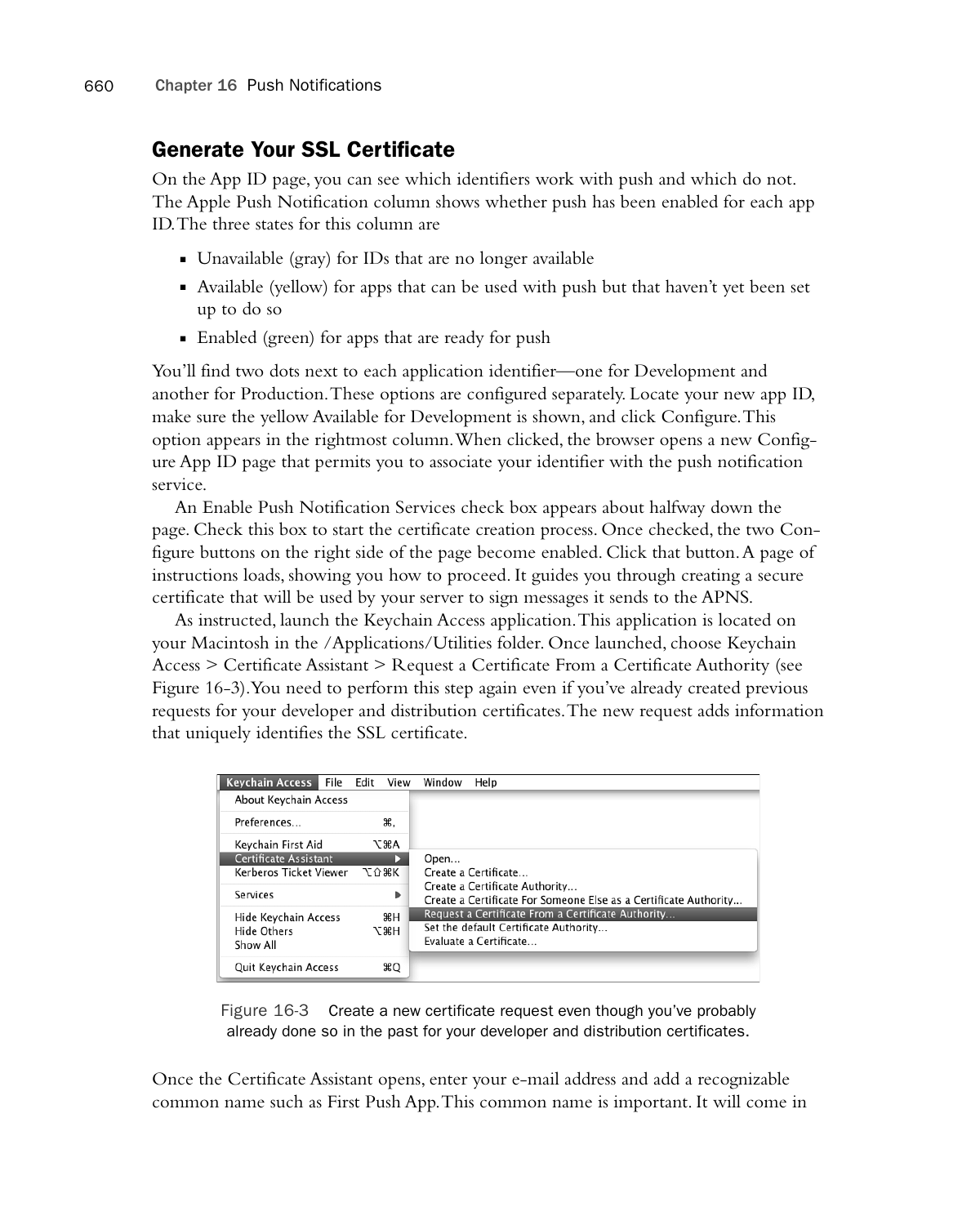## Generate Your SSL Certificate

On the App ID page, you can see which identifiers work with push and which do not. The Apple Push Notification column shows whether push has been enabled for each app ID.The three states for this column are

- <sup>n</sup> Unavailable (gray) for IDs that are no longer available
- <sup>n</sup> Available (yellow) for apps that can be used with push but that haven't yet been set up to do so
- <sup>n</sup> Enabled (green) for apps that are ready for push

You'll find two dots next to each application identifier—one for Development and another for Production.These options are configured separately. Locate your new app ID, make sure the yellow Available for Development is shown, and click Configure.This option appears in the rightmost column.When clicked, the browser opens a new Configure App ID page that permits you to associate your identifier with the push notification service.

An Enable Push Notification Services check box appears about halfway down the page. Check this box to start the certificate creation process. Once checked, the two Configure buttons on the right side of the page become enabled. Click that button.A page of instructions loads, showing you how to proceed. It guides you through creating a secure certificate that will be used by your server to sign messages it sends to the APNS.

As instructed, launch the Keychain Access application.This application is located on your Macintosh in the /Applications/Utilities folder. Once launched, choose Keychain Access > Certificate Assistant > Request a Certificate From a Certificate Authority (see Figure 16-3).You need to perform this step again even if you've already created previous requests for your developer and distribution certificates.The new request adds information that uniquely identifies the SSL certificate.

| Keychain Access File                                   | Edit<br>View | Window | Help                                                                                                                  |
|--------------------------------------------------------|--------------|--------|-----------------------------------------------------------------------------------------------------------------------|
| About Keychain Access                                  |              |        |                                                                                                                       |
| Preferences                                            | ₩.           |        |                                                                                                                       |
| Keychain First Aid                                     | てまA          |        |                                                                                                                       |
| Certificate Assistant                                  |              | Open   |                                                                                                                       |
| Kerberos Ticket Viewer                                 | <b>NBC</b>   |        | Create a Certificate                                                                                                  |
| Services                                               |              |        | Create a Certificate Authority<br>Create a Certificate For Someone Else as a Certificate Authority                    |
| Hide Keychain Access<br><b>Hide Others</b><br>Show All | жH<br>√°жн   |        | Request a Certificate From a Certificate Authority<br>Set the default Certificate Authority<br>Evaluate a Certificate |
| <b>Quit Keychain Access</b>                            | ЖQ           |        |                                                                                                                       |

Figure 16-3 Create a new certificate request even though you've probably already done so in the past for your developer and distribution certificates.

Once the Certificate Assistant opens, enter your e-mail address and add a recognizable common name such as First Push App.This common name is important. It will come in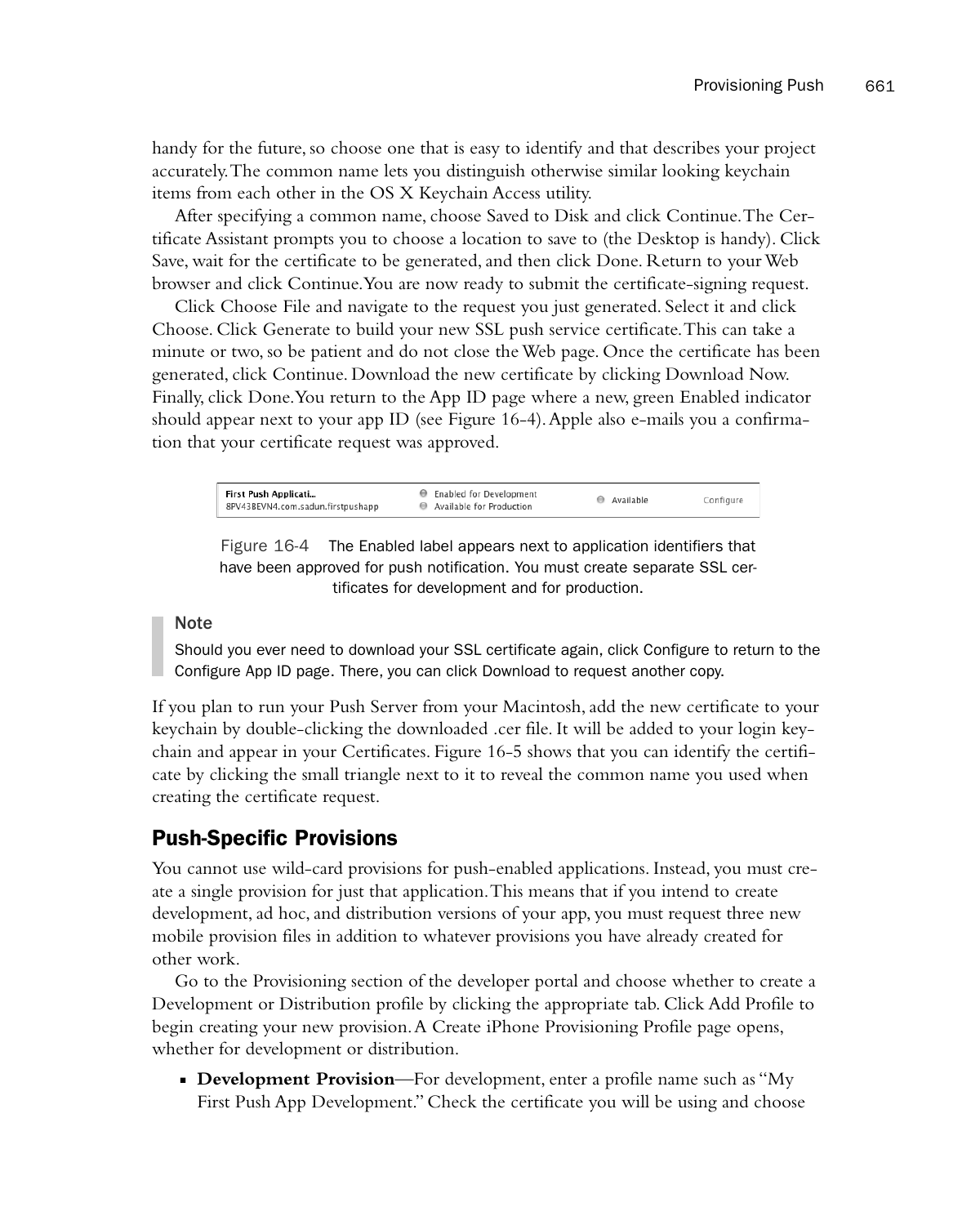handy for the future, so choose one that is easy to identify and that describes your project accurately.The common name lets you distinguish otherwise similar looking keychain items from each other in the OS X Keychain Access utility.

After specifying a common name, choose Saved to Disk and click Continue.The Certificate Assistant prompts you to choose a location to save to (the Desktop is handy). Click Save, wait for the certificate to be generated, and then click Done. Return to your Web browser and click Continue.You are now ready to submit the certificate-signing request.

Click Choose File and navigate to the request you just generated. Select it and click Choose. Click Generate to build your new SSL push service certificate.This can take a minute or two, so be patient and do not close the Web page. Once the certificate has been generated, click Continue. Download the new certificate by clicking Download Now. Finally, click Done.You return to the App ID page where a new, green Enabled indicator should appear next to your app ID (see Figure 16-4).Apple also e-mails you a confirmation that your certificate request was approved.

| First Push Applicati<br>8PV43BEVN4.com.sadun.firstpushapp | ● Enabled for Development<br>Available for Production | Available | Configure |
|-----------------------------------------------------------|-------------------------------------------------------|-----------|-----------|
|-----------------------------------------------------------|-------------------------------------------------------|-----------|-----------|

Figure 16-4 The Enabled label appears next to application identifiers that have been approved for push notification. You must create separate SSL certificates for development and for production.

#### Note

Should you ever need to download your SSL certificate again, click Configure to return to the Configure App ID page. There, you can click Download to request another copy.

If you plan to run your Push Server from your Macintosh, add the new certificate to your keychain by double-clicking the downloaded .cer file. It will be added to your login keychain and appear in your Certificates. Figure 16-5 shows that you can identify the certificate by clicking the small triangle next to it to reveal the common name you used when creating the certificate request.

## Push-Specific Provisions

You cannot use wild-card provisions for push-enabled applications. Instead, you must create a single provision for just that application.This means that if you intend to create development, ad hoc, and distribution versions of your app, you must request three new mobile provision files in addition to whatever provisions you have already created for other work.

Go to the Provisioning section of the developer portal and choose whether to create a Development or Distribution profile by clicking the appropriate tab. Click Add Profile to begin creating your new provision.A Create iPhone Provisioning Profile page opens, whether for development or distribution.

**• Development Provision**—For development, enter a profile name such as "My First Push App Development." Check the certificate you will be using and choose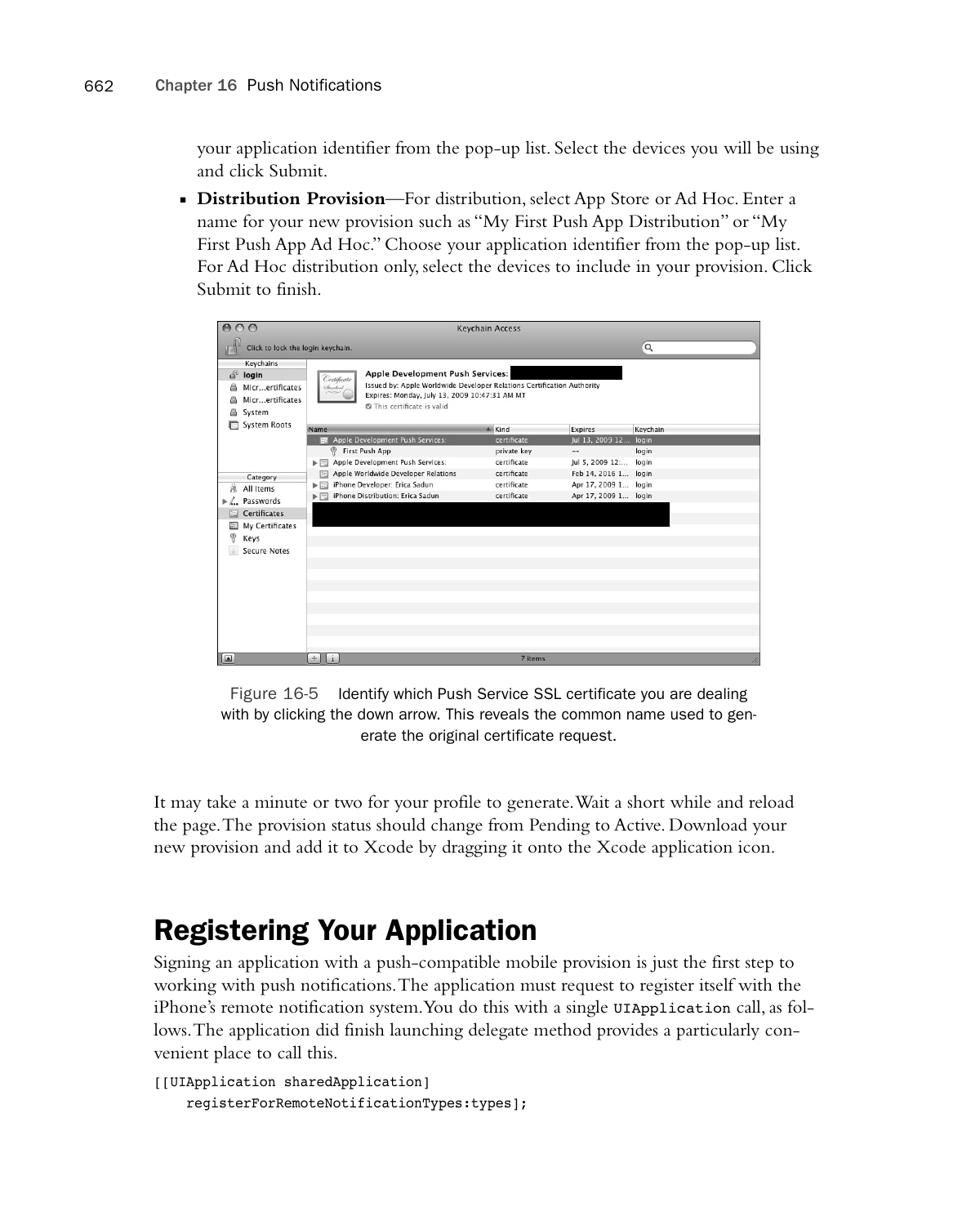your application identifier from the pop-up list. Select the devices you will be using and click Submit.

**Distribution Provision—For distribution, select App Store or Ad Hoc. Enter a** name for your new provision such as "My First Push App Distribution" or "My First Push App Ad Hoc." Choose your application identifier from the pop-up list. For Ad Hoc distribution only, select the devices to include in your provision. Click Submit to finish.

| $\Theta$<br>$\bigcap$ | $\bigcap$                                                                                   |                                 |                                                                                                                                                                                                 | <b>Keychain Access</b> |                      |          |  |
|-----------------------|---------------------------------------------------------------------------------------------|---------------------------------|-------------------------------------------------------------------------------------------------------------------------------------------------------------------------------------------------|------------------------|----------------------|----------|--|
|                       | Click to lock the login keychain.                                                           |                                 |                                                                                                                                                                                                 |                        | Q                    |          |  |
| டி                    | Keychains<br>login<br>Micrertificates<br>Micr. ertificates<br>System<br><b>System Roots</b> | Centificate<br>Standard         | <b>Apple Development Push Services:</b><br>Issued by: Apple Worldwide Developer Relations Certification Authority<br>Expires: Monday, July 13, 2009 10:47:31 AM MT<br>This certificate is valid |                        |                      |          |  |
|                       |                                                                                             | Name                            |                                                                                                                                                                                                 | A Kind                 | <b>Expires</b>       | Keychain |  |
|                       |                                                                                             | 50                              | Apple Development Push Services:                                                                                                                                                                | certificate            | Jul 13, 2009 12      | login    |  |
|                       |                                                                                             | ę                               | First Push App                                                                                                                                                                                  | private key            | $\overline{a}$       | login    |  |
|                       | Category<br>я<br>All Items<br>$\triangleright$ $\mathcal{L}$ . Passwords                    | $\blacktriangleright$ $\boxdot$ | Apple Development Push Services:                                                                                                                                                                | certificate            | Jul 5, 2009 12:      | login    |  |
|                       |                                                                                             | 险                               | Apple Worldwide Developer Relations                                                                                                                                                             | certificate            | Feb 14, 2016 1 login |          |  |
|                       |                                                                                             | ▶国                              | iPhone Developer: Erica Sadun                                                                                                                                                                   | certificate            | Apr 17, 2009 1 login |          |  |
|                       |                                                                                             | ▶□                              | iPhone Distribution: Erica Sadun                                                                                                                                                                | certificate            | Apr 17, 2009 1 login |          |  |
|                       |                                                                                             |                                 |                                                                                                                                                                                                 |                        |                      |          |  |
| 险                     | Certificates                                                                                |                                 |                                                                                                                                                                                                 |                        |                      |          |  |
|                       | My Certificates<br>冨                                                                        |                                 |                                                                                                                                                                                                 |                        |                      |          |  |
| ၜူ                    | Keys                                                                                        |                                 |                                                                                                                                                                                                 |                        |                      |          |  |
|                       | <b>Secure Notes</b>                                                                         |                                 |                                                                                                                                                                                                 |                        |                      |          |  |
|                       |                                                                                             |                                 |                                                                                                                                                                                                 |                        |                      |          |  |
|                       |                                                                                             |                                 |                                                                                                                                                                                                 |                        |                      |          |  |
|                       |                                                                                             |                                 |                                                                                                                                                                                                 |                        |                      |          |  |
|                       |                                                                                             |                                 |                                                                                                                                                                                                 |                        |                      |          |  |
|                       |                                                                                             |                                 |                                                                                                                                                                                                 |                        |                      |          |  |
|                       |                                                                                             |                                 |                                                                                                                                                                                                 |                        |                      |          |  |
|                       |                                                                                             |                                 |                                                                                                                                                                                                 |                        |                      |          |  |
|                       |                                                                                             |                                 |                                                                                                                                                                                                 |                        |                      |          |  |
| 国                     |                                                                                             | i.<br>÷                         |                                                                                                                                                                                                 | 7 items                |                      |          |  |

Figure 16-5 Identify which Push Service SSL certificate you are dealing with by clicking the down arrow. This reveals the common name used to generate the original certificate request.

It may take a minute or two for your profile to generate.Wait a short while and reload the page.The provision status should change from Pending to Active. Download your new provision and add it to Xcode by dragging it onto the Xcode application icon.

## Registering Your Application

Signing an application with a push-compatible mobile provision is just the first step to working with push notifications.The application must request to register itself with the iPhone's remote notification system.You do this with a single UIApplication call, as follows.The application did finish launching delegate method provides a particularly convenient place to call this.

```
[[UIApplication sharedApplication]
    registerForRemoteNotificationTypes:types];
```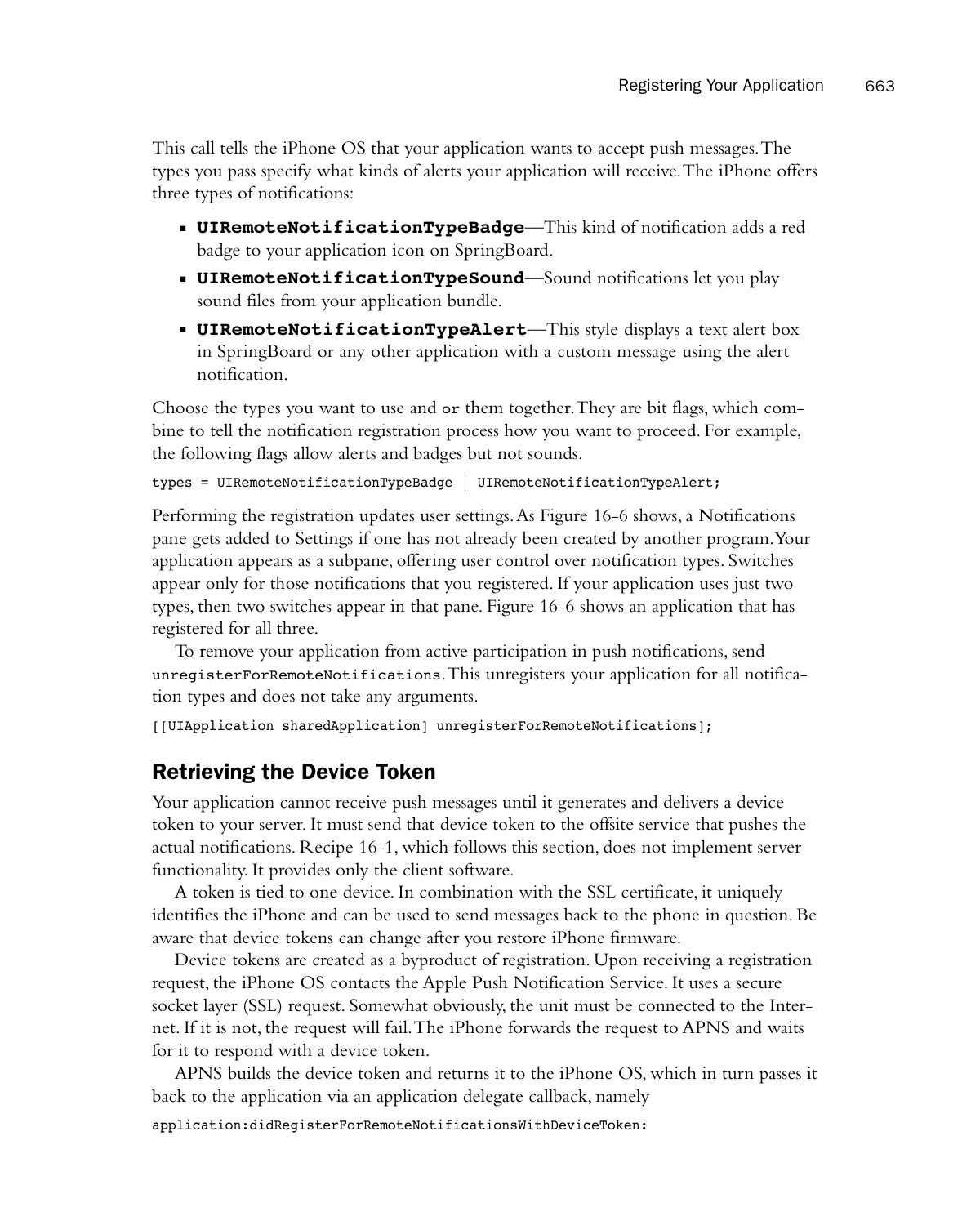This call tells the iPhone OS that your application wants to accept push messages.The types you pass specify what kinds of alerts your application will receive.The iPhone offers three types of notifications:

- **UIRemoteNotificationTypeBadge**—This kind of notification adds a red badge to your application icon on SpringBoard.
- **UIRemoteNotificationTypeSound**—Sound notifications let you play sound files from your application bundle.
- **uIRemoteNotificationTypeAlert**—This style displays a text alert box in SpringBoard or any other application with a custom message using the alert notification.

Choose the types you want to use and or them together.They are bit flags, which combine to tell the notification registration process how you want to proceed. For example, the following flags allow alerts and badges but not sounds.

```
types = UIRemoteNotificationTypeBadge | UIRemoteNotificationTypeAlert;
```
Performing the registration updates user settings.As Figure 16-6 shows, a Notifications pane gets added to Settings if one has not already been created by another program.Your application appears as a subpane, offering user control over notification types. Switches appear only for those notifications that you registered. If your application uses just two types, then two switches appear in that pane. Figure 16-6 shows an application that has registered for all three.

To remove your application from active participation in push notifications, send unregisterForRemoteNotifications.This unregisters your application for all notification types and does not take any arguments.

```
[[UIApplication sharedApplication] unregisterForRemoteNotifications];
```
## Retrieving the Device Token

Your application cannot receive push messages until it generates and delivers a device token to your server. It must send that device token to the offsite service that pushes the actual notifications. Recipe 16-1, which follows this section, does not implement server functionality. It provides only the client software.

A token is tied to one device. In combination with the SSL certificate, it uniquely identifies the iPhone and can be used to send messages back to the phone in question. Be aware that device tokens can change after you restore iPhone firmware.

Device tokens are created as a byproduct of registration. Upon receiving a registration request, the iPhone OS contacts the Apple Push Notification Service. It uses a secure socket layer (SSL) request. Somewhat obviously, the unit must be connected to the Internet. If it is not, the request will fail.The iPhone forwards the request to APNS and waits for it to respond with a device token.

APNS builds the device token and returns it to the iPhone OS, which in turn passes it back to the application via an application delegate callback, namely

application:didRegisterForRemoteNotificationsWithDeviceToken: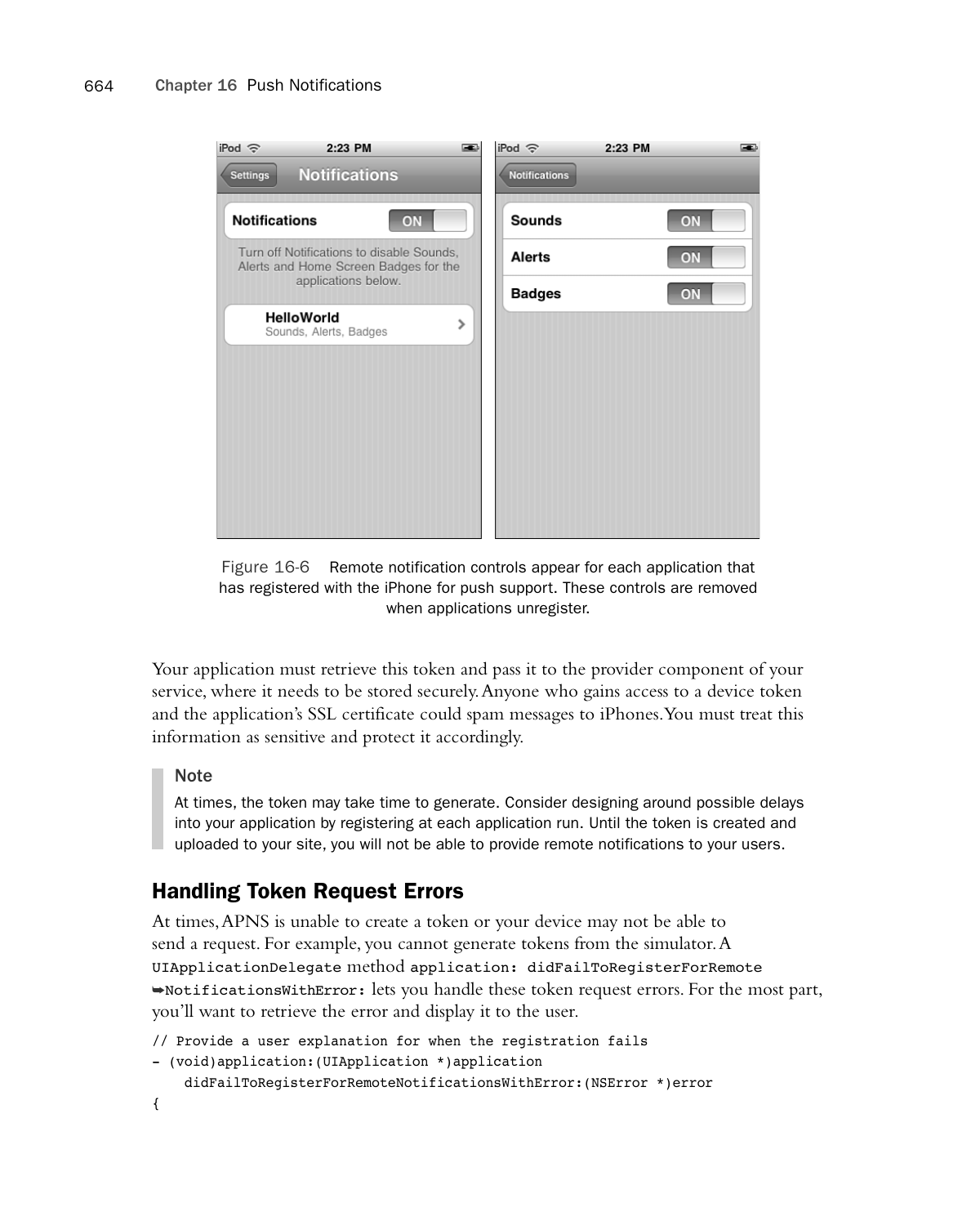

Figure 16-6 Remote notification controls appear for each application that has registered with the iPhone for push support. These controls are removed when applications unregister.

Your application must retrieve this token and pass it to the provider component of your service, where it needs to be stored securely.Anyone who gains access to a device token and the application's SSL certificate could spam messages to iPhones.You must treat this information as sensitive and protect it accordingly.

#### Note

At times, the token may take time to generate. Consider designing around possible delays into your application by registering at each application run. Until the token is created and uploaded to your site, you will not be able to provide remote notifications to your users.

## Handling Token Request Errors

At times,APNS is unable to create a token or your device may not be able to send a request. For example, you cannot generate tokens from the simulator.A UIApplicationDelegate method application: didFailToRegisterForRemote ➥NotificationsWithError: lets you handle these token request errors. For the most part, you'll want to retrieve the error and display it to the user.

```
// Provide a user explanation for when the registration fails
- (void)application:(UIApplication *)application
    didFailToRegisterForRemoteNotificationsWithError:(NSError *)error
{
```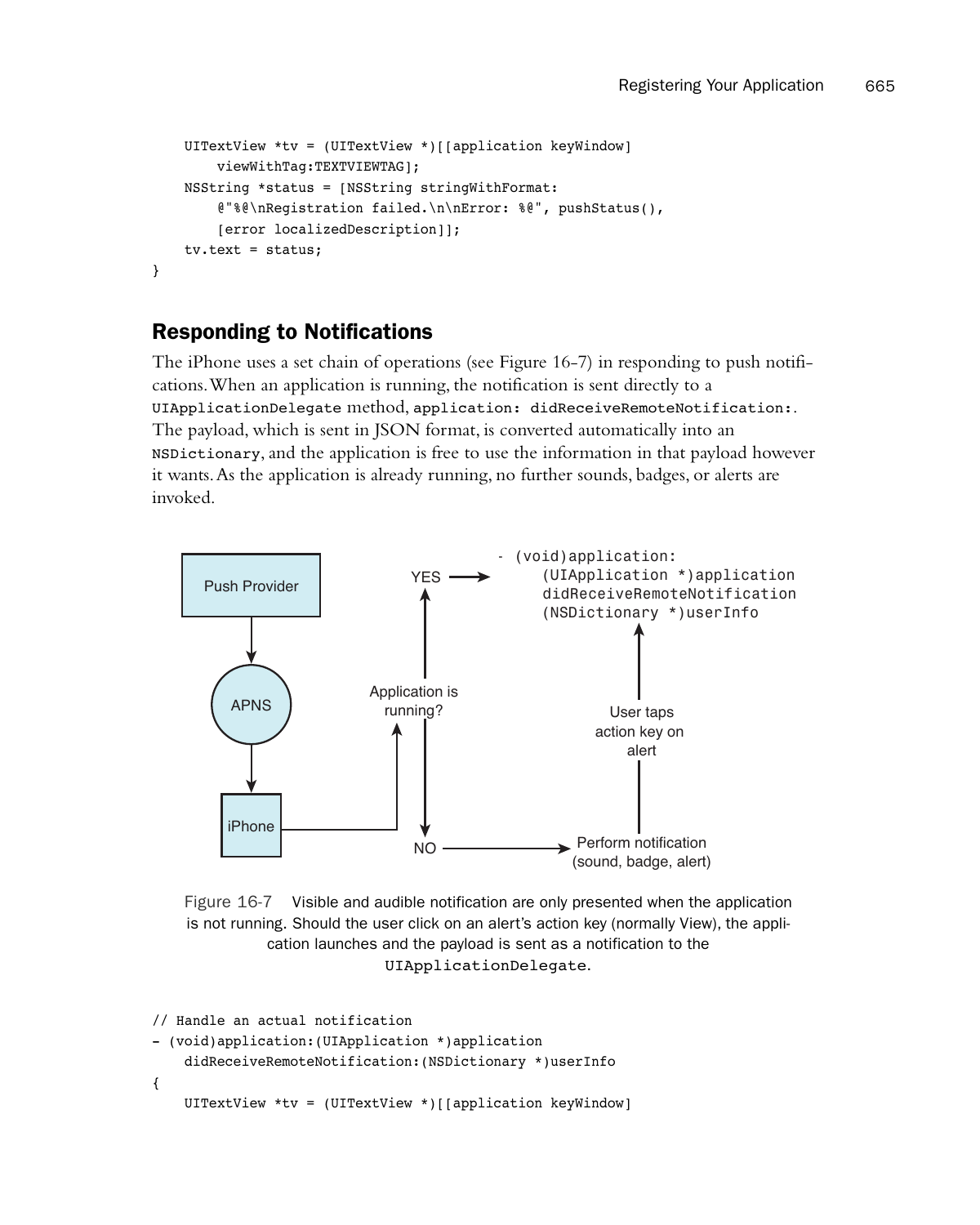```
UITextView *tv = (UITextView *)[[application keyWindow]
        viewWithTag:TEXTVIEWTAG];
    NSString *status = [NSString stringWithFormat:
        @"%@\nRegistration failed.\n\nError: %@", pushStatus(),
        [error localizedDescription]];
   tv.text = status;
}
```
## Responding to Notifications

The iPhone uses a set chain of operations (see Figure 16-7) in responding to push notifications.When an application is running, the notification is sent directly to a UIApplicationDelegate method, application: didReceiveRemoteNotification:. The payload, which is sent in JSON format, is converted automatically into an NSDictionary, and the application is free to use the information in that payload however it wants.As the application is already running, no further sounds, badges, or alerts are invoked.



Figure 16-7 Visible and audible notification are only presented when the application is not running. Should the user click on an alert's action key (normally View), the application launches and the payload is sent as a notification to the UIApplicationDelegate.

```
// Handle an actual notification
- (void)application:(UIApplication *)application
    didReceiveRemoteNotification:(NSDictionary *)userInfo
{
    UITextView *tv = (UITextView *)[[application keyWindow]
```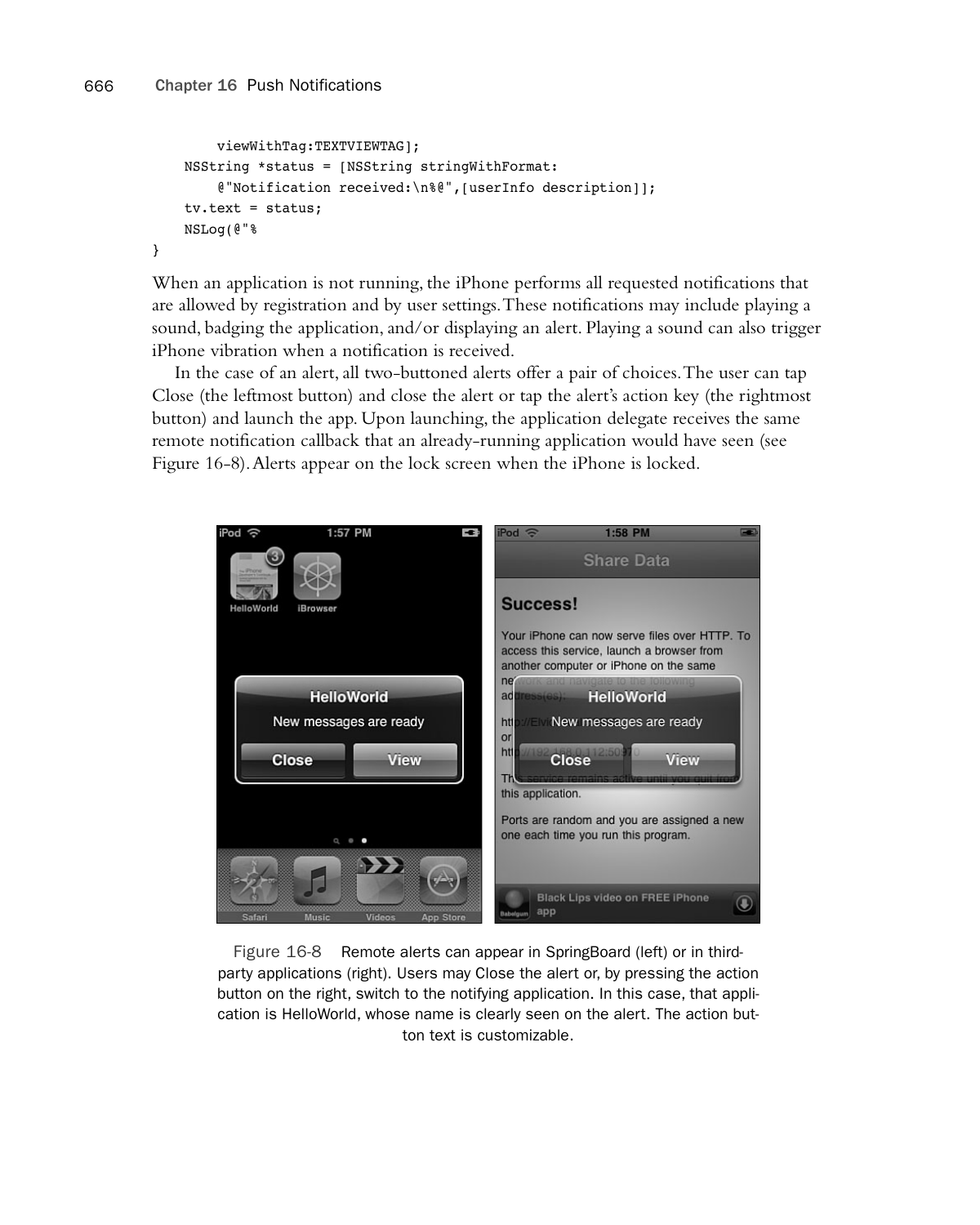```
viewWithTag:TEXTVIEWTAG];
   NSString *status = [NSString stringWithFormat:
        @"Notification received:\n%@",[userInfo description]];
    tv.text = status;
   NSLog(@"%
}
```
When an application is not running, the iPhone performs all requested notifications that are allowed by registration and by user settings.These notifications may include playing a sound, badging the application, and/or displaying an alert. Playing a sound can also trigger iPhone vibration when a notification is received.

In the case of an alert, all two-buttoned alerts offer a pair of choices.The user can tap Close (the leftmost button) and close the alert or tap the alert's action key (the rightmost button) and launch the app. Upon launching, the application delegate receives the same remote notification callback that an already-running application would have seen (see Figure 16-8).Alerts appear on the lock screen when the iPhone is locked.



Figure 16-8 Remote alerts can appear in SpringBoard (left) or in thirdparty applications (right). Users may Close the alert or, by pressing the action button on the right, switch to the notifying application. In this case, that application is HelloWorld, whose name is clearly seen on the alert. The action button text is customizable.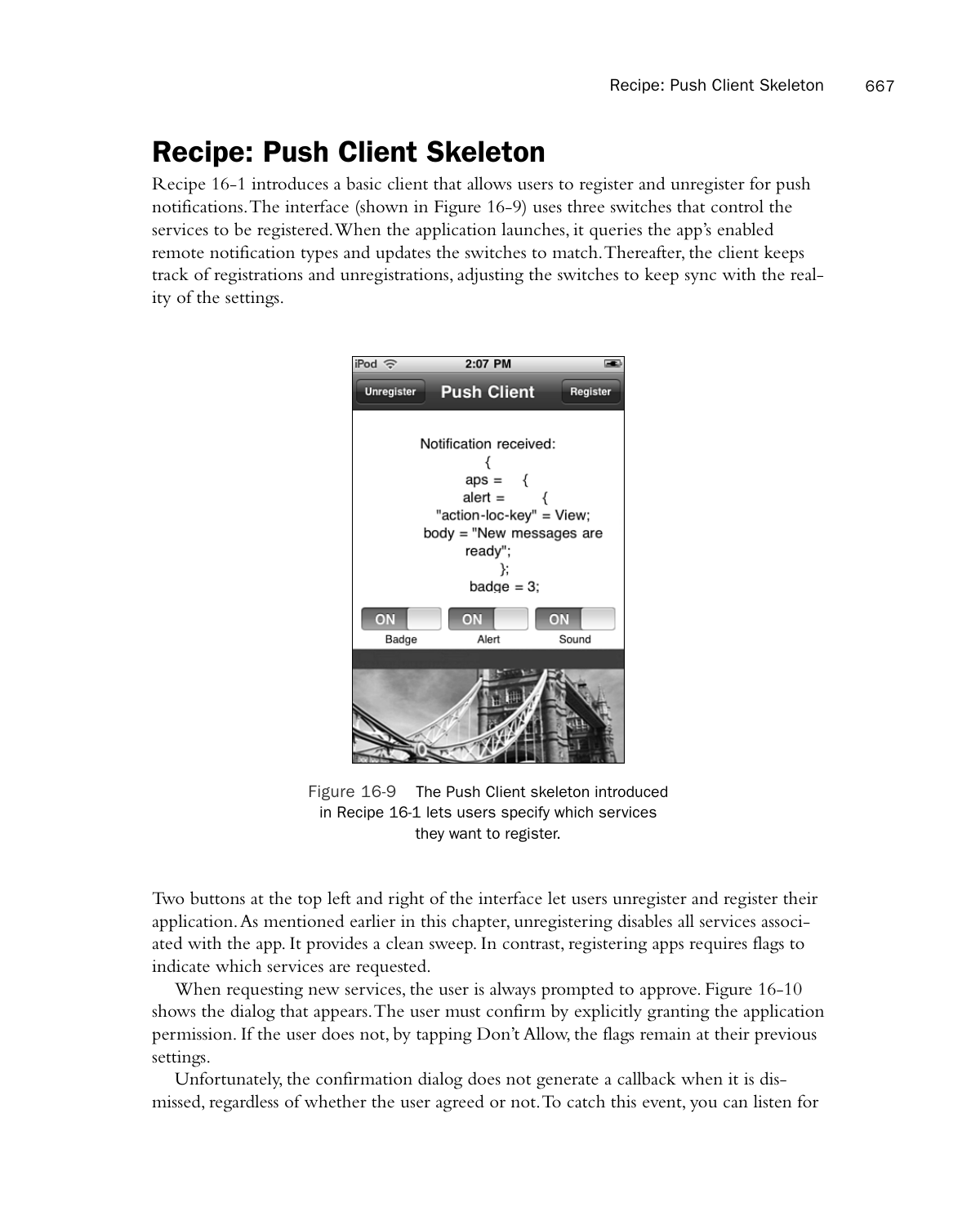## Recipe: Push Client Skeleton

Recipe 16-1 introduces a basic client that allows users to register and unregister for push notifications.The interface (shown in Figure 16-9) uses three switches that control the services to be registered.When the application launches, it queries the app's enabled remote notification types and updates the switches to match.Thereafter, the client keeps track of registrations and unregistrations, adjusting the switches to keep sync with the reality of the settings.



Figure 16-9 The Push Client skeleton introduced in Recipe 16-1 lets users specify which services they want to register.

Two buttons at the top left and right of the interface let users unregister and register their application.As mentioned earlier in this chapter, unregistering disables all services associated with the app. It provides a clean sweep. In contrast, registering apps requires flags to indicate which services are requested.

When requesting new services, the user is always prompted to approve. Figure 16-10 shows the dialog that appears.The user must confirm by explicitly granting the application permission. If the user does not, by tapping Don't Allow, the flags remain at their previous settings.

Unfortunately, the confirmation dialog does not generate a callback when it is dismissed, regardless of whether the user agreed or not.To catch this event, you can listen for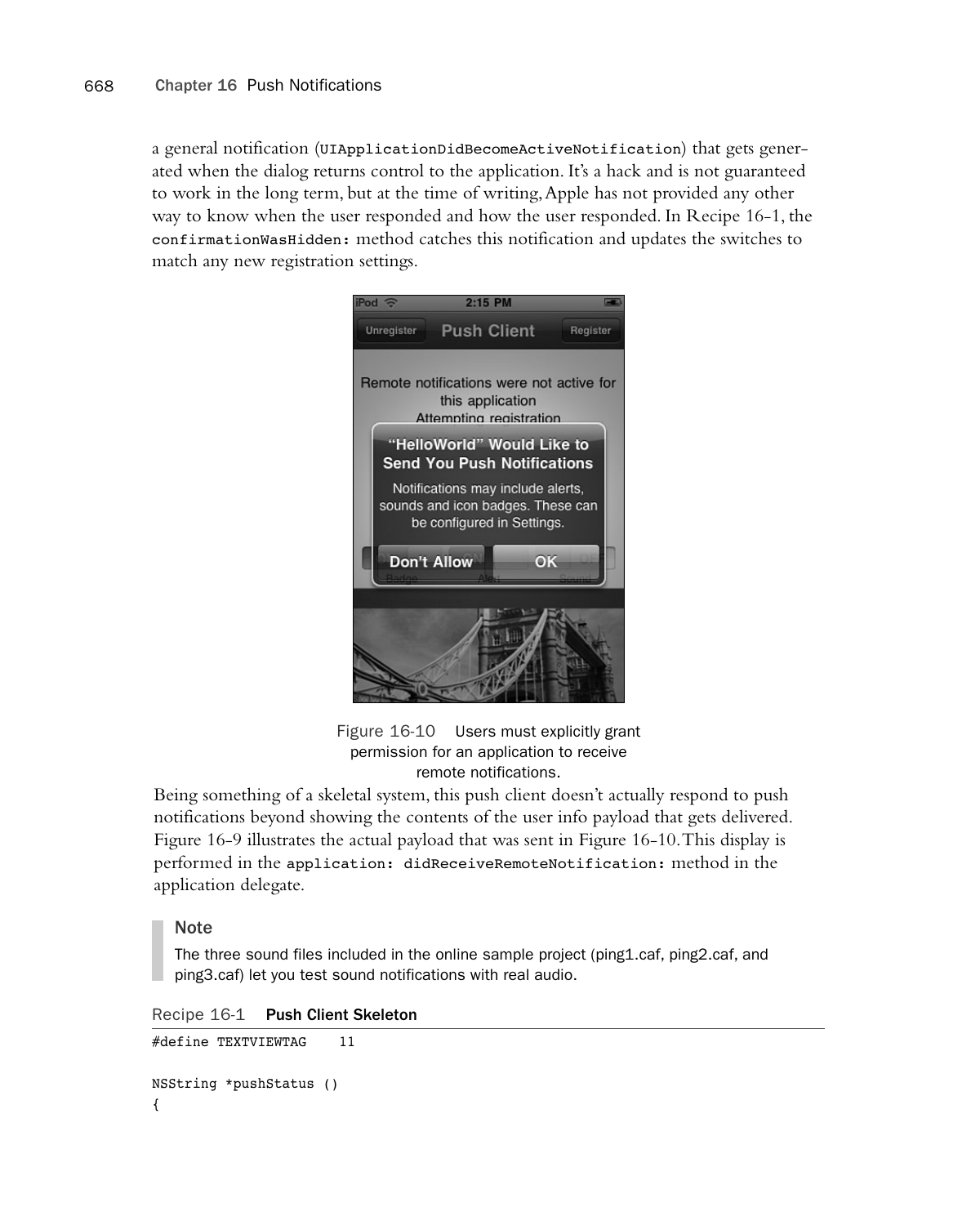a general notification (UIApplicationDidBecomeActiveNotification) that gets generated when the dialog returns control to the application. It's a hack and is not guaranteed to work in the long term, but at the time of writing,Apple has not provided any other way to know when the user responded and how the user responded. In Recipe 16-1, the confirmationWasHidden: method catches this notification and updates the switches to match any new registration settings.



Figure 16-10 Users must explicitly grant permission for an application to receive remote notifications.

Being something of a skeletal system, this push client doesn't actually respond to push notifications beyond showing the contents of the user info payload that gets delivered. Figure 16-9 illustrates the actual payload that was sent in Figure 16-10.This display is performed in the application: didReceiveRemoteNotification: method in the application delegate.

Note

The three sound files included in the online sample project (ping1.caf, ping2.caf, and ping3.caf) let you test sound notifications with real audio.

Recipe 16-1 Push Client Skeleton

```
NSString *pushStatus ()
{
```
#define TEXTVIEWTAG 11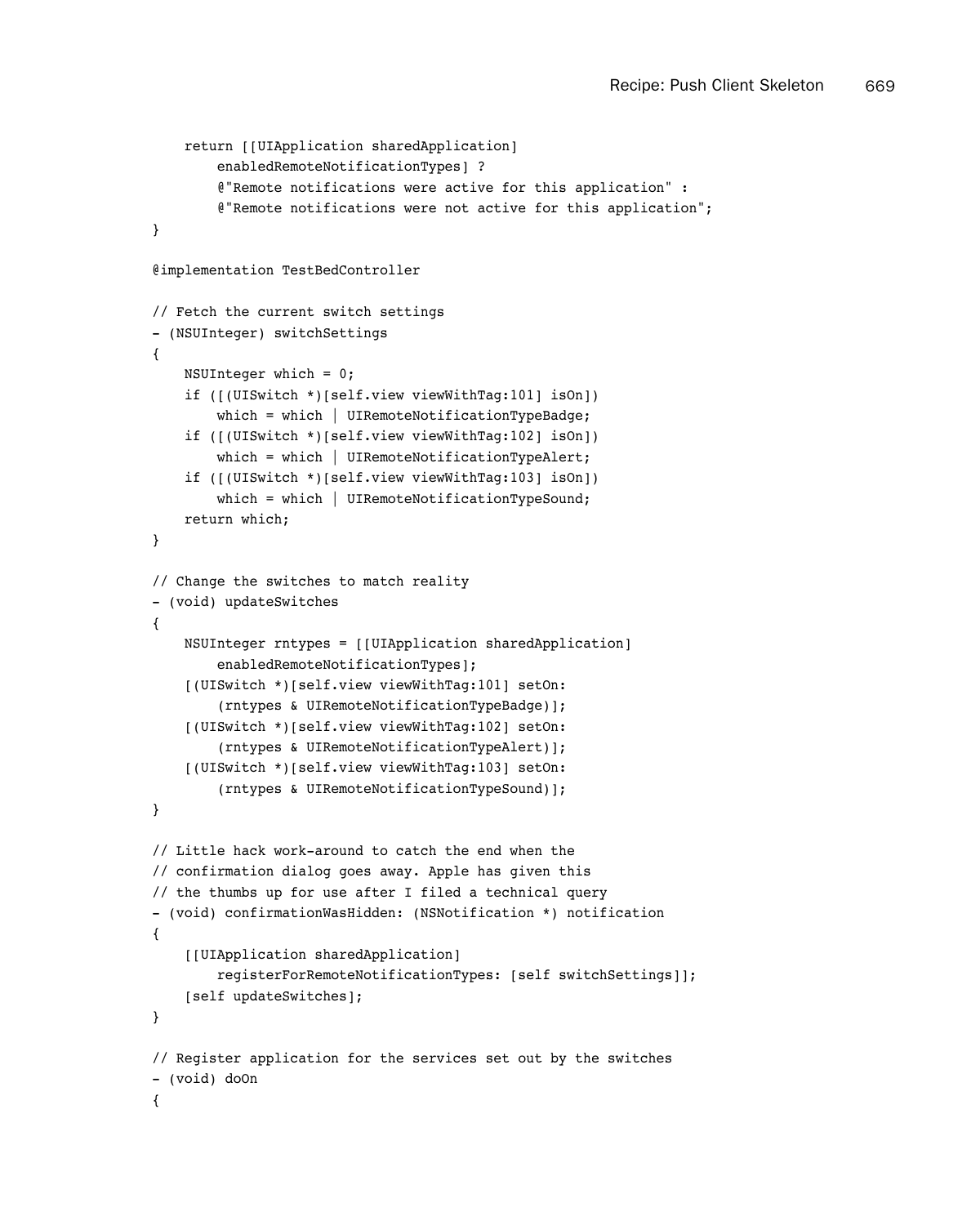```
return [[UIApplication sharedApplication]
        enabledRemoteNotificationTypes] ?
        @"Remote notifications were active for this application" :
        @"Remote notifications were not active for this application";
}
@implementation TestBedController
// Fetch the current switch settings
- (NSUInteger) switchSettings
{
   NSUInteger which = 0;
   if ([(UISwitch *)[self.view viewWithTag:101] isOn])
       which = which | UIRemoteNotificationTypeBadge;
    if ([(UISwitch *)[self.view viewWithTag:102] isOn])
        which = which | UIRemoteNotificationTypeAlert;
    if ([(UISwitch *)[self.view viewWithTag:103] isOn])
        which = which | UIRemoteNotificationTypeSound;
   return which;
}
// Change the switches to match reality
- (void) updateSwitches
{
   NSUInteger rntypes = [[UIApplication sharedApplication]
        enabledRemoteNotificationTypes];
    [(UISwitch *)[self.view viewWithTag:101] setOn:
        (rntypes & UIRemoteNotificationTypeBadge)];
    [(UISwitch *)[self.view viewWithTag:102] setOn:
        (rntypes & UIRemoteNotificationTypeAlert)];
    [(UISwitch *)[self.view viewWithTag:103] setOn:
        (rntypes & UIRemoteNotificationTypeSound)];
}
// Little hack work-around to catch the end when the
// confirmation dialog goes away. Apple has given this
// the thumbs up for use after I filed a technical query
- (void) confirmationWasHidden: (NSNotification *) notification
{
    [[UIApplication sharedApplication]
        registerForRemoteNotificationTypes: [self switchSettings]];
    [self updateSwitches];
}
// Register application for the services set out by the switches
- (void) doOn
{
```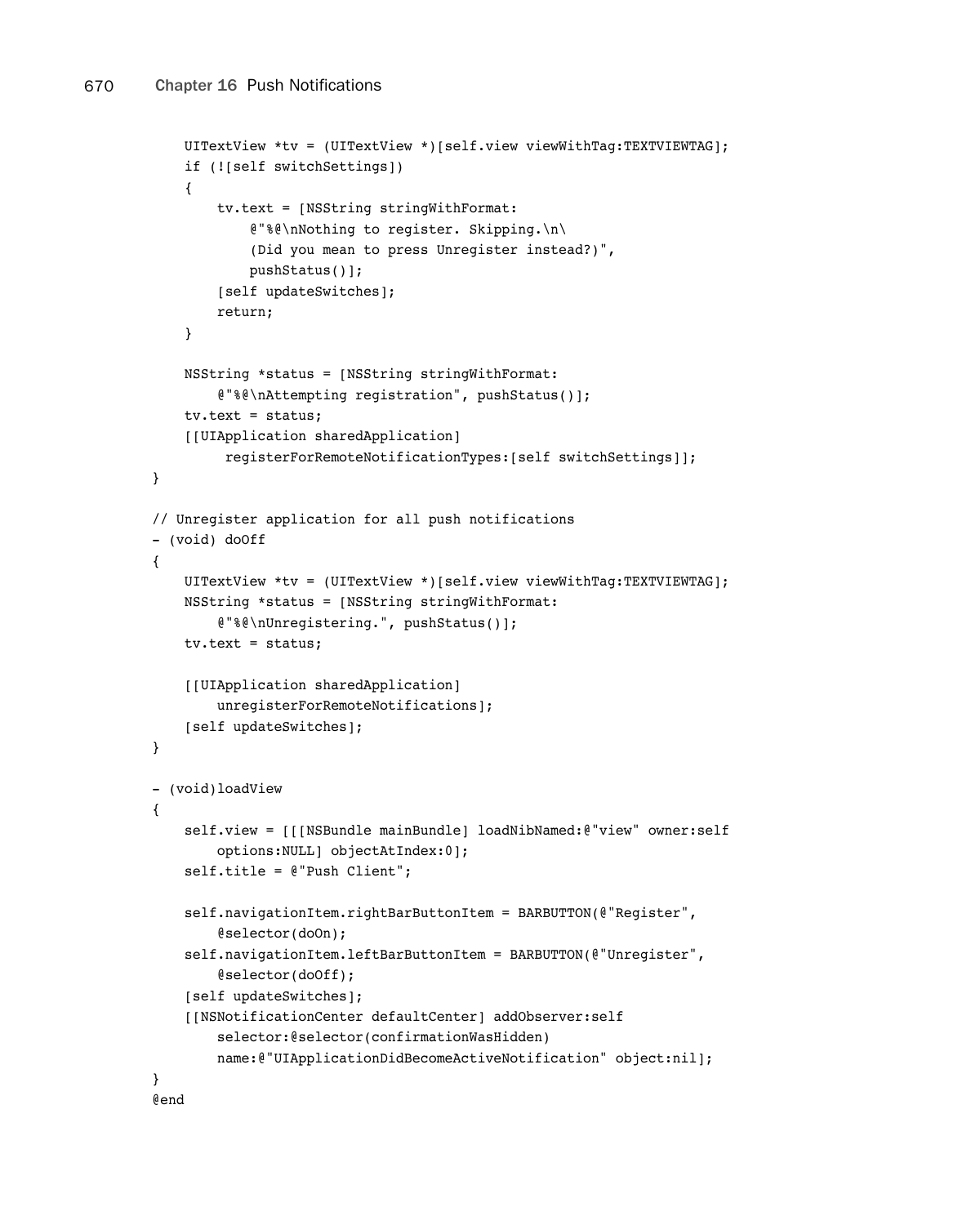```
UITextView *tv = (UITextView *)[self.view viewWithTag:TEXTVIEWTAG];
    if (![self switchSettings])
    {
        tv.text = [NSString stringWithFormat:
            @"%@\nNothing to register. Skipping.\n\
            (Did you mean to press Unregister instead?)",
            pushStatus()];
        [self updateSwitches];
        return;
   }
   NSString *status = [NSString stringWithFormat:
        @"%@\nAttempting registration", pushStatus()];
    tv.text = status;
    [[UIApplication sharedApplication]
         registerForRemoteNotificationTypes:[self switchSettings]];
}
// Unregister application for all push notifications
- (void) doOff
{
   UITextView *tv = (UITextView *)[self.view viewWithTag:TEXTVIEWTAG];
   NSString *status = [NSString stringWithFormat:
        @"%@\nUnregistering.", pushStatus()];
   tv.text = status;
    [[UIApplication sharedApplication]
        unregisterForRemoteNotifications];
    [self updateSwitches];
}
- (void)loadView
{
   self.view = [[[NSBundle mainBundle] loadNibNamed:@"view" owner:self
        options:NULL] objectAtIndex:0];
   self.title = @"Push Client";
    self.navigationItem.rightBarButtonItem = BARBUTTON(@"Register",
        @selector(doOn);
   self.navigationItem.leftBarButtonItem = BARBUTTON(@"Unregister",
        @selector(doOff);
    [self updateSwitches];
    [[NSNotificationCenter defaultCenter] addObserver:self
        selector:@selector(confirmationWasHidden)
        name:@"UIApplicationDidBecomeActiveNotification" object:nil];
}
@end
```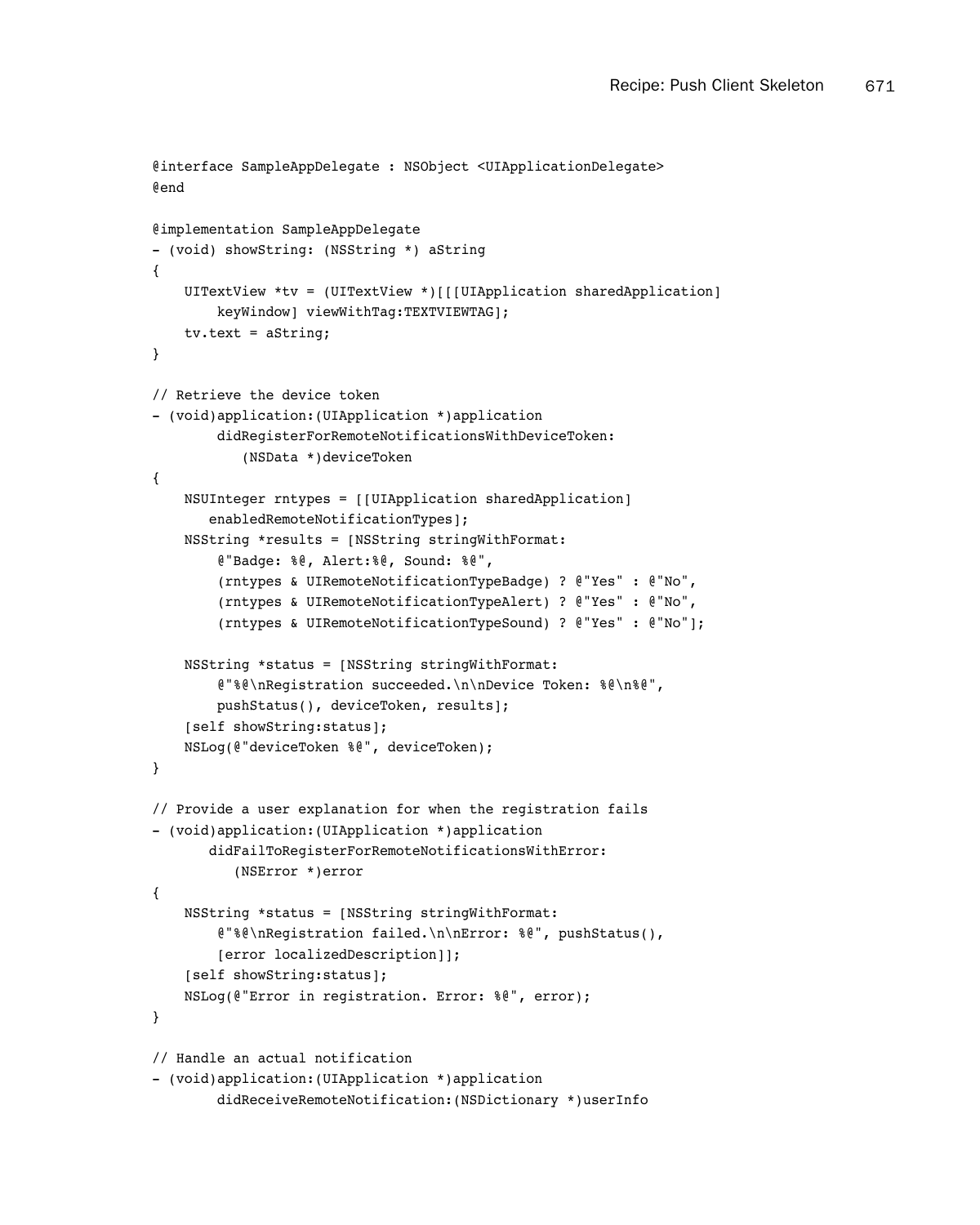```
@interface SampleAppDelegate : NSObject <UIApplicationDelegate>
@end
@implementation SampleAppDelegate
- (void) showString: (NSString *) aString
{
    UITextView *tv = (UITextView *)[[[UIApplication sharedApplication]
        keyWindow] viewWithTag:TEXTVIEWTAG];
   tv.text = aString;
}
// Retrieve the device token
- (void)application:(UIApplication *)application
        didRegisterForRemoteNotificationsWithDeviceToken:
           (NSData *)deviceToken
{
   NSUInteger rntypes = [[UIApplication sharedApplication]
       enabledRemoteNotificationTypes];
   NSString *results = [NSString stringWithFormat:
        @"Badge: %@, Alert:%@, Sound: %@",
        (rntypes & UIRemoteNotificationTypeBadge) ? @"Yes" : @"No",
        (rntypes & UIRemoteNotificationTypeAlert) ? @"Yes" : @"No",
        (rntypes & UIRemoteNotificationTypeSound) ? @"Yes" : @"No"];
    NSString *status = [NSString stringWithFormat:
        @"%@\nRegistration succeeded.\n\nDevice Token: %@\n%@",
        pushStatus(), deviceToken, results];
    [self showString:status];
   NSLog(@"deviceToken %@", deviceToken);
}
// Provide a user explanation for when the registration fails
- (void)application:(UIApplication *)application
       didFailToRegisterForRemoteNotificationsWithError:
          (NSError *)error
{
   NSString *status = [NSString stringWithFormat:
        @"%@\nRegistration failed.\n\nError: %@", pushStatus(),
        [error localizedDescription]];
    [self showString:status];
   NSLog(@"Error in registration. Error: %@", error);
}
// Handle an actual notification
- (void)application:(UIApplication *)application
        didReceiveRemoteNotification:(NSDictionary *)userInfo
```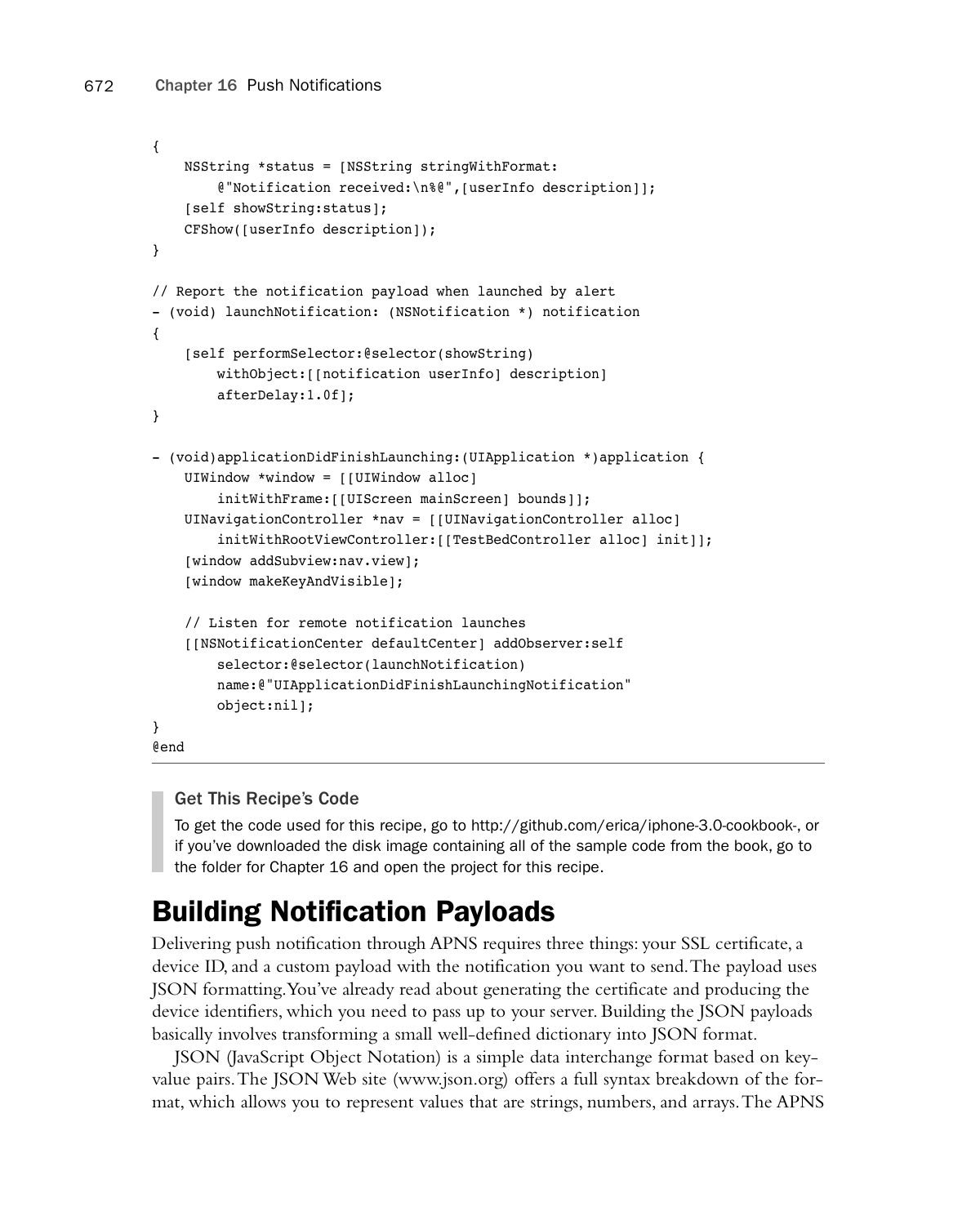```
{
    NSString *status = [NSString stringWithFormat:
        @"Notification received:\n%@",[userInfo description]];
    [self showString:status];
    CFShow([userInfo description]);
}
// Report the notification payload when launched by alert
- (void) launchNotification: (NSNotification *) notification
{
    [self performSelector:@selector(showString)
        withObject:[[notification userInfo] description]
        afterDelay:1.0f];
}
- (void)applicationDidFinishLaunching:(UIApplication *)application {
    UIWindow *window = [[UIWindow alloc]
        initWithFrame:[[UIScreen mainScreen] bounds]];
    UINavigationController *nav = [[UINavigationController alloc]
        initWithRootViewController:[[TestBedController alloc] init]];
    [window addSubview:nav.view];
    [window makeKeyAndVisible];
    // Listen for remote notification launches
    [[NSNotificationCenter defaultCenter] addObserver:self
        selector:@selector(launchNotification)
        name:@"UIApplicationDidFinishLaunchingNotification"
        object:nil];
}
@end
```
#### Get This Recipe's Code

To get the code used for this recipe, go to [http://github.com/erica/iphone-3.0-cookbook-,](http://github.com/erica/iphone-3.0-cookbook-) or if you've downloaded the disk image containing all of the sample code from the book, go to the folder for Chapter 16 and open the project for this recipe.

## Building Notification Payloads

Delivering push notification through APNS requires three things: your SSL certificate, a device ID, and a custom payload with the notification you want to send.The payload uses JSON formatting.You've already read about generating the certificate and producing the device identifiers, which you need to pass up to your server. Building the JSON payloads basically involves transforming a small well-defined dictionary into JSON format.

JSON (JavaScript Object Notation) is a simple data interchange format based on keyvalue pairs.The JSON Web site ([www.json.org\)](www.json.org) offers a full syntax breakdown of the format, which allows you to represent values that are strings, numbers, and arrays.The APNS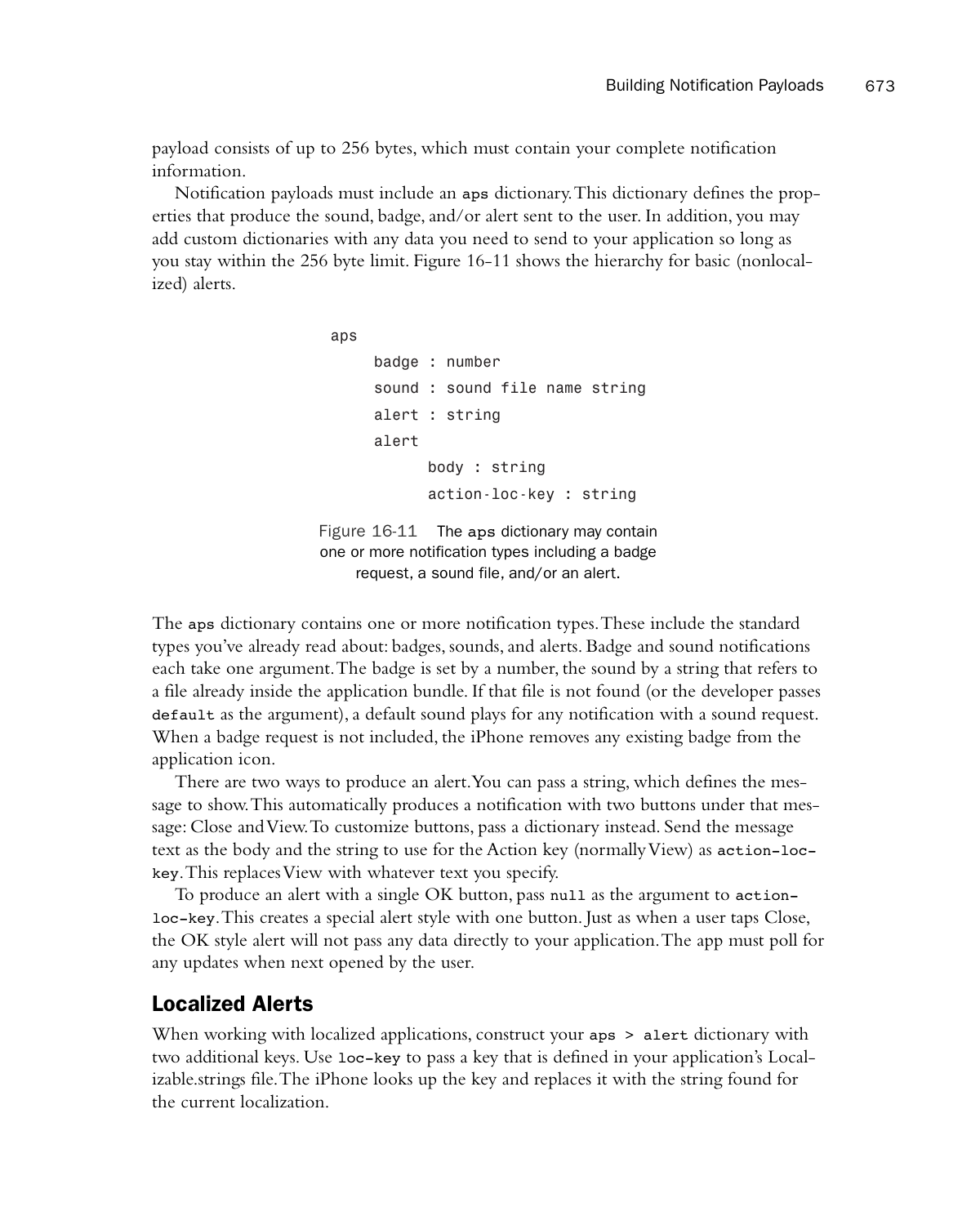payload consists of up to 256 bytes, which must contain your complete notification information.

Notification payloads must include an aps dictionary.This dictionary defines the properties that produce the sound, badge, and/or alert sent to the user. In addition, you may add custom dictionaries with any data you need to send to your application so long as you stay within the 256 byte limit. Figure 16-11 shows the hierarchy for basic (nonlocalized) alerts.

```
aps
      badge : number
      sound : sound file name string
      alert : string
      alert
            body : string
            action-loc-key : string
```
Figure 16-11 The aps dictionary may contain one or more notification types including a badge request, a sound file, and/or an alert.

The aps dictionary contains one or more notification types.These include the standard types you've already read about: badges, sounds, and alerts. Badge and sound notifications each take one argument.The badge is set by a number, the sound by a string that refers to a file already inside the application bundle. If that file is not found (or the developer passes default as the argument), a default sound plays for any notification with a sound request. When a badge request is not included, the iPhone removes any existing badge from the application icon.

There are two ways to produce an alert.You can pass a string, which defines the message to show.This automatically produces a notification with two buttons under that message: Close and View.To customize buttons, pass a dictionary instead. Send the message text as the body and the string to use for the Action key (normally View) as action-lockey.This replaces View with whatever text you specify.

To produce an alert with a single OK button, pass null as the argument to actionloc-key.This creates a special alert style with one button. Just as when a user taps Close, the OK style alert will not pass any data directly to your application.The app must poll for any updates when next opened by the user.

### Localized Alerts

When working with localized applications, construct your aps  $>$  alert dictionary with two additional keys. Use loc-key to pass a key that is defined in your application's Localizable.strings file.The iPhone looks up the key and replaces it with the string found for the current localization.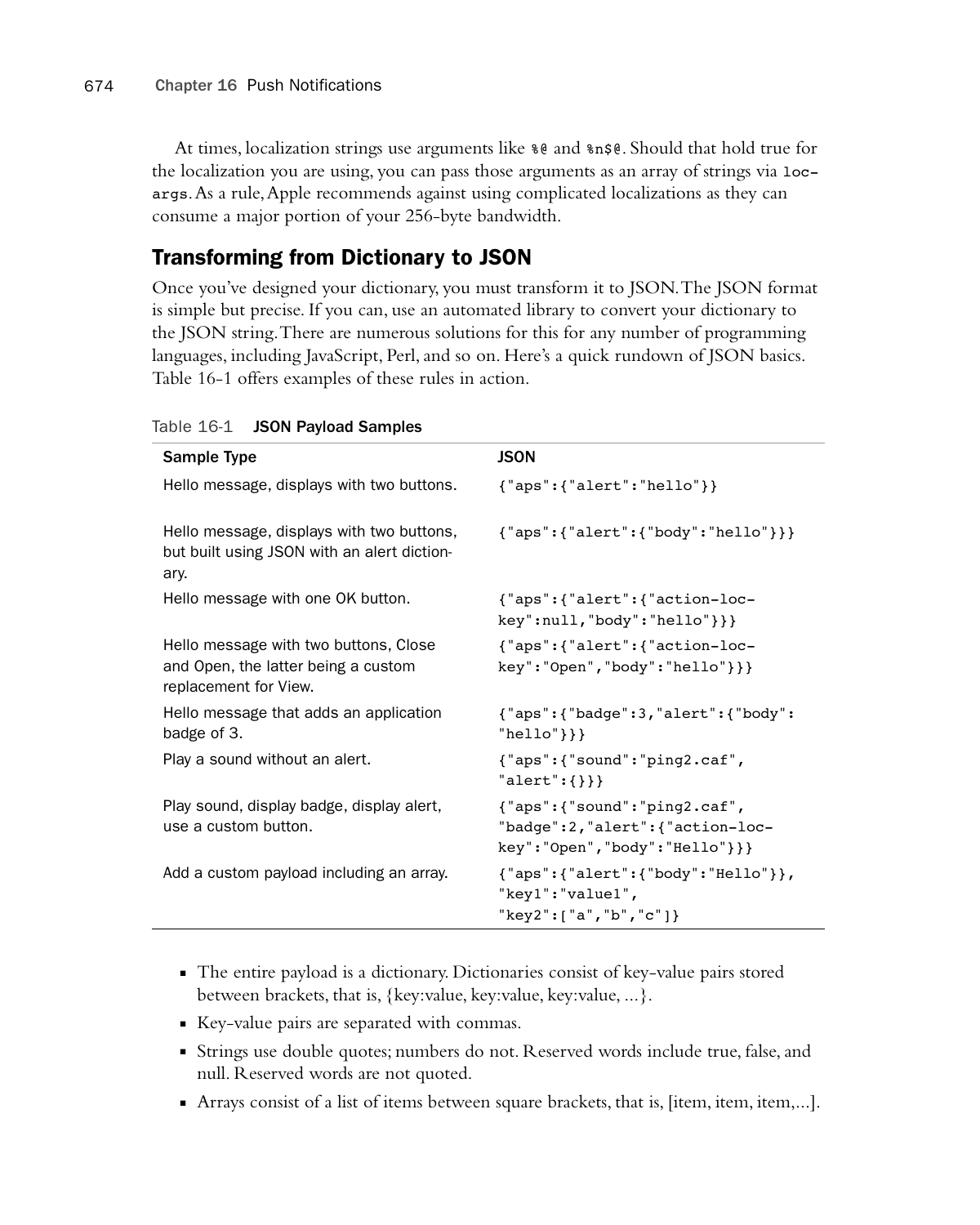At times, localization strings use arguments like %@ and %n\$@. Should that hold true for the localization you are using, you can pass those arguments as an array of strings via locargs.As a rule,Apple recommends against using complicated localizations as they can consume a major portion of your 256-byte bandwidth.

## Transforming from Dictionary to JSON

Once you've designed your dictionary, you must transform it to JSON.The JSON format is simple but precise. If you can, use an automated library to convert your dictionary to the JSON string.There are numerous solutions for this for any number of programming languages, including JavaScript, Perl, and so on. Here's a quick rundown of JSON basics. Table 16-1 offers examples of these rules in action.

| Sample Type                                                                                           | <b>JSON</b>                                                                                                                                  |
|-------------------------------------------------------------------------------------------------------|----------------------------------------------------------------------------------------------------------------------------------------------|
| Hello message, displays with two buttons.                                                             | ${'~aps": {'~alert":"hello"}}$                                                                                                               |
| Hello message, displays with two buttons,<br>but built using JSON with an alert diction-<br>ary.      | ${\text{ "aps":} {\text{ "alert":} {\text{ "body":} "hello"} } }$                                                                            |
| Hello message with one OK button.                                                                     | {"aps": {"alert": {"action-loc-<br>key":null,"body":"hello"}}}                                                                               |
| Hello message with two buttons, Close<br>and Open, the latter being a custom<br>replacement for View. | {"aps": {"alert": {"action-loc-<br>key":"Open","body":"hello"}}}                                                                             |
| Hello message that adds an application<br>badge of 3.                                                 | {"aps": {"badge": 3, "alert": {"body":<br>"hello"}}}                                                                                         |
| Play a sound without an alert.                                                                        | ${\text{``aps":}} {\text{``sound":}} {\text{``ping2.caf''}}$<br>"alert": $\{\}$ }                                                            |
| Play sound, display badge, display alert,<br>use a custom button.                                     | ${\texttt{'aps'':}} {\texttt{'sound'':}} \texttt{'ping2.caf''},$<br>"badge":2, "alert": { "action-loc-<br>$key$ ":"Open","body":"Hello"}}}   |
| Add a custom payload including an array.                                                              | ${\texttt{''aps''}:} {\texttt{''altert''}:} {\texttt{'body''}:} \texttt{Hello''}}$<br>" $key1$ ": " $value1$ ",<br>"key2": ["a", "b", "c"] } |

Table 16-1 JSON Payload Samples

- <sup>n</sup> The entire payload is a dictionary. Dictionaries consist of key-value pairs stored between brackets, that is, {key:value, key:value, key:value, ...}.
- <sup>n</sup> Key-value pairs are separated with commas.
- <sup>n</sup> Strings use double quotes; numbers do not. Reserved words include true, false, and null. Reserved words are not quoted.
- <sup>n</sup> Arrays consist of a list of items between square brackets, that is, [item, item, item,...].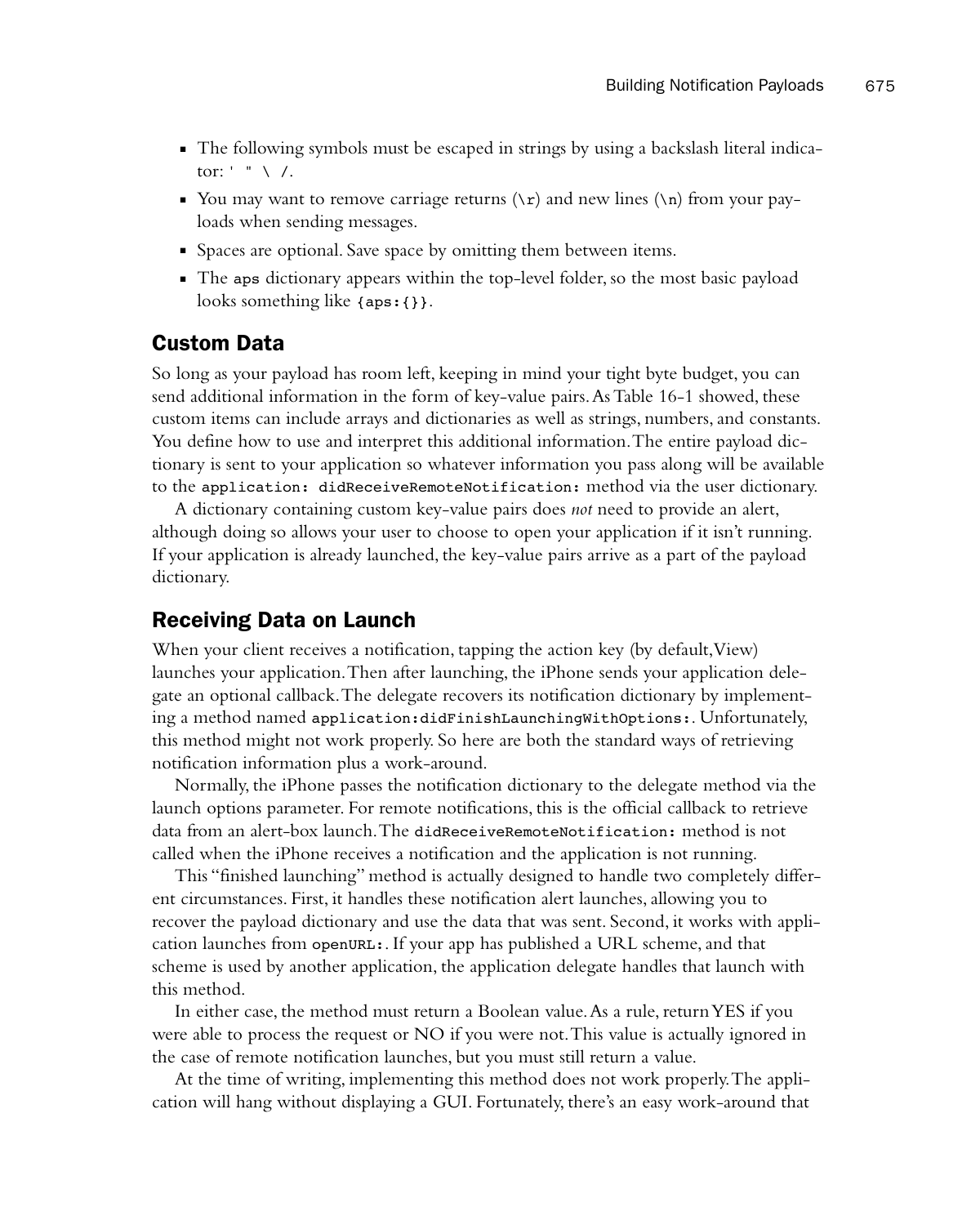- <sup>n</sup> The following symbols must be escaped in strings by using a backslash literal indicator: ' "  $\setminus$  /.
- Nou may want to remove carriage returns  $(\n\cdot r)$  and new lines  $(\n\cdot n)$  from your payloads when sending messages.
- <sup>n</sup> Spaces are optional. Save space by omitting them between items.
- <sup>n</sup> The aps dictionary appears within the top-level folder, so the most basic payload looks something like {aps:{}}.

### Custom Data

So long as your payload has room left, keeping in mind your tight byte budget, you can send additional information in the form of key-value pairs.As Table 16-1 showed, these custom items can include arrays and dictionaries as well as strings, numbers, and constants. You define how to use and interpret this additional information.The entire payload dictionary is sent to your application so whatever information you pass along will be available to the application: didReceiveRemoteNotification: method via the user dictionary.

A dictionary containing custom key-value pairs does *not* need to provide an alert, although doing so allows your user to choose to open your application if it isn't running. If your application is already launched, the key-value pairs arrive as a part of the payload dictionary.

### Receiving Data on Launch

When your client receives a notification, tapping the action key (by default,View) launches your application.Then after launching, the iPhone sends your application delegate an optional callback.The delegate recovers its notification dictionary by implementing a method named application:didFinishLaunchingWithOptions:. Unfortunately, this method might not work properly. So here are both the standard ways of retrieving notification information plus a work-around.

Normally, the iPhone passes the notification dictionary to the delegate method via the launch options parameter. For remote notifications, this is the official callback to retrieve data from an alert-box launch.The didReceiveRemoteNotification: method is not called when the iPhone receives a notification and the application is not running.

This "finished launching" method is actually designed to handle two completely different circumstances. First, it handles these notification alert launches, allowing you to recover the payload dictionary and use the data that was sent. Second, it works with application launches from openURL:. If your app has published a URL scheme, and that scheme is used by another application, the application delegate handles that launch with this method.

In either case, the method must return a Boolean value.As a rule, return YES if you were able to process the request or NO if you were not.This value is actually ignored in the case of remote notification launches, but you must still return a value.

At the time of writing, implementing this method does not work properly.The application will hang without displaying a GUI. Fortunately, there's an easy work-around that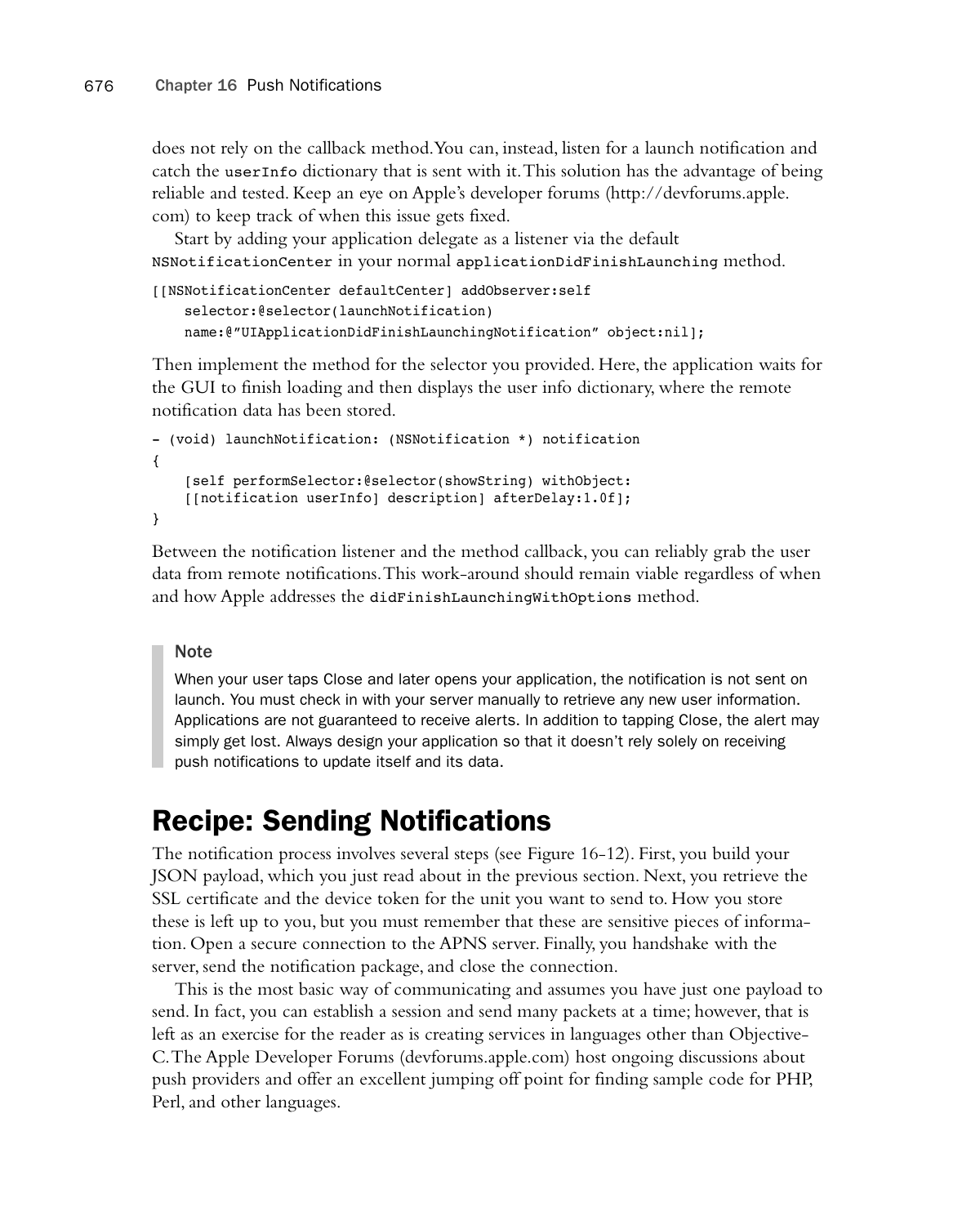does not rely on the callback method.You can, instead, listen for a launch notification and catch the userInfo dictionary that is sent with it.This solution has the advantage of being reliable and tested. Keep an eye on Apple's developer forums ([http://devforums.apple.](http://devforums.apple.com) [com\)](http://devforums.apple.com) to keep track of when this issue gets fixed.

Start by adding your application delegate as a listener via the default NSNotificationCenter in your normal applicationDidFinishLaunching method.

```
[[NSNotificationCenter defaultCenter] addObserver:self
   selector:@selector(launchNotification)
   name:@"UIApplicationDidFinishLaunchingNotification" object:nil];
```
Then implement the method for the selector you provided. Here, the application waits for the GUI to finish loading and then displays the user info dictionary, where the remote notification data has been stored.

```
- (void) launchNotification: (NSNotification *) notification
{
    [self performSelector:@selector(showString) withObject:
    [[notification userInfo] description] afterDelay:1.0f];
}
```
Between the notification listener and the method callback, you can reliably grab the user data from remote notifications.This work-around should remain viable regardless of when and how Apple addresses the didFinishLaunchingWithOptions method.

#### Note

When your user taps Close and later opens your application, the notification is not sent on launch. You must check in with your server manually to retrieve any new user information. Applications are not guaranteed to receive alerts. In addition to tapping Close, the alert may simply get lost. Always design your application so that it doesn't rely solely on receiving push notifications to update itself and its data.

## Recipe: Sending Notifications

The notification process involves several steps (see Figure 16-12). First, you build your JSON payload, which you just read about in the previous section. Next, you retrieve the SSL certificate and the device token for the unit you want to send to. How you store these is left up to you, but you must remember that these are sensitive pieces of information. Open a secure connection to the APNS server. Finally, you handshake with the server, send the notification package, and close the connection.

This is the most basic way of communicating and assumes you have just one payload to send. In fact, you can establish a session and send many packets at a time; however, that is left as an exercise for the reader as is creating services in languages other than Objective-C.The Apple Developer Forums (devforums.apple.com) host ongoing discussions about push providers and offer an excellent jumping off point for finding sample code for PHP, Perl, and other languages.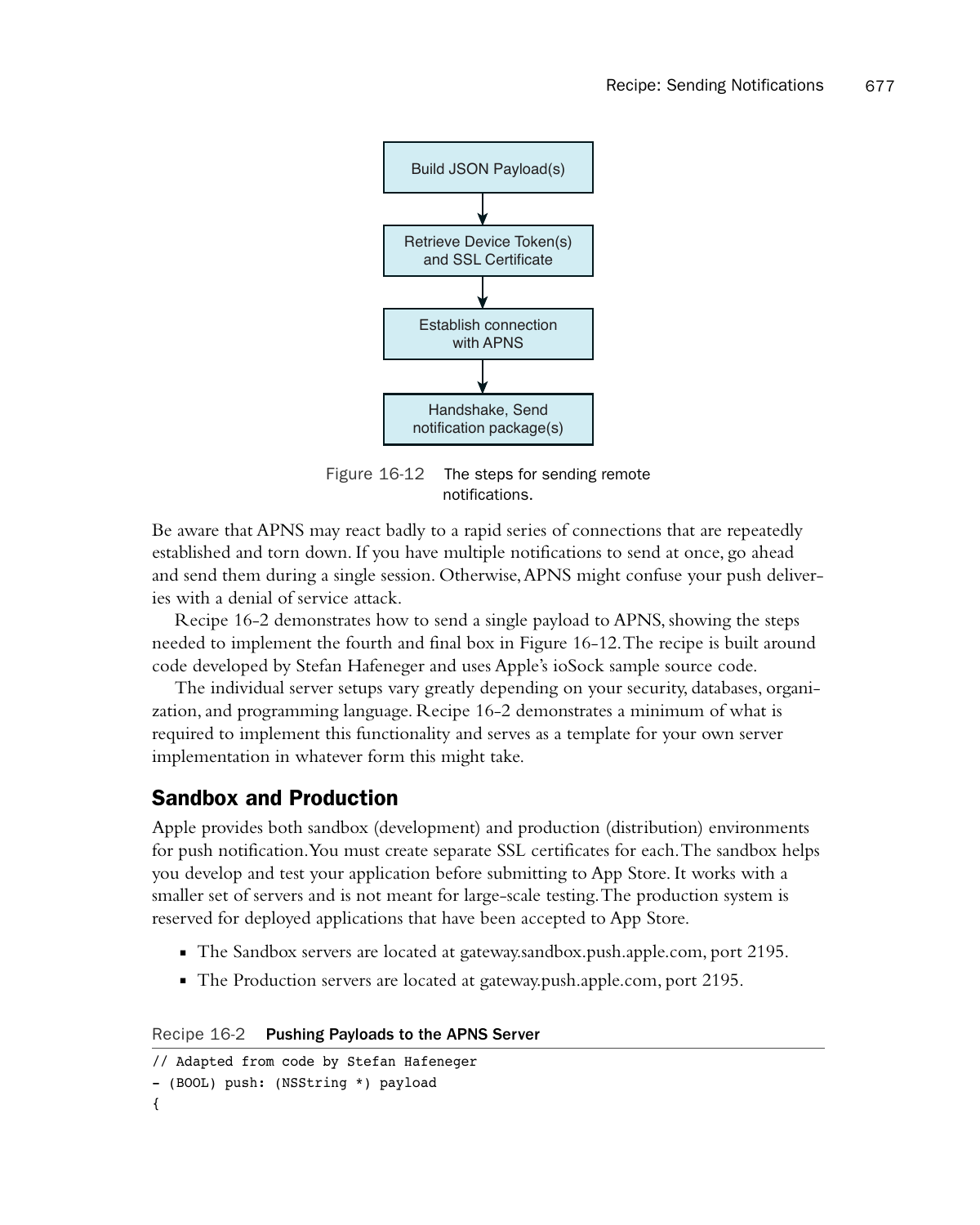

Figure 16-12 The steps for sending remote notifications.

Be aware that APNS may react badly to a rapid series of connections that are repeatedly established and torn down. If you have multiple notifications to send at once, go ahead and send them during a single session. Otherwise,APNS might confuse your push deliveries with a denial of service attack.

Recipe 16-2 demonstrates how to send a single payload to APNS, showing the steps needed to implement the fourth and final box in Figure 16-12.The recipe is built around code developed by Stefan Hafeneger and uses Apple's ioSock sample source code.

The individual server setups vary greatly depending on your security, databases, organization, and programming language. Recipe 16-2 demonstrates a minimum of what is required to implement this functionality and serves as a template for your own server implementation in whatever form this might take.

## Sandbox and Production

Apple provides both sandbox (development) and production (distribution) environments for push notification.You must create separate SSL certificates for each.The sandbox helps you develop and test your application before submitting to App Store. It works with a smaller set of servers and is not meant for large-scale testing.The production system is reserved for deployed applications that have been accepted to App Store.

- <sup>n</sup> The Sandbox servers are located at gateway.sandbox.push.apple.com, port 2195.
- The Production servers are located at gateway.push.apple.com, port 2195.

```
Recipe 16-2 Pushing Payloads to the APNS Server
```

```
// Adapted from code by Stefan Hafeneger
- (BOOL) push: (NSString *) payload
{
```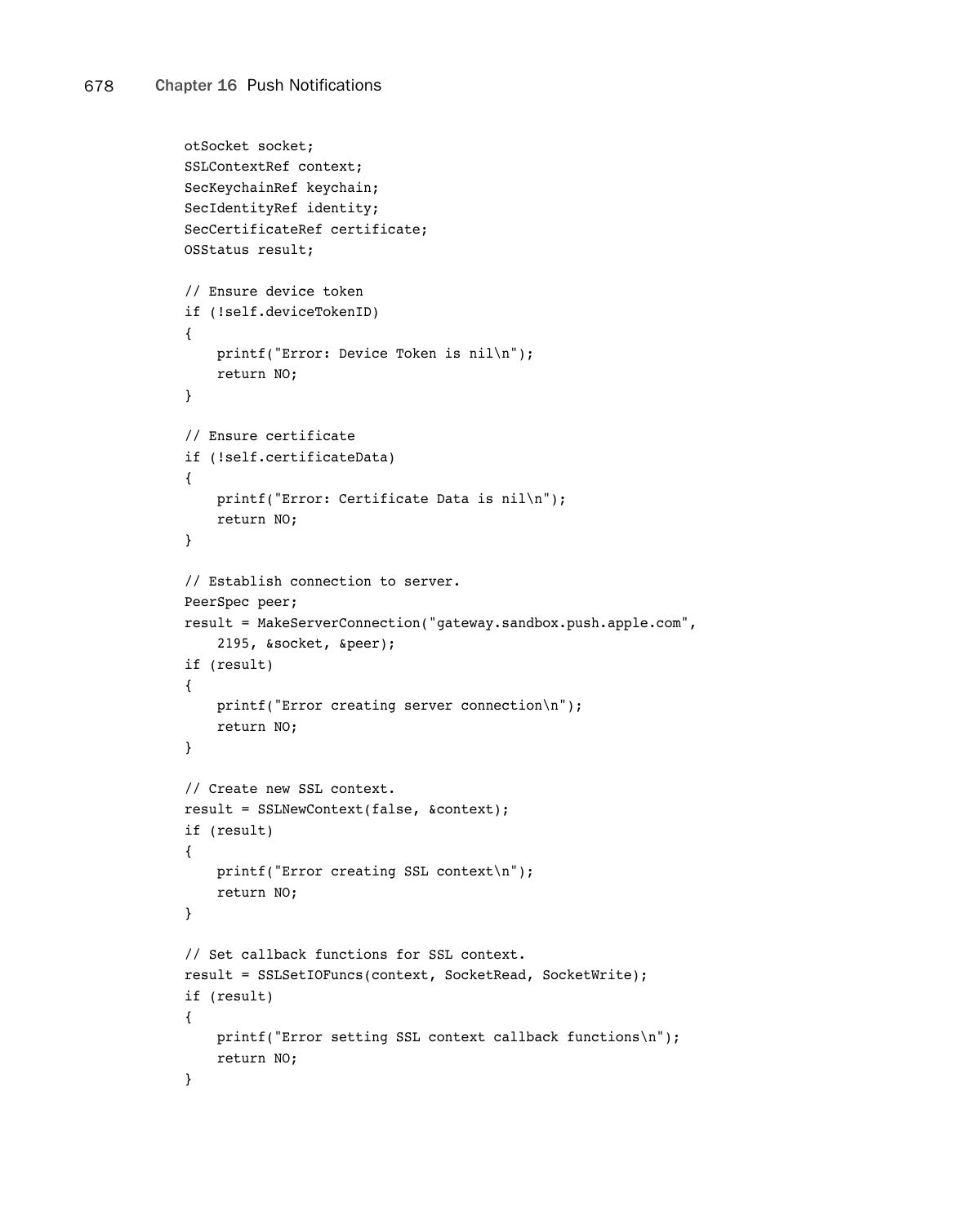```
otSocket socket;
SSLContextRef context;
SecKeychainRef keychain;
SecIdentityRef identity;
SecCertificateRef certificate;
OSStatus result;
// Ensure device token
if (!self.deviceTokenID)
{
    printf("Error: Device Token is nil\n");
    return NO;
}
// Ensure certificate
if (!self.certificateData)
{
    printf("Error: Certificate Data is nil\n");
    return NO;
}
// Establish connection to server.
PeerSpec peer;
result = MakeServerConnection("gateway.sandbox.push.apple.com",
    2195, &socket, &peer);
if (result)
{
    printf("Error creating server connection\n");
    return NO;
}
// Create new SSL context.
result = SSLNewContext(false, &context);
if (result)
{
    printf("Error creating SSL context\n");
    return NO;
}
// Set callback functions for SSL context.
result = SSLSetIOFuncs(context, SocketRead, SocketWrite);
if (result)
{
    printf("Error setting SSL context callback functions\n");
    return NO;
}
```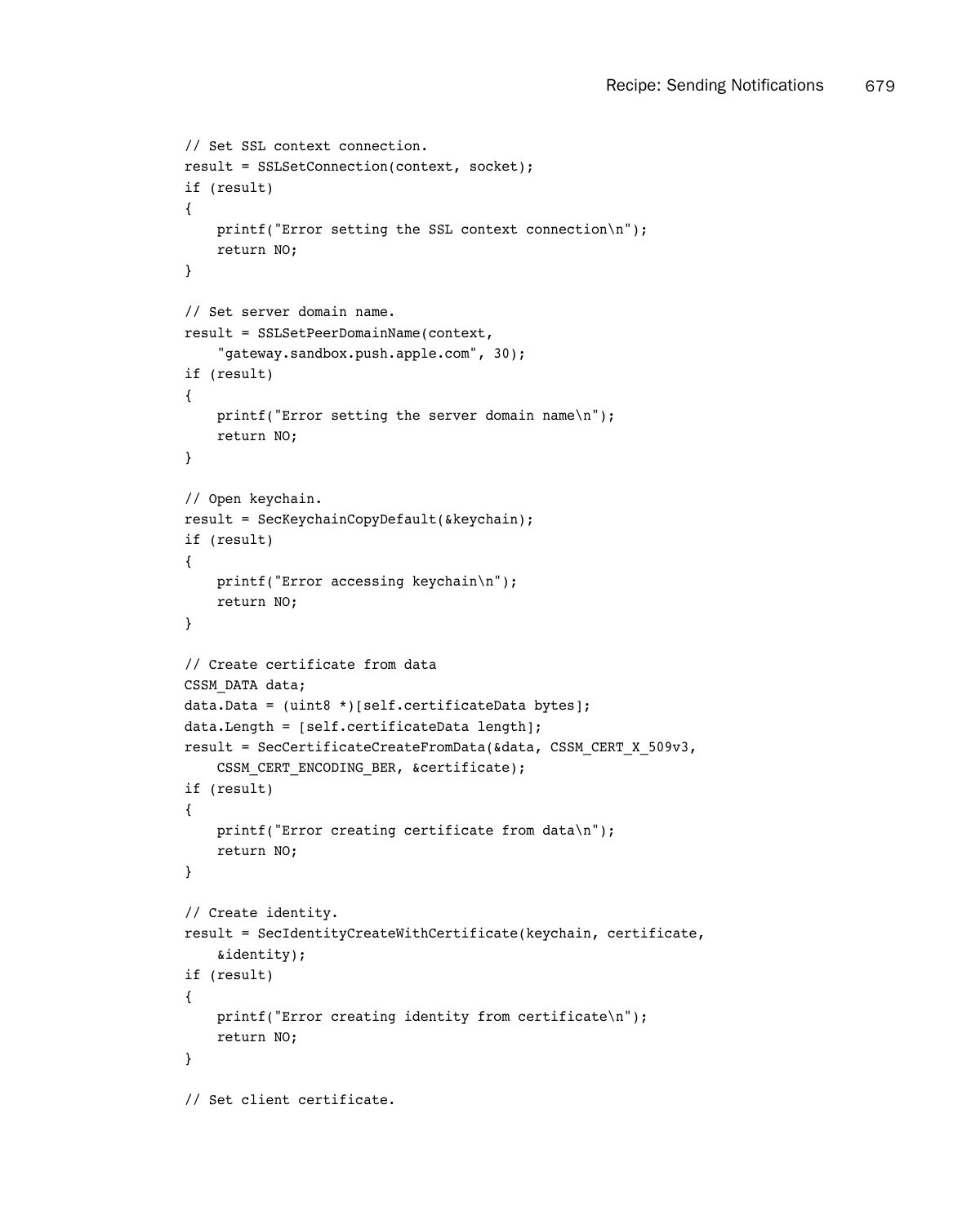```
// Set SSL context connection.
result = SSLSetConnection(context, socket);
if (result)
{
    printf("Error setting the SSL context connection\n");
    return NO;
}
// Set server domain name.
result = SSLSetPeerDomainName(context,
    "gateway.sandbox.push.apple.com", 30);
if (result)
{
    printf("Error setting the server domain name\n");
    return NO;
}
// Open keychain.
result = SecKeychainCopyDefault(&keychain);
if (result)
{
    printf("Error accessing keychain\n");
    return NO;
}
// Create certificate from data
CSSM_DATA data;
data.Data = (uint8 *)[self.certificateData bytes];
data.Length = [self.certificateData length];
result = SecCertificateCreateFromData(&data, CSSM_CERT_X_509v3,
    CSSM_CERT_ENCODING_BER, &certificate);
if (result)
{
    printf("Error creating certificate from data\n");
    return NO;
}
// Create identity.
result = SecIdentityCreateWithCertificate(keychain, certificate,
    &identity);
if (result)
{
    printf("Error creating identity from certificate\n");
    return NO;
}
// Set client certificate.
```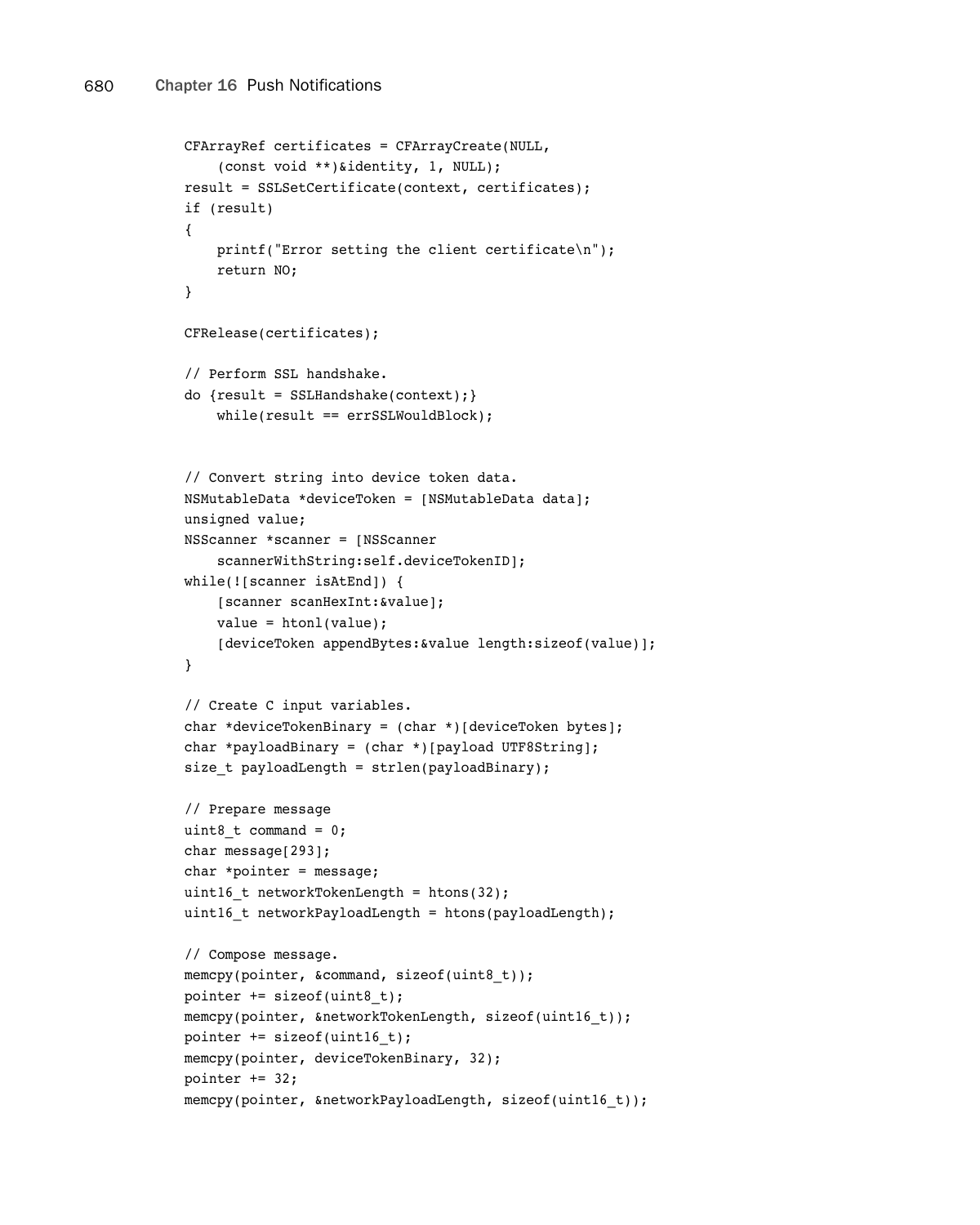```
CFArrayRef certificates = CFArrayCreate(NULL,
    (const void **)&identity, 1, NULL);
result = SSLSetCertificate(context, certificates);
if (result)
{
    printf("Error setting the client certificate\n");
    return NO;
}
CFRelease(certificates);
// Perform SSL handshake.
do {result = SSLHandshake(context);}
    while(result == errSSLWouldBlock);
// Convert string into device token data.
NSMutableData *deviceToken = [NSMutableData data];
unsigned value;
NSScanner *scanner = [NSScanner
    scannerWithString:self.deviceTokenID];
while(![scanner isAtEnd]) {
    [scanner scanHexInt:&value];
    value = htonl(value);
    [deviceToken appendBytes:&value length:sizeof(value)];
}
// Create C input variables.
char *deviceTokenBinary = (char *)[deviceToken bytes];
char *payloadBinary = (char *)[payload UTF8String];
size t payloadLength = strlen(payloadBinary);
// Prepare message
uint8 t command = 0;
char message[293];
char *pointer = message;
uint16 t networkTokenLength = htons(32);
uint16 t networkPayloadLength = htons(payloadLength);
// Compose message.
memcpy(pointer, &command, sizeof(uint8 t));
pointer += sizeof(uint8_t);
memcpy(pointer, &networkTokenLength, sizeof(uint16_t));
pointer += sizeof(uint16 t);
memcpy(pointer, deviceTokenBinary, 32);
pointer += 32;
memcpy(pointer, &networkPayloadLength, sizeof(uint16 t));
```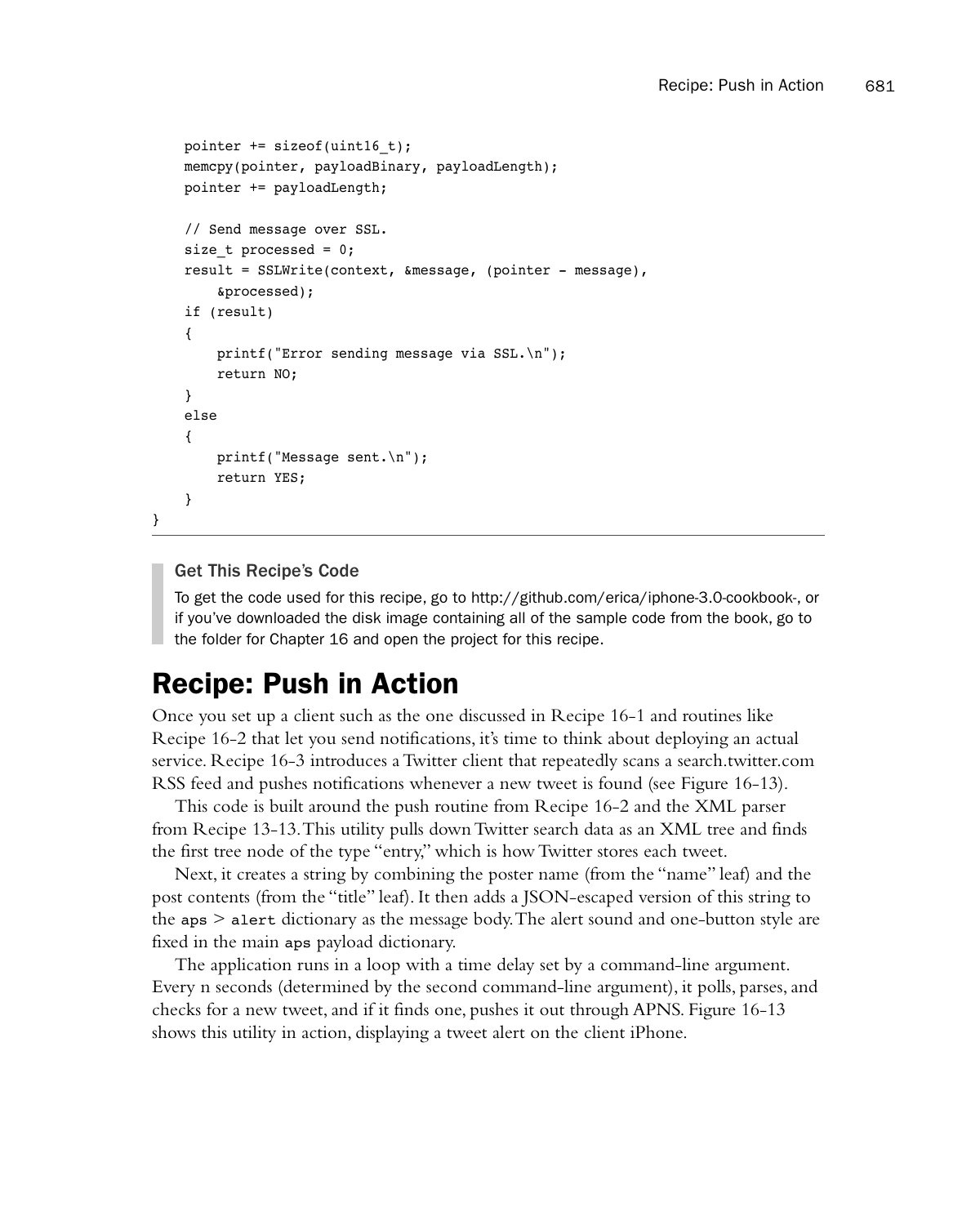```
pointer += sizeof(uint16 t);
memcpy(pointer, payloadBinary, payloadLength);
pointer += payloadLength;
// Send message over SSL.
size t processed = 0;
result = SSLWrite(context, &message, (pointer - message),
    &processed);
if (result)
{
    printf("Error sending message via SSL.\n");
    return NO;
}
else
{
    printf("Message sent.\n");
    return YES;
}
```
#### Get This Recipe's Code

}

To get the code used for this recipe, go to [http://github.com/erica/iphone-3.0-cookbook-,](http://github.com/erica/iphone-3.0-cookbook-) or if you've downloaded the disk image containing all of the sample code from the book, go to the folder for Chapter 16 and open the project for this recipe.

# Recipe: Push in Action

Once you set up a client such as the one discussed in Recipe 16-1 and routines like Recipe 16-2 that let you send notifications, it's time to think about deploying an actual service. Recipe 16-3 introduces a Twitter client that repeatedly scans a search.twitter.com RSS feed and pushes notifications whenever a new tweet is found (see Figure 16-13).

This code is built around the push routine from Recipe 16-2 and the XML parser from Recipe 13-13.This utility pulls down Twitter search data as an XML tree and finds the first tree node of the type "entry," which is how Twitter stores each tweet.

Next, it creates a string by combining the poster name (from the "name" leaf) and the post contents (from the "title" leaf). It then adds a JSON-escaped version of this string to the aps > alert dictionary as the message body.The alert sound and one-button style are fixed in the main aps payload dictionary.

The application runs in a loop with a time delay set by a command-line argument. Every n seconds (determined by the second command-line argument), it polls, parses, and checks for a new tweet, and if it finds one, pushes it out through APNS. Figure 16-13 shows this utility in action, displaying a tweet alert on the client iPhone.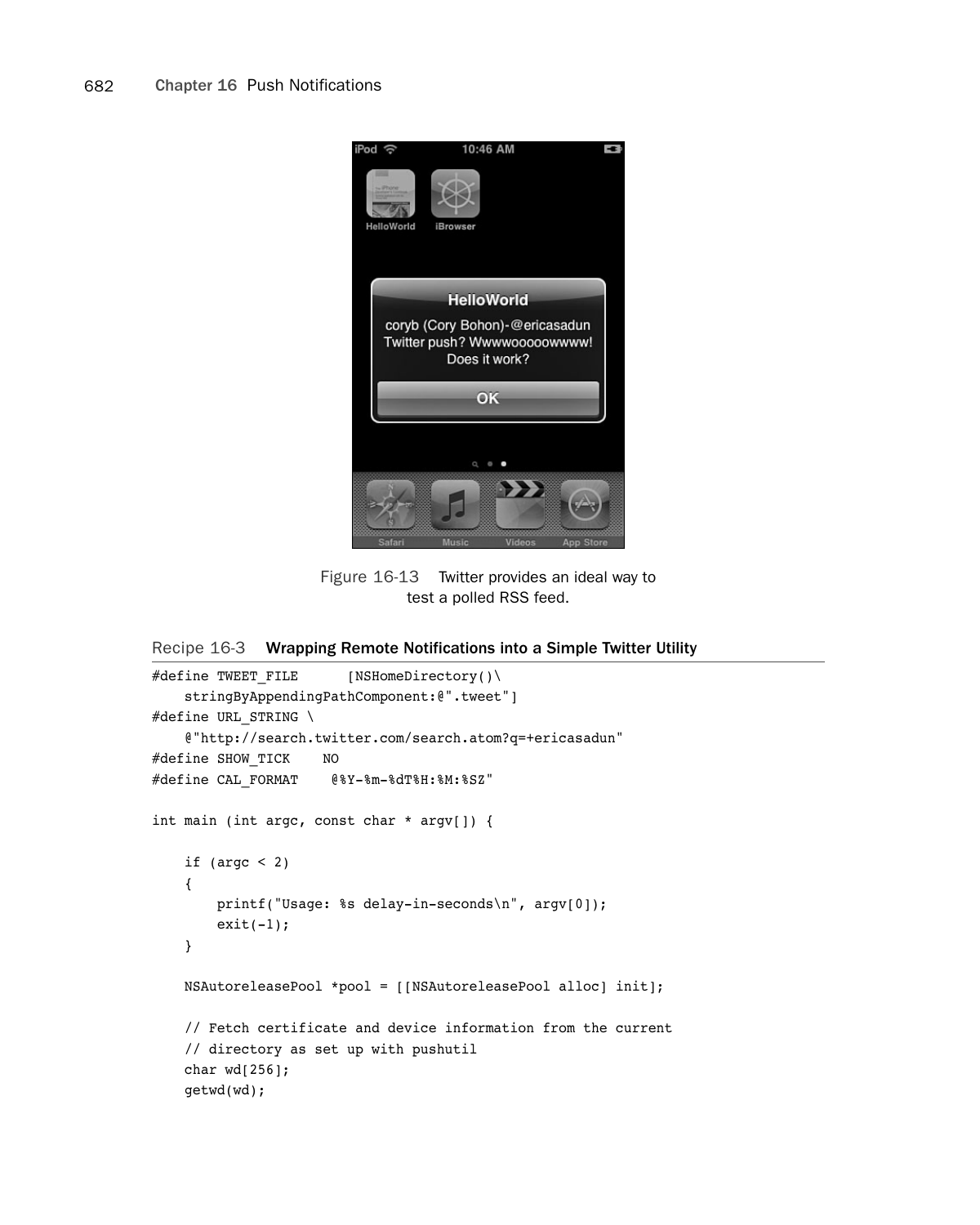

Figure 16-13 Twitter provides an ideal way to test a polled RSS feed.

```
Recipe 16-3 Wrapping Remote Notifications into a Simple Twitter Utility
```

```
#define TWEET FILE [NSHomeDirectory()\
   stringByAppendingPathComponent:@".tweet"]
#define URL_STRING \
    @"http://search.twitter.com/search.atom?q=+ericasadun"
#define SHOW_TICK NO
#define CAL_FORMAT @%Y-%m-%dT%H:%M:%SZ"
int main (int argc, const char * argv[]) {
   if (\text{argc} < 2)
    {
       printf("Usage: %s delay-in-seconds\n", argv[0]);
       exit(-1);}
   NSAutoreleasePool *pool = [[NSAutoreleasePool alloc] init];
   // Fetch certificate and device information from the current
   // directory as set up with pushutil
   char wd[256];
   getwd(wd);
```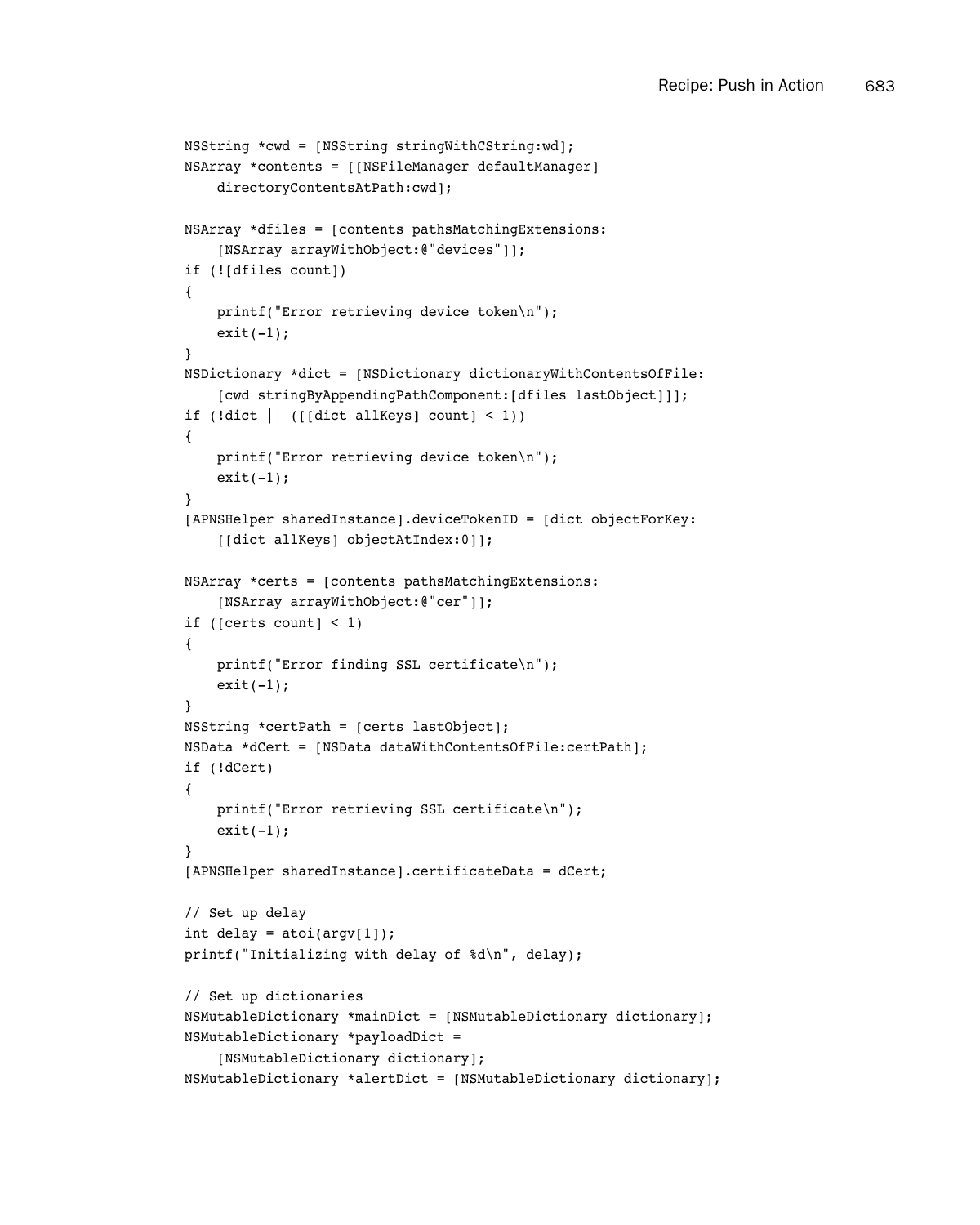```
NSString *cwd = [NSString stringWithCString:wd];
NSArray *contents = [[NSFileManager defaultManager]
    directoryContentsAtPath:cwdl:
NSArray *dfiles = [contents pathsMatchingExtensions:
    [NSArray arrayWithObject:@"devices"]];
if (![dfiles count])
{
    printf("Error retrieving device token\n");
    exit(-1);}
NSDictionary *dict = [NSDictionary dictionaryWithContentsOfFile:
    [cwd stringByAppendingPathComponent:[dfiles lastObject]]];
if (!dict || ([[dict allKeys] count] < 1))
{
    printf("Error retrieving device token\n");
    exit(-1);}
[APNSHelper sharedInstance].deviceTokenID = [dict objectForKey:
    [[dict allKeys] objectAtIndex:0]];
NSArray *certs = [contents pathsMatchingExtensions:
    [NSArray arrayWithObject:@"cer"]];
if ([certs count] \leq 1)
{
    printf("Error finding SSL certificate\n");
    exit(-1);}
NSString *certPath = [certs lastObject];
NSData *dCert = [NSData dataWithContentsOfFile:certPath];
if (!dCert)
{
    printf("Error retrieving SSL certificate\n");
    exit(-1);}
[APNSHelper sharedInstance].certificateData = dCert;
// Set up delay
int delay = atoi(arg[1]);
printf("Initializing with delay of %d\n", delay);
// Set up dictionaries
NSMutableDictionary *mainDict = [NSMutableDictionary dictionary];
NSMutableDictionary *payloadDict =
    [NSMutableDictionary dictionary];
NSMutableDictionary *alertDict = [NSMutableDictionary dictionary];
```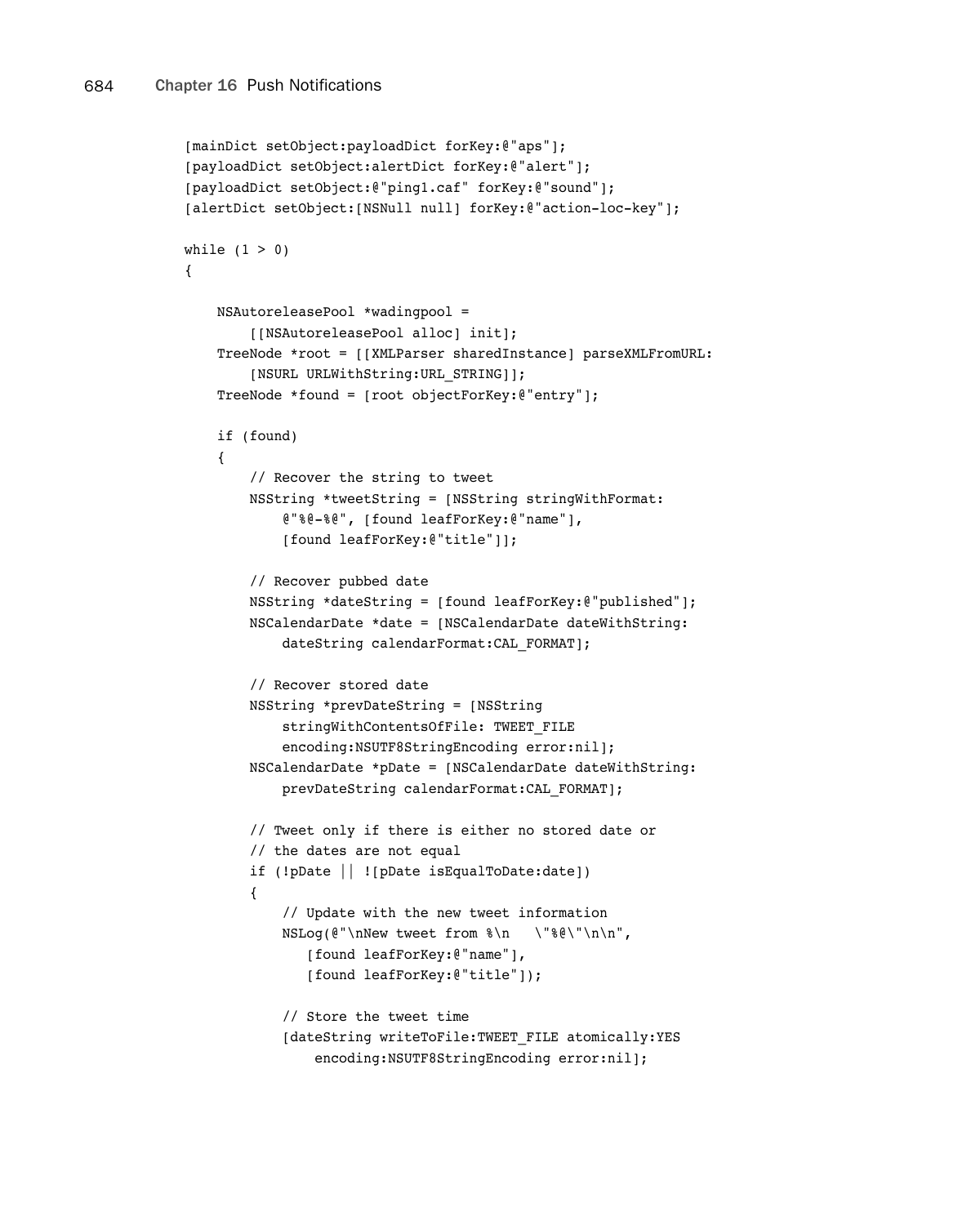{

```
[mainDict setObject:payloadDict forKey:@"aps"];
[payloadDict setObject:alertDict forKey:@"alert"];
[payloadDict setObject:@"ping1.caf" forKey:@"sound"];
[alertDict setObject: [NSNull null] forKey: @"action-loc-key"];
while (1 > 0)NSAutoreleasePool *wadingpool =
        [[NSAutoreleasePool alloc] init];
    TreeNode *root = [[XMLParser sharedInstance] parseXMLFromURL:
        [NSURL URLWithString:URL_STRING]];
    TreeNode *found = [root objectForKey:@"entry"];
    if (found)
    {
        // Recover the string to tweet
        NSString *tweetString = [NSString stringWithFormat:
            @"%@-%@", [found leafForKey:@"name"],
            [found leafForKey:@"title"]];
        // Recover pubbed date
        NSString *dateString = [found leafForKey:@"published"];
        NSCalendarDate *date = [NSCalendarDate dateWithString:
            dateString calendarFormat: CAL FORMAT];
        // Recover stored date
        NSString *prevDateString = [NSString
            stringWithContentsOfFile: TWEET_FILE
            encoding:NSUTF8StringEncoding error:nil];
        NSCalendarDate *pDate = [NSCalendarDate dateWithString:
            prevDateString calendarFormat:CAL_FORMAT];
        // Tweet only if there is either no stored date or
        // the dates are not equal
        if (!pDate || ![pDate isEqualToDate:date])
        {
            // Update with the new tweet information
            NSLog(@"\nNew tweet from %\n \"%@\"\n\n",
               [found leafForKey:@"name"],
               [found leafForKey:@"title"]);
            // Store the tweet time
            [dateString writeToFile:TWEET_FILE atomically:YES
                encoding:NSUTF8StringEncoding error:nil];
```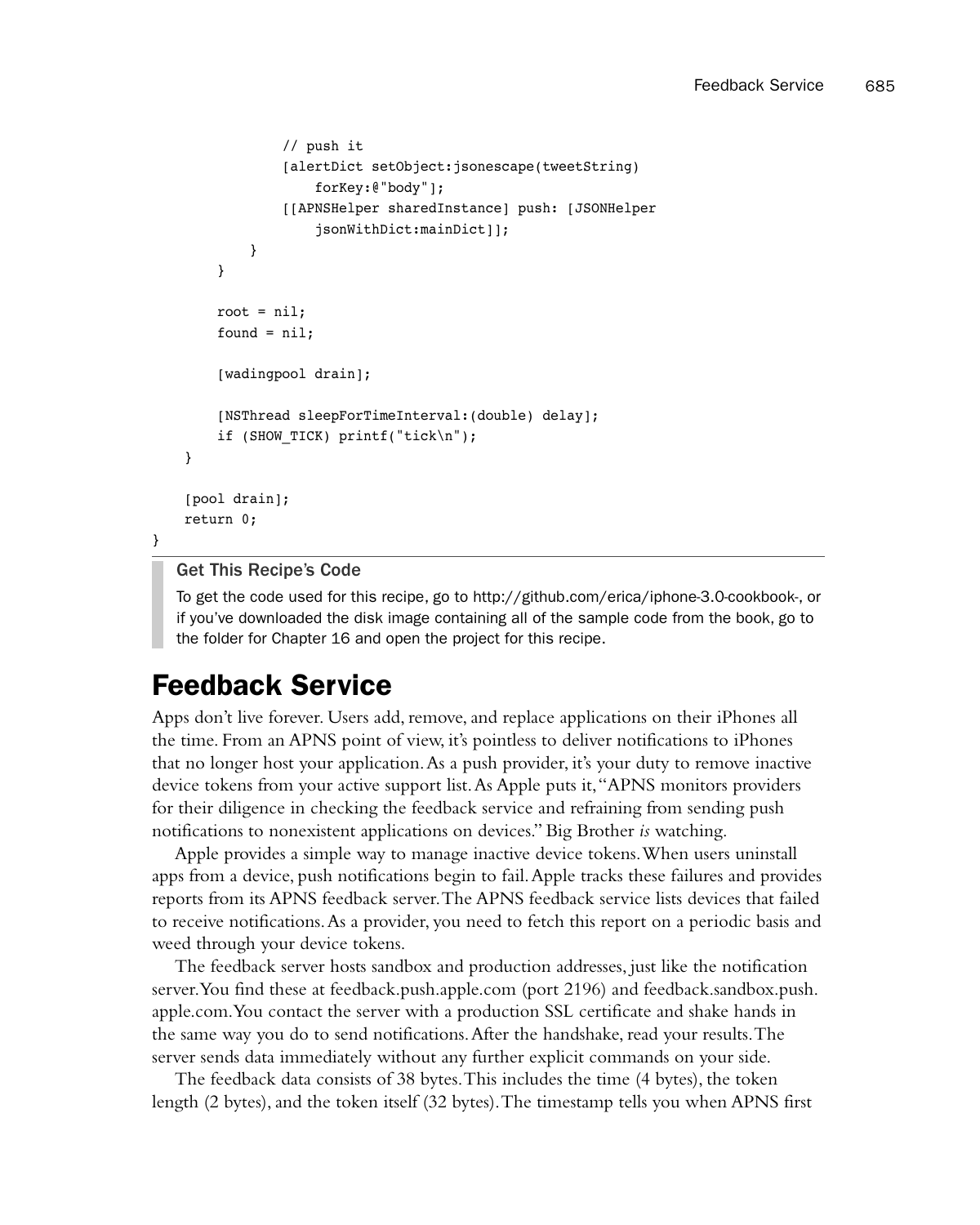```
// push it
            [alertDict setObject:jsonescape(tweetString)
                forKey:@"body"];
            [[APNSHelper sharedInstance] push: [JSONHelper
                jsonWithDict:mainDict]];
        }
    }
    root = nil:
    found = nil;[wadingpool drain];
    [NSThread sleepForTimeInterval:(double) delay];
    if (SHOW_TICK) printf("tick\n");
}
[pool drain];
return 0;
```

```
}
```
#### Get This Recipe's Code

To get the code used for this recipe, go to [http://github.com/erica/iphone-3.0-cookbook-,](http://github.com/erica/iphone-3.0-cookbook-) or if you've downloaded the disk image containing all of the sample code from the book, go to the folder for Chapter 16 and open the project for this recipe.

# Feedback Service

Apps don't live forever. Users add, remove, and replace applications on their iPhones all the time. From an APNS point of view, it's pointless to deliver notifications to iPhones that no longer host your application.As a push provider, it's your duty to remove inactive device tokens from your active support list.As Apple puts it,"APNS monitors providers for their diligence in checking the feedback service and refraining from sending push notifications to nonexistent applications on devices." Big Brother *is* watching.

Apple provides a simple way to manage inactive device tokens.When users uninstall apps from a device, push notifications begin to fail.Apple tracks these failures and provides reports from its APNS feedback server.The APNS feedback service lists devices that failed to receive notifications.As a provider, you need to fetch this report on a periodic basis and weed through your device tokens.

The feedback server hosts sandbox and production addresses, just like the notification server.You find these at feedback.push.apple.com (port 2196) and feedback.sandbox.push. apple.com.You contact the server with a production SSL certificate and shake hands in the same way you do to send notifications.After the handshake, read your results.The server sends data immediately without any further explicit commands on your side.

The feedback data consists of 38 bytes.This includes the time (4 bytes), the token length (2 bytes), and the token itself (32 bytes).The timestamp tells you when APNS first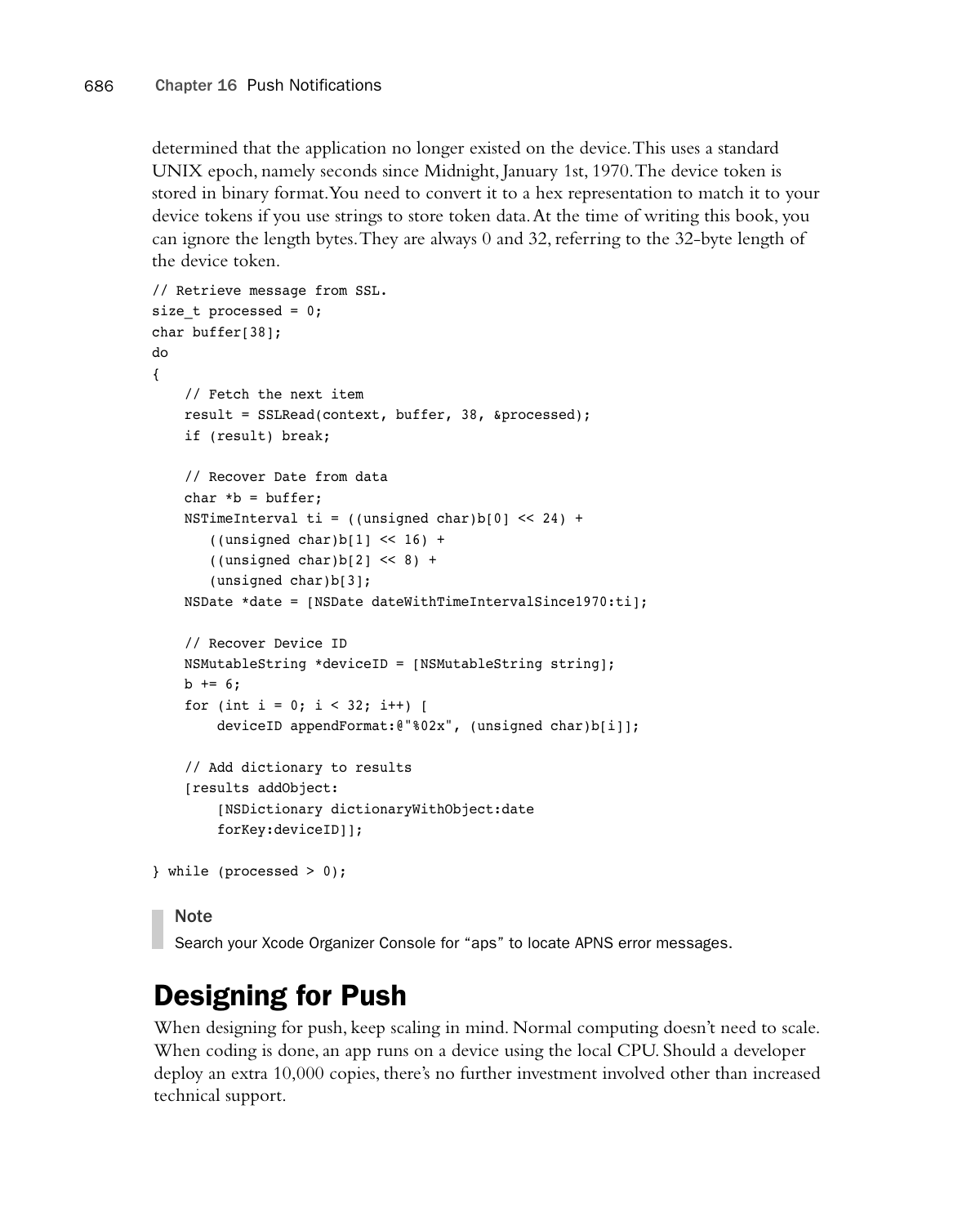determined that the application no longer existed on the device.This uses a standard UNIX epoch, namely seconds since Midnight, January 1st, 1970.The device token is stored in binary format.You need to convert it to a hex representation to match it to your device tokens if you use strings to store token data.At the time of writing this book, you can ignore the length bytes.They are always 0 and 32, referring to the 32-byte length of the device token.

```
// Retrieve message from SSL.
size t processed = 0;
char buffer[38];
do
{
   // Fetch the next item
   result = SSLRead(context, buffer, 38, &processed);
    if (result) break;
   // Recover Date from data
   char *b = buffer;NSTimeInterval ti = ((unsigned char)b[0] << 24) +
       ((unsigned char)b[1] < 16) +((unsigned char)b[2] < 8) +(unsigned char)b[3];
   NSDate *date = [NSDate dateWithTimeIntervalSince1970:ti];
   // Recover Device ID
   NSMutableString *deviceID = [NSMutableString string];
   b + = 6:
    for (int i = 0; i < 32; i++) [
        deviceID appendFormat:@"%02x", (unsigned char)b[i]];
    // Add dictionary to results
    [results addObject:
        [NSDictionary dictionaryWithObject:date
        forKey:deviceID]];
} while (processed > 0);
```
#### Note

Search your Xcode Organizer Console for "aps" to locate APNS error messages.

# Designing for Push

When designing for push, keep scaling in mind. Normal computing doesn't need to scale. When coding is done, an app runs on a device using the local CPU. Should a developer deploy an extra 10,000 copies, there's no further investment involved other than increased technical support.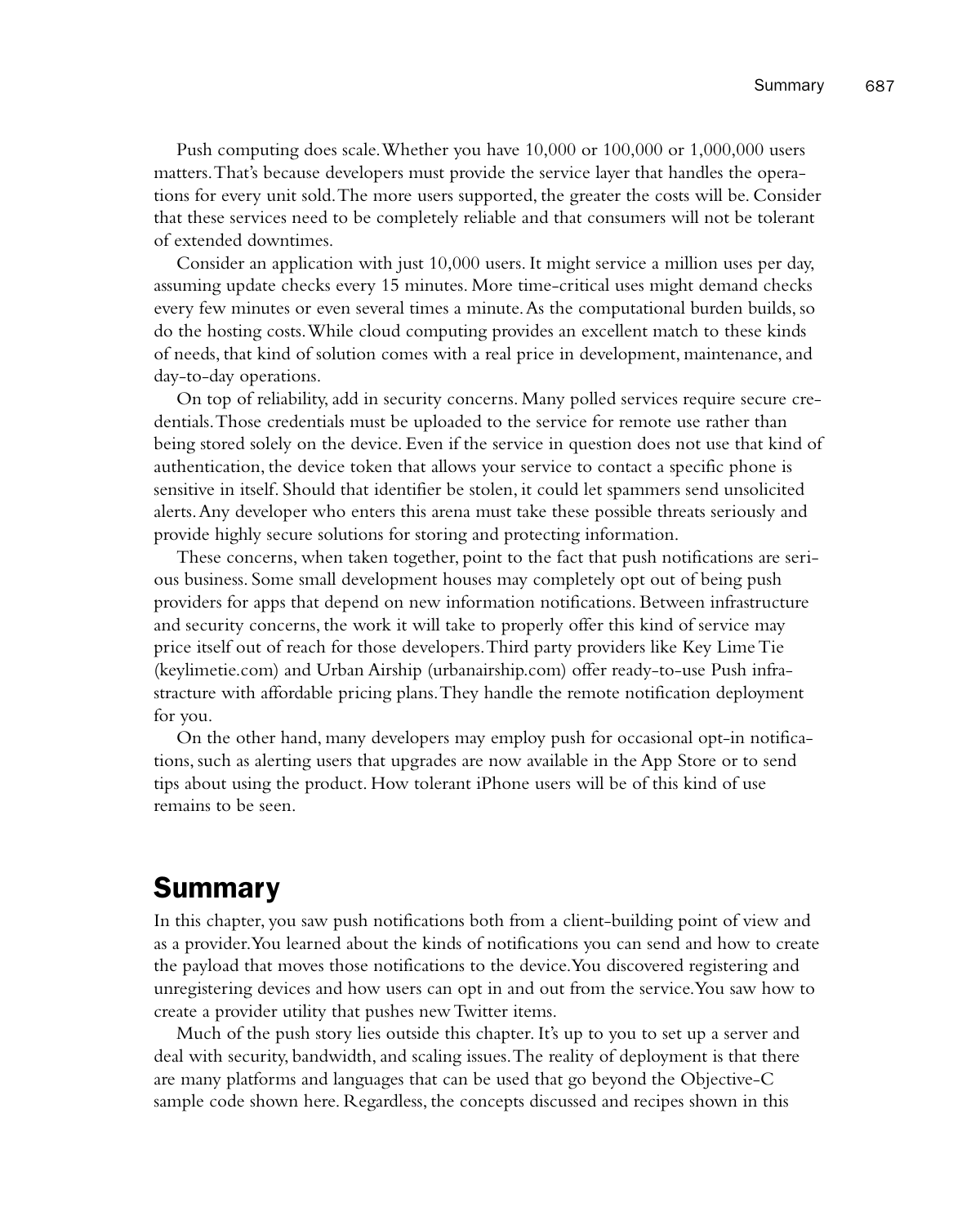Push computing does scale.Whether you have 10,000 or 100,000 or 1,000,000 users matters.That's because developers must provide the service layer that handles the operations for every unit sold.The more users supported, the greater the costs will be. Consider that these services need to be completely reliable and that consumers will not be tolerant of extended downtimes.

Consider an application with just 10,000 users. It might service a million uses per day, assuming update checks every 15 minutes. More time-critical uses might demand checks every few minutes or even several times a minute.As the computational burden builds, so do the hosting costs.While cloud computing provides an excellent match to these kinds of needs, that kind of solution comes with a real price in development, maintenance, and day-to-day operations.

On top of reliability, add in security concerns. Many polled services require secure credentials.Those credentials must be uploaded to the service for remote use rather than being stored solely on the device. Even if the service in question does not use that kind of authentication, the device token that allows your service to contact a specific phone is sensitive in itself. Should that identifier be stolen, it could let spammers send unsolicited alerts.Any developer who enters this arena must take these possible threats seriously and provide highly secure solutions for storing and protecting information.

These concerns, when taken together, point to the fact that push notifications are serious business. Some small development houses may completely opt out of being push providers for apps that depend on new information notifications. Between infrastructure and security concerns, the work it will take to properly offer this kind of service may price itself out of reach for those developers.Third party providers like Key Lime Tie (keylimetie.com) and Urban Airship (urbanairship.com) offer ready-to-use Push infrastracture with affordable pricing plans.They handle the remote notification deployment for you.

On the other hand, many developers may employ push for occasional opt-in notifications, such as alerting users that upgrades are now available in the App Store or to send tips about using the product. How tolerant iPhone users will be of this kind of use remains to be seen.

# Summary

In this chapter, you saw push notifications both from a client-building point of view and as a provider.You learned about the kinds of notifications you can send and how to create the payload that moves those notifications to the device.You discovered registering and unregistering devices and how users can opt in and out from the service.You saw how to create a provider utility that pushes new Twitter items.

Much of the push story lies outside this chapter. It's up to you to set up a server and deal with security, bandwidth, and scaling issues.The reality of deployment is that there are many platforms and languages that can be used that go beyond the Objective-C sample code shown here. Regardless, the concepts discussed and recipes shown in this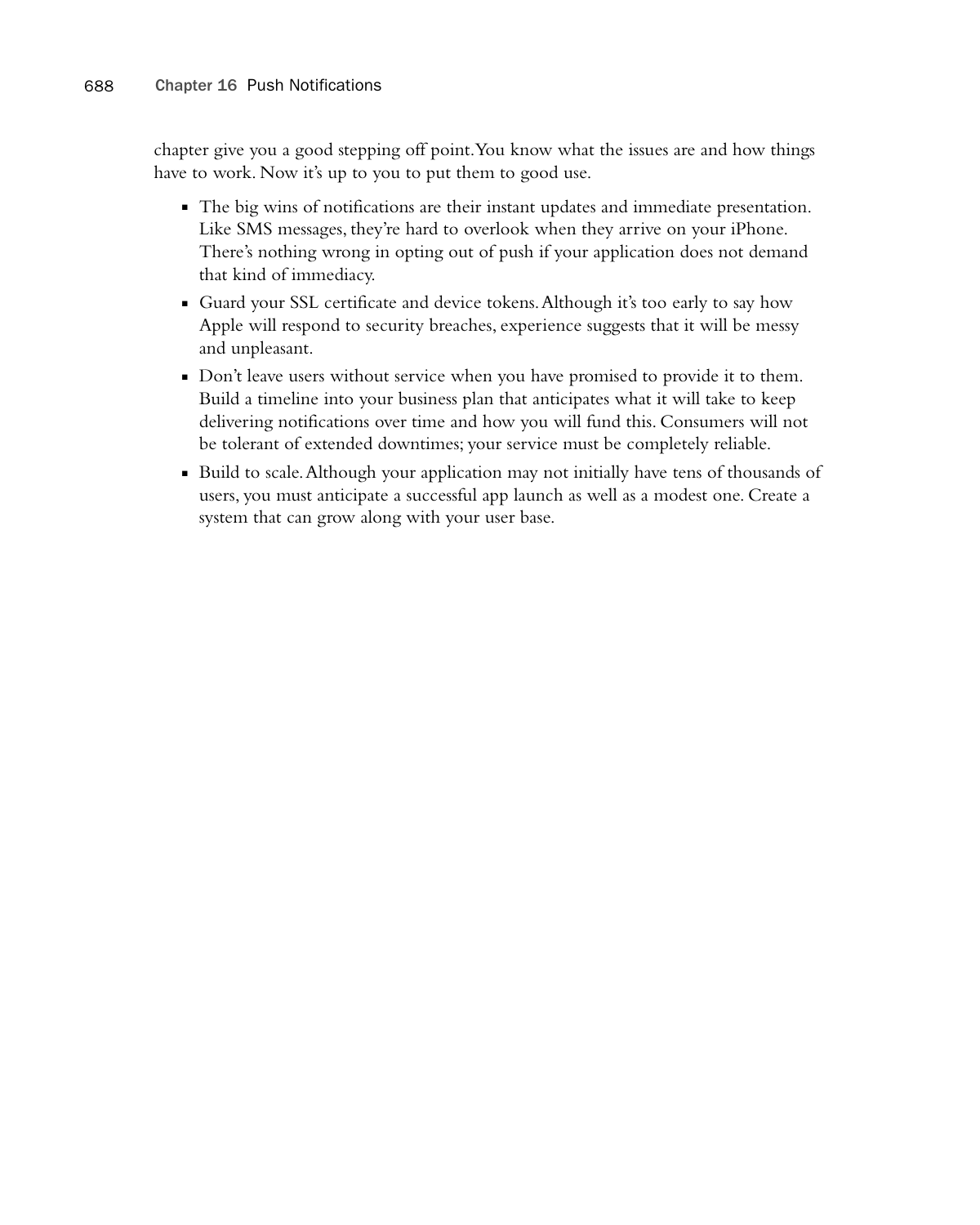chapter give you a good stepping off point.You know what the issues are and how things have to work. Now it's up to you to put them to good use.

- <sup>n</sup> The big wins of notifications are their instant updates and immediate presentation. Like SMS messages, they're hard to overlook when they arrive on your iPhone. There's nothing wrong in opting out of push if your application does not demand that kind of immediacy.
- <sup>n</sup> Guard your SSL certificate and device tokens.Although it's too early to say how Apple will respond to security breaches, experience suggests that it will be messy and unpleasant.
- <sup>n</sup> Don't leave users without service when you have promised to provide it to them. Build a timeline into your business plan that anticipates what it will take to keep delivering notifications over time and how you will fund this. Consumers will not be tolerant of extended downtimes; your service must be completely reliable.
- <sup>n</sup> Build to scale.Although your application may not initially have tens of thousands of users, you must anticipate a successful app launch as well as a modest one. Create a system that can grow along with your user base.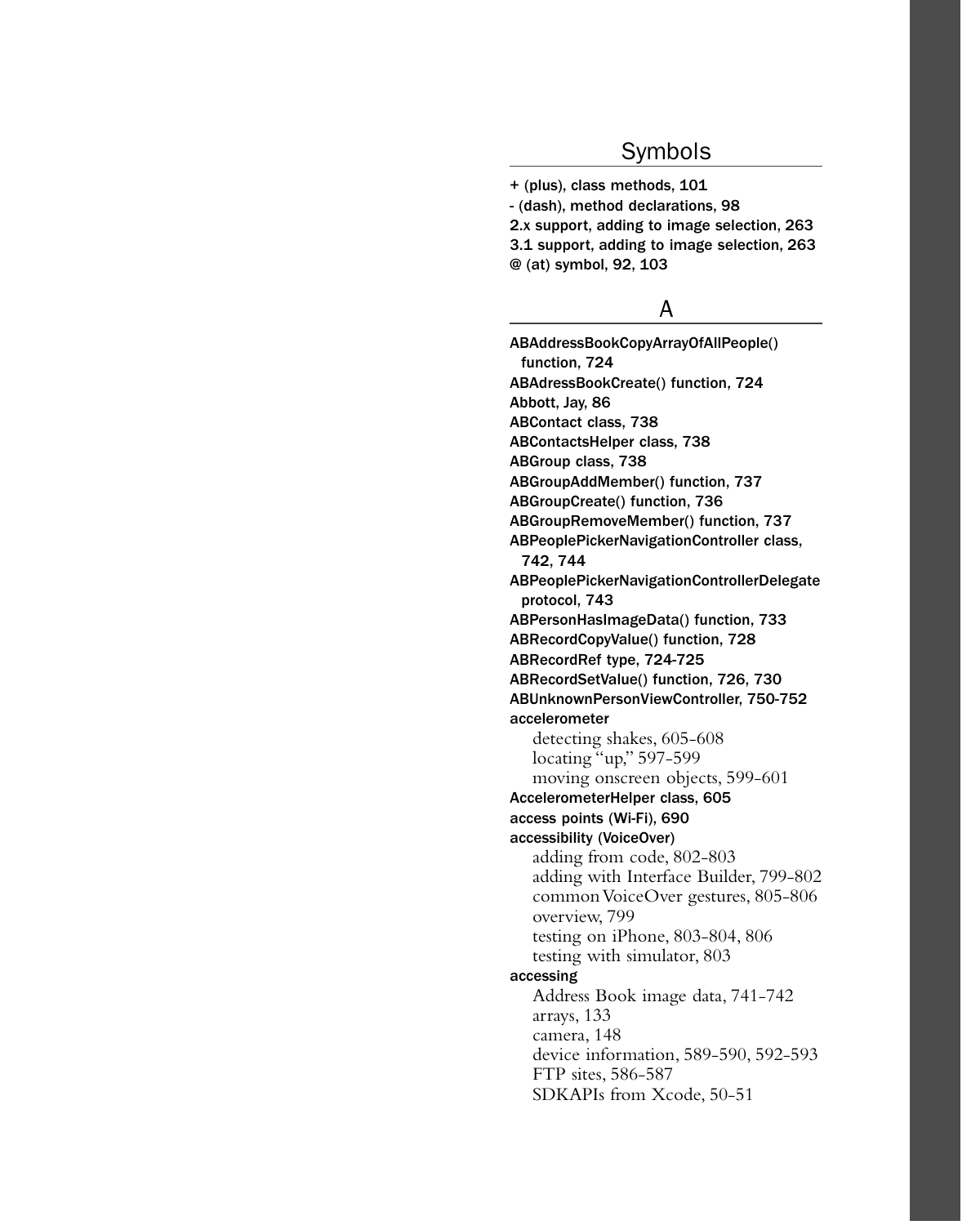## Symbols

- + (plus), class methods, 101
- (dash), method declarations, 98
- 2.x support, adding to image selection, 263
- 3.1 support, adding to image selection, 263
- @ (at) symbol, 92, 103

#### A

ABAddressBookCopyArrayOfAllPeople() function, 724 ABAdressBookCreate() function, 724 Abbott, Jay, 86 ABContact class, 738 ABContactsHelper class, 738 ABGroup class, 738 ABGroupAddMember() function, 737 ABGroupCreate() function, 736 ABGroupRemoveMember() function, 737 ABPeoplePickerNavigationController class, 742, 744 ABPeoplePickerNavigationControllerDelegate protocol, 743 ABPersonHasImageData() function, 733 ABRecordCopyValue() function, 728 ABRecordRef type, 724-725 ABRecordSetValue() function, 726, 730 ABUnknownPersonViewController, 750-752 accelerometer detecting shakes, 605-608 locating "up," 597-599 moving onscreen objects, 599-601 AccelerometerHelper class, 605 access points (Wi-Fi), 690 accessibility (VoiceOver) adding from code, 802-803 adding with Interface Builder, 799-802 common VoiceOver gestures, 805-806 overview, 799 testing on iPhone, 803-804, 806 testing with simulator, 803 accessing Address Book image data, 741-742 arrays, 133 camera, 148 device information, 589-590, 592-593 FTP sites, 586-587 SDKAPIs from Xcode, 50-51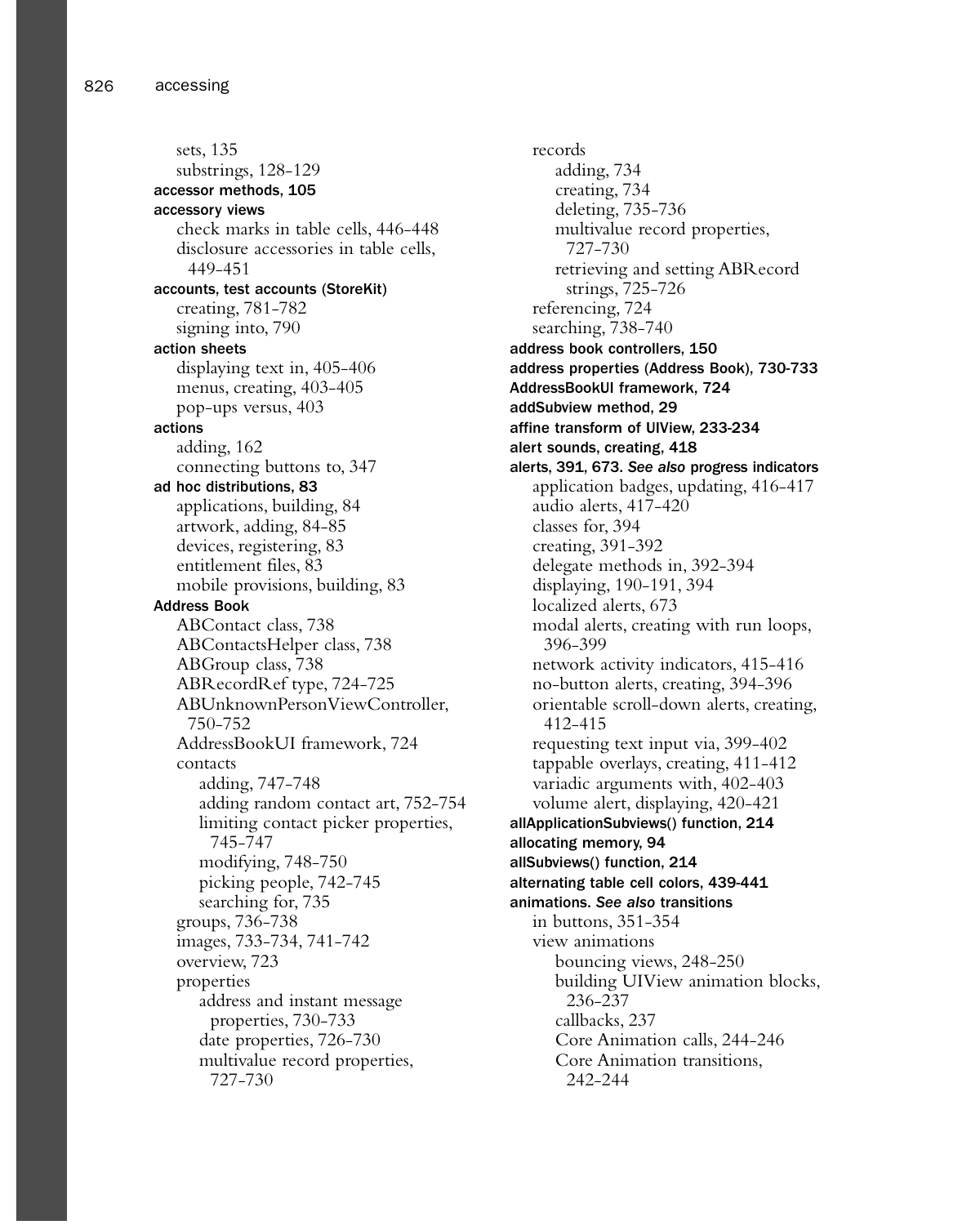sets, 135 substrings, 128-129 accessor methods, 105 accessory views check marks in table cells, 446-448 disclosure accessories in table cells, 449-451 accounts, test accounts (StoreKit) creating, 781-782 signing into, 790 action sheets displaying text in, 405-406 menus, creating, 403-405 pop-ups versus, 403 actions adding, 162 connecting buttons to, 347 ad hoc distributions, 83 applications, building, 84 artwork, adding, 84-85 devices, registering, 83 entitlement files, 83 mobile provisions, building, 83 Address Book ABContact class, 738 ABContactsHelper class, 738 ABGroup class, 738 ABRecordRef type, 724-725 ABUnknownPersonViewController, 750-752 AddressBookUI framework, 724 contacts adding, 747-748 adding random contact art, 752-754 limiting contact picker properties, 745-747 modifying, 748-750 picking people, 742-745 searching for, 735 groups, 736-738 images, 733-734, 741-742 overview, 723 properties address and instant message properties, 730-733 date properties, 726-730 multivalue record properties, 727-730

records adding, 734 creating, 734 deleting, 735-736 multivalue record properties, 727-730 retrieving and setting ABRecord strings, 725-726 referencing, 724 searching, 738-740 address book controllers, 150 address properties (Address Book), 730-733 AddressBookUI framework, 724 addSubview method, 29 affine transform of UIView, 233-234 alert sounds, creating, 418 alerts, 391, 673. *See also* progress indicators application badges, updating, 416-417 audio alerts, 417-420 classes for, 394 creating, 391-392 delegate methods in, 392-394 displaying, 190-191, 394 localized alerts, 673 modal alerts, creating with run loops, 396-399 network activity indicators, 415-416 no-button alerts, creating, 394-396 orientable scroll-down alerts, creating, 412-415 requesting text input via, 399-402 tappable overlays, creating, 411-412 variadic arguments with, 402-403 volume alert, displaying, 420-421 allApplicationSubviews() function, 214 allocating memory, 94 allSubviews() function, 214 alternating table cell colors, 439-441 animations. *See also* transitions in buttons, 351-354 view animations bouncing views, 248-250 building UIView animation blocks, 236-237 callbacks, 237 Core Animation calls, 244-246 Core Animation transitions, 242-244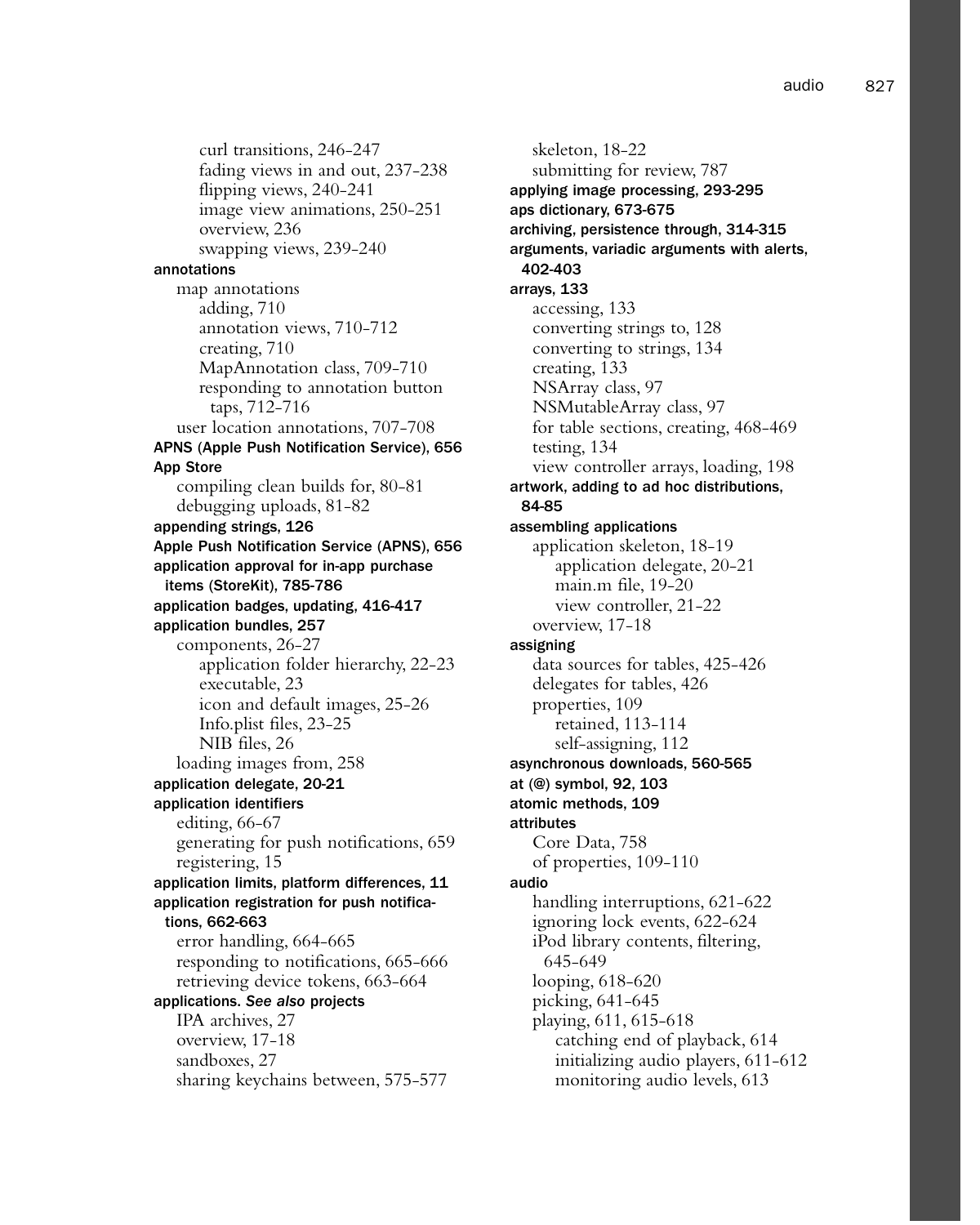curl transitions, 246-247 fading views in and out, 237-238 flipping views, 240-241 image view animations, 250-251 overview, 236 swapping views, 239-240 annotations map annotations adding, 710 annotation views, 710-712 creating, 710 MapAnnotation class, 709-710 responding to annotation button taps, 712-716 user location annotations, 707-708 APNS (Apple Push Notification Service), 656 App Store compiling clean builds for, 80-81 debugging uploads, 81-82 appending strings, 126 Apple Push Notification Service (APNS), 656 application approval for in-app purchase items (StoreKit), 785-786 application badges, updating, 416-417 application bundles, 257 components, 26-27 application folder hierarchy, 22-23 executable, 23 icon and default images, 25-26 Info.plist files, 23-25 NIB files, 26 loading images from, 258 application delegate, 20-21 application identifiers editing, 66-67 generating for push notifications, 659 registering, 15 application limits, platform differences, 11 application registration for push notifications, 662-663 error handling, 664-665 responding to notifications, 665-666 retrieving device tokens, 663-664 applications. *See also* projects IPA archives, 27 overview, 17-18 sandboxes, 27 sharing keychains between, 575-577

skeleton, 18-22 submitting for review, 787 applying image processing, 293-295 aps dictionary, 673-675 archiving, persistence through, 314-315 arguments, variadic arguments with alerts, 402-403 arrays, 133 accessing, 133 converting strings to, 128 converting to strings, 134 creating, 133 NSArray class, 97 NSMutableArray class, 97 for table sections, creating, 468-469 testing, 134 view controller arrays, loading, 198 artwork, adding to ad hoc distributions, 84-85 assembling applications application skeleton, 18-19 application delegate, 20-21 main.m file, 19-20 view controller, 21-22 overview, 17-18 assigning data sources for tables, 425-426 delegates for tables, 426 properties, 109 retained, 113-114 self-assigning, 112 asynchronous downloads, 560-565 at (@) symbol, 92, 103 atomic methods, 109 attributes Core Data, 758 of properties, 109-110 audio handling interruptions, 621-622 ignoring lock events, 622-624 iPod library contents, filtering, 645-649 looping, 618-620 picking, 641-645 playing, 611, 615-618 catching end of playback, 614 initializing audio players, 611-612 monitoring audio levels, 613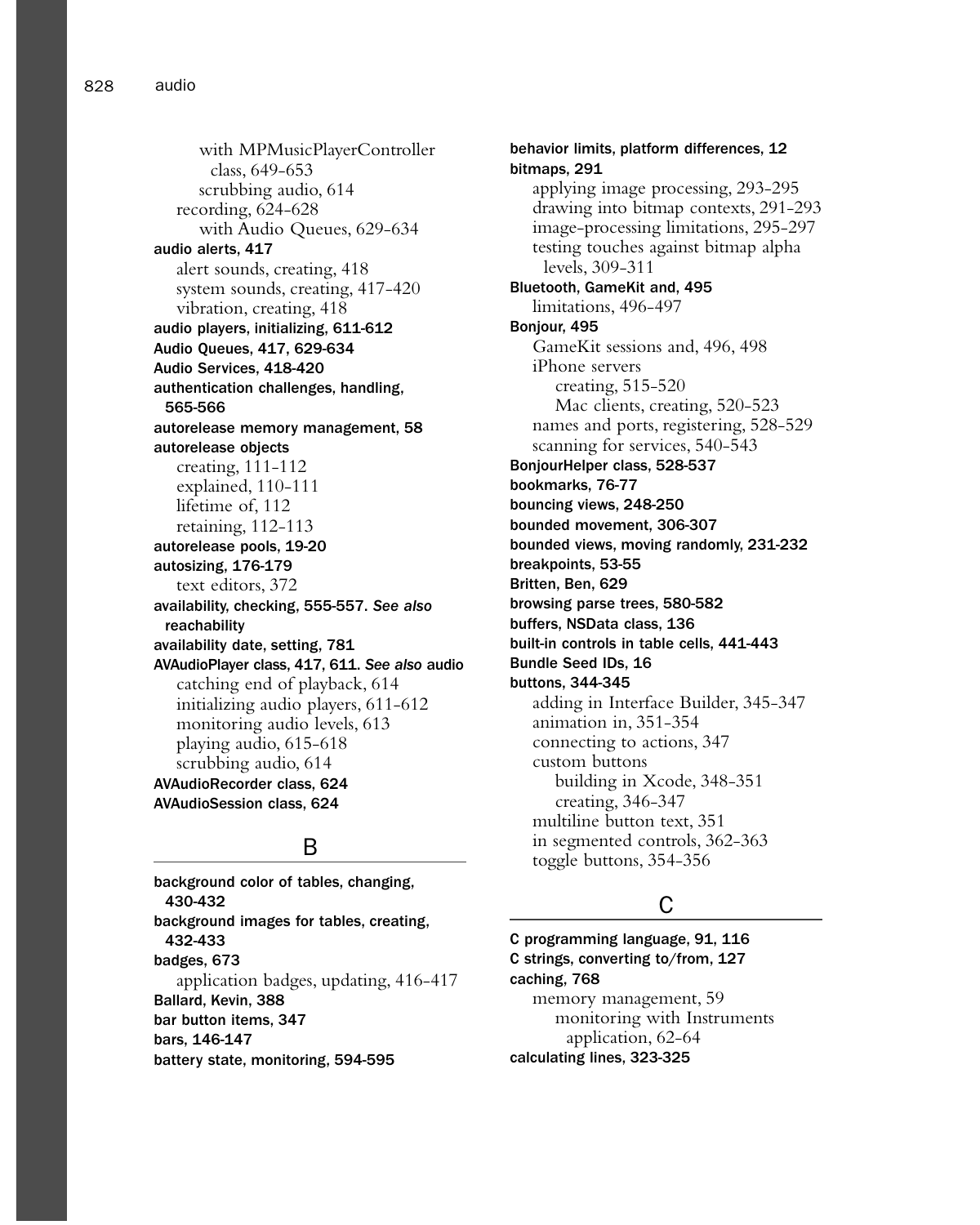with MPMusicPlayerController class, 649-653 scrubbing audio, 614 recording, 624-628 with Audio Queues, 629-634 audio alerts, 417 alert sounds, creating, 418 system sounds, creating, 417-420 vibration, creating, 418 audio players, initializing, 611-612 Audio Queues, 417, 629-634 Audio Services, 418-420 authentication challenges, handling, 565-566 autorelease memory management, 58 autorelease objects creating, 111-112 explained, 110-111 lifetime of, 112 retaining, 112-113 autorelease pools, 19-20 autosizing, 176-179 text editors, 372 availability, checking, 555-557. *See also* reachability availability date, setting, 781 AVAudioPlayer class, 417, 611. *See also* audio catching end of playback, 614 initializing audio players, 611-612 monitoring audio levels, 613 playing audio, 615-618 scrubbing audio, 614 AVAudioRecorder class, 624 AVAudioSession class, 624

#### B

background color of tables, changing, 430-432 background images for tables, creating, 432-433 badges, 673 application badges, updating, 416-417 Ballard, Kevin, 388 bar button items, 347 bars, 146-147 battery state, monitoring, 594-595

behavior limits, platform differences, 12 bitmaps, 291 applying image processing, 293-295 drawing into bitmap contexts, 291-293 image-processing limitations, 295-297 testing touches against bitmap alpha levels, 309-311 Bluetooth, GameKit and, 495 limitations, 496-497 Bonjour, 495 GameKit sessions and, 496, 498 iPhone servers creating, 515-520 Mac clients, creating, 520-523 names and ports, registering, 528-529 scanning for services, 540-543 BonjourHelper class, 528-537 bookmarks, 76-77 bouncing views, 248-250 bounded movement, 306-307 bounded views, moving randomly, 231-232 breakpoints, 53-55 Britten, Ben, 629 browsing parse trees, 580-582 buffers, NSData class, 136 built-in controls in table cells, 441-443 Bundle Seed IDs, 16 buttons, 344-345 adding in Interface Builder, 345-347 animation in, 351-354 connecting to actions, 347 custom buttons building in Xcode, 348-351 creating, 346-347 multiline button text, 351 in segmented controls, 362-363 toggle buttons, 354-356

# C

C programming language, 91, 116 C strings, converting to/from, 127 caching, 768 memory management, 59 monitoring with Instruments application, 62-64 calculating lines, 323-325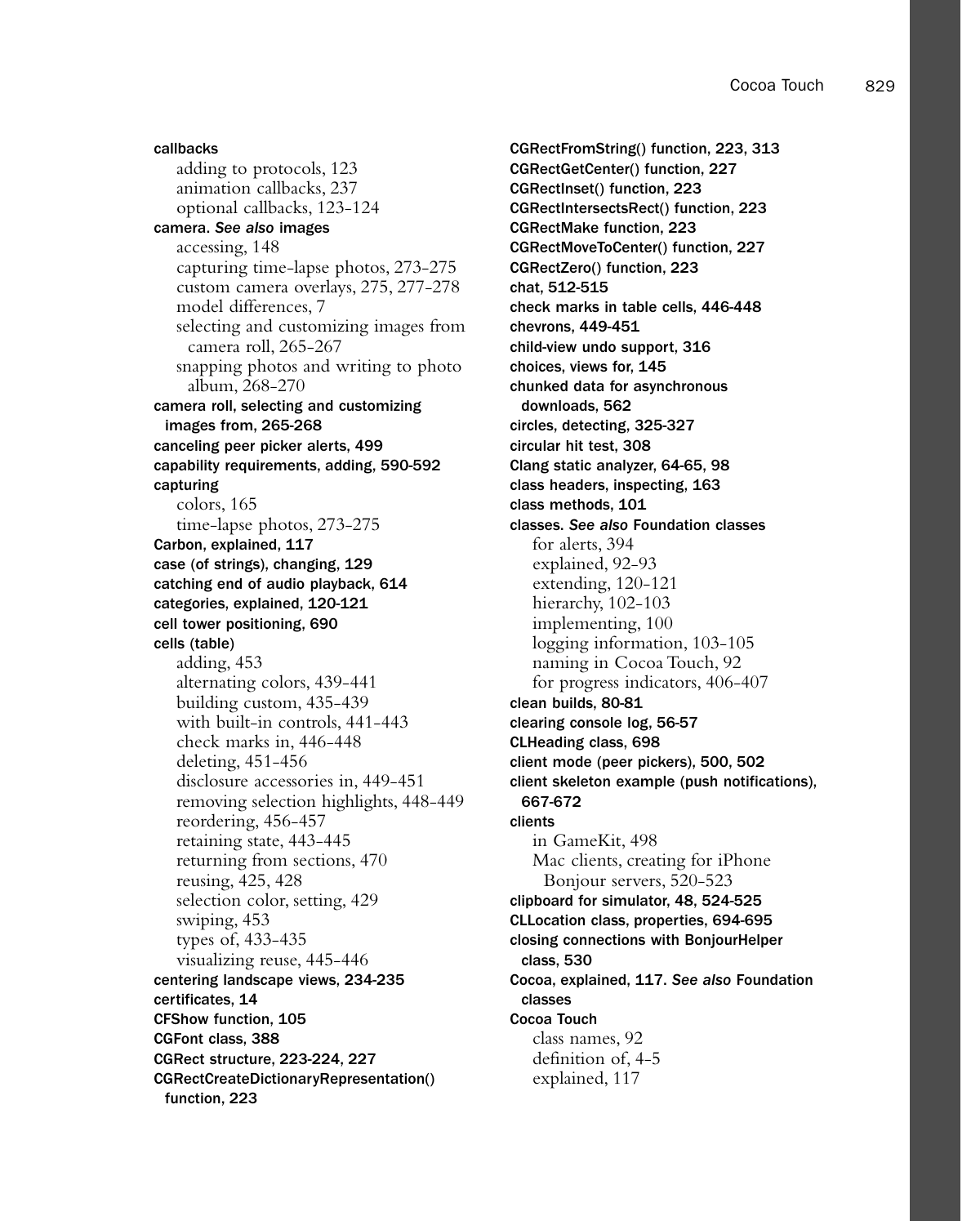callbacks adding to protocols, 123 animation callbacks, 237 optional callbacks, 123-124 camera. *See also* images accessing, 148 capturing time-lapse photos, 273-275 custom camera overlays, 275, 277-278 model differences, 7 selecting and customizing images from camera roll, 265-267 snapping photos and writing to photo album, 268-270 camera roll, selecting and customizing images from, 265-268 canceling peer picker alerts, 499 capability requirements, adding, 590-592 capturing colors, 165 time-lapse photos, 273-275 Carbon, explained, 117 case (of strings), changing, 129 catching end of audio playback, 614 categories, explained, 120-121 cell tower positioning, 690 cells (table) adding, 453 alternating colors, 439-441 building custom, 435-439 with built-in controls, 441-443 check marks in, 446-448 deleting, 451-456 disclosure accessories in, 449-451 removing selection highlights, 448-449 reordering, 456-457 retaining state, 443-445 returning from sections, 470 reusing, 425, 428 selection color, setting, 429 swiping, 453 types of, 433-435 visualizing reuse, 445-446 centering landscape views, 234-235 certificates, 14 CFShow function, 105 CGFont class, 388 CGRect structure, 223-224, 227 CGRectCreateDictionaryRepresentation() function, 223

CGRectFromString() function, 223, 313 CGRectGetCenter() function, 227 CGRectInset() function, 223 CGRectIntersectsRect() function, 223 CGRectMake function, 223 CGRectMoveToCenter() function, 227 CGRectZero() function, 223 chat, 512-515 check marks in table cells, 446-448 chevrons, 449-451 child-view undo support, 316 choices, views for, 145 chunked data for asynchronous downloads, 562 circles, detecting, 325-327 circular hit test, 308 Clang static analyzer, 64-65, 98 class headers, inspecting, 163 class methods, 101 classes. *See also* Foundation classes for alerts, 394 explained, 92-93 extending, 120-121 hierarchy, 102-103 implementing, 100 logging information, 103-105 naming in Cocoa Touch, 92 for progress indicators, 406-407 clean builds, 80-81 clearing console log, 56-57 CLHeading class, 698 client mode (peer pickers), 500, 502 client skeleton example (push notifications), 667-672 clients in GameKit, 498 Mac clients, creating for iPhone Bonjour servers, 520-523 clipboard for simulator, 48, 524-525 CLLocation class, properties, 694-695 closing connections with BonjourHelper class, 530 Cocoa, explained, 117. *See also* Foundation classes Cocoa Touch class names, 92 definition of, 4-5 explained, 117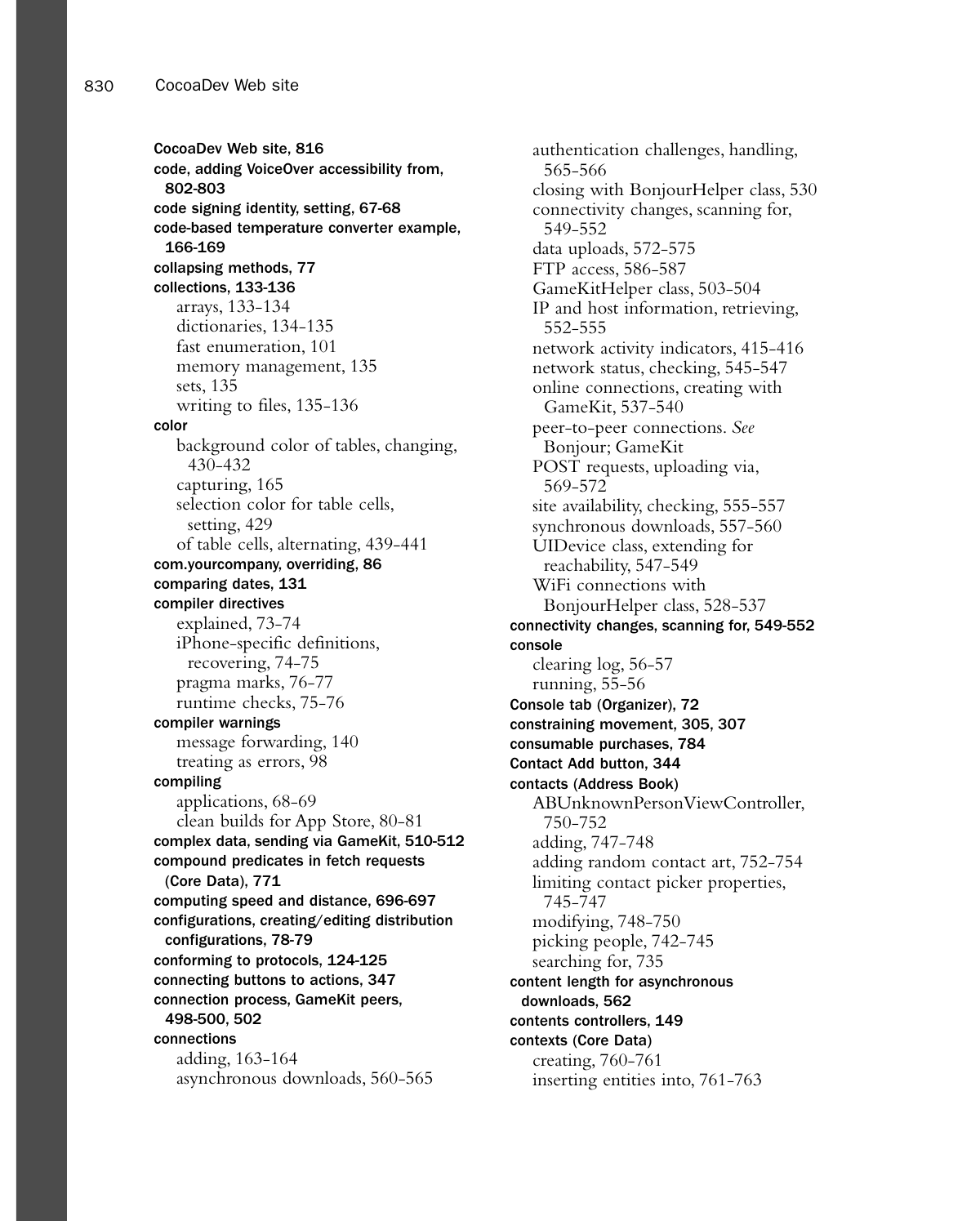CocoaDev Web site, 816 code, adding VoiceOver accessibility from, 802-803 code signing identity, setting, 67-68 code-based temperature converter example, 166-169 collapsing methods, 77 collections, 133-136 arrays, 133-134 dictionaries, 134-135 fast enumeration, 101 memory management, 135 sets, 135 writing to files, 135-136 color background color of tables, changing, 430-432 capturing, 165 selection color for table cells, setting, 429 of table cells, alternating, 439-441 com.yourcompany, overriding, 86 comparing dates, 131 compiler directives explained, 73-74 iPhone-specific definitions, recovering, 74-75 pragma marks, 76-77 runtime checks, 75-76 compiler warnings message forwarding, 140 treating as errors, 98 compiling applications, 68-69 clean builds for App Store, 80-81 complex data, sending via GameKit, 510-512 compound predicates in fetch requests (Core Data), 771 computing speed and distance, 696-697 configurations, creating/editing distribution configurations, 78-79 conforming to protocols, 124-125 connecting buttons to actions, 347 connection process, GameKit peers, 498-500, 502 connections adding, 163-164 asynchronous downloads, 560-565

authentication challenges, handling, 565-566 closing with BonjourHelper class, 530 connectivity changes, scanning for, 549-552 data uploads, 572-575 FTP access, 586-587 GameKitHelper class, 503-504 IP and host information, retrieving, 552-555 network activity indicators, 415-416 network status, checking, 545-547 online connections, creating with GameKit, 537-540 peer-to-peer connections. *See* Bonjour; GameKit POST requests, uploading via, 569-572 site availability, checking, 555-557 synchronous downloads, 557-560 UIDevice class, extending for reachability, 547-549 WiFi connections with BonjourHelper class, 528-537 connectivity changes, scanning for, 549-552 console clearing log, 56-57 running, 55-56 Console tab (Organizer), 72 constraining movement, 305, 307 consumable purchases, 784 Contact Add button, 344 contacts (Address Book) ABUnknownPersonViewController, 750-752 adding, 747-748 adding random contact art, 752-754 limiting contact picker properties, 745-747 modifying, 748-750 picking people, 742-745 searching for, 735 content length for asynchronous downloads, 562 contents controllers, 149 contexts (Core Data) creating, 760-761 inserting entities into, 761-763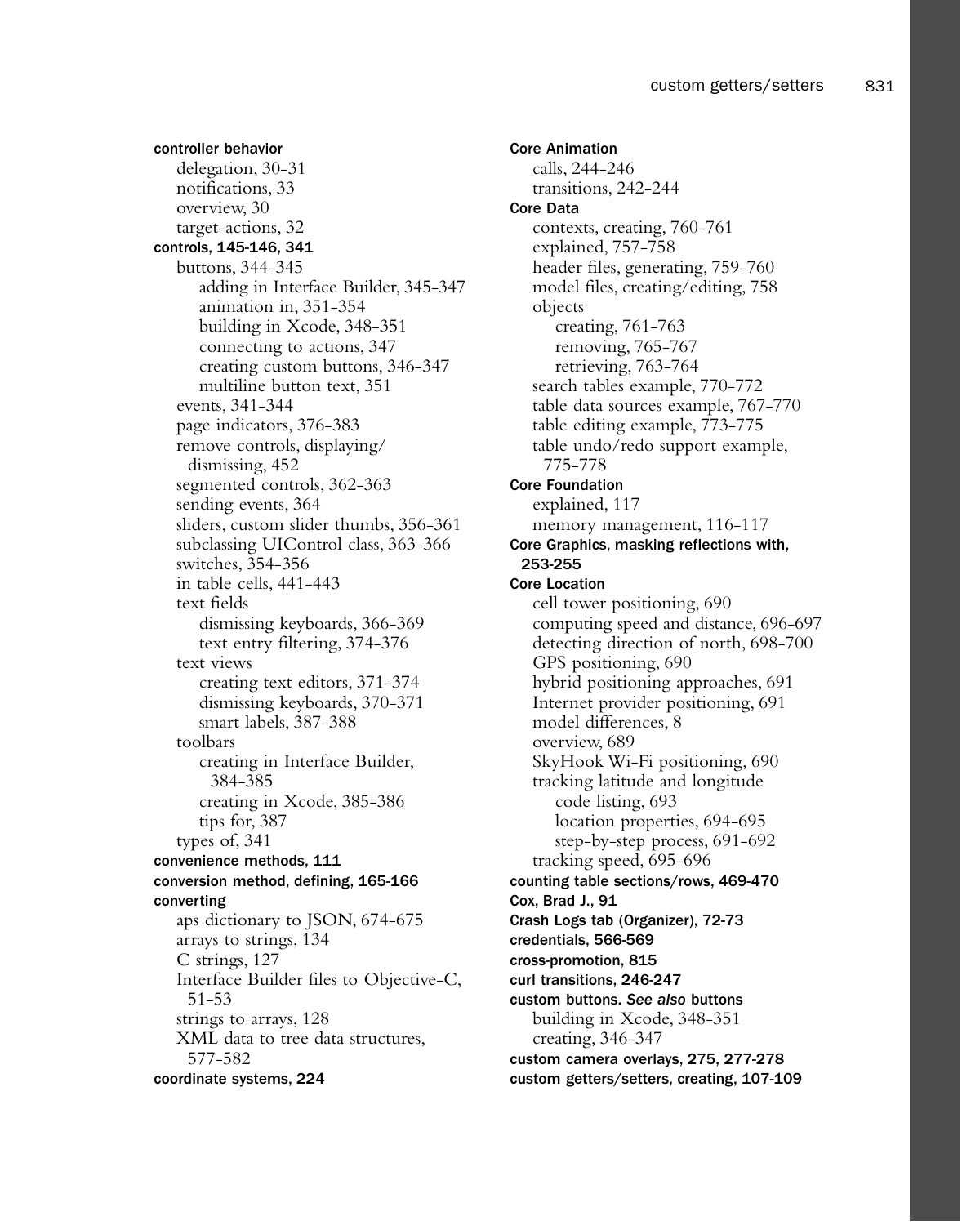controller behavior delegation, 30-31 notifications, 33 overview, 30 target-actions, 32 controls, 145-146, 341 buttons, 344-345 adding in Interface Builder, 345-347 animation in, 351-354 building in Xcode, 348-351 connecting to actions, 347 creating custom buttons, 346-347 multiline button text, 351 events, 341-344 page indicators, 376-383 remove controls, displaying/ dismissing, 452 segmented controls, 362-363 sending events, 364 sliders, custom slider thumbs, 356-361 subclassing UIControl class, 363-366 switches, 354-356 in table cells, 441-443 text fields dismissing keyboards, 366-369 text entry filtering, 374-376 text views creating text editors, 371-374 dismissing keyboards, 370-371 smart labels, 387-388 toolbars creating in Interface Builder, 384-385 creating in Xcode, 385-386 tips for, 387 types of, 341 convenience methods, 111 conversion method, defining, 165-166 converting aps dictionary to JSON, 674-675 arrays to strings, 134 C strings, 127 Interface Builder files to Objective-C, 51-53 strings to arrays, 128 XML data to tree data structures, 577-582 coordinate systems, 224

Core Animation calls, 244-246 transitions, 242-244 Core Data contexts, creating, 760-761 explained, 757-758 header files, generating, 759-760 model files, creating/editing, 758 objects creating, 761-763 removing, 765-767 retrieving, 763-764 search tables example, 770-772 table data sources example, 767-770 table editing example, 773-775 table undo/redo support example, 775-778 Core Foundation explained, 117 memory management, 116-117 Core Graphics, masking reflections with, 253-255 Core Location cell tower positioning, 690 computing speed and distance, 696-697 detecting direction of north, 698-700 GPS positioning, 690 hybrid positioning approaches, 691 Internet provider positioning, 691 model differences, 8 overview, 689 SkyHook Wi-Fi positioning, 690 tracking latitude and longitude code listing, 693 location properties, 694-695 step-by-step process, 691-692 tracking speed, 695-696 counting table sections/rows, 469-470 Cox, Brad J., 91 Crash Logs tab (Organizer), 72-73 credentials, 566-569 cross-promotion, 815 curl transitions, 246-247 custom buttons. *See also* buttons building in Xcode, 348-351 creating, 346-347 custom camera overlays, 275, 277-278 custom getters/setters, creating, 107-109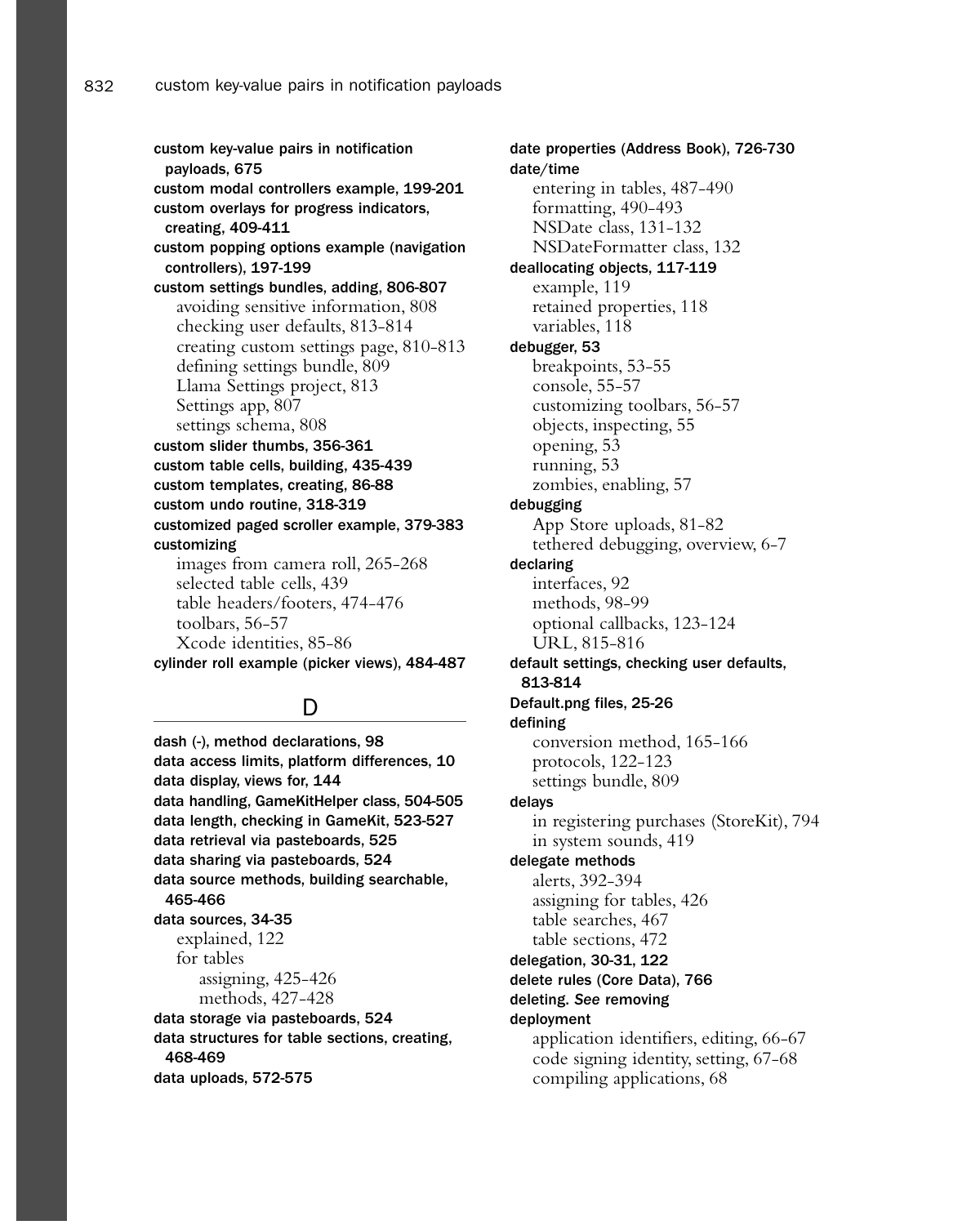custom key-value pairs in notification payloads, 675 custom modal controllers example, 199-201 custom overlays for progress indicators, creating, 409-411 custom popping options example (navigation controllers), 197-199 custom settings bundles, adding, 806-807 avoiding sensitive information, 808 checking user defaults, 813-814 creating custom settings page, 810-813 defining settings bundle, 809 Llama Settings project, 813 Settings app, 807 settings schema, 808 custom slider thumbs, 356-361 custom table cells, building, 435-439 custom templates, creating, 86-88 custom undo routine, 318-319 customized paged scroller example, 379-383 customizing images from camera roll, 265-268 selected table cells, 439 table headers/footers, 474-476 toolbars, 56-57 Xcode identities, 85-86 cylinder roll example (picker views), 484-487

#### D

dash (-), method declarations, 98 data access limits, platform differences, 10 data display, views for, 144 data handling, GameKitHelper class, 504-505 data length, checking in GameKit, 523-527 data retrieval via pasteboards, 525 data sharing via pasteboards, 524 data source methods, building searchable, 465-466 data sources, 34-35 explained, 122 for tables assigning, 425-426 methods, 427-428 data storage via pasteboards, 524 data structures for table sections, creating, 468-469 data uploads, 572-575

date properties (Address Book), 726-730 date/time entering in tables, 487-490 formatting, 490-493 NSDate class, 131-132 NSDateFormatter class, 132 deallocating objects, 117-119 example, 119 retained properties, 118 variables, 118 debugger, 53 breakpoints, 53-55 console, 55-57 customizing toolbars, 56-57 objects, inspecting, 55 opening, 53 running, 53 zombies, enabling, 57 debugging App Store uploads, 81-82 tethered debugging, overview, 6-7 declaring interfaces, 92 methods, 98-99 optional callbacks, 123-124 URL, 815-816 default settings, checking user defaults, 813-814 Default.png files, 25-26 defining conversion method, 165-166 protocols, 122-123 settings bundle, 809 delays in registering purchases (StoreKit), 794 in system sounds, 419 delegate methods alerts, 392-394 assigning for tables, 426 table searches, 467 table sections, 472 delegation, 30-31, 122 delete rules (Core Data), 766 deleting. *See* removing deployment application identifiers, editing, 66-67 code signing identity, setting, 67-68 compiling applications, 68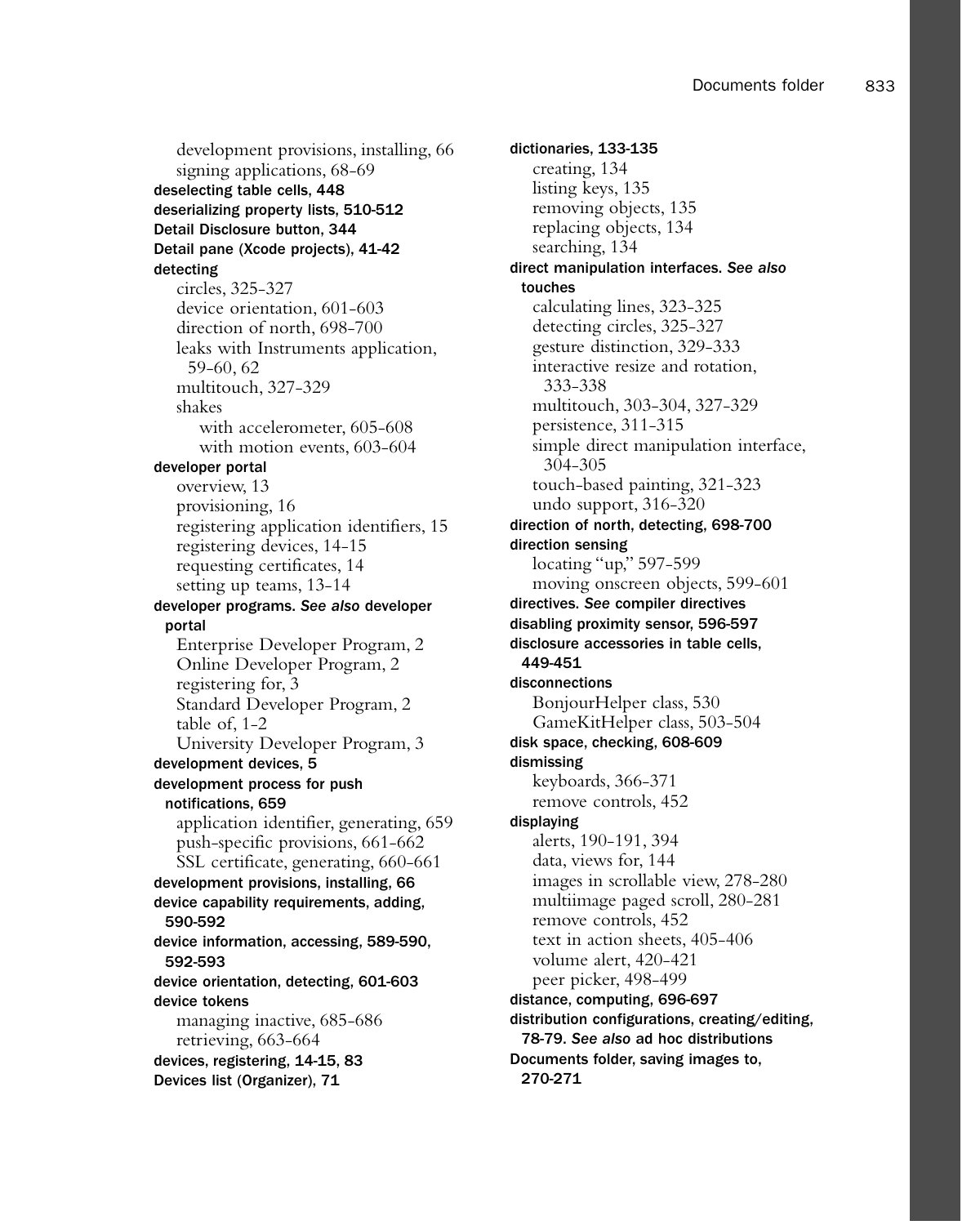development provisions, installing, 66 signing applications, 68-69 deselecting table cells, 448 deserializing property lists, 510-512 Detail Disclosure button, 344 Detail pane (Xcode projects), 41-42 detecting circles, 325-327 device orientation, 601-603 direction of north, 698-700 leaks with Instruments application, 59-60, 62 multitouch, 327-329 shakes with accelerometer, 605-608 with motion events, 603-604 developer portal overview, 13 provisioning, 16 registering application identifiers, 15 registering devices, 14-15 requesting certificates, 14 setting up teams, 13-14 developer programs. *See also* developer portal Enterprise Developer Program, 2 Online Developer Program, 2 registering for, 3 Standard Developer Program, 2 table of, 1-2 University Developer Program, 3 development devices, 5 development process for push notifications, 659 application identifier, generating, 659 push-specific provisions, 661-662 SSL certificate, generating, 660-661 development provisions, installing, 66 device capability requirements, adding, 590-592 device information, accessing, 589-590, 592-593 device orientation, detecting, 601-603 device tokens managing inactive, 685-686 retrieving, 663-664 devices, registering, 14-15, 83 Devices list (Organizer), 71

dictionaries, 133-135 creating, 134 listing keys, 135 removing objects, 135 replacing objects, 134 searching, 134 direct manipulation interfaces. *See also* touches calculating lines, 323-325 detecting circles, 325-327 gesture distinction, 329-333 interactive resize and rotation, 333-338 multitouch, 303-304, 327-329 persistence, 311-315 simple direct manipulation interface, 304-305 touch-based painting, 321-323 undo support, 316-320 direction of north, detecting, 698-700 direction sensing locating "up," 597-599 moving onscreen objects, 599-601 directives. *See* compiler directives disabling proximity sensor, 596-597 disclosure accessories in table cells, 449-451 disconnections BonjourHelper class, 530 GameKitHelper class, 503-504 disk space, checking, 608-609 dismissing keyboards, 366-371 remove controls, 452 displaying alerts, 190-191, 394 data, views for, 144 images in scrollable view, 278-280 multiimage paged scroll, 280-281 remove controls, 452 text in action sheets, 405-406 volume alert, 420-421 peer picker, 498-499 distance, computing, 696-697 distribution configurations, creating/editing, 78-79. *See also* ad hoc distributions Documents folder, saving images to, 270-271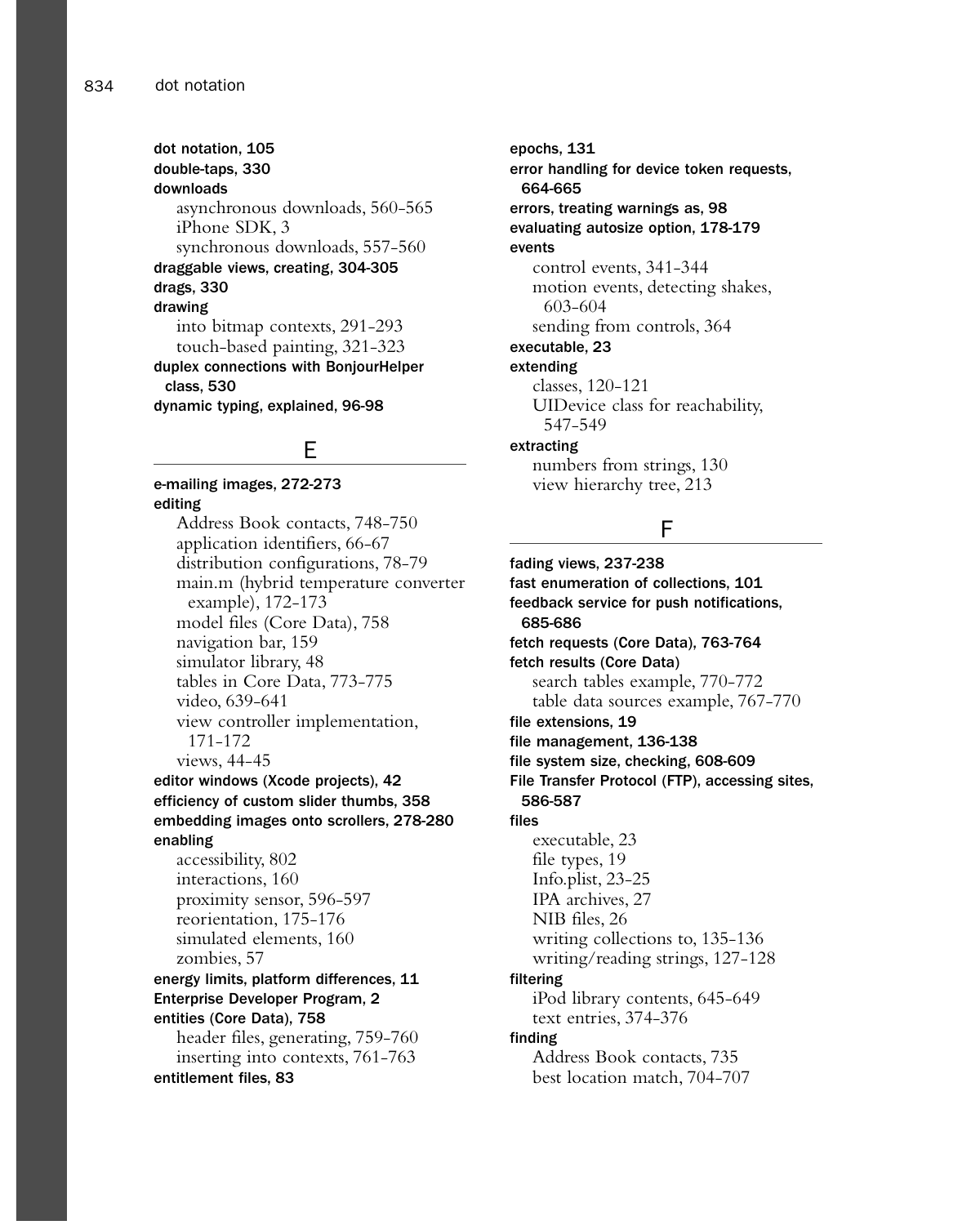dot notation, 105 double-taps, 330 downloads asynchronous downloads, 560-565 iPhone SDK, 3 synchronous downloads, 557-560 draggable views, creating, 304-305 drags, 330 drawing into bitmap contexts, 291-293 touch-based painting, 321-323 duplex connections with BonjourHelper class, 530 dynamic typing, explained, 96-98

#### E

e-mailing images, 272-273 editing Address Book contacts, 748-750 application identifiers, 66-67 distribution configurations, 78-79 main.m (hybrid temperature converter example), 172-173 model files (Core Data), 758 navigation bar, 159 simulator library, 48 tables in Core Data, 773-775 video, 639-641 view controller implementation, 171-172 views, 44-45 editor windows (Xcode projects), 42 efficiency of custom slider thumbs, 358 embedding images onto scrollers, 278-280 enabling accessibility, 802 interactions, 160 proximity sensor, 596-597 reorientation, 175-176 simulated elements, 160 zombies, 57 energy limits, platform differences, 11 Enterprise Developer Program, 2 entities (Core Data), 758 header files, generating, 759-760 inserting into contexts, 761-763 entitlement files, 83

epochs, 131 error handling for device token requests, 664-665 errors, treating warnings as, 98 evaluating autosize option, 178-179 events control events, 341-344 motion events, detecting shakes, 603-604 sending from controls, 364 executable, 23 extending classes, 120-121 UIDevice class for reachability, 547-549 extracting numbers from strings, 130 view hierarchy tree, 213

#### F

fading views, 237-238 fast enumeration of collections, 101 feedback service for push notifications, 685-686 fetch requests (Core Data), 763-764 fetch results (Core Data) search tables example, 770-772 table data sources example, 767-770 file extensions, 19 file management, 136-138 file system size, checking, 608-609 File Transfer Protocol (FTP), accessing sites, 586-587 files executable, 23 file types, 19 Info.plist, 23-25 IPA archives, 27 NIB files, 26 writing collections to, 135-136 writing/reading strings, 127-128 filtering iPod library contents, 645-649 text entries, 374-376 finding Address Book contacts, 735 best location match, 704-707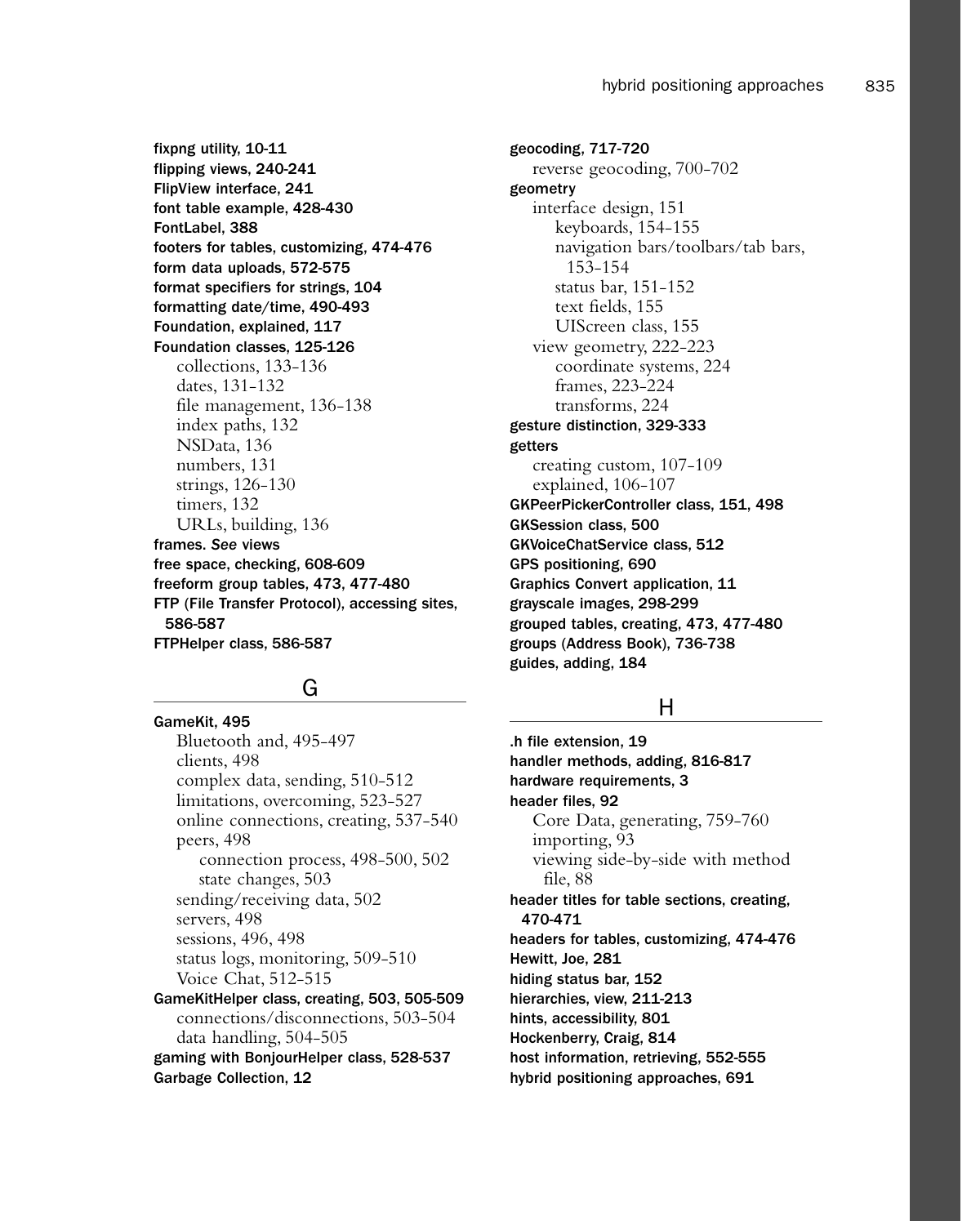fixpng utility, 10-11 flipping views, 240-241 FlipView interface, 241 font table example, 428-430 FontLabel, 388 footers for tables, customizing, 474-476 form data uploads, 572-575 format specifiers for strings, 104 formatting date/time, 490-493 Foundation, explained, 117 Foundation classes, 125-126 collections, 133-136 dates, 131-132 file management, 136-138 index paths, 132 NSData, 136 numbers, 131 strings, 126-130 timers, 132 URLs, building, 136 frames. *See* views free space, checking, 608-609 freeform group tables, 473, 477-480 FTP (File Transfer Protocol), accessing sites, 586-587 FTPHelper class, 586-587

#### G

GameKit, 495 Bluetooth and, 495-497 clients, 498 complex data, sending, 510-512 limitations, overcoming, 523-527 online connections, creating, 537-540 peers, 498 connection process, 498-500, 502 state changes, 503 sending/receiving data, 502 servers, 498 sessions, 496, 498 status logs, monitoring, 509-510 Voice Chat, 512-515 GameKitHelper class, creating, 503, 505-509 connections/disconnections, 503-504 data handling, 504-505 gaming with BonjourHelper class, 528-537 Garbage Collection, 12

geocoding, 717-720 reverse geocoding, 700-702 geometry interface design, 151 keyboards, 154-155 navigation bars/toolbars/tab bars, 153-154 status bar, 151-152 text fields, 155 UIScreen class, 155 view geometry, 222-223 coordinate systems, 224 frames, 223-224 transforms, 224 gesture distinction, 329-333 getters creating custom, 107-109 explained, 106-107 GKPeerPickerController class, 151, 498 GKSession class, 500 GKVoiceChatService class, 512 GPS positioning, 690 Graphics Convert application, 11 grayscale images, 298-299 grouped tables, creating, 473, 477-480 groups (Address Book), 736-738 guides, adding, 184

#### H

.h file extension, 19 handler methods, adding, 816-817 hardware requirements, 3 header files, 92 Core Data, generating, 759-760 importing, 93 viewing side-by-side with method file, 88 header titles for table sections, creating, 470-471 headers for tables, customizing, 474-476 Hewitt, Joe, 281 hiding status bar, 152 hierarchies, view, 211-213 hints, accessibility, 801 Hockenberry, Craig, 814 host information, retrieving, 552-555 hybrid positioning approaches, 691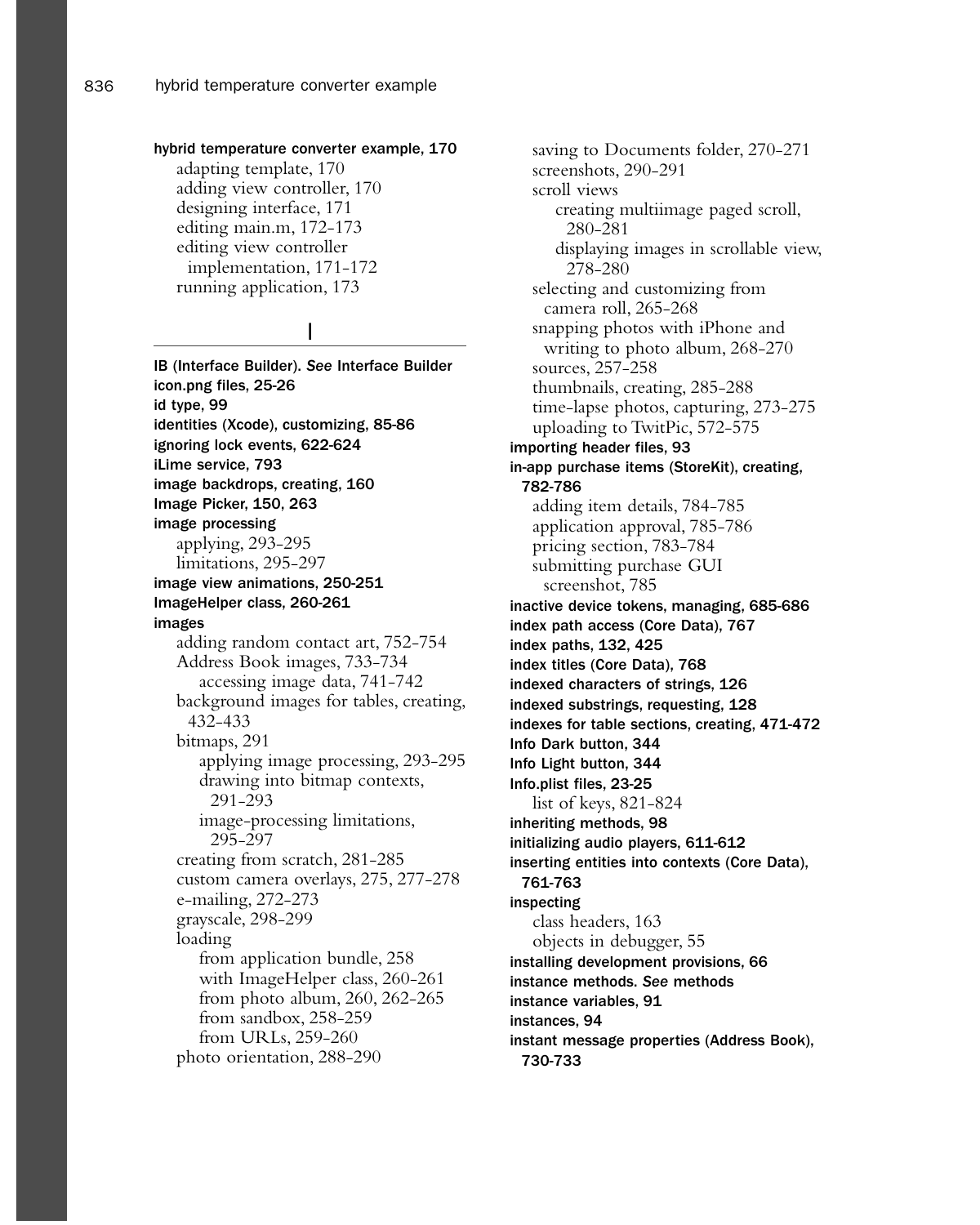#### hybrid temperature converter example, 170

adapting template, 170 adding view controller, 170 designing interface, 171 editing main.m, 172-173 editing view controller implementation, 171-172 running application, 173

## I

IB (Interface Builder). *See* Interface Builder icon.png files, 25-26 id type, 99 identities (Xcode), customizing, 85-86 ignoring lock events, 622-624 iLime service, 793 image backdrops, creating, 160 Image Picker, 150, 263 image processing applying, 293-295 limitations, 295-297 image view animations, 250-251 ImageHelper class, 260-261 images adding random contact art, 752-754 Address Book images, 733-734 accessing image data, 741-742 background images for tables, creating, 432-433 bitmaps, 291 applying image processing, 293-295 drawing into bitmap contexts, 291-293 image-processing limitations, 295-297 creating from scratch, 281-285 custom camera overlays, 275, 277-278 e-mailing, 272-273 grayscale, 298-299 loading from application bundle, 258 with ImageHelper class, 260-261 from photo album, 260, 262-265 from sandbox, 258-259 from URLs, 259-260 photo orientation, 288-290

saving to Documents folder, 270-271 screenshots, 290-291 scroll views creating multiimage paged scroll, 280-281 displaying images in scrollable view, 278-280 selecting and customizing from camera roll, 265-268 snapping photos with iPhone and writing to photo album, 268-270 sources, 257-258 thumbnails, creating, 285-288 time-lapse photos, capturing, 273-275 uploading to TwitPic, 572-575 importing header files, 93 in-app purchase items (StoreKit), creating, 782-786 adding item details, 784-785 application approval, 785-786 pricing section, 783-784 submitting purchase GUI screenshot, 785 inactive device tokens, managing, 685-686 index path access (Core Data), 767 index paths, 132, 425 index titles (Core Data), 768 indexed characters of strings, 126 indexed substrings, requesting, 128 indexes for table sections, creating, 471-472 Info Dark button, 344 Info Light button, 344 Info.plist files, 23-25 list of keys, 821-824 inheriting methods, 98 initializing audio players, 611-612 inserting entities into contexts (Core Data), 761-763 inspecting class headers, 163 objects in debugger, 55 installing development provisions, 66 instance methods. *See* methods instance variables, 91 instances, 94 instant message properties (Address Book), 730-733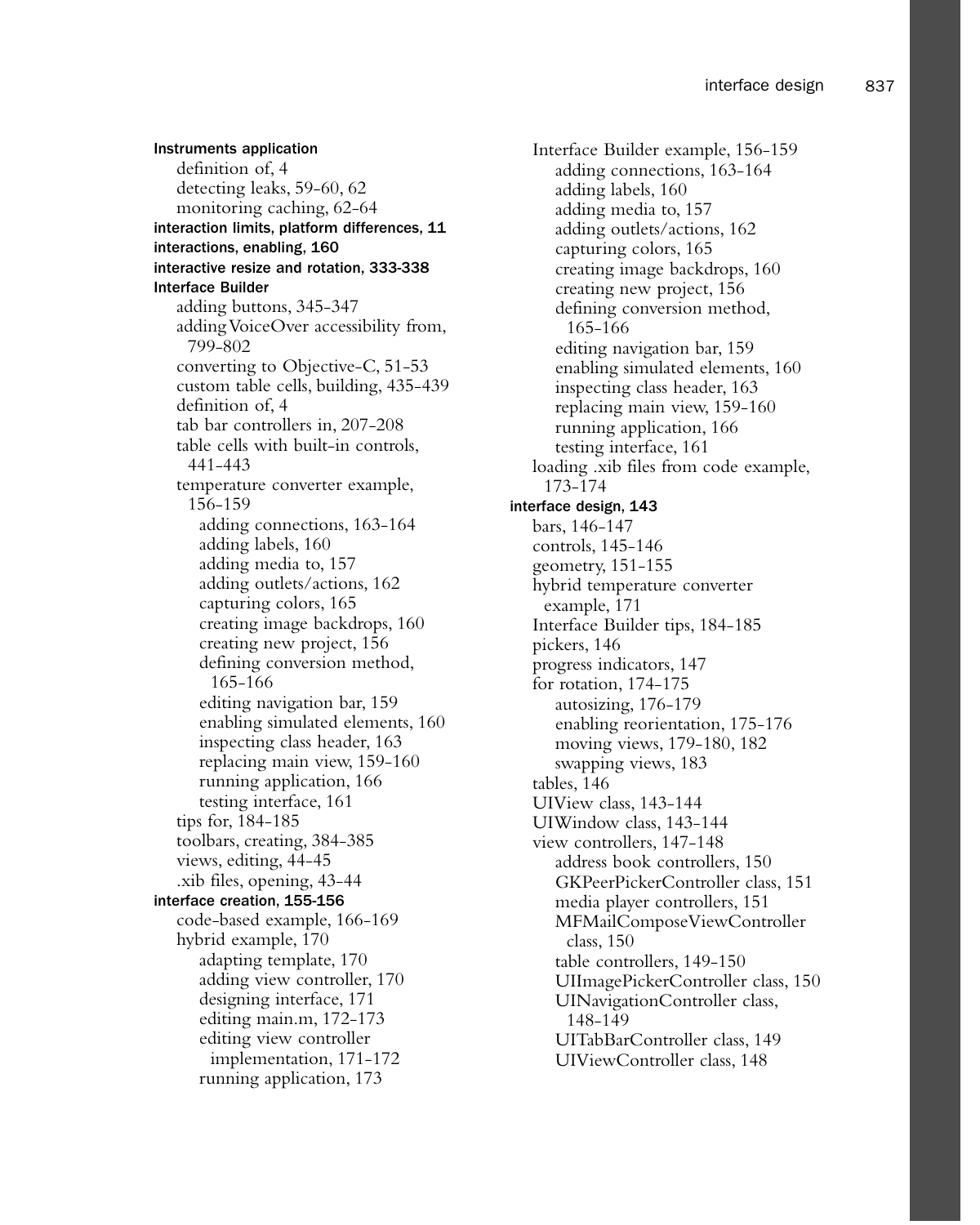Instruments application definition of 4 detecting leaks, 59-60, 62 monitoring caching, 62-64 interaction limits, platform differences, 11 interactions, enabling, 160 interactive resize and rotation, 333-338 Interface Builder adding buttons, 345-347 adding VoiceOver accessibility from, 799-802 converting to Objective-C, 51-53 custom table cells, building, 435-439 definition of, 4 tab bar controllers in, 207-208 table cells with built-in controls, 441-443 temperature converter example, 156-159 adding connections, 163-164 adding labels, 160 adding media to, 157 adding outlets/actions, 162 capturing colors, 165 creating image backdrops, 160 creating new project, 156 defining conversion method, 165-166 editing navigation bar, 159 enabling simulated elements, 160 inspecting class header, 163 replacing main view, 159-160 running application, 166 testing interface, 161 tips for, 184-185 toolbars, creating, 384-385 views, editing, 44-45 .xib files, opening, 43-44 interface creation, 155-156 code-based example, 166-169 hybrid example, 170 adapting template, 170 adding view controller, 170 designing interface, 171 editing main.m, 172-173 editing view controller implementation, 171-172 running application, 173

Interface Builder example, 156-159 adding connections, 163-164 adding labels, 160 adding media to, 157 adding outlets/actions, 162 capturing colors, 165 creating image backdrops, 160 creating new project, 156 defining conversion method, 165-166 editing navigation bar, 159 enabling simulated elements, 160 inspecting class header, 163 replacing main view, 159-160 running application, 166 testing interface, 161 loading .xib files from code example, 173-174 interface design, 143 bars, 146-147 controls, 145-146 geometry, 151-155 hybrid temperature converter example, 171 Interface Builder tips, 184-185 pickers, 146 progress indicators, 147 for rotation, 174-175 autosizing, 176-179 enabling reorientation, 175-176 moving views, 179-180, 182 swapping views, 183 tables, 146 UIView class, 143-144 UIWindow class, 143-144 view controllers, 147-148 address book controllers, 150 GKPeerPickerController class, 151 media player controllers, 151 MFMailComposeViewController class, 150 table controllers, 149-150 UIImagePickerController class, 150 UINavigationController class, 148-149 UITabBarController class, 149 UIViewController class, 148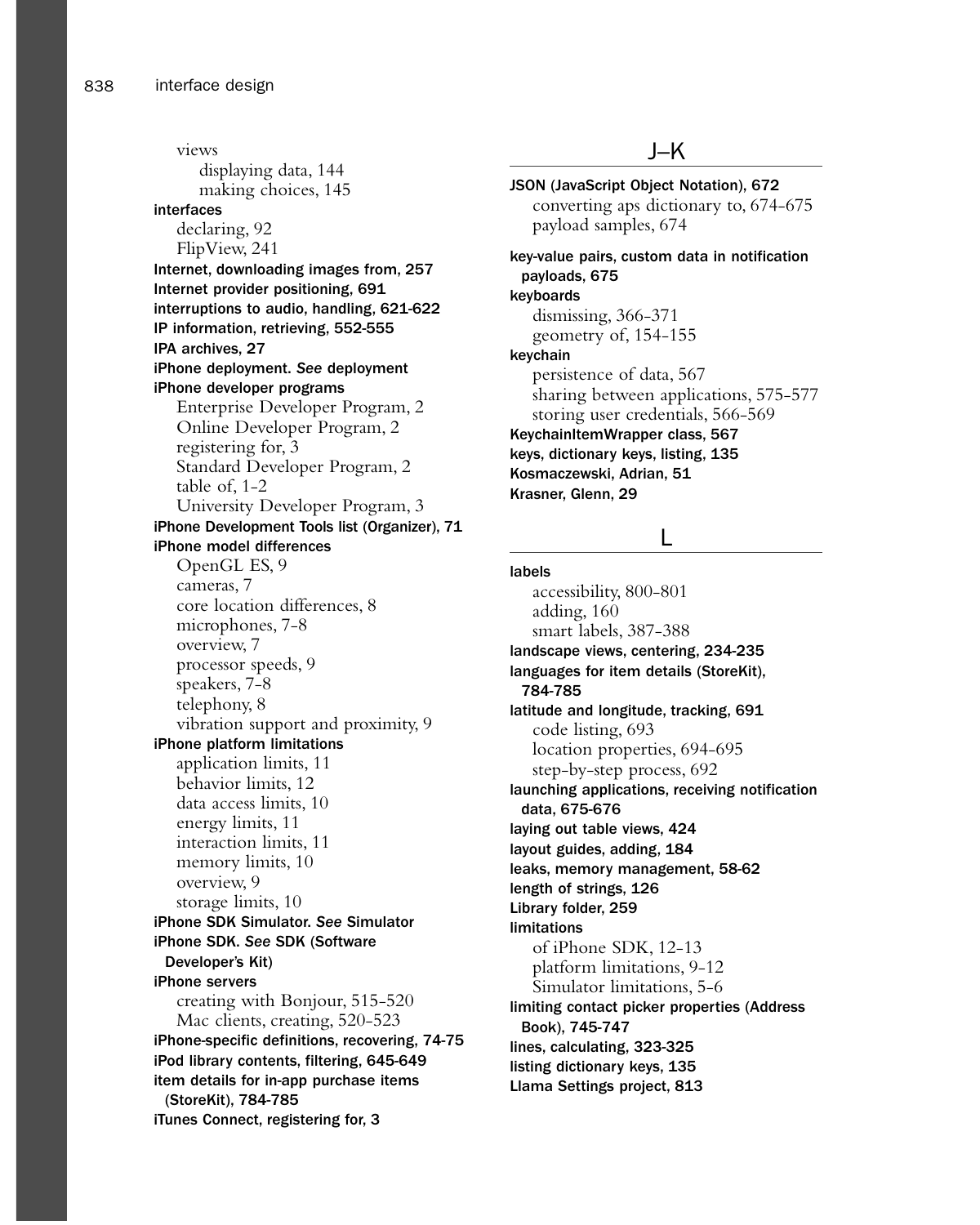views displaying data, 144 making choices, 145 interfaces declaring, 92 FlipView, 241 Internet, downloading images from, 257 Internet provider positioning, 691 interruptions to audio, handling, 621-622 IP information, retrieving, 552-555 IPA archives, 27 iPhone deployment. *See* deployment iPhone developer programs Enterprise Developer Program, 2 Online Developer Program, 2 registering for, 3 Standard Developer Program, 2 table of, 1-2 University Developer Program, 3 iPhone Development Tools list (Organizer), 71 iPhone model differences OpenGL ES, 9 cameras, 7 core location differences, 8 microphones, 7-8 overview, 7 processor speeds, 9 speakers, 7-8 telephony, 8 vibration support and proximity, 9 iPhone platform limitations application limits, 11 behavior limits, 12 data access limits, 10 energy limits, 11 interaction limits, 11 memory limits, 10 overview, 9 storage limits, 10 iPhone SDK Simulator. *See* Simulator iPhone SDK. *See* SDK (Software Developer's Kit) iPhone servers creating with Bonjour, 515-520 Mac clients, creating, 520-523 iPhone-specific definitions, recovering, 74-75 iPod library contents, filtering, 645-649 item details for in-app purchase items (StoreKit), 784-785 iTunes Connect, registering for, 3

### J–K

JSON (JavaScript Object Notation), 672 converting aps dictionary to, 674-675 payload samples, 674 key-value pairs, custom data in notification payloads, 675 keyboards dismissing, 366-371 geometry of, 154-155 keychain persistence of data, 567 sharing between applications, 575-577 storing user credentials, 566-569 KeychainItemWrapper class, 567 keys, dictionary keys, listing, 135 Kosmaczewski, Adrian, 51 Krasner, Glenn, 29

## $\mathbf{L}$

labels accessibility, 800-801 adding, 160 smart labels, 387-388 landscape views, centering, 234-235 languages for item details (StoreKit), 784-785 latitude and longitude, tracking, 691 code listing, 693 location properties, 694-695 step-by-step process, 692 launching applications, receiving notification data, 675-676 laying out table views, 424 layout guides, adding, 184 leaks, memory management, 58-62 length of strings, 126 Library folder, 259 limitations of iPhone SDK, 12-13 platform limitations, 9-12 Simulator limitations, 5-6 limiting contact picker properties (Address Book), 745-747 lines, calculating, 323-325 listing dictionary keys, 135 Llama Settings project, 813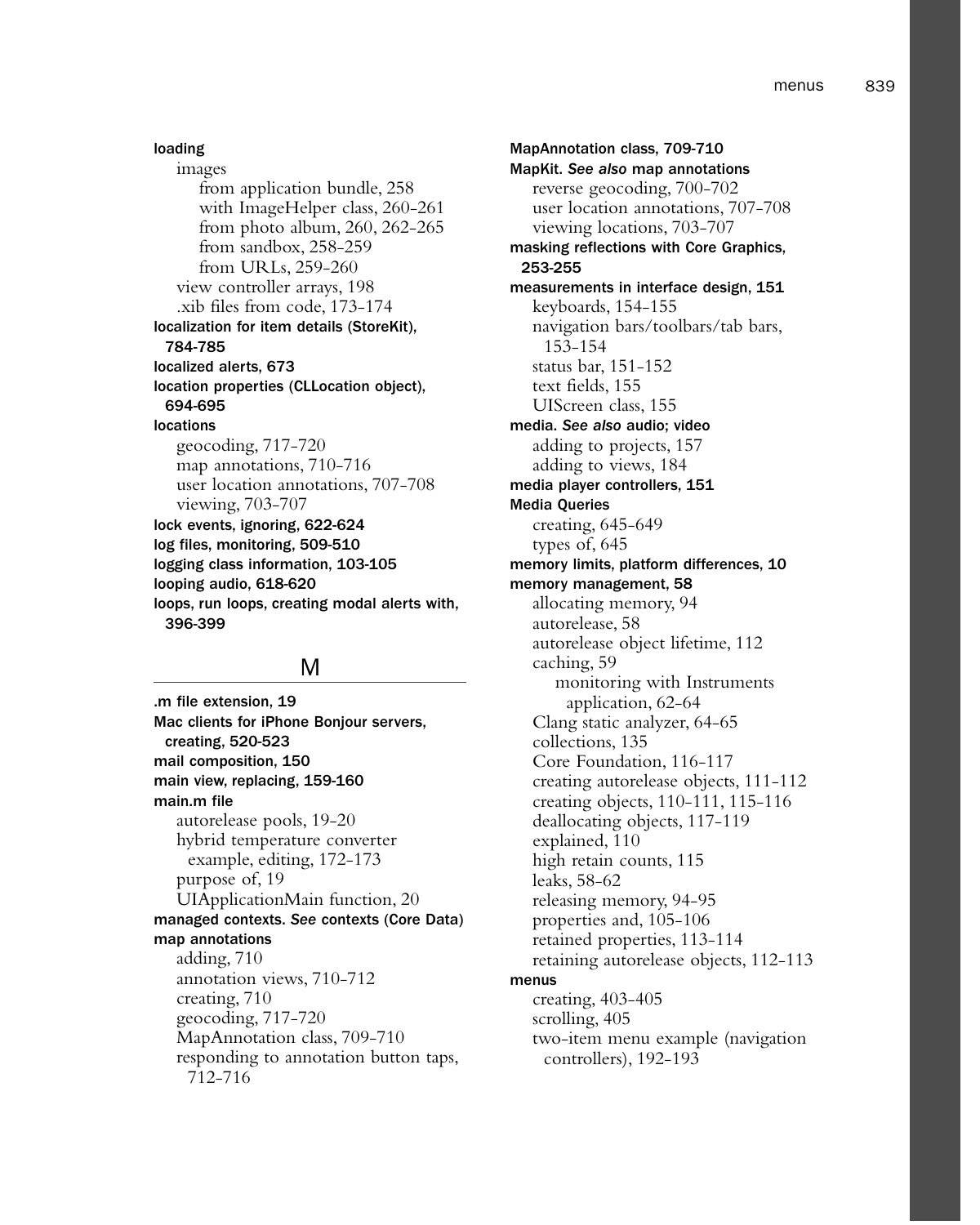loading images from application bundle, 258 with ImageHelper class, 260-261 from photo album, 260, 262-265 from sandbox, 258-259 from URLs, 259-260 view controller arrays, 198 .xib files from code, 173-174 localization for item details (StoreKit), 784-785 localized alerts, 673 location properties (CLLocation object), 694-695 locations geocoding, 717-720 map annotations, 710-716 user location annotations, 707-708 viewing, 703-707 lock events, ignoring, 622-624 log files, monitoring, 509-510 logging class information, 103-105 looping audio, 618-620 loops, run loops, creating modal alerts with, 396-399

#### M

.m file extension, 19 Mac clients for iPhone Bonjour servers, creating, 520-523 mail composition, 150 main view, replacing, 159-160 main.m file autorelease pools, 19-20 hybrid temperature converter example, editing, 172-173 purpose of, 19 UIApplicationMain function, 20 managed contexts. *See* contexts (Core Data) map annotations adding, 710 annotation views, 710-712 creating, 710 geocoding, 717-720 MapAnnotation class, 709-710 responding to annotation button taps, 712-716

MapAnnotation class, 709-710 MapKit. *See also* map annotations reverse geocoding, 700-702 user location annotations, 707-708 viewing locations, 703-707 masking reflections with Core Graphics, 253-255 measurements in interface design, 151 keyboards, 154-155 navigation bars/toolbars/tab bars, 153-154 status bar, 151-152 text fields, 155 UIScreen class, 155 media. *See also* audio; video adding to projects, 157 adding to views, 184 media player controllers, 151 Media Queries creating, 645-649 types of, 645 memory limits, platform differences, 10 memory management, 58 allocating memory, 94 autorelease, 58 autorelease object lifetime, 112 caching, 59 monitoring with Instruments application, 62-64 Clang static analyzer, 64-65 collections, 135 Core Foundation, 116-117 creating autorelease objects, 111-112 creating objects, 110-111, 115-116 deallocating objects, 117-119 explained, 110 high retain counts, 115 leaks, 58-62 releasing memory, 94-95 properties and, 105-106 retained properties, 113-114 retaining autorelease objects, 112-113 menus creating, 403-405 scrolling, 405 two-item menu example (navigation controllers), 192-193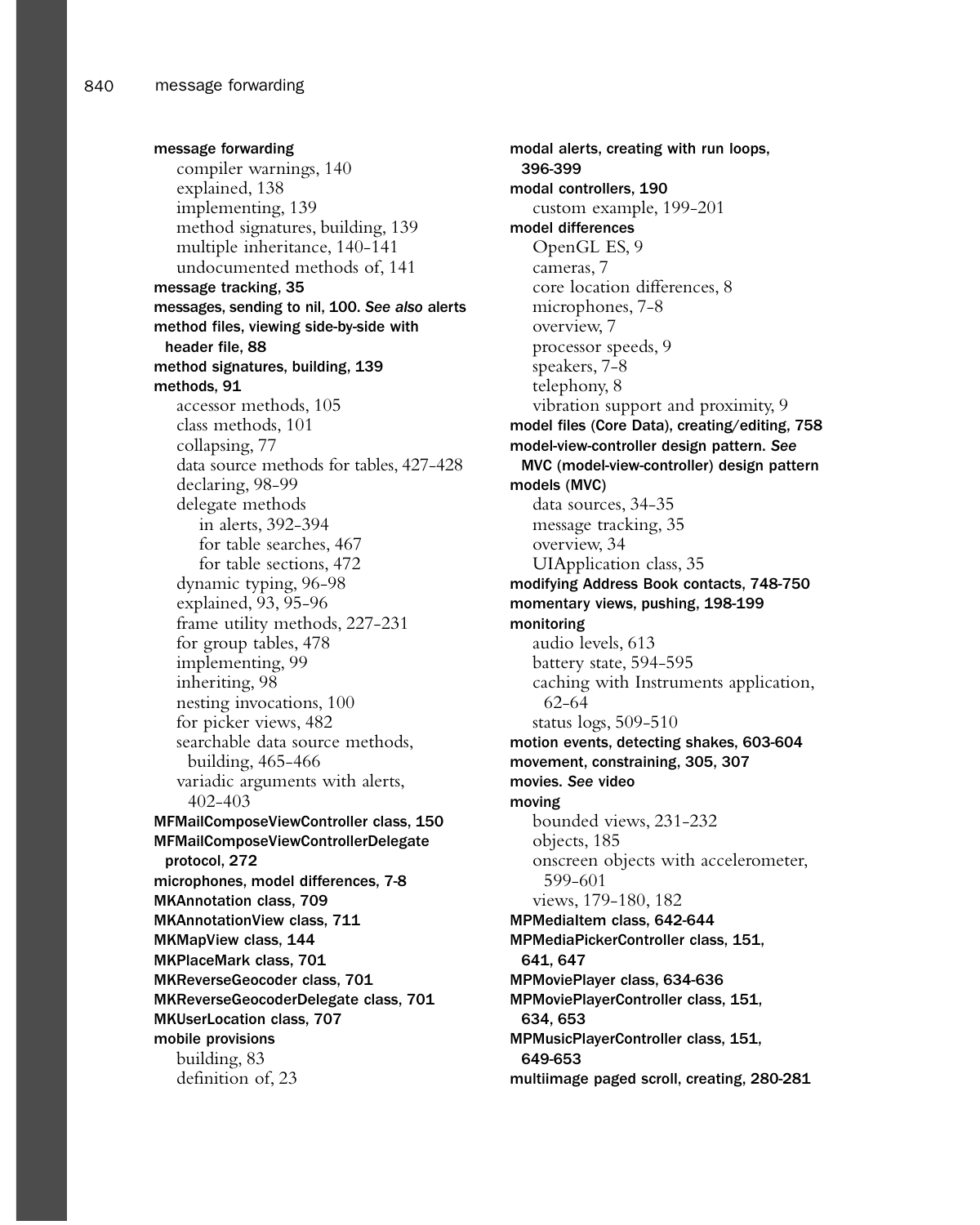message forwarding compiler warnings, 140 explained, 138 implementing, 139 method signatures, building, 139 multiple inheritance, 140-141 undocumented methods of, 141 message tracking, 35 messages, sending to nil, 100. *See also* alerts method files, viewing side-by-side with header file, 88 method signatures, building, 139 methods, 91 accessor methods, 105 class methods, 101 collapsing, 77 data source methods for tables, 427-428 declaring, 98-99 delegate methods in alerts, 392-394 for table searches, 467 for table sections, 472 dynamic typing, 96-98 explained, 93, 95-96 frame utility methods, 227-231 for group tables, 478 implementing, 99 inheriting, 98 nesting invocations, 100 for picker views, 482 searchable data source methods, building, 465-466 variadic arguments with alerts, 402-403 MFMailComposeViewController class, 150 MFMailComposeViewControllerDelegate protocol, 272 microphones, model differences, 7-8 MKAnnotation class, 709 MKAnnotationView class, 711 MKMapView class, 144 MKPlaceMark class, 701 MKReverseGeocoder class, 701 MKReverseGeocoderDelegate class, 701 MKUserLocation class, 707 mobile provisions building, 83 definition of, 23

modal alerts, creating with run loops, 396-399 modal controllers, 190 custom example, 199-201 model differences OpenGL ES, 9 cameras, 7 core location differences, 8 microphones, 7-8 overview, 7 processor speeds, 9 speakers, 7-8 telephony, 8 vibration support and proximity, 9 model files (Core Data), creating/editing, 758 model-view-controller design pattern. *See* MVC (model-view-controller) design pattern models (MVC) data sources, 34-35 message tracking, 35 overview, 34 UIApplication class, 35 modifying Address Book contacts, 748-750 momentary views, pushing, 198-199 monitoring audio levels, 613 battery state, 594-595 caching with Instruments application, 62-64 status logs, 509-510 motion events, detecting shakes, 603-604 movement, constraining, 305, 307 movies. *See* video moving bounded views, 231-232 objects, 185 onscreen objects with accelerometer, 599-601 views, 179-180, 182 MPMediaItem class, 642-644 MPMediaPickerController class, 151, 641, 647 MPMoviePlayer class, 634-636 MPMoviePlayerController class, 151, 634, 653 MPMusicPlayerController class, 151, 649-653 multiimage paged scroll, creating, 280-281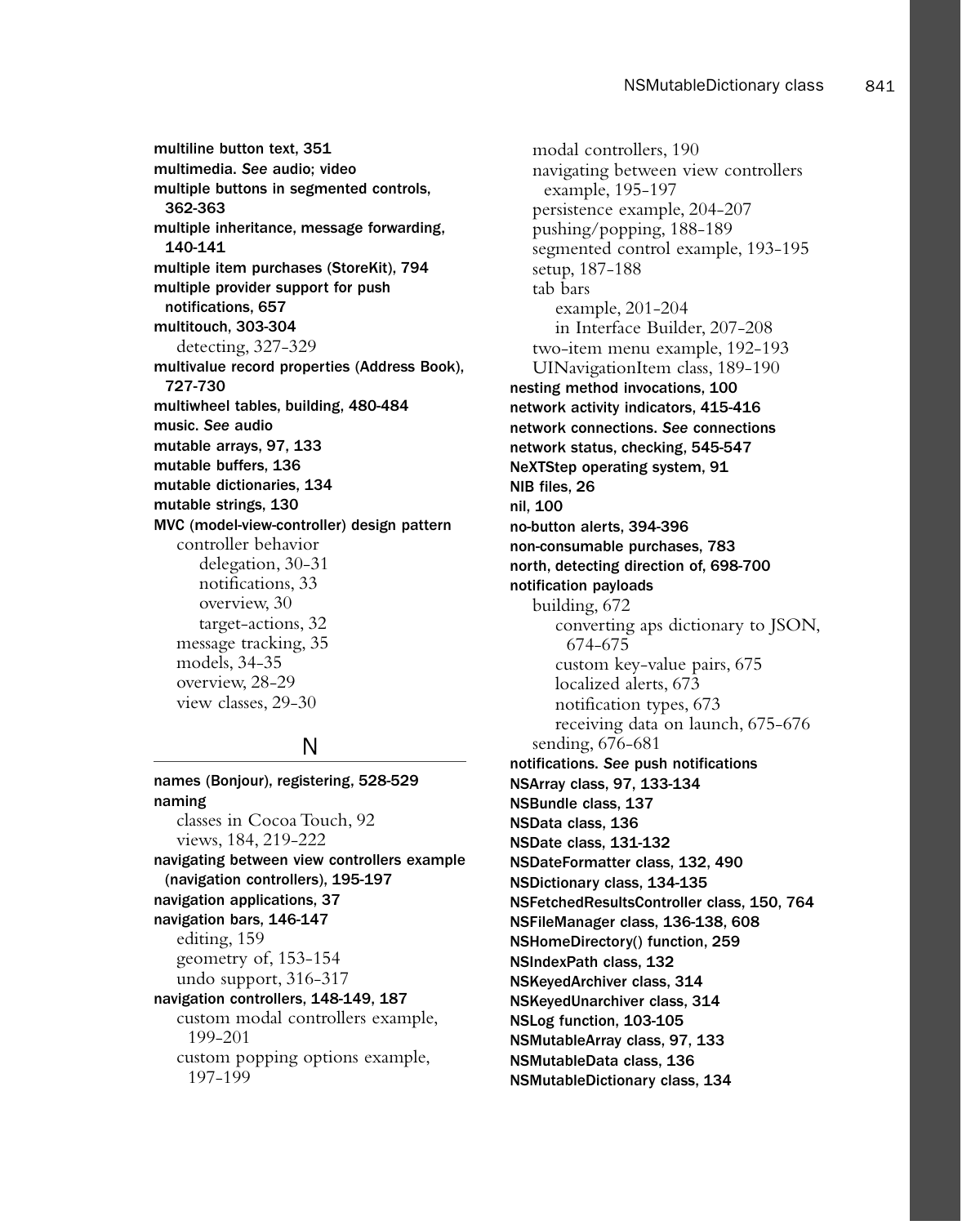multiline button text, 351 multimedia. *See* audio; video multiple buttons in segmented controls, 362-363 multiple inheritance, message forwarding, 140-141 multiple item purchases (StoreKit), 794 multiple provider support for push notifications, 657 multitouch, 303-304 detecting, 327-329 multivalue record properties (Address Book), 727-730 multiwheel tables, building, 480-484 music. *See* audio mutable arrays, 97, 133 mutable buffers, 136 mutable dictionaries, 134 mutable strings, 130 MVC (model-view-controller) design pattern controller behavior delegation, 30-31 notifications, 33 overview, 30 target-actions, 32 message tracking, 35 models, 34-35 overview, 28-29 view classes, 29-30

### N

names (Bonjour), registering, 528-529 naming classes in Cocoa Touch, 92 views, 184, 219-222 navigating between view controllers example (navigation controllers), 195-197 navigation applications, 37 navigation bars, 146-147 editing, 159 geometry of, 153-154 undo support, 316-317 navigation controllers, 148-149, 187 custom modal controllers example, 199-201 custom popping options example, 197-199

modal controllers, 190 navigating between view controllers example, 195-197 persistence example, 204-207 pushing/popping, 188-189 segmented control example, 193-195 setup, 187-188 tab bars example, 201-204 in Interface Builder, 207-208 two-item menu example, 192-193 UINavigationItem class, 189-190 nesting method invocations, 100 network activity indicators, 415-416 network connections. *See* connections network status, checking, 545-547 NeXTStep operating system, 91 NIB files, 26 nil, 100 no-button alerts, 394-396 non-consumable purchases, 783 north, detecting direction of, 698-700 notification payloads building, 672 converting aps dictionary to JSON, 674-675 custom key-value pairs, 675 localized alerts, 673 notification types, 673 receiving data on launch, 675-676 sending, 676-681 notifications. *See* push notifications NSArray class, 97, 133-134 NSBundle class, 137 NSData class, 136 NSDate class, 131-132 NSDateFormatter class, 132, 490 NSDictionary class, 134-135 NSFetchedResultsController class, 150, 764 NSFileManager class, 136-138, 608 NSHomeDirectory() function, 259 NSIndexPath class, 132 NSKeyedArchiver class, 314 NSKeyedUnarchiver class, 314 NSLog function, 103-105 NSMutableArray class, 97, 133 NSMutableData class, 136 NSMutableDictionary class, 134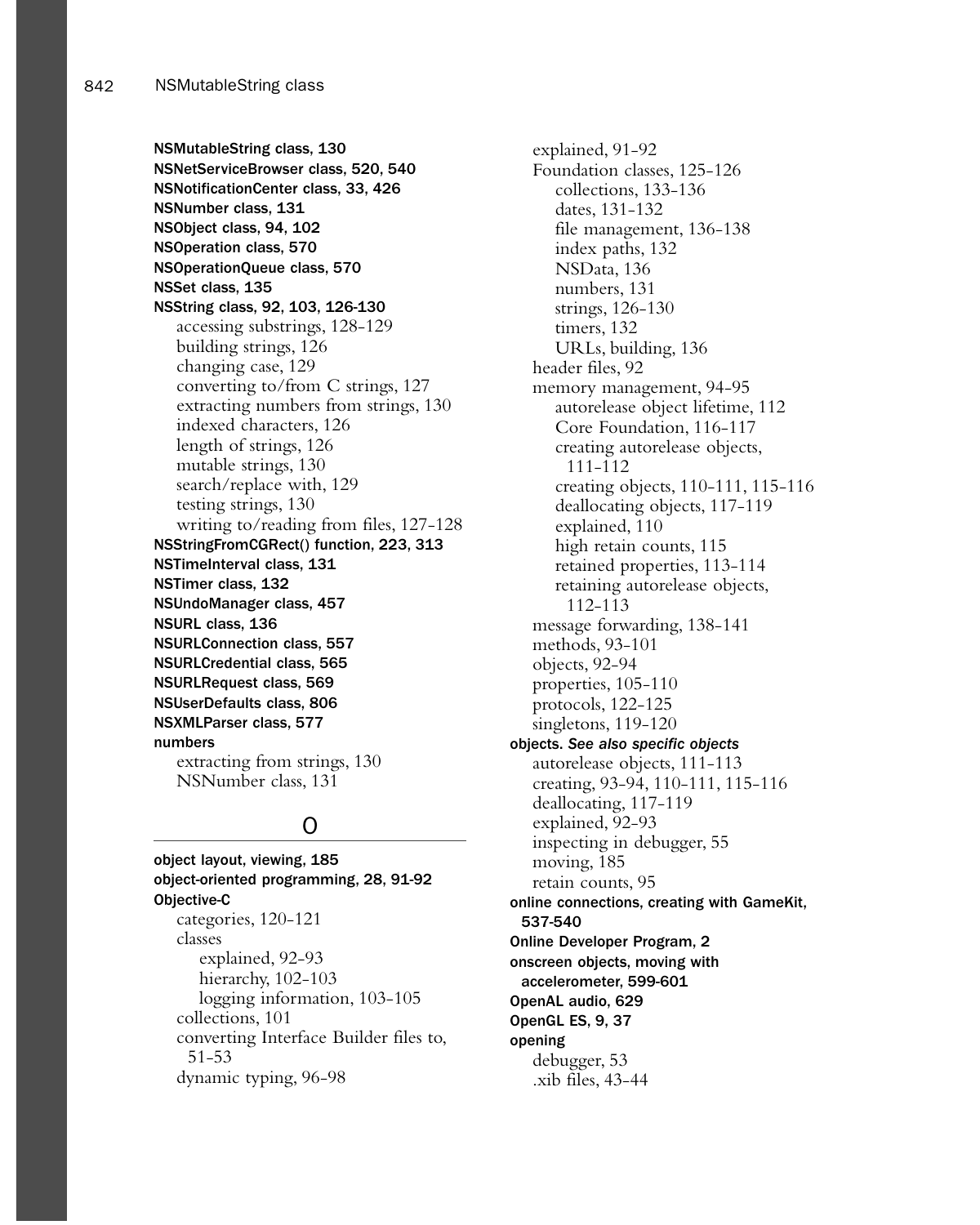NSMutableString class, 130 NSNetServiceBrowser class, 520, 540 NSNotificationCenter class, 33, 426 NSNumber class, 131 NSObject class, 94, 102 NSOperation class, 570 NSOperationQueue class, 570 NSSet class, 135 NSString class, 92, 103, 126-130 accessing substrings, 128-129 building strings, 126 changing case, 129 converting to/from C strings, 127 extracting numbers from strings, 130 indexed characters, 126 length of strings, 126 mutable strings, 130 search/replace with, 129 testing strings, 130 writing to/reading from files, 127-128 NSStringFromCGRect() function, 223, 313 NSTimeInterval class, 131 NSTimer class, 132 NSUndoManager class, 457 NSURL class, 136 NSURLConnection class, 557 NSURLCredential class, 565 NSURLRequest class, 569 NSUserDefaults class, 806 NSXMLParser class, 577 numbers extracting from strings, 130 NSNumber class, 131

#### O

object layout, viewing, 185 object-oriented programming, 28, 91-92 Objective-C categories, 120-121 classes explained, 92-93 hierarchy, 102-103 logging information, 103-105 collections, 101 converting Interface Builder files to, 51-53 dynamic typing, 96-98

explained, 91-92 Foundation classes, 125-126 collections, 133-136 dates, 131-132 file management, 136-138 index paths, 132 NSData, 136 numbers, 131 strings, 126-130 timers, 132 URLs, building, 136 header files, 92 memory management, 94-95 autorelease object lifetime, 112 Core Foundation, 116-117 creating autorelease objects, 111-112 creating objects, 110-111, 115-116 deallocating objects, 117-119 explained, 110 high retain counts, 115 retained properties, 113-114 retaining autorelease objects, 112-113 message forwarding, 138-141 methods, 93-101 objects, 92-94 properties, 105-110 protocols, 122-125 singletons, 119-120 objects. *See also specific objects* autorelease objects, 111-113 creating, 93-94, 110-111, 115-116 deallocating, 117-119 explained, 92-93 inspecting in debugger, 55 moving, 185 retain counts, 95 online connections, creating with GameKit, 537-540 Online Developer Program, 2 onscreen objects, moving with accelerometer, 599-601 OpenAL audio, 629 OpenGL ES, 9, 37 opening debugger, 53 .xib files, 43-44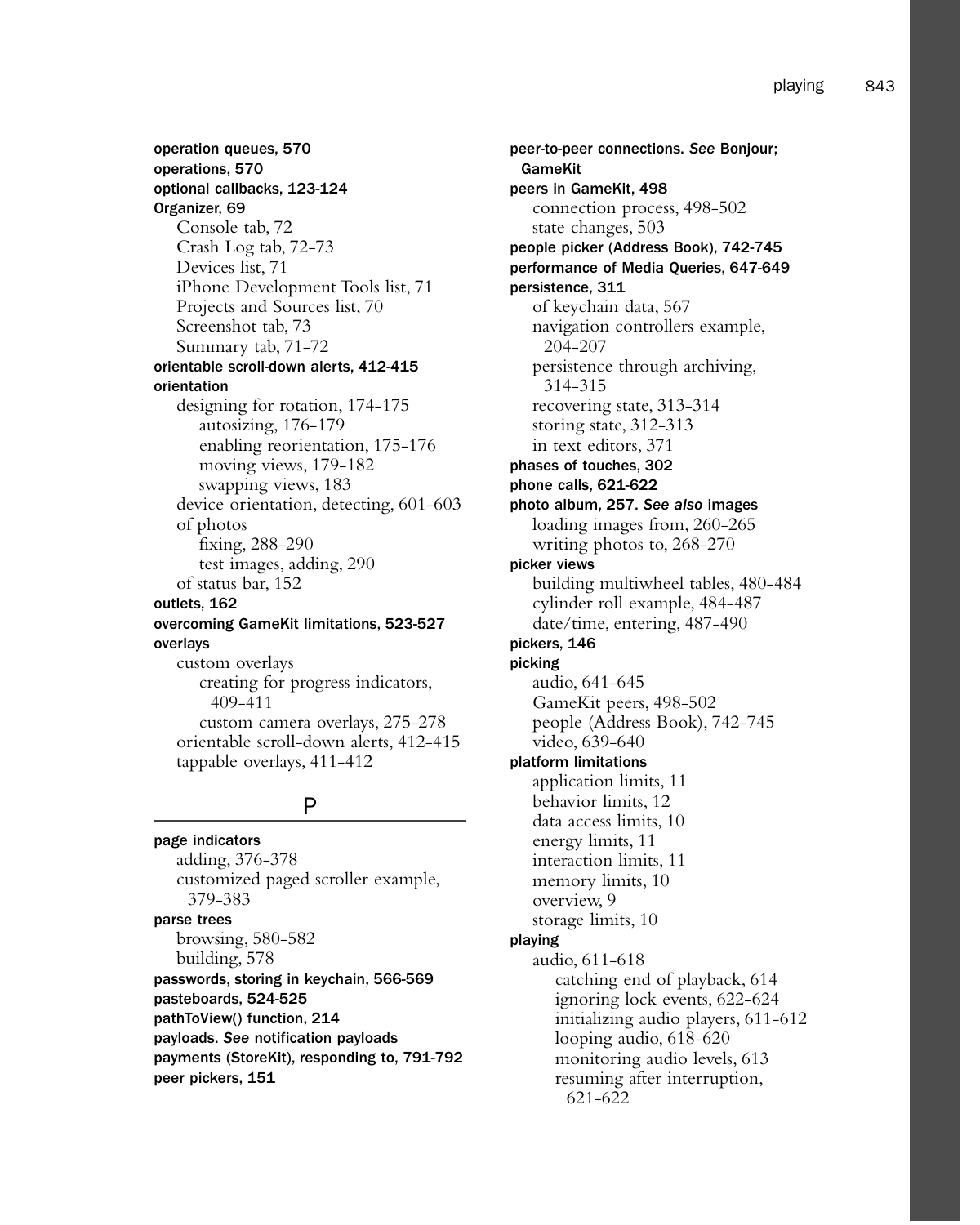operation queues, 570 operations, 570 optional callbacks, 123-124 Organizer, 69 Console tab, 72 Crash Log tab, 72-73 Devices list, 71 iPhone Development Tools list, 71 Projects and Sources list, 70 Screenshot tab, 73 Summary tab, 71-72 orientable scroll-down alerts, 412-415 orientation designing for rotation, 174-175 autosizing, 176-179 enabling reorientation, 175-176 moving views, 179-182 swapping views, 183 device orientation, detecting, 601-603 of photos fixing, 288-290 test images, adding, 290 of status bar, 152 outlets, 162 overcoming GameKit limitations, 523-527 overlays custom overlays creating for progress indicators, 409-411 custom camera overlays, 275-278 orientable scroll-down alerts, 412-415 tappable overlays, 411-412

### P

page indicators adding, 376-378 customized paged scroller example, 379-383 parse trees browsing, 580-582 building, 578 passwords, storing in keychain, 566-569 pasteboards, 524-525 pathToView() function, 214 payloads. *See* notification payloads payments (StoreKit), responding to, 791-792 peer pickers, 151

peer-to-peer connections. *See* Bonjour; GameKit peers in GameKit, 498 connection process, 498-502 state changes, 503 people picker (Address Book), 742-745 performance of Media Queries, 647-649 persistence, 311 of keychain data, 567 navigation controllers example, 204-207 persistence through archiving, 314-315 recovering state, 313-314 storing state, 312-313 in text editors, 371 phases of touches, 302 phone calls, 621-622 photo album, 257. *See also* images loading images from, 260-265 writing photos to, 268-270 picker views building multiwheel tables, 480-484 cylinder roll example, 484-487 date/time, entering, 487-490 pickers, 146 picking audio, 641-645 GameKit peers, 498-502 people (Address Book), 742-745 video, 639-640 platform limitations application limits, 11 behavior limits, 12 data access limits, 10 energy limits, 11 interaction limits, 11 memory limits, 10 overview, 9 storage limits, 10 playing audio, 611-618 catching end of playback, 614 ignoring lock events, 622-624 initializing audio players, 611-612 looping audio, 618-620 monitoring audio levels, 613 resuming after interruption, 621-622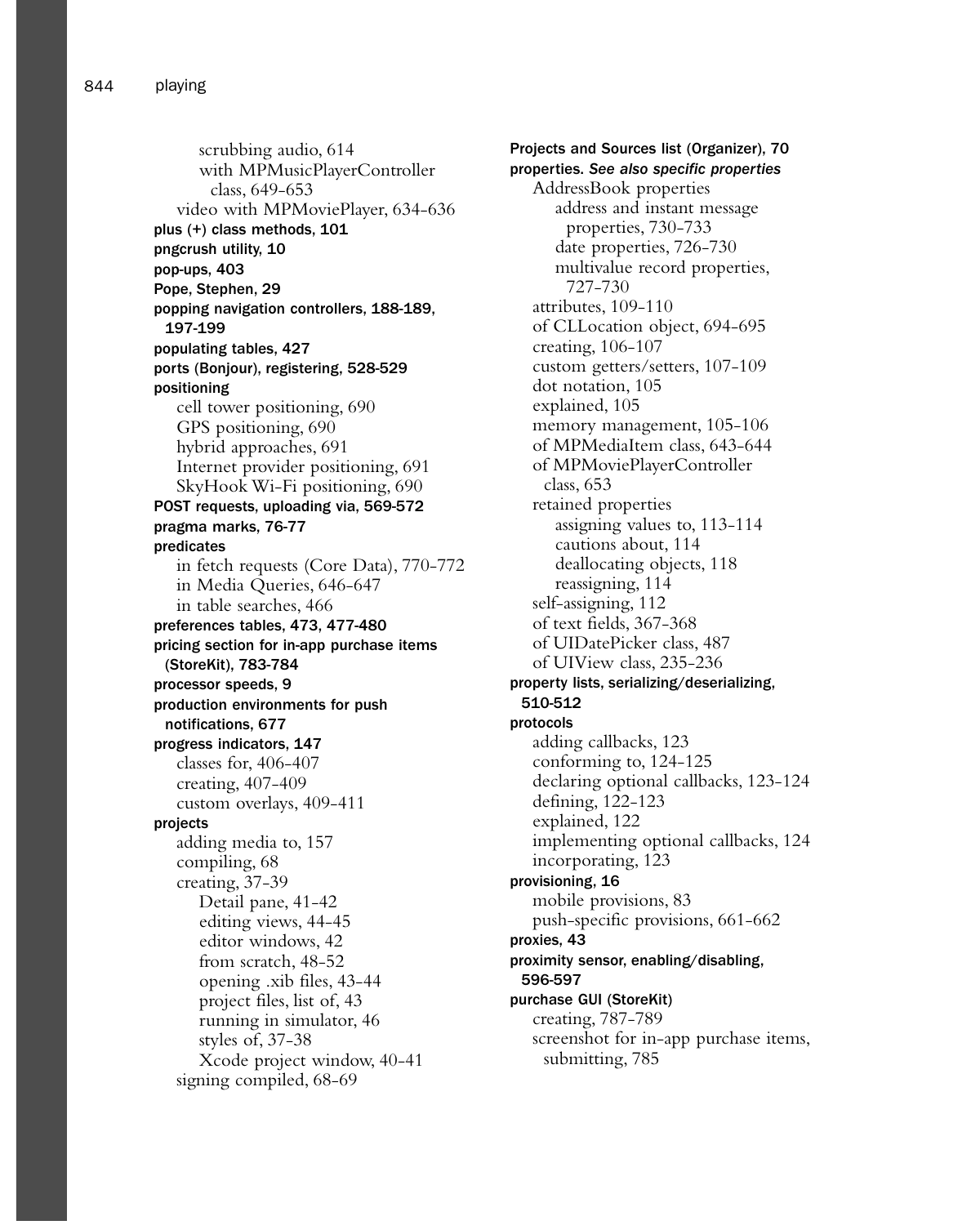scrubbing audio, 614 with MPMusicPlayerController class, 649-653 video with MPMoviePlayer, 634-636 plus (+) class methods, 101 pngcrush utility, 10 pop-ups, 403 Pope, Stephen, 29 popping navigation controllers, 188-189, 197-199 populating tables, 427 ports (Bonjour), registering, 528-529 positioning cell tower positioning, 690 GPS positioning, 690 hybrid approaches, 691 Internet provider positioning, 691 SkyHook Wi-Fi positioning, 690 POST requests, uploading via, 569-572 pragma marks, 76-77 predicates in fetch requests (Core Data), 770-772 in Media Queries, 646-647 in table searches, 466 preferences tables, 473, 477-480 pricing section for in-app purchase items (StoreKit), 783-784 processor speeds, 9 production environments for push notifications, 677 progress indicators, 147 classes for, 406-407 creating, 407-409 custom overlays, 409-411 projects adding media to, 157 compiling, 68 creating, 37-39 Detail pane, 41-42 editing views, 44-45 editor windows, 42 from scratch, 48-52 opening .xib files, 43-44 project files, list of, 43 running in simulator, 46 styles of, 37-38 Xcode project window, 40-41 signing compiled, 68-69

Projects and Sources list (Organizer), 70 properties. *See also specific properties* AddressBook properties address and instant message properties, 730-733 date properties, 726-730 multivalue record properties, 727-730 attributes, 109-110 of CLLocation object, 694-695 creating, 106-107 custom getters/setters, 107-109 dot notation, 105 explained, 105 memory management, 105-106 of MPMediaItem class, 643-644 of MPMoviePlayerController class, 653 retained properties assigning values to, 113-114 cautions about, 114 deallocating objects, 118 reassigning, 114 self-assigning, 112 of text fields, 367-368 of UIDatePicker class, 487 of UIView class, 235-236 property lists, serializing/deserializing, 510-512 protocols adding callbacks, 123 conforming to, 124-125 declaring optional callbacks, 123-124 defining, 122-123 explained, 122 implementing optional callbacks, 124 incorporating, 123 provisioning, 16 mobile provisions, 83 push-specific provisions, 661-662 proxies, 43 proximity sensor, enabling/disabling, 596-597 purchase GUI (StoreKit) creating, 787-789 screenshot for in-app purchase items, submitting, 785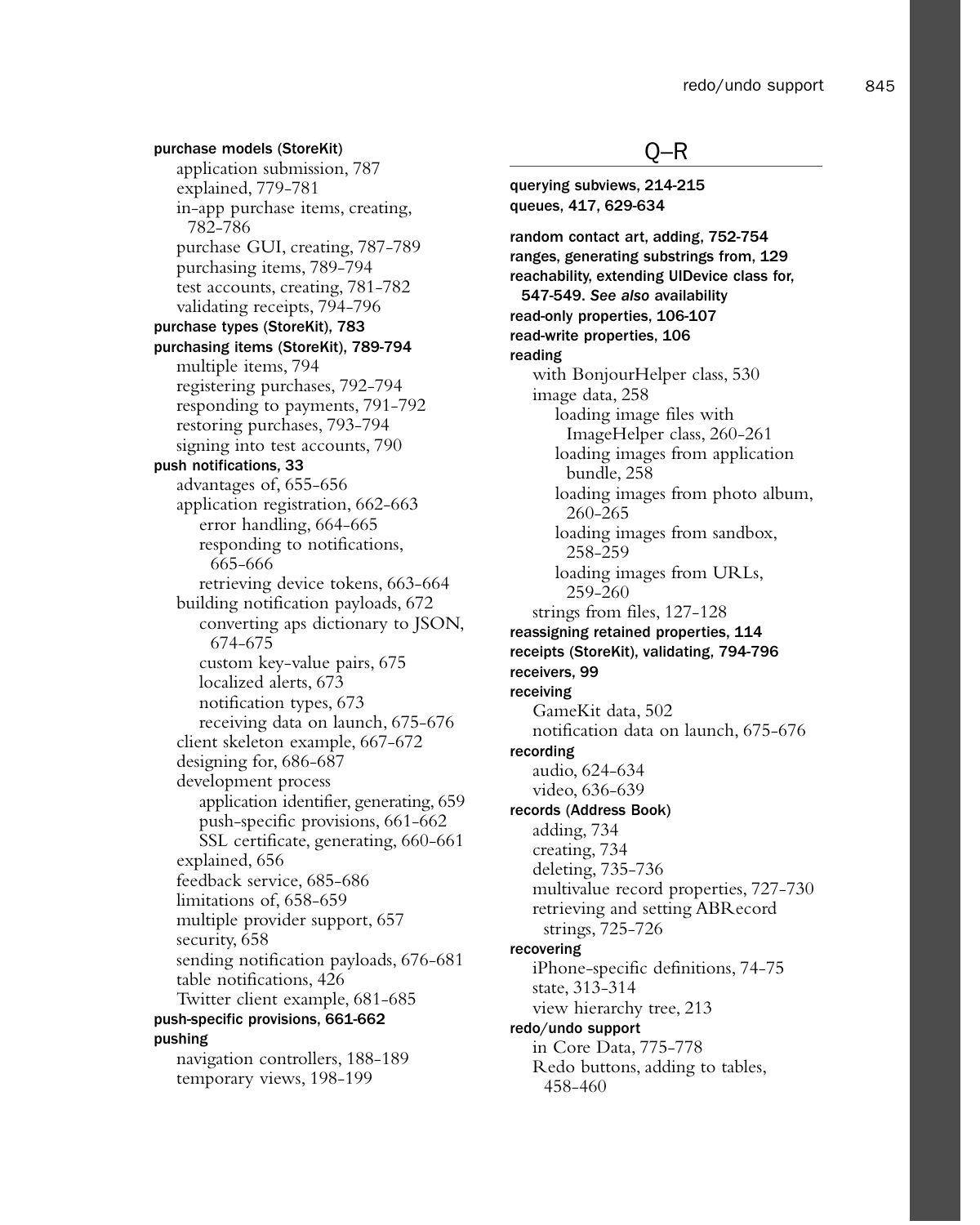purchase models (StoreKit) application submission, 787 explained, 779-781 in-app purchase items, creating, 782-786 purchase GUI, creating, 787-789 purchasing items, 789-794 test accounts, creating, 781-782 validating receipts, 794-796 purchase types (StoreKit), 783 purchasing items (StoreKit), 789-794 multiple items, 794 registering purchases, 792-794 responding to payments, 791-792 restoring purchases, 793-794 signing into test accounts, 790 push notifications, 33 advantages of, 655-656 application registration, 662-663 error handling, 664-665 responding to notifications, 665-666 retrieving device tokens, 663-664 building notification payloads, 672 converting aps dictionary to JSON, 674-675 custom key-value pairs, 675 localized alerts, 673 notification types, 673 receiving data on launch, 675-676 client skeleton example, 667-672 designing for, 686-687 development process application identifier, generating, 659 push-specific provisions, 661-662 SSL certificate, generating, 660-661 explained, 656 feedback service, 685-686 limitations of, 658-659 multiple provider support, 657 security, 658 sending notification payloads, 676-681 table notifications, 426 Twitter client example, 681-685 push-specific provisions, 661-662 pushing navigation controllers, 188-189 temporary views, 198-199

# Q–R

querying subviews, 214-215 queues, 417, 629-634 random contact art, adding, 752-754 ranges, generating substrings from, 129 reachability, extending UIDevice class for, 547-549. *See also* availability read-only properties, 106-107 read-write properties, 106 reading with BonjourHelper class, 530 image data, 258 loading image files with ImageHelper class, 260-261 loading images from application bundle, 258 loading images from photo album, 260-265 loading images from sandbox, 258-259 loading images from URLs, 259-260 strings from files, 127-128 reassigning retained properties, 114 receipts (StoreKit), validating, 794-796 receivers, 99 receiving GameKit data, 502 notification data on launch, 675-676 recording audio, 624-634 video, 636-639 records (Address Book) adding, 734 creating, 734 deleting, 735-736 multivalue record properties, 727-730 retrieving and setting ABRecord strings, 725-726 recovering iPhone-specific definitions, 74-75 state, 313-314 view hierarchy tree, 213 redo/undo support in Core Data, 775-778 Redo buttons, adding to tables, 458-460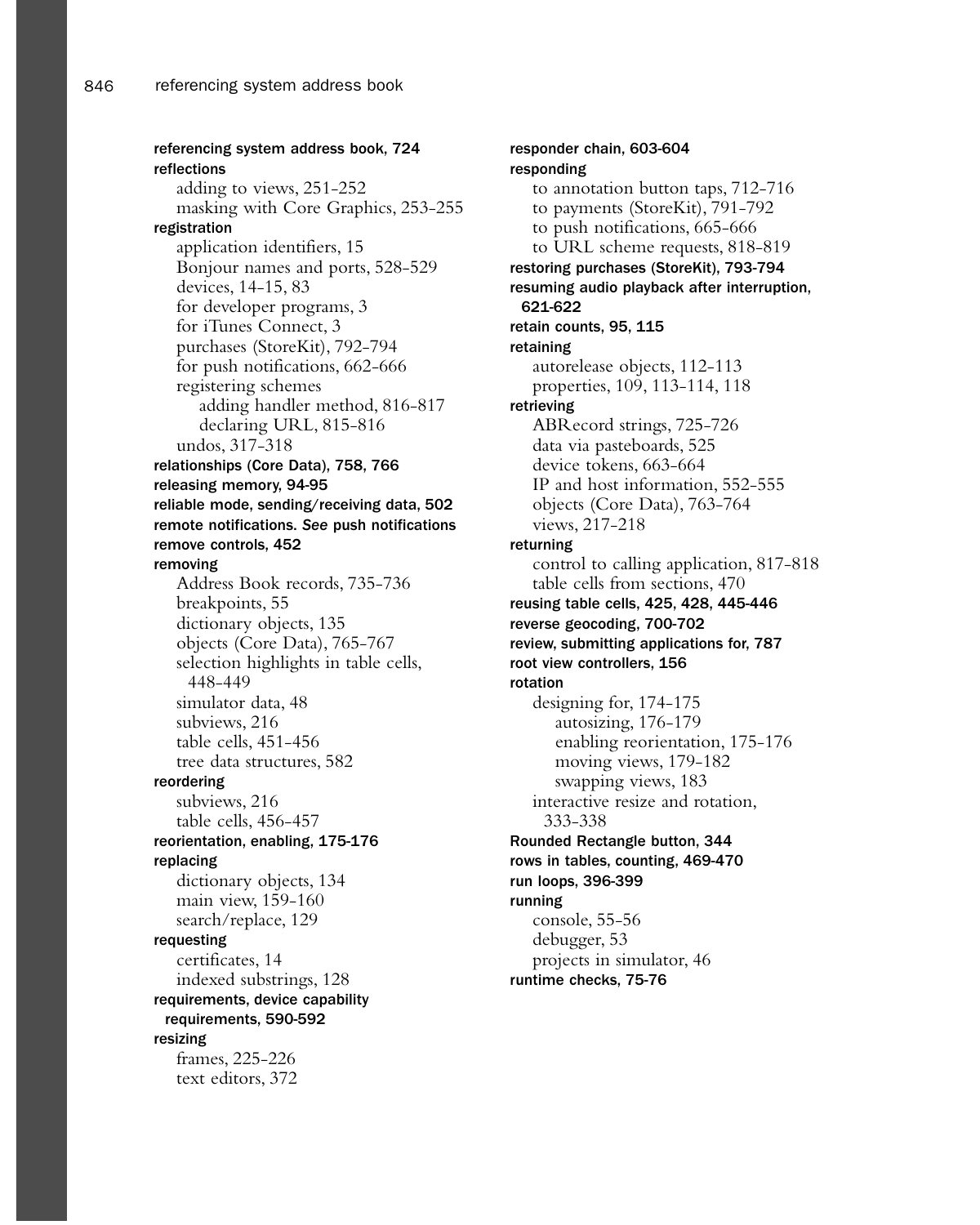referencing system address book, 724 reflections adding to views, 251-252 masking with Core Graphics, 253-255 registration application identifiers, 15 Bonjour names and ports, 528-529 devices, 14-15, 83 for developer programs, 3 for iTunes Connect, 3 purchases (StoreKit), 792-794 for push notifications, 662-666 registering schemes adding handler method, 816-817 declaring URL, 815-816 undos, 317-318 relationships (Core Data), 758, 766 releasing memory, 94-95 reliable mode, sending/receiving data, 502 remote notifications. *See* push notifications remove controls, 452 removing Address Book records, 735-736 breakpoints, 55 dictionary objects, 135 objects (Core Data), 765-767 selection highlights in table cells, 448-449 simulator data, 48 subviews, 216 table cells, 451-456 tree data structures, 582 reordering subviews, 216 table cells, 456-457 reorientation, enabling, 175-176 replacing dictionary objects, 134 main view, 159-160 search/replace, 129 requesting certificates, 14 indexed substrings, 128 requirements, device capability requirements, 590-592 resizing frames, 225-226 text editors, 372

responder chain, 603-604 responding to annotation button taps, 712-716 to payments (StoreKit), 791-792 to push notifications, 665-666 to URL scheme requests, 818-819 restoring purchases (StoreKit), 793-794 resuming audio playback after interruption, 621-622 retain counts, 95, 115 retaining autorelease objects, 112-113 properties, 109, 113-114, 118 retrieving ABRecord strings, 725-726 data via pasteboards, 525 device tokens, 663-664 IP and host information, 552-555 objects (Core Data), 763-764 views, 217-218 returning control to calling application, 817-818 table cells from sections, 470 reusing table cells, 425, 428, 445-446 reverse geocoding, 700-702 review, submitting applications for, 787 root view controllers, 156 rotation designing for, 174-175 autosizing, 176-179 enabling reorientation, 175-176 moving views, 179-182 swapping views, 183 interactive resize and rotation, 333-338 Rounded Rectangle button, 344 rows in tables, counting, 469-470 run loops, 396-399 running console, 55-56 debugger, 53 projects in simulator, 46 runtime checks, 75-76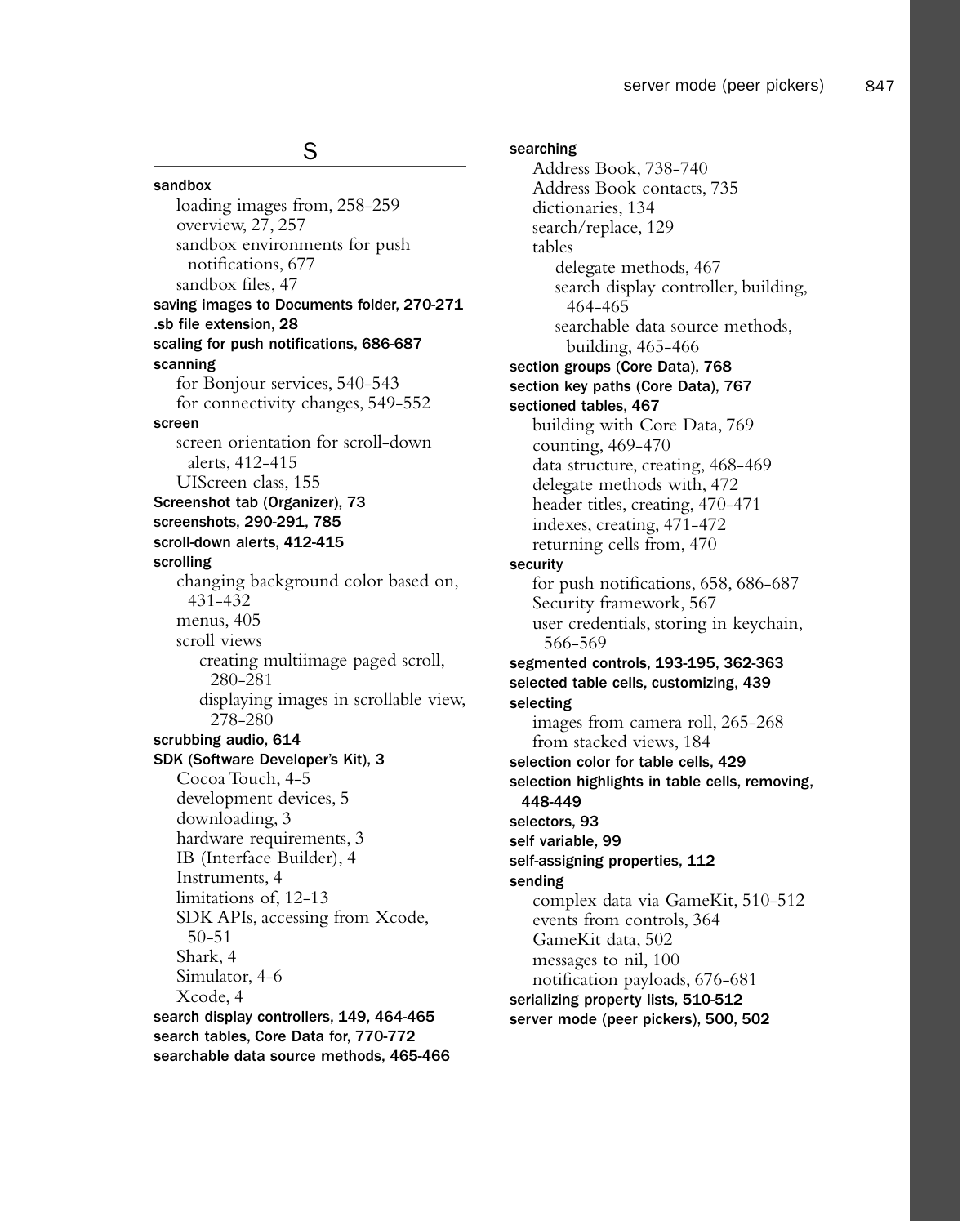#### S

sandbox loading images from, 258-259 overview, 27, 257 sandbox environments for push notifications, 677 sandbox files, 47 saving images to Documents folder, 270-271 .sb file extension, 28 scaling for push notifications, 686-687 scanning for Bonjour services, 540-543 for connectivity changes, 549-552 screen screen orientation for scroll-down alerts, 412-415 UIScreen class, 155 Screenshot tab (Organizer), 73 screenshots, 290-291, 785 scroll-down alerts, 412-415 scrolling changing background color based on, 431-432 menus, 405 scroll views creating multiimage paged scroll, 280-281 displaying images in scrollable view, 278-280 scrubbing audio, 614 SDK (Software Developer's Kit), 3 Cocoa Touch, 4-5 development devices, 5 downloading, 3 hardware requirements, 3 IB (Interface Builder), 4 Instruments, 4 limitations of, 12-13 SDK APIs, accessing from Xcode, 50-51 Shark, 4 Simulator, 4-6 Xcode, 4 search display controllers, 149, 464-465 search tables, Core Data for, 770-772 searchable data source methods, 465-466

searching Address Book, 738-740 Address Book contacts, 735 dictionaries, 134 search/replace, 129 tables delegate methods, 467 search display controller, building, 464-465 searchable data source methods, building, 465-466 section groups (Core Data), 768 section key paths (Core Data), 767 sectioned tables, 467 building with Core Data, 769 counting, 469-470 data structure, creating, 468-469 delegate methods with, 472 header titles, creating, 470-471 indexes, creating, 471-472 returning cells from, 470 security for push notifications, 658, 686-687 Security framework, 567 user credentials, storing in keychain, 566-569 segmented controls, 193-195, 362-363 selected table cells, customizing, 439 selecting images from camera roll, 265-268 from stacked views, 184 selection color for table cells, 429 selection highlights in table cells, removing, 448-449 selectors, 93 self variable, 99 self-assigning properties, 112 sending complex data via GameKit, 510-512 events from controls, 364 GameKit data, 502 messages to nil, 100 notification payloads, 676-681 serializing property lists, 510-512 server mode (peer pickers), 500, 502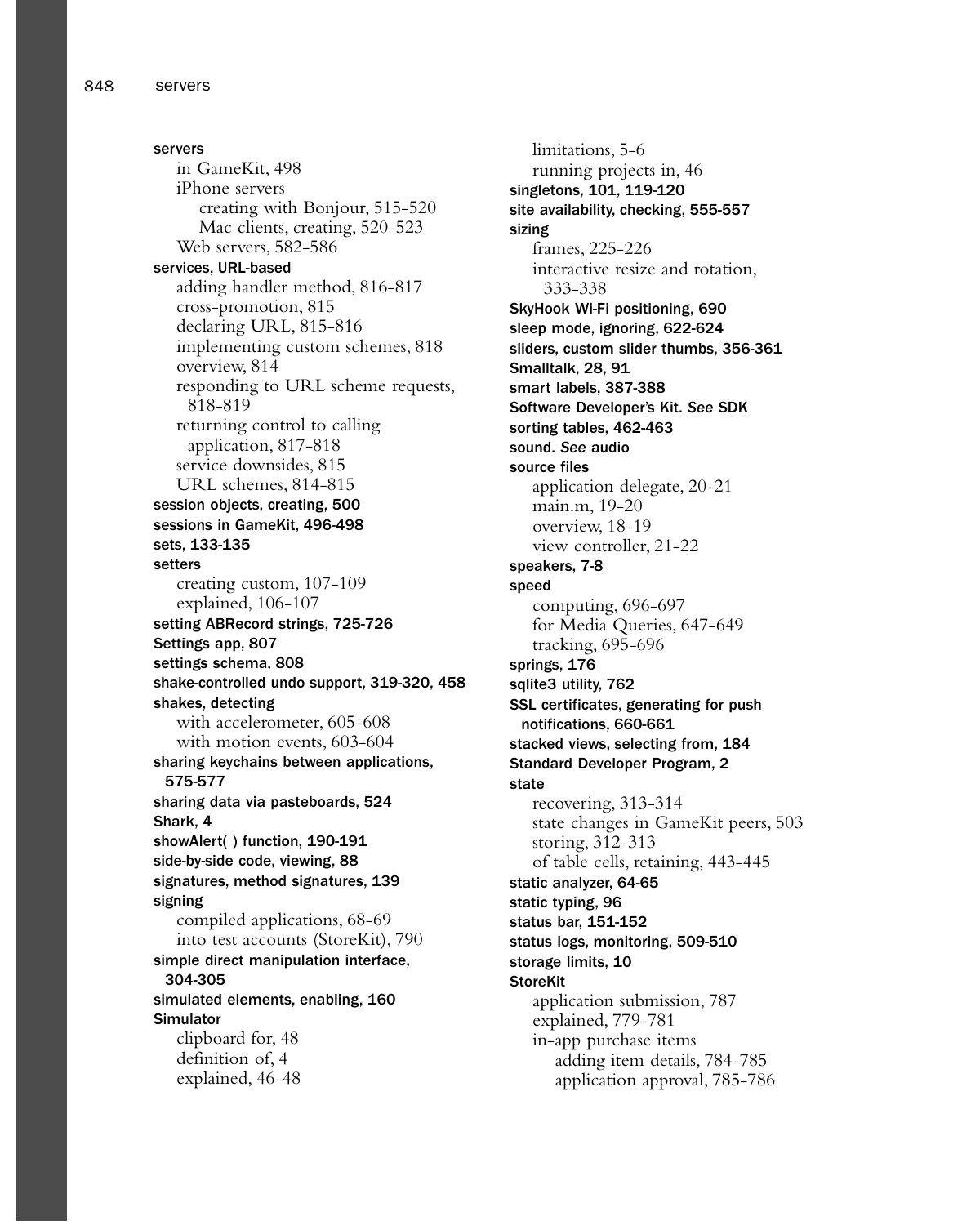servers in GameKit, 498 iPhone servers creating with Bonjour, 515-520 Mac clients, creating, 520-523 Web servers, 582-586 services, URL-based adding handler method, 816-817 cross-promotion, 815 declaring URL, 815-816 implementing custom schemes, 818 overview, 814 responding to URL scheme requests, 818-819 returning control to calling application, 817-818 service downsides, 815 URL schemes, 814-815 session objects, creating, 500 sessions in GameKit, 496-498 sets, 133-135 setters creating custom, 107-109 explained, 106-107 setting ABRecord strings, 725-726 Settings app, 807 settings schema, 808 shake-controlled undo support, 319-320, 458 shakes, detecting with accelerometer, 605-608 with motion events, 603-604 sharing keychains between applications, 575-577 sharing data via pasteboards, 524 Shark, 4 showAlert( ) function, 190-191 side-by-side code, viewing, 88 signatures, method signatures, 139 signing compiled applications, 68-69 into test accounts (StoreKit), 790 simple direct manipulation interface, 304-305 simulated elements, enabling, 160 Simulator clipboard for, 48 definition of, 4 explained, 46-48

limitations, 5-6 running projects in, 46 singletons, 101, 119-120 site availability, checking, 555-557 sizing frames, 225-226 interactive resize and rotation, 333-338 SkyHook Wi-Fi positioning, 690 sleep mode, ignoring, 622-624 sliders, custom slider thumbs, 356-361 Smalltalk, 28, 91 smart labels, 387-388 Software Developer's Kit. *See* SDK sorting tables, 462-463 sound. *See* audio source files application delegate, 20-21 main.m, 19-20 overview, 18-19 view controller, 21-22 speakers, 7-8 speed computing, 696-697 for Media Queries, 647-649 tracking, 695-696 springs, 176 sqlite3 utility, 762 SSL certificates, generating for push notifications, 660-661 stacked views, selecting from, 184 Standard Developer Program, 2 state recovering, 313-314 state changes in GameKit peers, 503 storing, 312-313 of table cells, retaining, 443-445 static analyzer, 64-65 static typing, 96 status bar, 151-152 status logs, monitoring, 509-510 storage limits, 10 **StoreKit** application submission, 787 explained, 779-781 in-app purchase items adding item details, 784-785 application approval, 785-786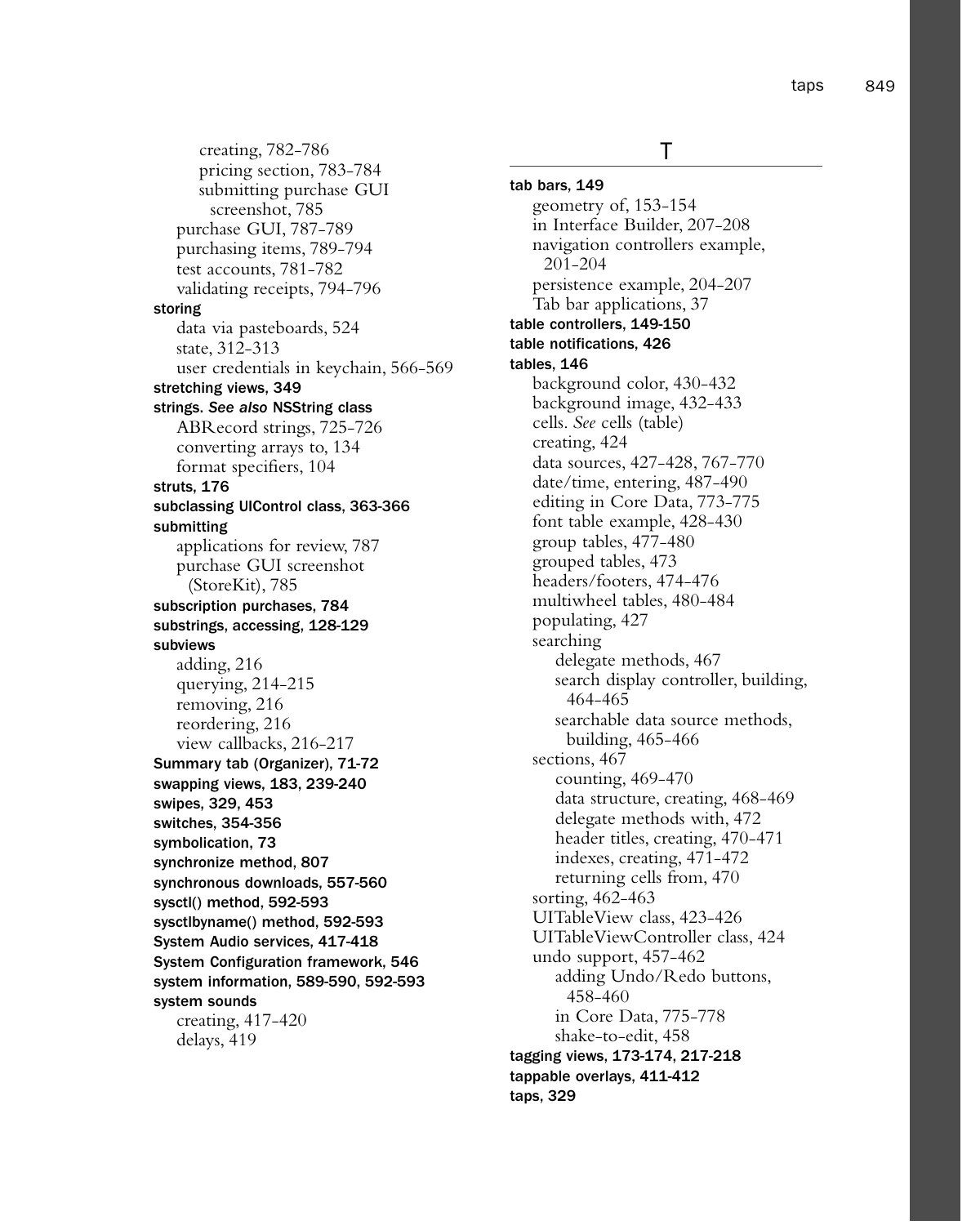creating, 782-786 pricing section, 783-784 submitting purchase GUI screenshot, 785 purchase GUI, 787-789 purchasing items, 789-794 test accounts, 781-782 validating receipts, 794-796 storing data via pasteboards, 524 state, 312-313 user credentials in keychain, 566-569 stretching views, 349 strings. *See also* NSString class ABRecord strings, 725-726 converting arrays to, 134 format specifiers, 104 struts, 176 subclassing UIControl class, 363-366 submitting applications for review, 787 purchase GUI screenshot (StoreKit), 785 subscription purchases, 784 substrings, accessing, 128-129 subviews adding, 216 querying, 214-215 removing, 216 reordering, 216 view callbacks, 216-217 Summary tab (Organizer), 71-72 swapping views, 183, 239-240 swipes, 329, 453 switches, 354-356 symbolication, 73 synchronize method, 807 synchronous downloads, 557-560 sysctl() method, 592-593 sysctlbyname() method, 592-593 System Audio services, 417-418 System Configuration framework, 546 system information, 589-590, 592-593 system sounds creating, 417-420 delays, 419

## T

tab bars, 149 geometry of, 153-154 in Interface Builder, 207-208 navigation controllers example, 201-204 persistence example, 204-207 Tab bar applications, 37 table controllers, 149-150 table notifications, 426 tables, 146 background color, 430-432 background image, 432-433 cells. *See* cells (table) creating, 424 data sources, 427-428, 767-770 date/time, entering, 487-490 editing in Core Data, 773-775 font table example, 428-430 group tables, 477-480 grouped tables, 473 headers/footers, 474-476 multiwheel tables, 480-484 populating, 427 searching delegate methods, 467 search display controller, building, 464-465 searchable data source methods, building, 465-466 sections, 467 counting, 469-470 data structure, creating, 468-469 delegate methods with, 472 header titles, creating, 470-471 indexes, creating, 471-472 returning cells from, 470 sorting, 462-463 UITableView class, 423-426 UITableViewController class, 424 undo support, 457-462 adding Undo/Redo buttons, 458-460 in Core Data, 775-778 shake-to-edit, 458 tagging views, 173-174, 217-218 tappable overlays, 411-412 taps, 329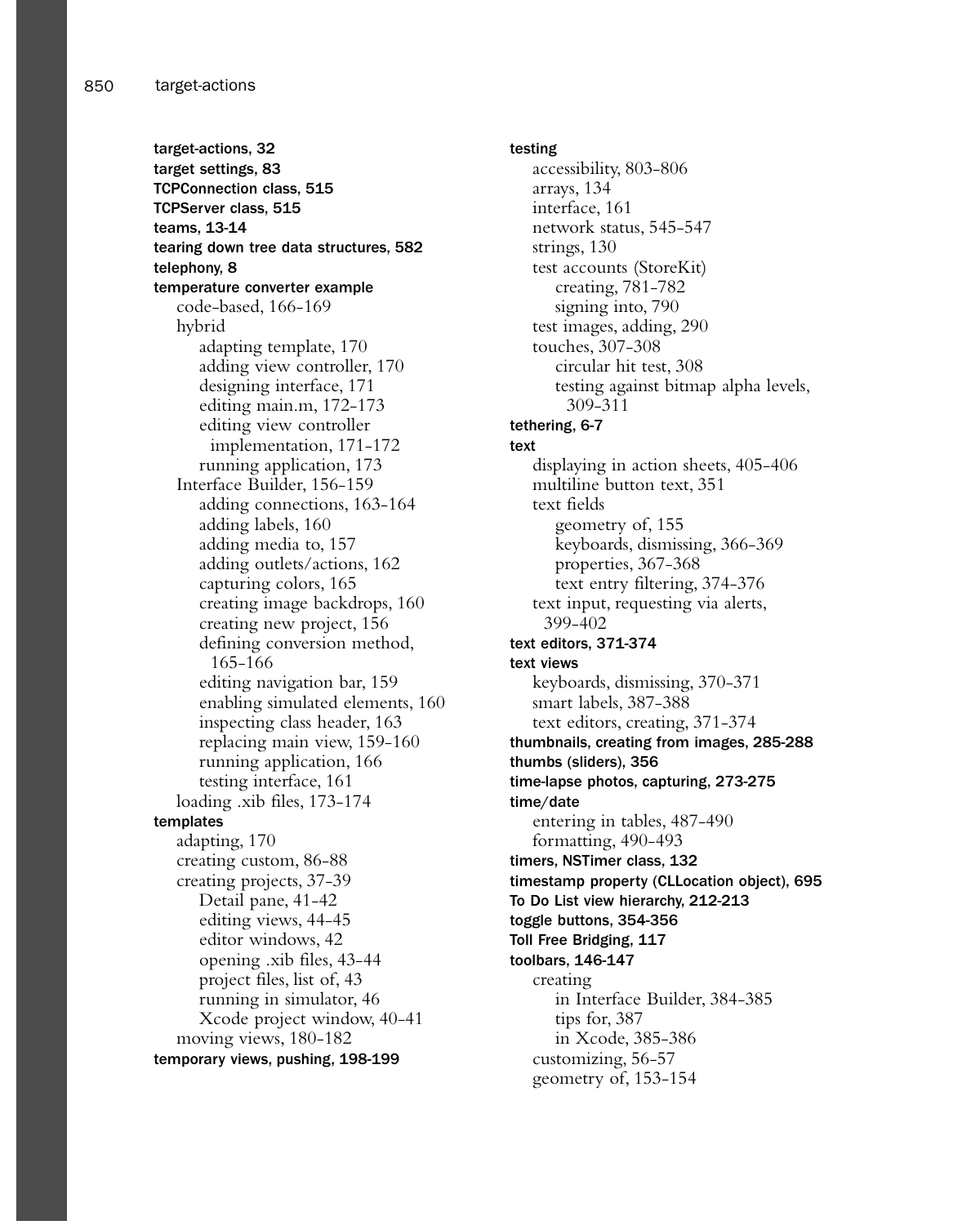target-actions, 32 target settings, 83 TCPConnection class, 515 TCPServer class, 515 teams, 13-14 tearing down tree data structures, 582 telephony, 8 temperature converter example code-based, 166-169 hybrid adapting template, 170 adding view controller, 170 designing interface, 171 editing main.m, 172-173 editing view controller implementation, 171-172 running application, 173 Interface Builder, 156-159 adding connections, 163-164 adding labels, 160 adding media to, 157 adding outlets/actions, 162 capturing colors, 165 creating image backdrops, 160 creating new project, 156 defining conversion method, 165-166 editing navigation bar, 159 enabling simulated elements, 160 inspecting class header, 163 replacing main view, 159-160 running application, 166 testing interface, 161 loading .xib files, 173-174 templates adapting, 170 creating custom, 86-88 creating projects, 37-39 Detail pane, 41-42 editing views, 44-45 editor windows, 42 opening .xib files, 43-44 project files, list of, 43 running in simulator, 46 Xcode project window, 40-41 moving views, 180-182 temporary views, pushing, 198-199

testing accessibility, 803-806 arrays, 134 interface, 161 network status, 545-547 strings, 130 test accounts (StoreKit) creating, 781-782 signing into, 790 test images, adding, 290 touches, 307-308 circular hit test, 308 testing against bitmap alpha levels, 309-311 tethering, 6-7 text displaying in action sheets, 405-406 multiline button text, 351 text fields geometry of, 155 keyboards, dismissing, 366-369 properties, 367-368 text entry filtering, 374-376 text input, requesting via alerts, 399-402 text editors, 371-374 text views keyboards, dismissing, 370-371 smart labels, 387-388 text editors, creating, 371-374 thumbnails, creating from images, 285-288 thumbs (sliders), 356 time-lapse photos, capturing, 273-275 time/date entering in tables, 487-490 formatting, 490-493 timers, NSTimer class, 132 timestamp property (CLLocation object), 695 To Do List view hierarchy, 212-213 toggle buttons, 354-356 Toll Free Bridging, 117 toolbars, 146-147 creating in Interface Builder, 384-385 tips for, 387 in Xcode, 385-386 customizing, 56-57 geometry of, 153-154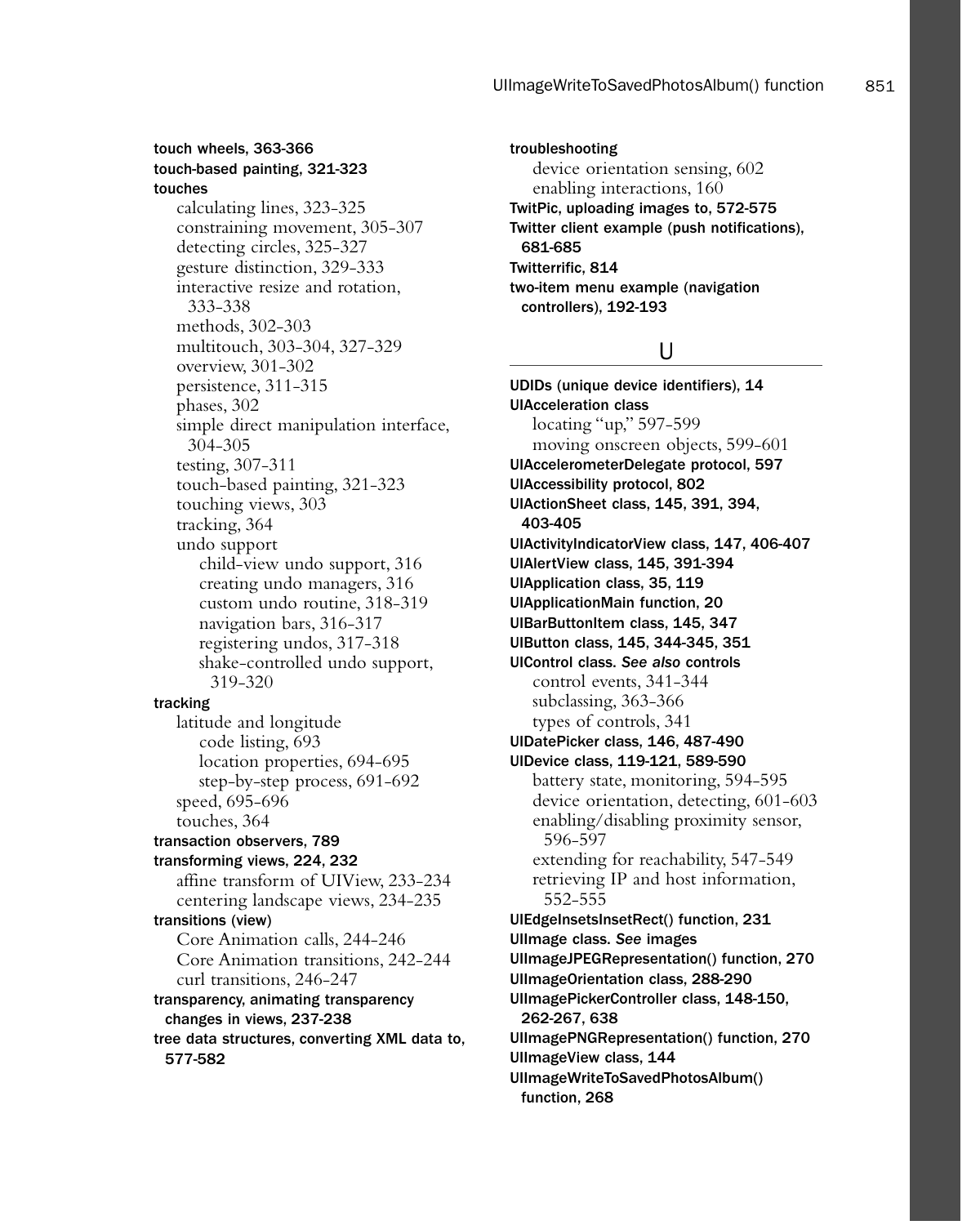UIImageWriteToSavedPhotosAlbum() function 851

#### touch wheels, 363-366 touch-based painting, 321-323 touches

calculating lines, 323-325 constraining movement, 305-307 detecting circles, 325-327 gesture distinction, 329-333 interactive resize and rotation, 333-338 methods, 302-303 multitouch, 303-304, 327-329 overview, 301-302 persistence, 311-315 phases, 302 simple direct manipulation interface, 304-305 testing, 307-311 touch-based painting, 321-323 touching views, 303 tracking, 364 undo support child-view undo support, 316 creating undo managers, 316 custom undo routine, 318-319 navigation bars, 316-317 registering undos, 317-318 shake-controlled undo support, 319-320 tracking latitude and longitude code listing, 693 location properties, 694-695 step-by-step process, 691-692 speed, 695-696 touches, 364 transaction observers, 789 transforming views, 224, 232 affine transform of UIView, 233-234 centering landscape views, 234-235 transitions (view) Core Animation calls, 244-246 Core Animation transitions, 242-244 curl transitions, 246-247 transparency, animating transparency changes in views, 237-238 tree data structures, converting XML data to, 577-582

troubleshooting device orientation sensing, 602 enabling interactions, 160 TwitPic, uploading images to, 572-575 Twitter client example (push notifications), 681-685 Twitterrific, 814 two-item menu example (navigation controllers), 192-193

### $\mathbf{U}$

UDIDs (unique device identifiers), 14 UIAcceleration class locating "up," 597-599 moving onscreen objects, 599-601 UIAccelerometerDelegate protocol, 597 UIAccessibility protocol, 802 UIActionSheet class, 145, 391, 394, 403-405 UIActivityIndicatorView class, 147, 406-407 UIAlertView class, 145, 391-394 UIApplication class, 35, 119 UIApplicationMain function, 20 UIBarButtonItem class, 145, 347 UIButton class, 145, 344-345, 351 UIControl class. *See also* controls control events, 341-344 subclassing, 363-366 types of controls, 341 UIDatePicker class, 146, 487-490 UIDevice class, 119-121, 589-590 battery state, monitoring, 594-595 device orientation, detecting, 601-603 enabling/disabling proximity sensor, 596-597 extending for reachability, 547-549 retrieving IP and host information, 552-555 UIEdgeInsetsInsetRect() function, 231 UIImage class. *See* images UIImageJPEGRepresentation() function, 270 UIImageOrientation class, 288-290 UIImagePickerController class, 148-150, 262-267, 638 UIImagePNGRepresentation() function, 270 UIImageView class, 144 UIImageWriteToSavedPhotosAlbum() function, 268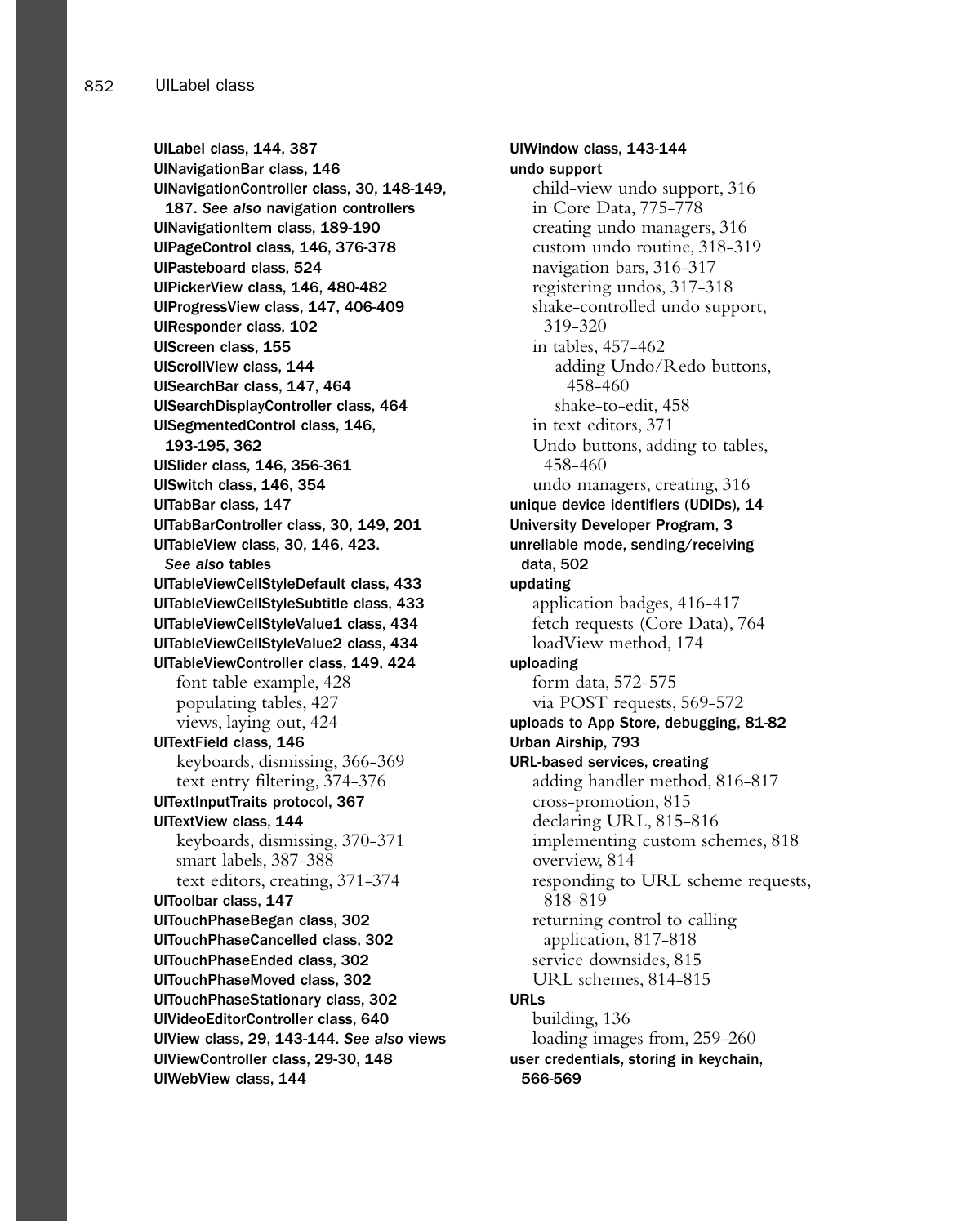UILabel class, 144, 387 UINavigationBar class, 146 UINavigationController class, 30, 148-149, 187. *See also* navigation controllers UINavigationItem class, 189-190 UIPageControl class, 146, 376-378 UIPasteboard class, 524 UIPickerView class, 146, 480-482 UIProgressView class, 147, 406-409 UIResponder class, 102 UIScreen class, 155 UIScrollView class, 144 UISearchBar class, 147, 464 UISearchDisplayController class, 464 UISegmentedControl class, 146, 193-195, 362 UISlider class, 146, 356-361 UISwitch class, 146, 354 UITabBar class, 147 UITabBarController class, 30, 149, 201 UITableView class, 30, 146, 423. *See also* tables UITableViewCellStyleDefault class, 433 UITableViewCellStyleSubtitle class, 433 UITableViewCellStyleValue1 class, 434 UITableViewCellStyleValue2 class, 434 UITableViewController class, 149, 424 font table example, 428 populating tables, 427 views, laying out, 424 UITextField class, 146 keyboards, dismissing, 366-369 text entry filtering, 374-376 UITextInputTraits protocol, 367 UITextView class, 144 keyboards, dismissing, 370-371 smart labels, 387-388 text editors, creating, 371-374 UIToolbar class, 147 UITouchPhaseBegan class, 302 UITouchPhaseCancelled class, 302 UITouchPhaseEnded class, 302 UITouchPhaseMoved class, 302 UITouchPhaseStationary class, 302 UIVideoEditorController class, 640 UIView class, 29, 143-144. *See also* views UIViewController class, 29-30, 148 UIWebView class, 144

UIWindow class, 143-144 undo support child-view undo support, 316 in Core Data, 775-778 creating undo managers, 316 custom undo routine, 318-319 navigation bars, 316-317 registering undos, 317-318 shake-controlled undo support, 319-320 in tables, 457-462 adding Undo/Redo buttons, 458-460 shake-to-edit, 458 in text editors, 371 Undo buttons, adding to tables, 458-460 undo managers, creating, 316 unique device identifiers (UDIDs), 14 University Developer Program, 3 unreliable mode, sending/receiving data, 502 updating application badges, 416-417 fetch requests (Core Data), 764 loadView method, 174 uploading form data, 572-575 via POST requests, 569-572 uploads to App Store, debugging, 81-82 Urban Airship, 793 URL-based services, creating adding handler method, 816-817 cross-promotion, 815 declaring URL, 815-816 implementing custom schemes, 818 overview, 814 responding to URL scheme requests, 818-819 returning control to calling application, 817-818 service downsides, 815 URL schemes, 814-815 URLs building, 136 loading images from, 259-260 user credentials, storing in keychain, 566-569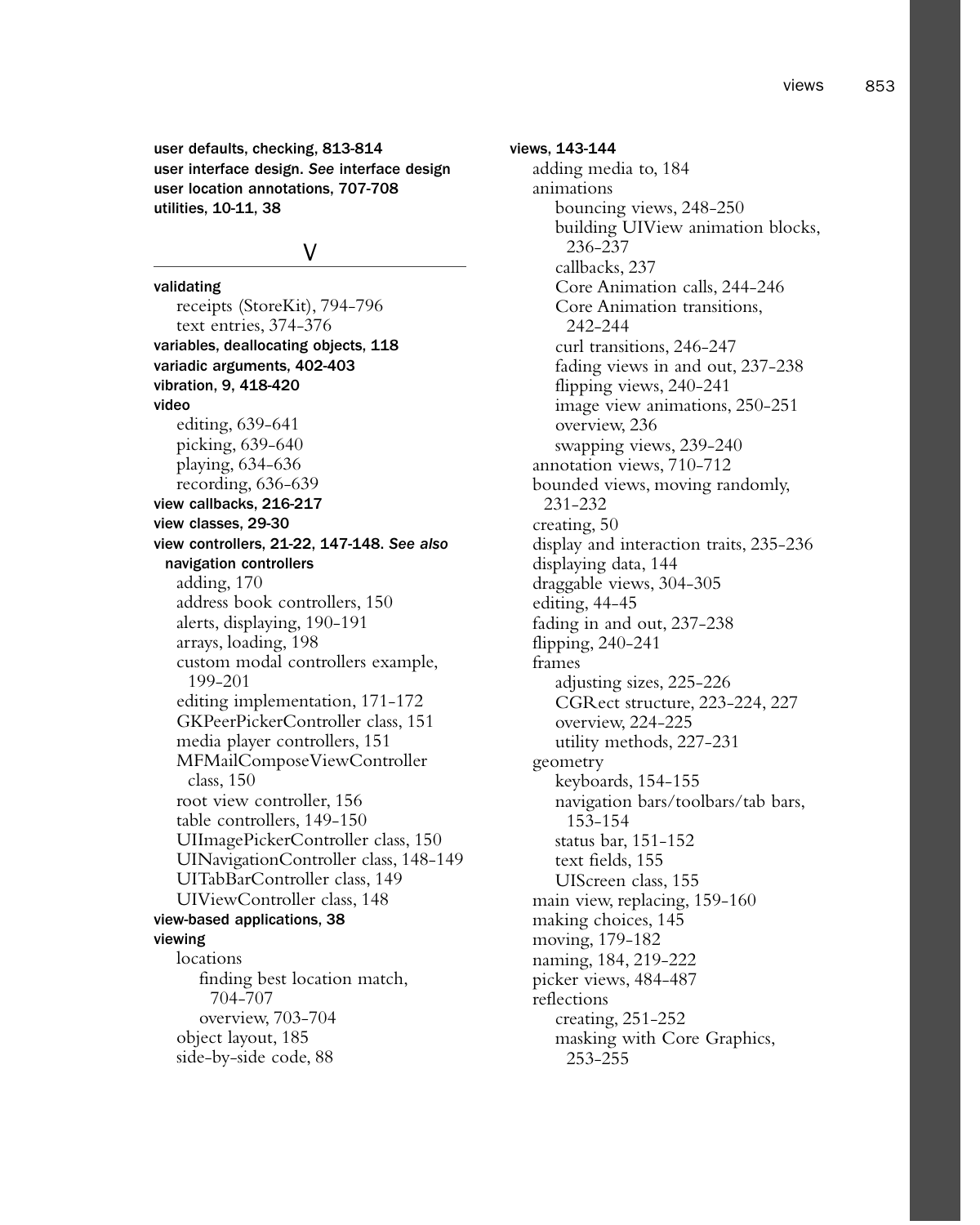user defaults, checking, 813-814 user interface design. *See* interface design user location annotations, 707-708 utilities, 10-11, 38

#### V

validating receipts (StoreKit), 794-796 text entries, 374-376 variables, deallocating objects, 118 variadic arguments, 402-403 vibration, 9, 418-420 video editing, 639-641 picking, 639-640 playing, 634-636 recording, 636-639 view callbacks, 216-217 view classes, 29-30 view controllers, 21-22, 147-148. *See also* navigation controllers adding, 170 address book controllers, 150 alerts, displaying, 190-191 arrays, loading, 198 custom modal controllers example, 199-201 editing implementation, 171-172 GKPeerPickerController class, 151 media player controllers, 151 MFMailComposeViewController class, 150 root view controller, 156 table controllers, 149-150 UIImagePickerController class, 150 UINavigationController class, 148-149 UITabBarController class, 149 UIViewController class, 148 view-based applications, 38 viewing locations finding best location match, 704-707 overview, 703-704 object layout, 185 side-by-side code, 88

views, 143-144 adding media to, 184 animations bouncing views, 248-250 building UIView animation blocks, 236-237 callbacks, 237 Core Animation calls, 244-246 Core Animation transitions, 242-244 curl transitions, 246-247 fading views in and out, 237-238 flipping views, 240-241 image view animations, 250-251 overview, 236 swapping views, 239-240 annotation views, 710-712 bounded views, moving randomly, 231-232 creating, 50 display and interaction traits, 235-236 displaying data, 144 draggable views, 304-305 editing, 44-45 fading in and out, 237-238 flipping, 240-241 frames adjusting sizes, 225-226 CGRect structure, 223-224, 227 overview, 224-225 utility methods, 227-231 geometry keyboards, 154-155 navigation bars/toolbars/tab bars, 153-154 status bar, 151-152 text fields, 155 UIScreen class, 155 main view, replacing, 159-160 making choices, 145 moving, 179-182 naming, 184, 219-222 picker views, 484-487 reflections creating, 251-252 masking with Core Graphics, 253-255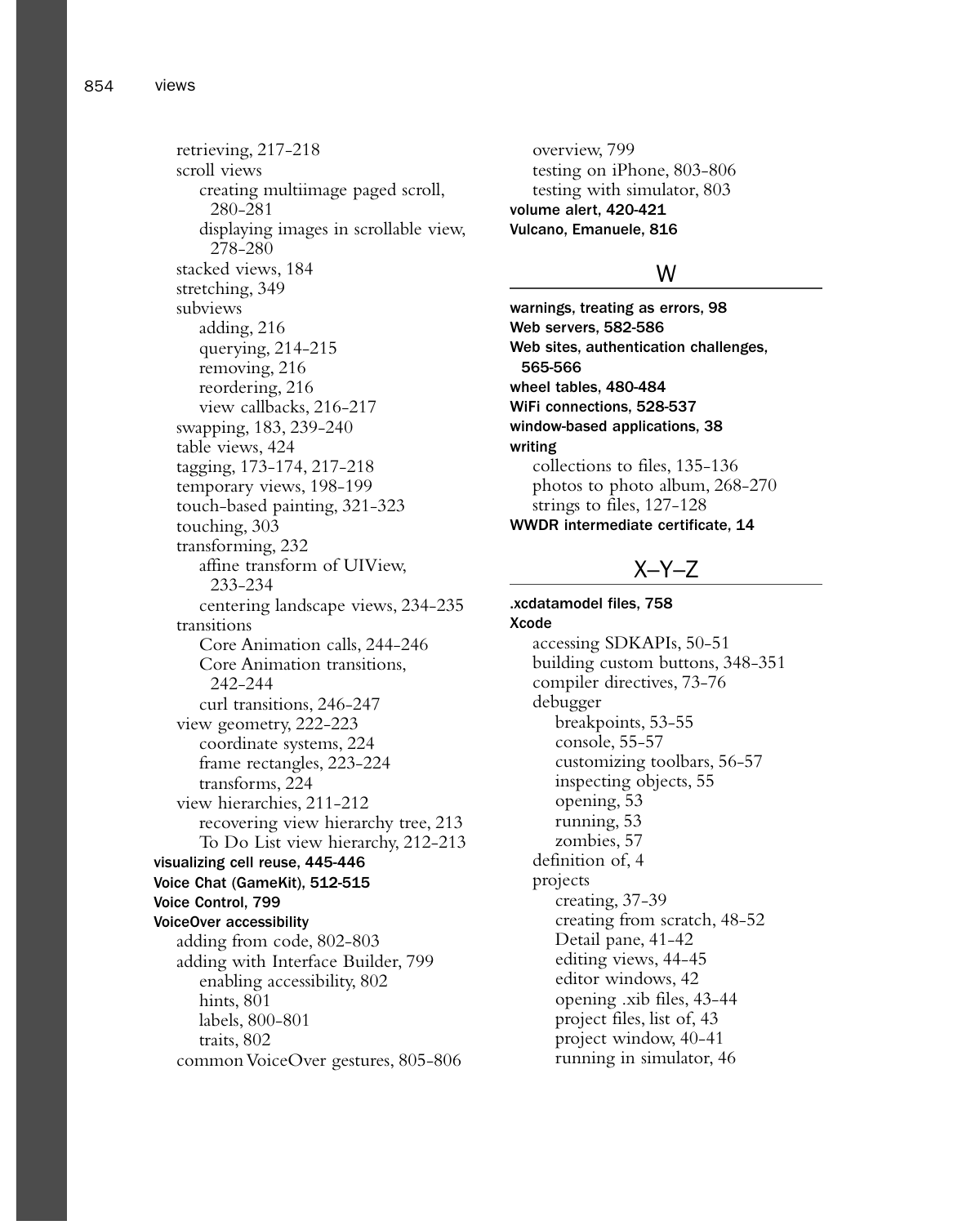retrieving, 217-218 scroll views creating multiimage paged scroll, 280-281 displaying images in scrollable view, 278-280 stacked views, 184 stretching, 349 subviews adding, 216 querying, 214-215 removing, 216 reordering, 216 view callbacks, 216-217 swapping, 183, 239-240 table views, 424 tagging, 173-174, 217-218 temporary views, 198-199 touch-based painting, 321-323 touching, 303 transforming, 232 affine transform of UIView, 233-234 centering landscape views, 234-235 transitions Core Animation calls, 244-246 Core Animation transitions, 242-244 curl transitions, 246-247 view geometry, 222-223 coordinate systems, 224 frame rectangles, 223-224 transforms, 224 view hierarchies, 211-212 recovering view hierarchy tree, 213 To Do List view hierarchy, 212-213 visualizing cell reuse, 445-446 Voice Chat (GameKit), 512-515 Voice Control, 799 VoiceOver accessibility adding from code, 802-803 adding with Interface Builder, 799 enabling accessibility, 802 hints, 801 labels, 800-801 traits, 802 common VoiceOver gestures, 805-806

overview, 799 testing on iPhone, 803-806 testing with simulator, 803 volume alert, 420-421 Vulcano, Emanuele, 816

#### W

warnings, treating as errors, 98 Web servers, 582-586 Web sites, authentication challenges, 565-566 wheel tables, 480-484 WiFi connections, 528-537 window-based applications, 38 writing collections to files, 135-136 photos to photo album, 268-270 strings to files, 127-128 WWDR intermediate certificate, 14

# X–Y–Z

.xcdatamodel files, 758 Xcode accessing SDKAPIs, 50-51 building custom buttons, 348-351 compiler directives, 73-76 debugger breakpoints, 53-55 console, 55-57 customizing toolbars, 56-57 inspecting objects, 55 opening, 53 running, 53 zombies, 57 definition of, 4 projects creating, 37-39 creating from scratch, 48-52 Detail pane, 41-42 editing views, 44-45 editor windows, 42 opening .xib files, 43-44 project files, list of, 43 project window, 40-41 running in simulator, 46